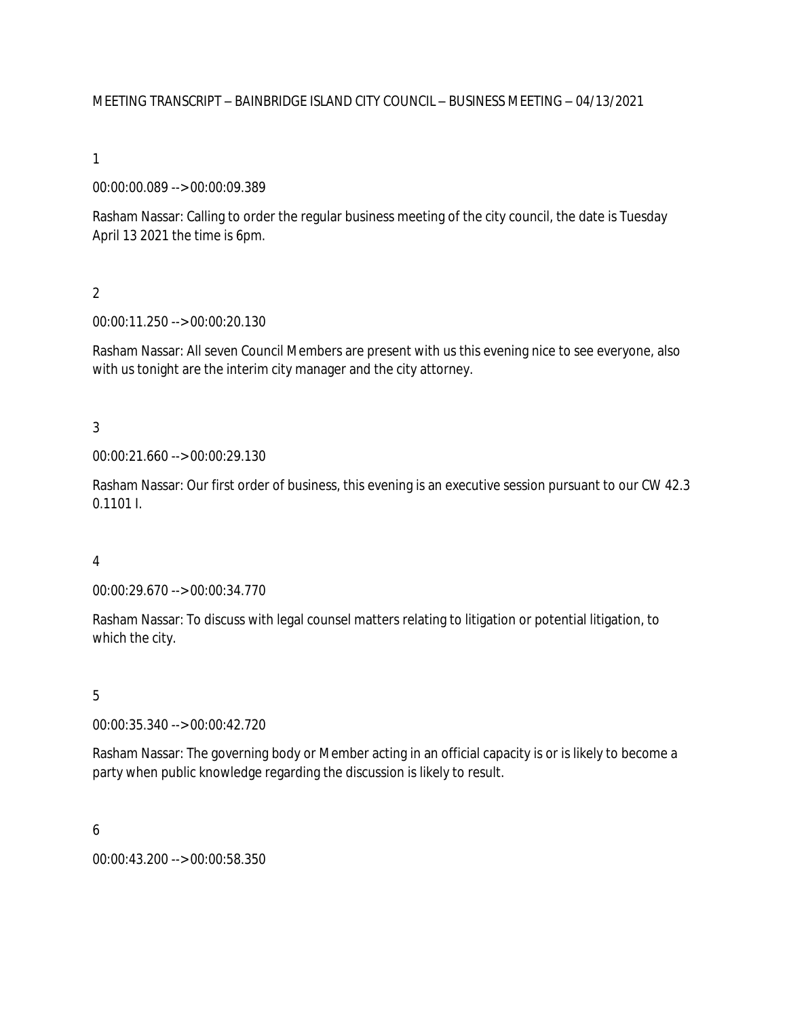MEETING TRANSCRIPT – BAINBRIDGE ISLAND CITY COUNCIL – BUSINESS MEETING – 04/13/2021

1

00:00:00.089 --> 00:00:09.389

Rasham Nassar: Calling to order the regular business meeting of the city council, the date is Tuesday April 13 2021 the time is 6pm.

 $\overline{2}$ 

00:00:11.250 --> 00:00:20.130

Rasham Nassar: All seven Council Members are present with us this evening nice to see everyone, also with us tonight are the interim city manager and the city attorney.

3

00:00:21.660 --> 00:00:29.130

Rasham Nassar: Our first order of business, this evening is an executive session pursuant to our CW 42.3 0.1101 I.

4

00:00:29.670 --> 00:00:34.770

Rasham Nassar: To discuss with legal counsel matters relating to litigation or potential litigation, to which the city.

5

00:00:35.340 --> 00:00:42.720

Rasham Nassar: The governing body or Member acting in an official capacity is or is likely to become a party when public knowledge regarding the discussion is likely to result.

6

00:00:43.200 --> 00:00:58.350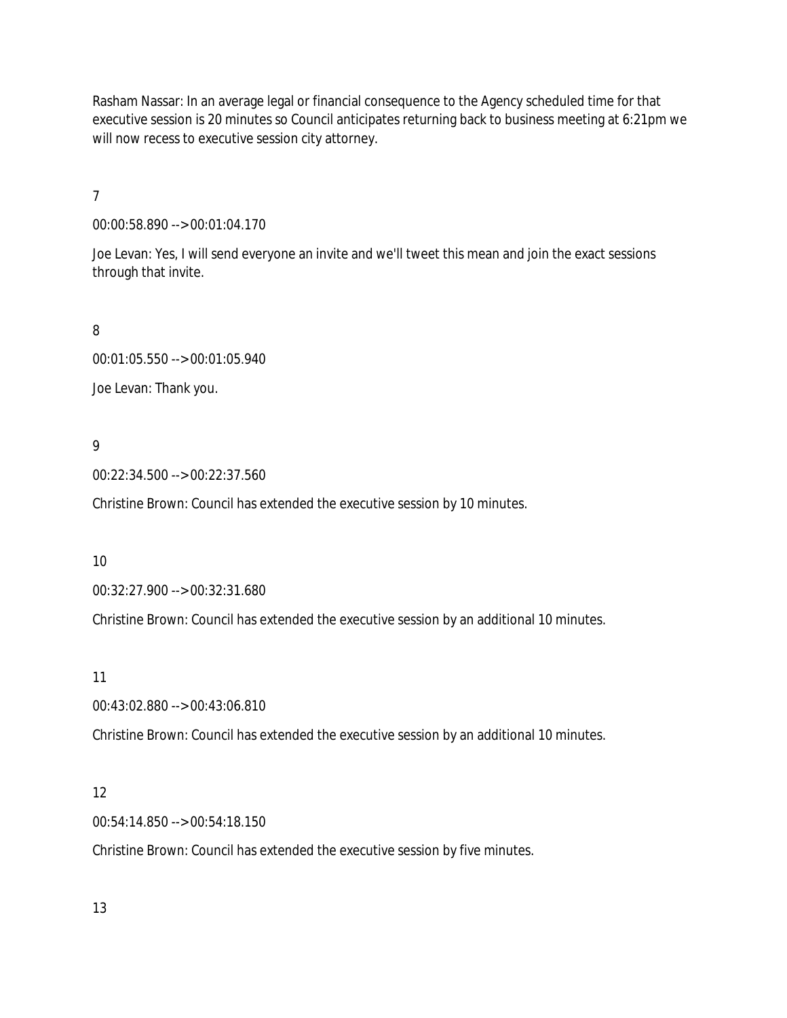Rasham Nassar: In an average legal or financial consequence to the Agency scheduled time for that executive session is 20 minutes so Council anticipates returning back to business meeting at 6:21pm we will now recess to executive session city attorney.

7

00:00:58.890 --> 00:01:04.170

Joe Levan: Yes, I will send everyone an invite and we'll tweet this mean and join the exact sessions through that invite.

8

00:01:05.550 --> 00:01:05.940

Joe Levan: Thank you.

## 9

00:22:34.500 --> 00:22:37.560

Christine Brown: Council has extended the executive session by 10 minutes.

10

00:32:27.900 --> 00:32:31.680

Christine Brown: Council has extended the executive session by an additional 10 minutes.

11

00:43:02.880 --> 00:43:06.810

Christine Brown: Council has extended the executive session by an additional 10 minutes.

### 12

00:54:14.850 --> 00:54:18.150

Christine Brown: Council has extended the executive session by five minutes.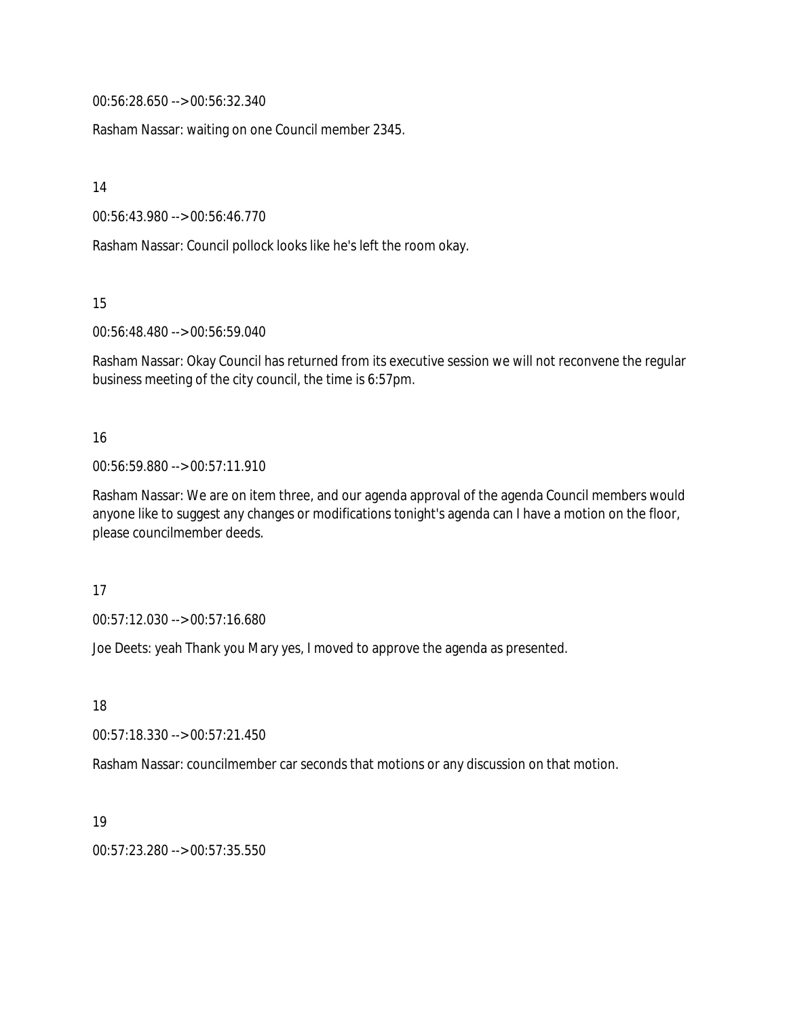00:56:28.650 --> 00:56:32.340

Rasham Nassar: waiting on one Council member 2345.

14

00:56:43.980 --> 00:56:46.770

Rasham Nassar: Council pollock looks like he's left the room okay.

15

00:56:48.480 --> 00:56:59.040

Rasham Nassar: Okay Council has returned from its executive session we will not reconvene the regular business meeting of the city council, the time is 6:57pm.

## 16

## 00:56:59.880 --> 00:57:11.910

Rasham Nassar: We are on item three, and our agenda approval of the agenda Council members would anyone like to suggest any changes or modifications tonight's agenda can I have a motion on the floor, please councilmember deeds.

### 17

00:57:12.030 --> 00:57:16.680

Joe Deets: yeah Thank you Mary yes, I moved to approve the agenda as presented.

18

00:57:18.330 --> 00:57:21.450

Rasham Nassar: councilmember car seconds that motions or any discussion on that motion.

19

00:57:23.280 --> 00:57:35.550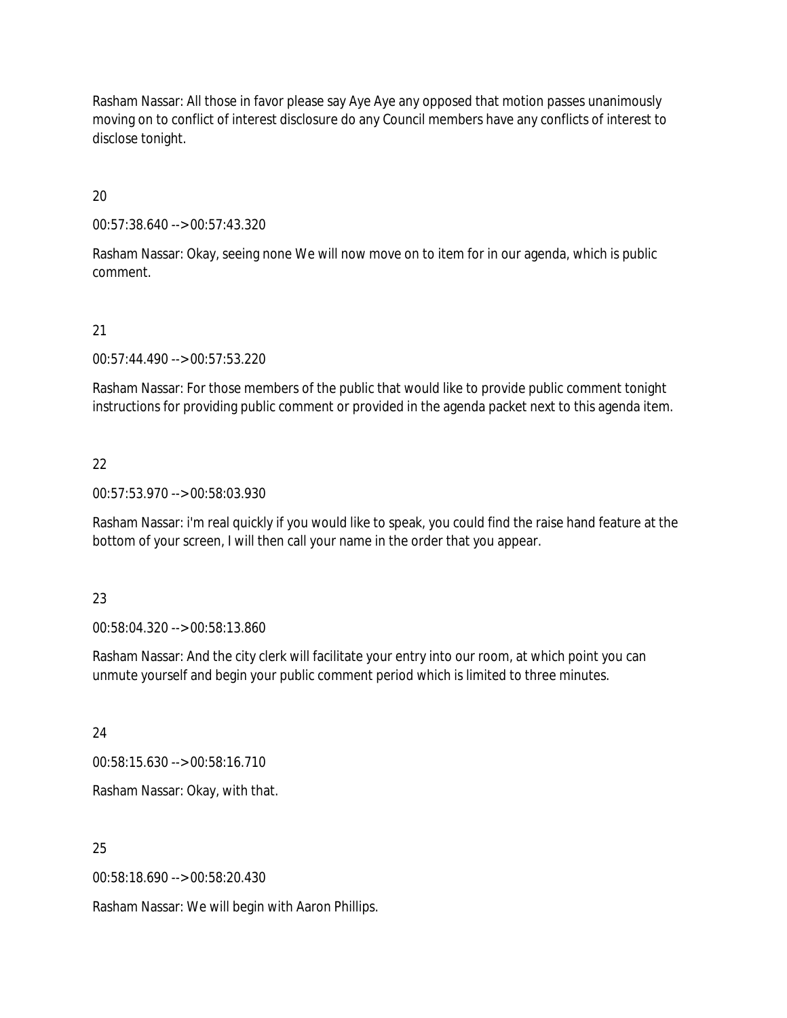Rasham Nassar: All those in favor please say Aye Aye any opposed that motion passes unanimously moving on to conflict of interest disclosure do any Council members have any conflicts of interest to disclose tonight.

20

00:57:38.640 --> 00:57:43.320

Rasham Nassar: Okay, seeing none We will now move on to item for in our agenda, which is public comment.

## 21

00:57:44.490 --> 00:57:53.220

Rasham Nassar: For those members of the public that would like to provide public comment tonight instructions for providing public comment or provided in the agenda packet next to this agenda item.

## 22

00:57:53.970 --> 00:58:03.930

Rasham Nassar: i'm real quickly if you would like to speak, you could find the raise hand feature at the bottom of your screen, I will then call your name in the order that you appear.

### 23

00:58:04.320 --> 00:58:13.860

Rasham Nassar: And the city clerk will facilitate your entry into our room, at which point you can unmute yourself and begin your public comment period which is limited to three minutes.

24

00:58:15.630 --> 00:58:16.710

Rasham Nassar: Okay, with that.

# 25

00:58:18.690 --> 00:58:20.430

Rasham Nassar: We will begin with Aaron Phillips.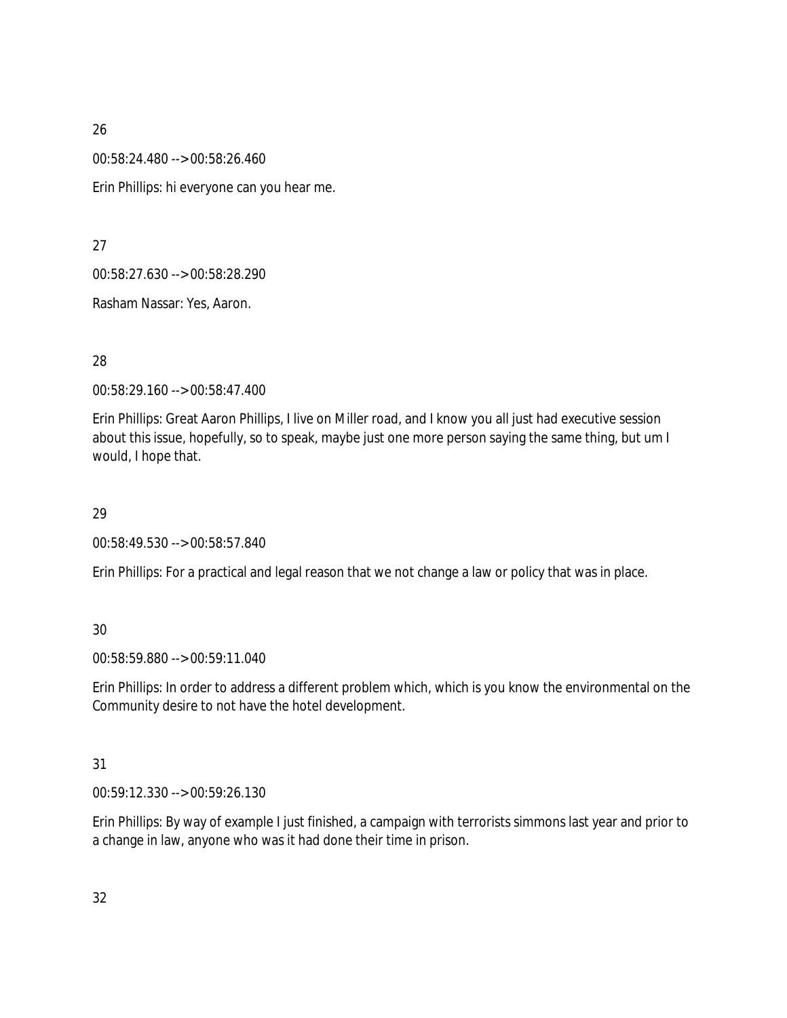00:58:24.480 --> 00:58:26.460

Erin Phillips: hi everyone can you hear me.

27

00:58:27.630 --> 00:58:28.290

Rasham Nassar: Yes, Aaron.

# 28

00:58:29.160 --> 00:58:47.400

Erin Phillips: Great Aaron Phillips, I live on Miller road, and I know you all just had executive session about this issue, hopefully, so to speak, maybe just one more person saying the same thing, but um I would, I hope that.

# 29

00:58:49.530 --> 00:58:57.840

Erin Phillips: For a practical and legal reason that we not change a law or policy that was in place.

# 30

00:58:59.880 --> 00:59:11.040

Erin Phillips: In order to address a different problem which, which is you know the environmental on the Community desire to not have the hotel development.

# 31

00:59:12.330 --> 00:59:26.130

Erin Phillips: By way of example I just finished, a campaign with terrorists simmons last year and prior to a change in law, anyone who was it had done their time in prison.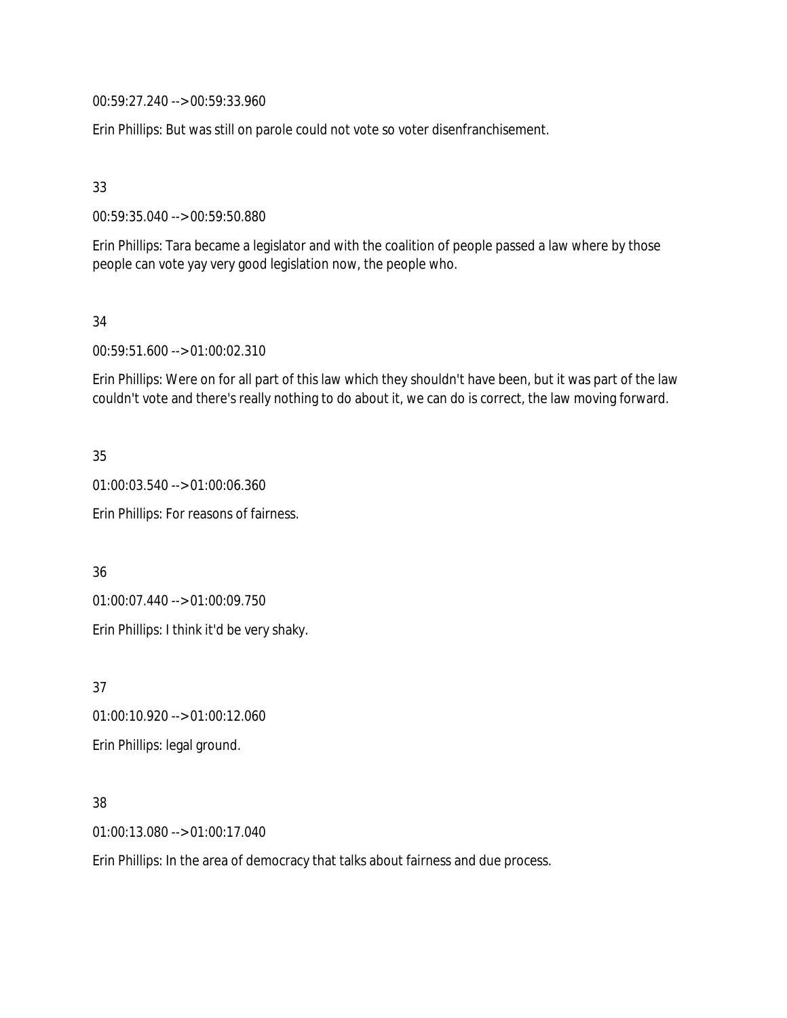00:59:27.240 --> 00:59:33.960

Erin Phillips: But was still on parole could not vote so voter disenfranchisement.

33

00:59:35.040 --> 00:59:50.880

Erin Phillips: Tara became a legislator and with the coalition of people passed a law where by those people can vote yay very good legislation now, the people who.

34

00:59:51.600 --> 01:00:02.310

Erin Phillips: Were on for all part of this law which they shouldn't have been, but it was part of the law couldn't vote and there's really nothing to do about it, we can do is correct, the law moving forward.

35 01:00:03.540 --> 01:00:06.360 Erin Phillips: For reasons of fairness.

36

01:00:07.440 --> 01:00:09.750

Erin Phillips: I think it'd be very shaky.

37 01:00:10.920 --> 01:00:12.060 Erin Phillips: legal ground.

38

01:00:13.080 --> 01:00:17.040

Erin Phillips: In the area of democracy that talks about fairness and due process.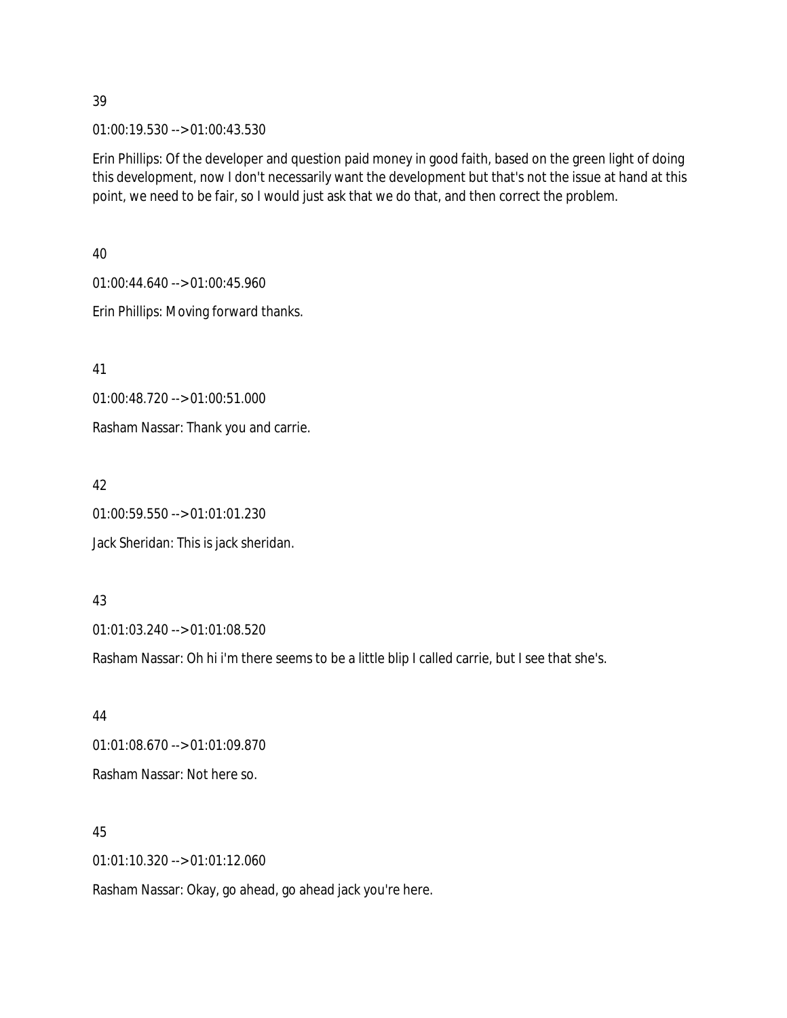01:00:19.530 --> 01:00:43.530

Erin Phillips: Of the developer and question paid money in good faith, based on the green light of doing this development, now I don't necessarily want the development but that's not the issue at hand at this point, we need to be fair, so I would just ask that we do that, and then correct the problem.

40 01:00:44.640 --> 01:00:45.960 Erin Phillips: Moving forward thanks.

41 01:00:48.720 --> 01:00:51.000 Rasham Nassar: Thank you and carrie.

42 01:00:59.550 --> 01:01:01.230 Jack Sheridan: This is jack sheridan.

43

01:01:03.240 --> 01:01:08.520

Rasham Nassar: Oh hi i'm there seems to be a little blip I called carrie, but I see that she's.

44 01:01:08.670 --> 01:01:09.870 Rasham Nassar: Not here so.

45 01:01:10.320 --> 01:01:12.060

Rasham Nassar: Okay, go ahead, go ahead jack you're here.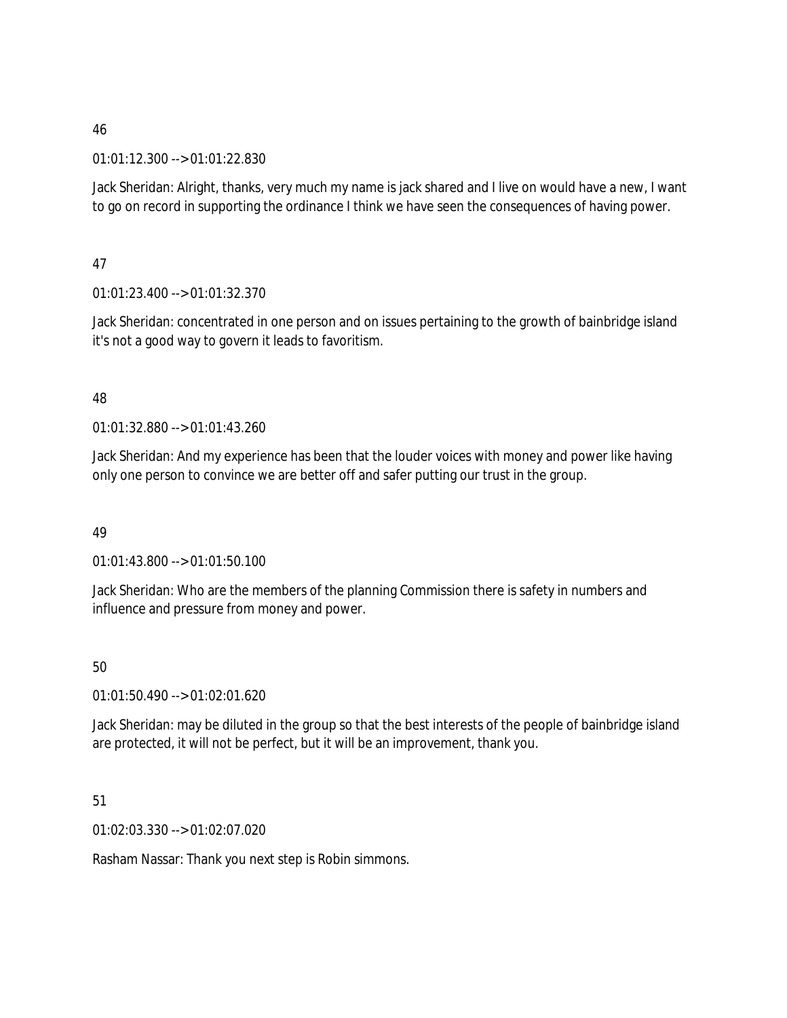### 01:01:12.300 --> 01:01:22.830

Jack Sheridan: Alright, thanks, very much my name is jack shared and I live on would have a new, I want to go on record in supporting the ordinance I think we have seen the consequences of having power.

47

01:01:23.400 --> 01:01:32.370

Jack Sheridan: concentrated in one person and on issues pertaining to the growth of bainbridge island it's not a good way to govern it leads to favoritism.

### 48

01:01:32.880 --> 01:01:43.260

Jack Sheridan: And my experience has been that the louder voices with money and power like having only one person to convince we are better off and safer putting our trust in the group.

# 49

01:01:43.800 --> 01:01:50.100

Jack Sheridan: Who are the members of the planning Commission there is safety in numbers and influence and pressure from money and power.

# 50

01:01:50.490 --> 01:02:01.620

Jack Sheridan: may be diluted in the group so that the best interests of the people of bainbridge island are protected, it will not be perfect, but it will be an improvement, thank you.

# 51

01:02:03.330 --> 01:02:07.020

Rasham Nassar: Thank you next step is Robin simmons.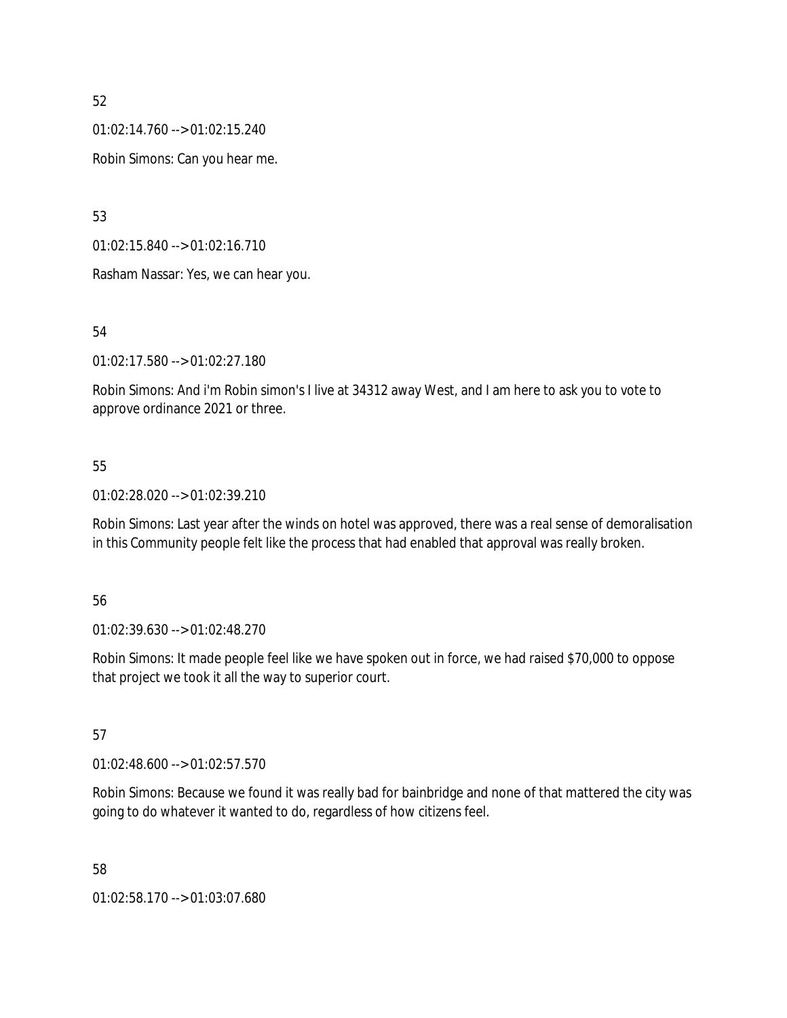01:02:14.760 --> 01:02:15.240

Robin Simons: Can you hear me.

53

01:02:15.840 --> 01:02:16.710

Rasham Nassar: Yes, we can hear you.

54

01:02:17.580 --> 01:02:27.180

Robin Simons: And i'm Robin simon's I live at 34312 away West, and I am here to ask you to vote to approve ordinance 2021 or three.

## 55

01:02:28.020 --> 01:02:39.210

Robin Simons: Last year after the winds on hotel was approved, there was a real sense of demoralisation in this Community people felt like the process that had enabled that approval was really broken.

### 56

01:02:39.630 --> 01:02:48.270

Robin Simons: It made people feel like we have spoken out in force, we had raised \$70,000 to oppose that project we took it all the way to superior court.

### 57

01:02:48.600 --> 01:02:57.570

Robin Simons: Because we found it was really bad for bainbridge and none of that mattered the city was going to do whatever it wanted to do, regardless of how citizens feel.

58

01:02:58.170 --> 01:03:07.680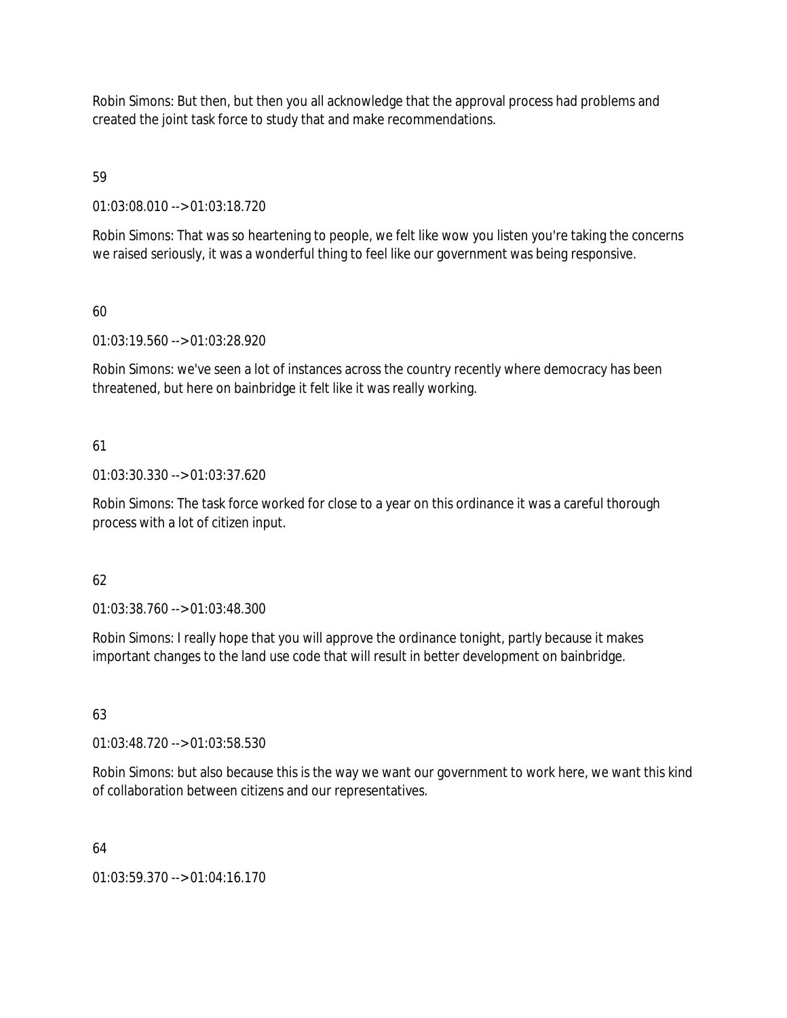Robin Simons: But then, but then you all acknowledge that the approval process had problems and created the joint task force to study that and make recommendations.

# 59

01:03:08.010 --> 01:03:18.720

Robin Simons: That was so heartening to people, we felt like wow you listen you're taking the concerns we raised seriously, it was a wonderful thing to feel like our government was being responsive.

# 60

01:03:19.560 --> 01:03:28.920

Robin Simons: we've seen a lot of instances across the country recently where democracy has been threatened, but here on bainbridge it felt like it was really working.

# 61

01:03:30.330 --> 01:03:37.620

Robin Simons: The task force worked for close to a year on this ordinance it was a careful thorough process with a lot of citizen input.

# 62

01:03:38.760 --> 01:03:48.300

Robin Simons: I really hope that you will approve the ordinance tonight, partly because it makes important changes to the land use code that will result in better development on bainbridge.

# 63

01:03:48.720 --> 01:03:58.530

Robin Simons: but also because this is the way we want our government to work here, we want this kind of collaboration between citizens and our representatives.

# 64

01:03:59.370 --> 01:04:16.170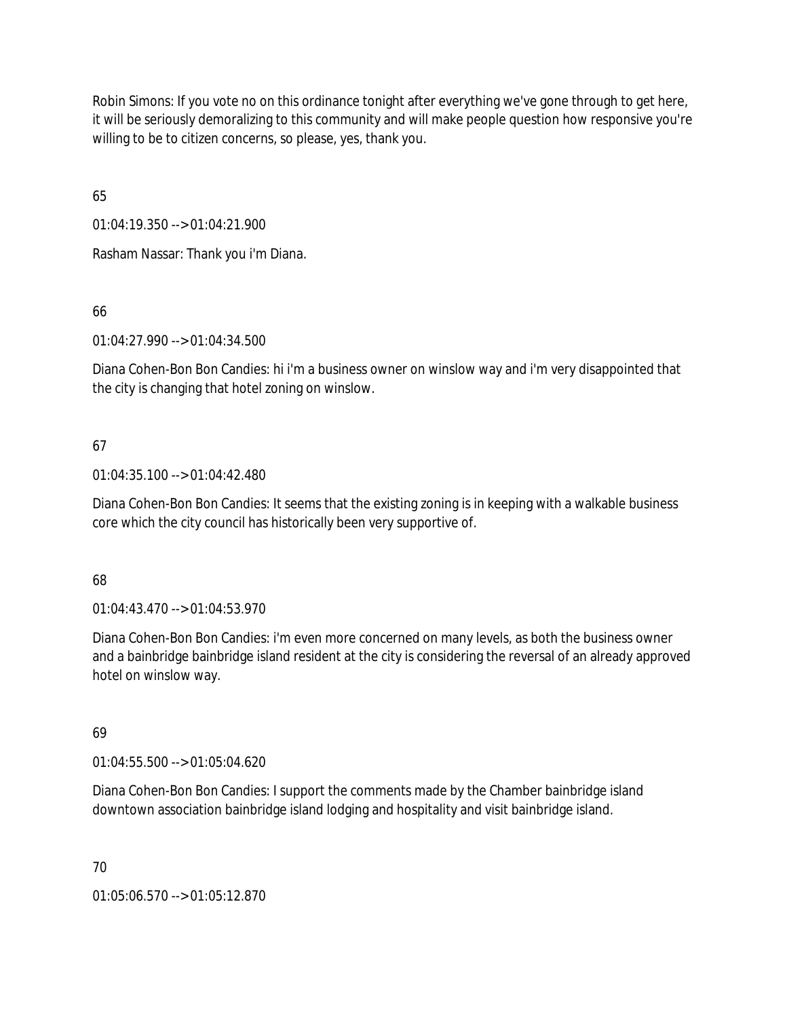Robin Simons: If you vote no on this ordinance tonight after everything we've gone through to get here, it will be seriously demoralizing to this community and will make people question how responsive you're willing to be to citizen concerns, so please, yes, thank you.

65

01:04:19.350 --> 01:04:21.900

Rasham Nassar: Thank you i'm Diana.

66

01:04:27.990 --> 01:04:34.500

Diana Cohen-Bon Bon Candies: hi i'm a business owner on winslow way and i'm very disappointed that the city is changing that hotel zoning on winslow.

# 67

01:04:35.100 --> 01:04:42.480

Diana Cohen-Bon Bon Candies: It seems that the existing zoning is in keeping with a walkable business core which the city council has historically been very supportive of.

# 68

01:04:43.470 --> 01:04:53.970

Diana Cohen-Bon Bon Candies: i'm even more concerned on many levels, as both the business owner and a bainbridge bainbridge island resident at the city is considering the reversal of an already approved hotel on winslow way.

# 69

01:04:55.500 --> 01:05:04.620

Diana Cohen-Bon Bon Candies: I support the comments made by the Chamber bainbridge island downtown association bainbridge island lodging and hospitality and visit bainbridge island.

# 70

01:05:06.570 --> 01:05:12.870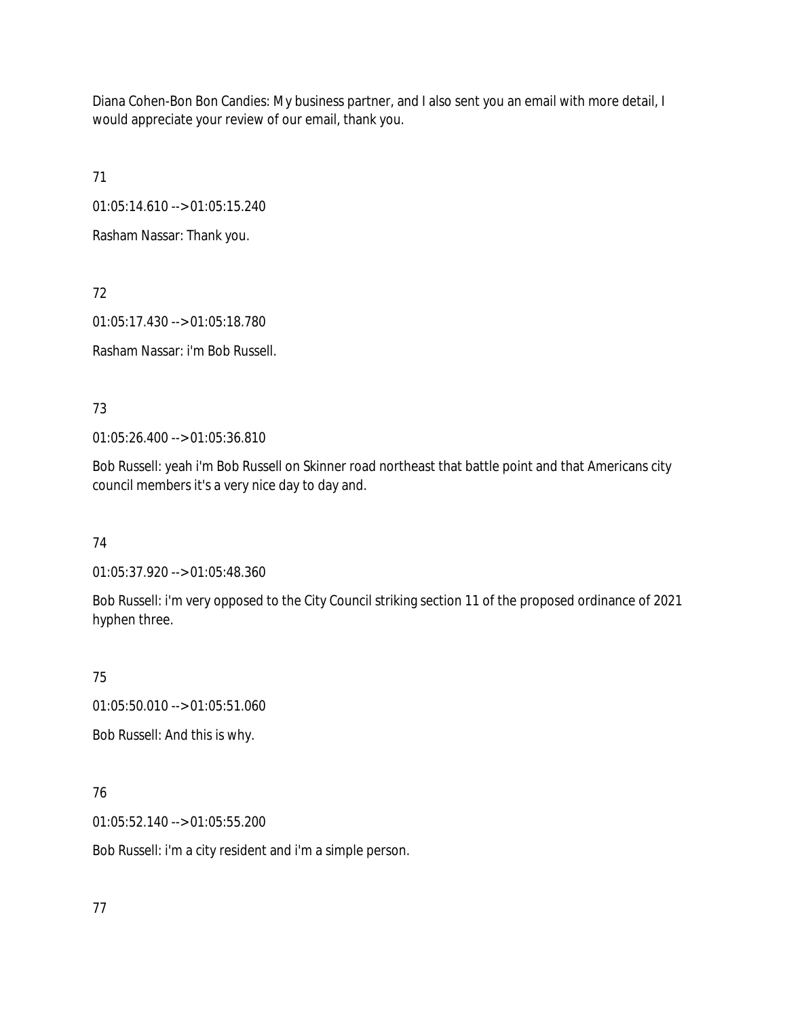Diana Cohen-Bon Bon Candies: My business partner, and I also sent you an email with more detail, I would appreciate your review of our email, thank you.

71

01:05:14.610 --> 01:05:15.240

Rasham Nassar: Thank you.

72

01:05:17.430 --> 01:05:18.780

Rasham Nassar: i'm Bob Russell.

73

01:05:26.400 --> 01:05:36.810

Bob Russell: yeah i'm Bob Russell on Skinner road northeast that battle point and that Americans city council members it's a very nice day to day and.

74

01:05:37.920 --> 01:05:48.360

Bob Russell: i'm very opposed to the City Council striking section 11 of the proposed ordinance of 2021 hyphen three.

75

01:05:50.010 --> 01:05:51.060

Bob Russell: And this is why.

76

01:05:52.140 --> 01:05:55.200

Bob Russell: i'm a city resident and i'm a simple person.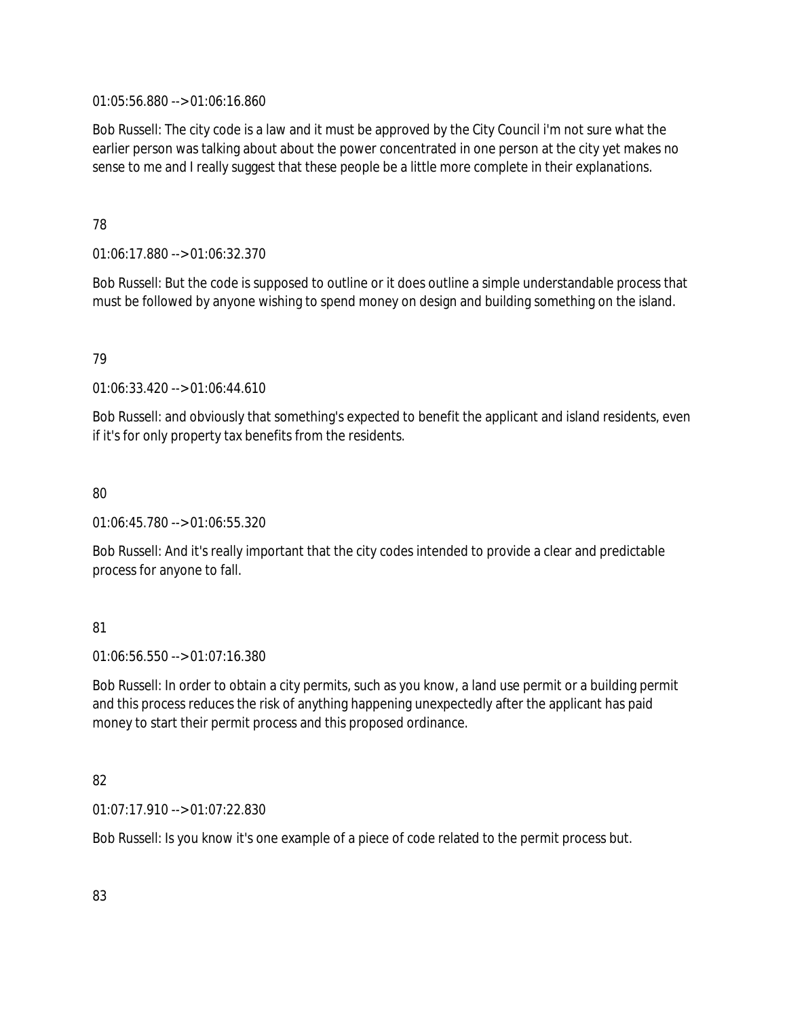01:05:56.880 --> 01:06:16.860

Bob Russell: The city code is a law and it must be approved by the City Council i'm not sure what the earlier person was talking about about the power concentrated in one person at the city yet makes no sense to me and I really suggest that these people be a little more complete in their explanations.

## 78

01:06:17.880 --> 01:06:32.370

Bob Russell: But the code is supposed to outline or it does outline a simple understandable process that must be followed by anyone wishing to spend money on design and building something on the island.

# 79

01:06:33.420 --> 01:06:44.610

Bob Russell: and obviously that something's expected to benefit the applicant and island residents, even if it's for only property tax benefits from the residents.

# 80

01:06:45.780 --> 01:06:55.320

Bob Russell: And it's really important that the city codes intended to provide a clear and predictable process for anyone to fall.

# 81

01:06:56.550 --> 01:07:16.380

Bob Russell: In order to obtain a city permits, such as you know, a land use permit or a building permit and this process reduces the risk of anything happening unexpectedly after the applicant has paid money to start their permit process and this proposed ordinance.

# 82

01:07:17.910 --> 01:07:22.830

Bob Russell: Is you know it's one example of a piece of code related to the permit process but.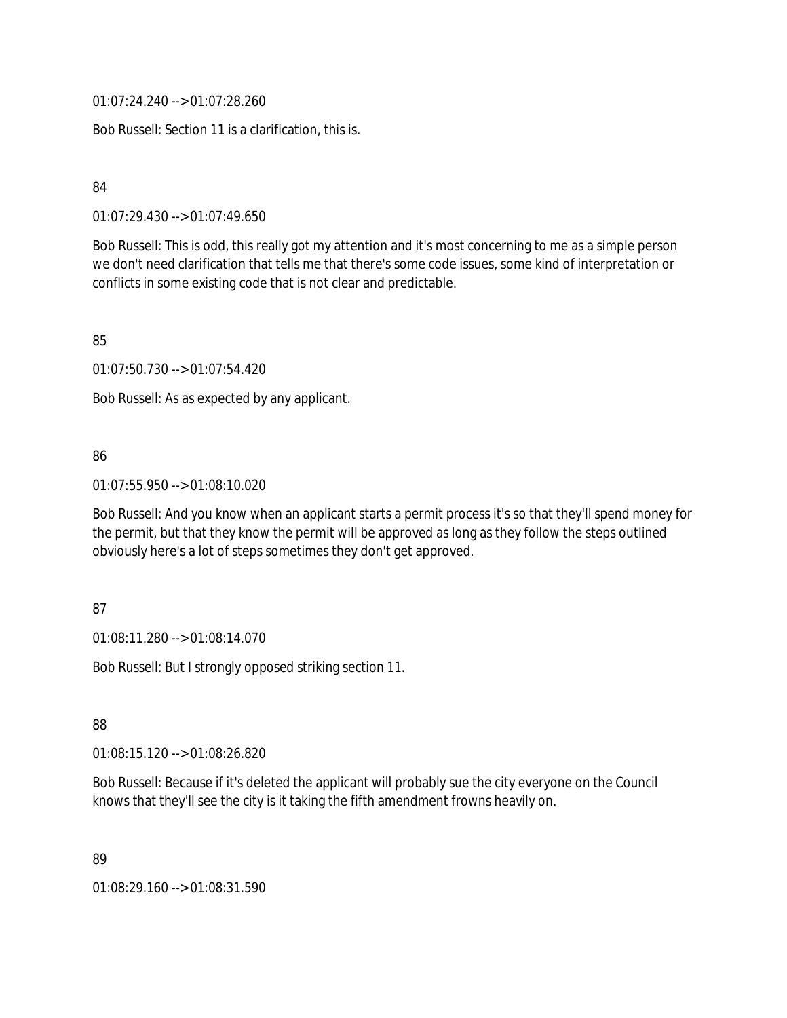01:07:24.240 --> 01:07:28.260

Bob Russell: Section 11 is a clarification, this is.

84

01:07:29.430 --> 01:07:49.650

Bob Russell: This is odd, this really got my attention and it's most concerning to me as a simple person we don't need clarification that tells me that there's some code issues, some kind of interpretation or conflicts in some existing code that is not clear and predictable.

85

01:07:50.730 --> 01:07:54.420

Bob Russell: As as expected by any applicant.

## 86

01:07:55.950 --> 01:08:10.020

Bob Russell: And you know when an applicant starts a permit process it's so that they'll spend money for the permit, but that they know the permit will be approved as long as they follow the steps outlined obviously here's a lot of steps sometimes they don't get approved.

### 87

01:08:11.280 --> 01:08:14.070

Bob Russell: But I strongly opposed striking section 11.

88

01:08:15.120 --> 01:08:26.820

Bob Russell: Because if it's deleted the applicant will probably sue the city everyone on the Council knows that they'll see the city is it taking the fifth amendment frowns heavily on.

89

01:08:29.160 --> 01:08:31.590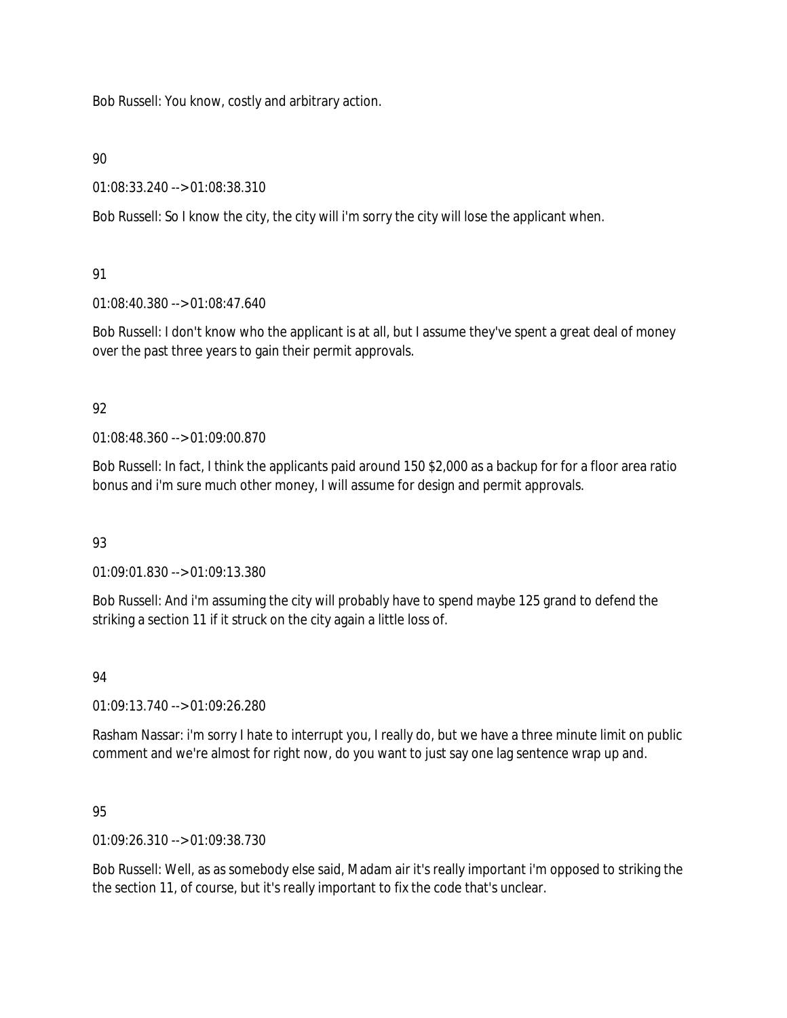Bob Russell: You know, costly and arbitrary action.

## 90

01:08:33.240 --> 01:08:38.310

Bob Russell: So I know the city, the city will i'm sorry the city will lose the applicant when.

# 91

01:08:40.380 --> 01:08:47.640

Bob Russell: I don't know who the applicant is at all, but I assume they've spent a great deal of money over the past three years to gain their permit approvals.

# 92

01:08:48.360 --> 01:09:00.870

Bob Russell: In fact, I think the applicants paid around 150 \$2,000 as a backup for for a floor area ratio bonus and i'm sure much other money, I will assume for design and permit approvals.

# 93

01:09:01.830 --> 01:09:13.380

Bob Russell: And i'm assuming the city will probably have to spend maybe 125 grand to defend the striking a section 11 if it struck on the city again a little loss of.

# 94

01:09:13.740 --> 01:09:26.280

Rasham Nassar: i'm sorry I hate to interrupt you, I really do, but we have a three minute limit on public comment and we're almost for right now, do you want to just say one lag sentence wrap up and.

# 95

01:09:26.310 --> 01:09:38.730

Bob Russell: Well, as as somebody else said, Madam air it's really important i'm opposed to striking the the section 11, of course, but it's really important to fix the code that's unclear.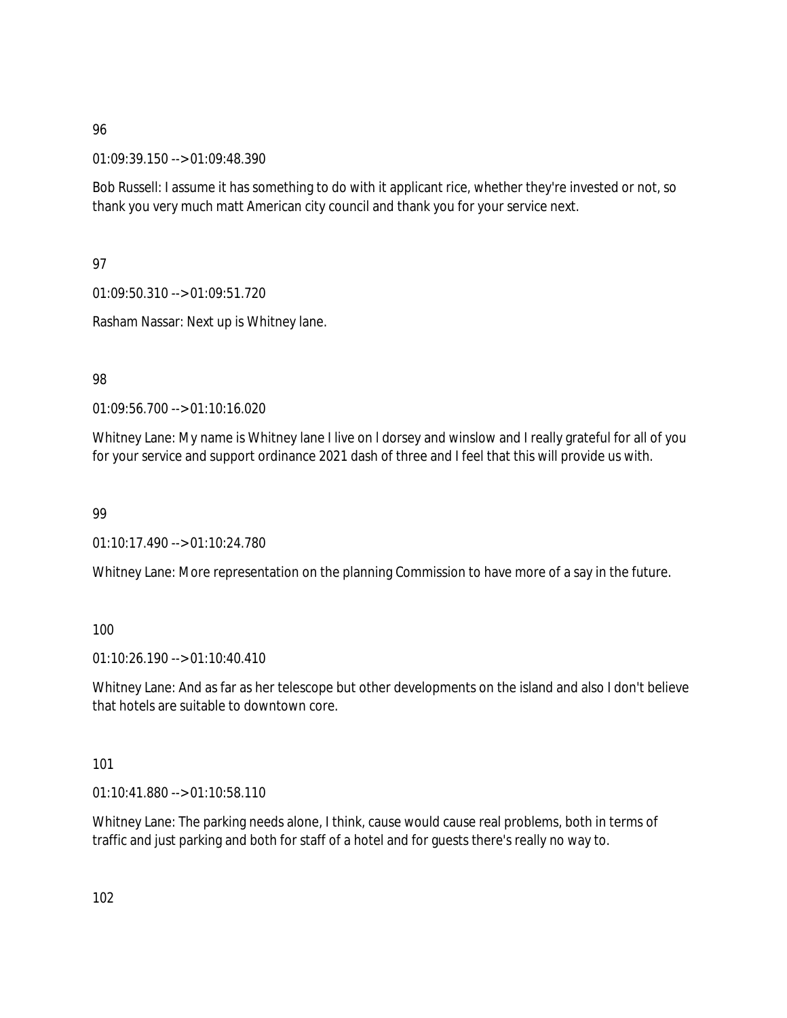01:09:39.150 --> 01:09:48.390

Bob Russell: I assume it has something to do with it applicant rice, whether they're invested or not, so thank you very much matt American city council and thank you for your service next.

97

01:09:50.310 --> 01:09:51.720

Rasham Nassar: Next up is Whitney lane.

98

01:09:56.700 --> 01:10:16.020

Whitney Lane: My name is Whitney lane I live on I dorsey and winslow and I really grateful for all of you for your service and support ordinance 2021 dash of three and I feel that this will provide us with.

99

01:10:17.490 --> 01:10:24.780

Whitney Lane: More representation on the planning Commission to have more of a say in the future.

100

01:10:26.190 --> 01:10:40.410

Whitney Lane: And as far as her telescope but other developments on the island and also I don't believe that hotels are suitable to downtown core.

101

01:10:41.880 --> 01:10:58.110

Whitney Lane: The parking needs alone, I think, cause would cause real problems, both in terms of traffic and just parking and both for staff of a hotel and for guests there's really no way to.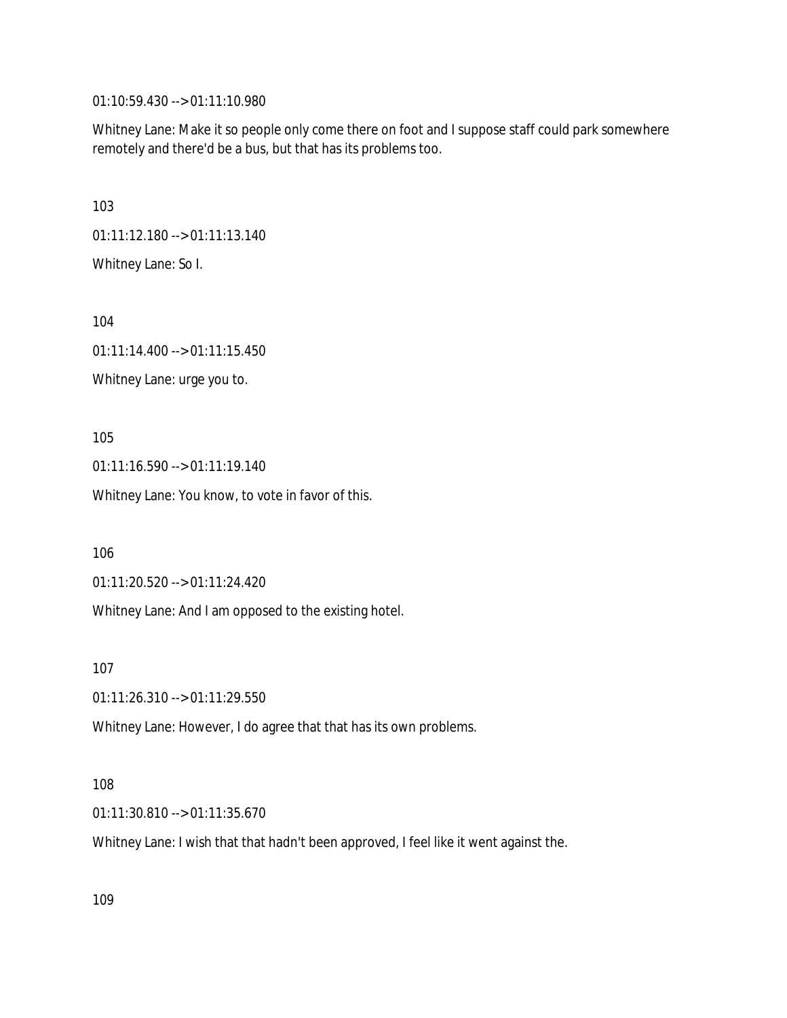01:10:59.430 --> 01:11:10.980

Whitney Lane: Make it so people only come there on foot and I suppose staff could park somewhere remotely and there'd be a bus, but that has its problems too.

103

01:11:12.180 --> 01:11:13.140

Whitney Lane: So I.

104

01:11:14.400 --> 01:11:15.450 Whitney Lane: urge you to.

105

01:11:16.590 --> 01:11:19.140

Whitney Lane: You know, to vote in favor of this.

106

01:11:20.520 --> 01:11:24.420

Whitney Lane: And I am opposed to the existing hotel.

107

01:11:26.310 --> 01:11:29.550

Whitney Lane: However, I do agree that that has its own problems.

### 108

01:11:30.810 --> 01:11:35.670

Whitney Lane: I wish that that hadn't been approved, I feel like it went against the.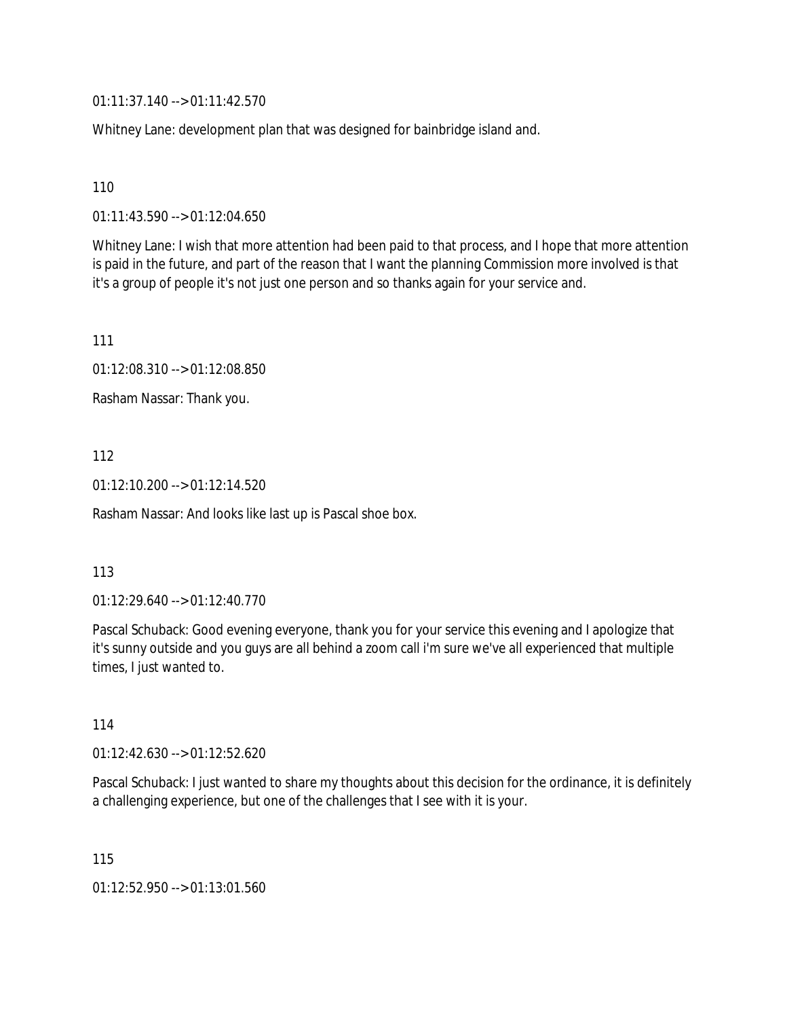01:11:37.140 --> 01:11:42.570

Whitney Lane: development plan that was designed for bainbridge island and.

110

01:11:43.590 --> 01:12:04.650

Whitney Lane: I wish that more attention had been paid to that process, and I hope that more attention is paid in the future, and part of the reason that I want the planning Commission more involved is that it's a group of people it's not just one person and so thanks again for your service and.

111

01:12:08.310 --> 01:12:08.850

Rasham Nassar: Thank you.

112

01:12:10.200 --> 01:12:14.520

Rasham Nassar: And looks like last up is Pascal shoe box.

### 113

01:12:29.640 --> 01:12:40.770

Pascal Schuback: Good evening everyone, thank you for your service this evening and I apologize that it's sunny outside and you guys are all behind a zoom call i'm sure we've all experienced that multiple times, I just wanted to.

114

01:12:42.630 --> 01:12:52.620

Pascal Schuback: I just wanted to share my thoughts about this decision for the ordinance, it is definitely a challenging experience, but one of the challenges that I see with it is your.

115

01:12:52.950 --> 01:13:01.560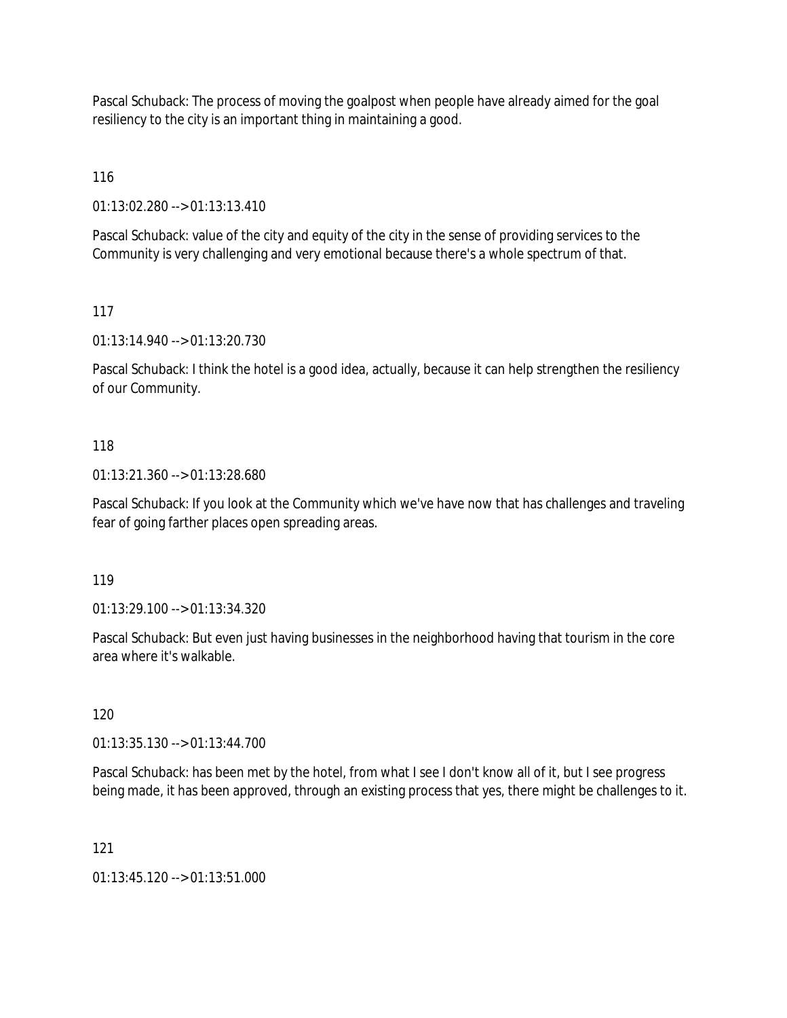Pascal Schuback: The process of moving the goalpost when people have already aimed for the goal resiliency to the city is an important thing in maintaining a good.

116

01:13:02.280 --> 01:13:13.410

Pascal Schuback: value of the city and equity of the city in the sense of providing services to the Community is very challenging and very emotional because there's a whole spectrum of that.

117

01:13:14.940 --> 01:13:20.730

Pascal Schuback: I think the hotel is a good idea, actually, because it can help strengthen the resiliency of our Community.

# 118

01:13:21.360 --> 01:13:28.680

Pascal Schuback: If you look at the Community which we've have now that has challenges and traveling fear of going farther places open spreading areas.

119

01:13:29.100 --> 01:13:34.320

Pascal Schuback: But even just having businesses in the neighborhood having that tourism in the core area where it's walkable.

120

01:13:35.130 --> 01:13:44.700

Pascal Schuback: has been met by the hotel, from what I see I don't know all of it, but I see progress being made, it has been approved, through an existing process that yes, there might be challenges to it.

121

01:13:45.120 --> 01:13:51.000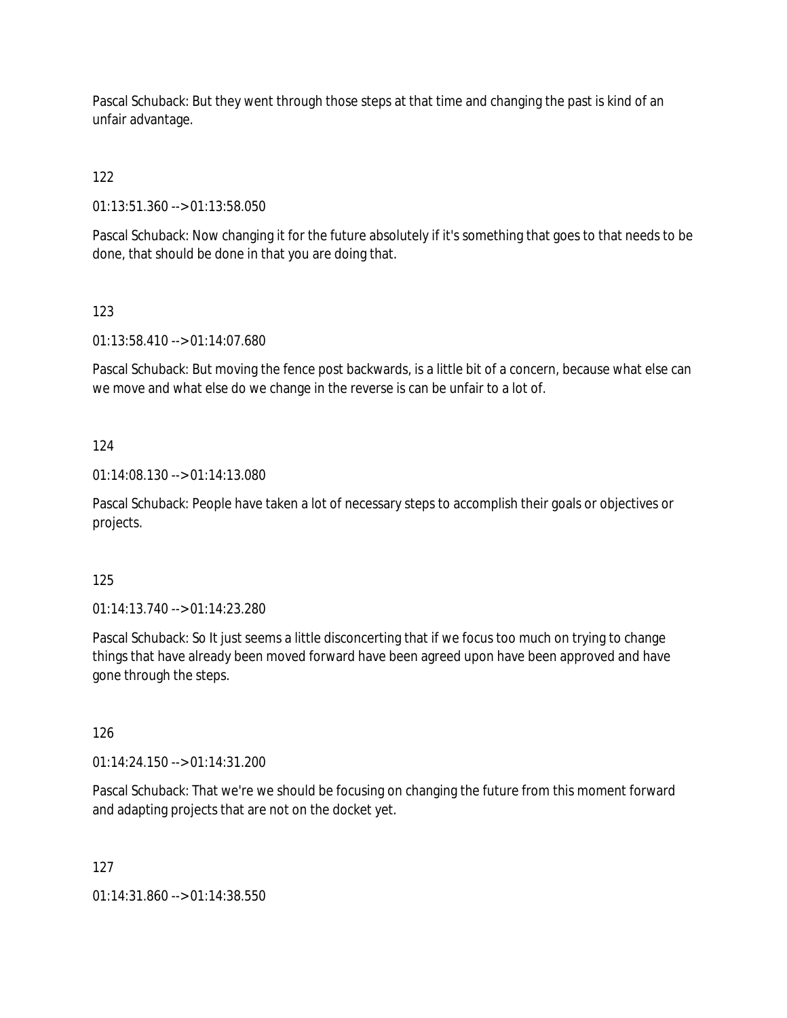Pascal Schuback: But they went through those steps at that time and changing the past is kind of an unfair advantage.

122

01:13:51.360 --> 01:13:58.050

Pascal Schuback: Now changing it for the future absolutely if it's something that goes to that needs to be done, that should be done in that you are doing that.

123

01:13:58.410 --> 01:14:07.680

Pascal Schuback: But moving the fence post backwards, is a little bit of a concern, because what else can we move and what else do we change in the reverse is can be unfair to a lot of.

124

01:14:08.130 --> 01:14:13.080

Pascal Schuback: People have taken a lot of necessary steps to accomplish their goals or objectives or projects.

125

01:14:13.740 --> 01:14:23.280

Pascal Schuback: So It just seems a little disconcerting that if we focus too much on trying to change things that have already been moved forward have been agreed upon have been approved and have gone through the steps.

126

01:14:24.150 --> 01:14:31.200

Pascal Schuback: That we're we should be focusing on changing the future from this moment forward and adapting projects that are not on the docket yet.

127

01:14:31.860 --> 01:14:38.550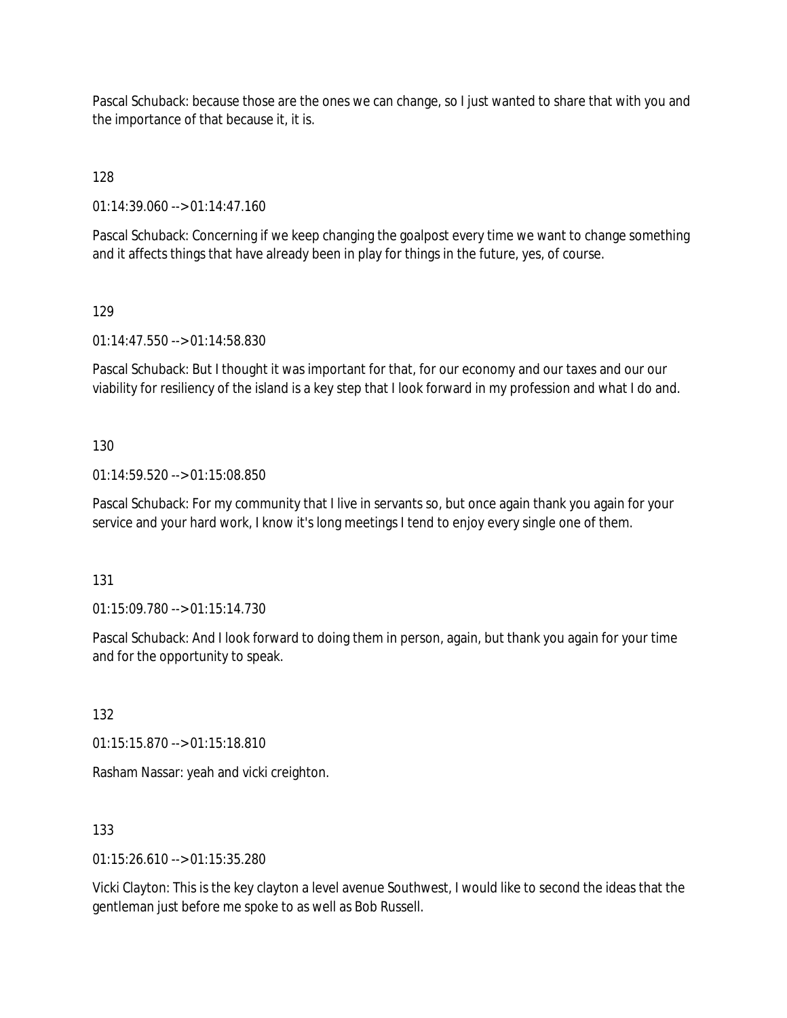Pascal Schuback: because those are the ones we can change, so I just wanted to share that with you and the importance of that because it, it is.

128

01:14:39.060 --> 01:14:47.160

Pascal Schuback: Concerning if we keep changing the goalpost every time we want to change something and it affects things that have already been in play for things in the future, yes, of course.

129

01:14:47.550 --> 01:14:58.830

Pascal Schuback: But I thought it was important for that, for our economy and our taxes and our our viability for resiliency of the island is a key step that I look forward in my profession and what I do and.

130

01:14:59.520 --> 01:15:08.850

Pascal Schuback: For my community that I live in servants so, but once again thank you again for your service and your hard work, I know it's long meetings I tend to enjoy every single one of them.

131

01:15:09.780 --> 01:15:14.730

Pascal Schuback: And I look forward to doing them in person, again, but thank you again for your time and for the opportunity to speak.

132

01:15:15.870 --> 01:15:18.810

Rasham Nassar: yeah and vicki creighton.

133

01:15:26.610 --> 01:15:35.280

Vicki Clayton: This is the key clayton a level avenue Southwest, I would like to second the ideas that the gentleman just before me spoke to as well as Bob Russell.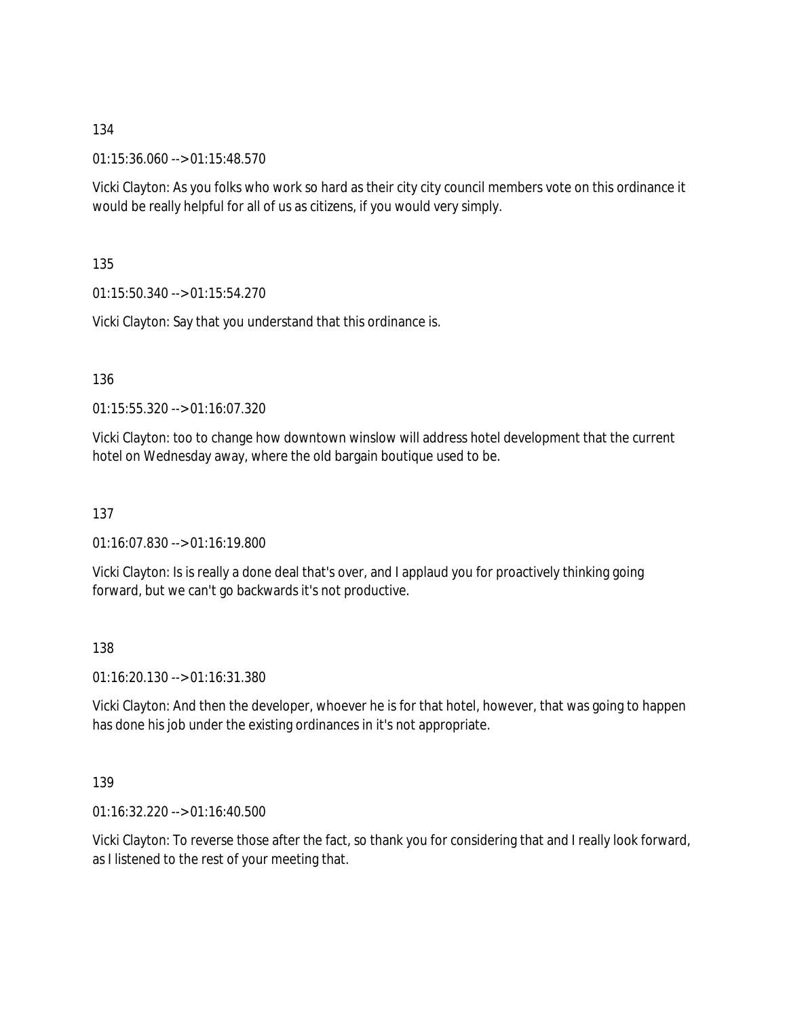01:15:36.060 --> 01:15:48.570

Vicki Clayton: As you folks who work so hard as their city city council members vote on this ordinance it would be really helpful for all of us as citizens, if you would very simply.

135

01:15:50.340 --> 01:15:54.270

Vicki Clayton: Say that you understand that this ordinance is.

136

01:15:55.320 --> 01:16:07.320

Vicki Clayton: too to change how downtown winslow will address hotel development that the current hotel on Wednesday away, where the old bargain boutique used to be.

137

01:16:07.830 --> 01:16:19.800

Vicki Clayton: Is is really a done deal that's over, and I applaud you for proactively thinking going forward, but we can't go backwards it's not productive.

138

01:16:20.130 --> 01:16:31.380

Vicki Clayton: And then the developer, whoever he is for that hotel, however, that was going to happen has done his job under the existing ordinances in it's not appropriate.

139

01:16:32.220 --> 01:16:40.500

Vicki Clayton: To reverse those after the fact, so thank you for considering that and I really look forward, as I listened to the rest of your meeting that.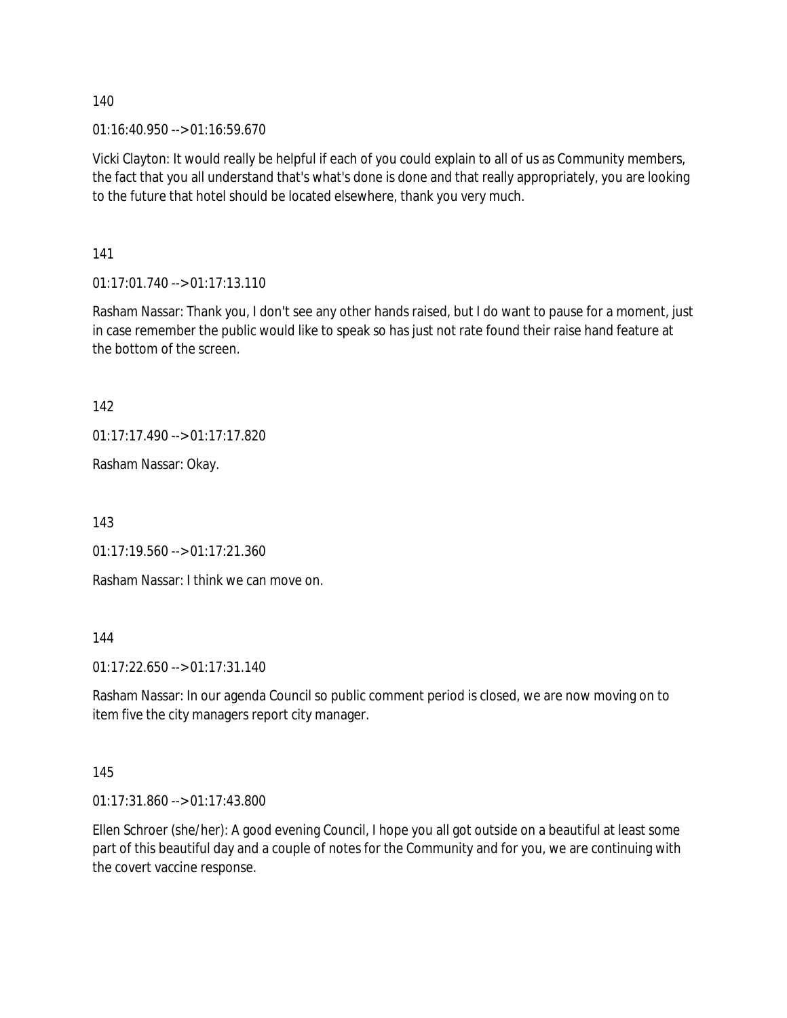$01:16:40.950 \rightarrow 01:16:59.670$ 

Vicki Clayton: It would really be helpful if each of you could explain to all of us as Community members, the fact that you all understand that's what's done is done and that really appropriately, you are looking to the future that hotel should be located elsewhere, thank you very much.

141

01:17:01.740 --> 01:17:13.110

Rasham Nassar: Thank you, I don't see any other hands raised, but I do want to pause for a moment, just in case remember the public would like to speak so has just not rate found their raise hand feature at the bottom of the screen.

142

01:17:17.490 --> 01:17:17.820

Rasham Nassar: Okay.

143

01:17:19.560 --> 01:17:21.360

Rasham Nassar: I think we can move on.

144

01:17:22.650 --> 01:17:31.140

Rasham Nassar: In our agenda Council so public comment period is closed, we are now moving on to item five the city managers report city manager.

145

01:17:31.860 --> 01:17:43.800

Ellen Schroer (she/her): A good evening Council, I hope you all got outside on a beautiful at least some part of this beautiful day and a couple of notes for the Community and for you, we are continuing with the covert vaccine response.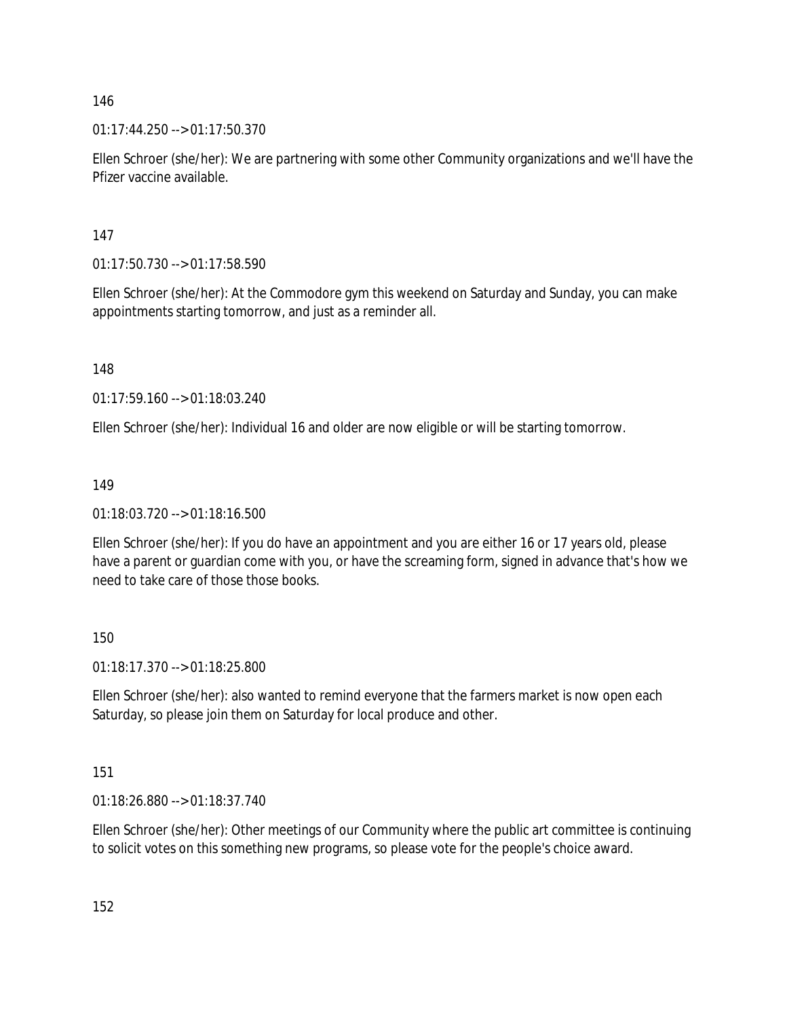01:17:44.250 --> 01:17:50.370

Ellen Schroer (she/her): We are partnering with some other Community organizations and we'll have the Pfizer vaccine available.

147

01:17:50.730 --> 01:17:58.590

Ellen Schroer (she/her): At the Commodore gym this weekend on Saturday and Sunday, you can make appointments starting tomorrow, and just as a reminder all.

148

01:17:59.160 --> 01:18:03.240

Ellen Schroer (she/her): Individual 16 and older are now eligible or will be starting tomorrow.

149

01:18:03.720 --> 01:18:16.500

Ellen Schroer (she/her): If you do have an appointment and you are either 16 or 17 years old, please have a parent or guardian come with you, or have the screaming form, signed in advance that's how we need to take care of those those books.

150

01:18:17.370 --> 01:18:25.800

Ellen Schroer (she/her): also wanted to remind everyone that the farmers market is now open each Saturday, so please join them on Saturday for local produce and other.

151

01:18:26.880 --> 01:18:37.740

Ellen Schroer (she/her): Other meetings of our Community where the public art committee is continuing to solicit votes on this something new programs, so please vote for the people's choice award.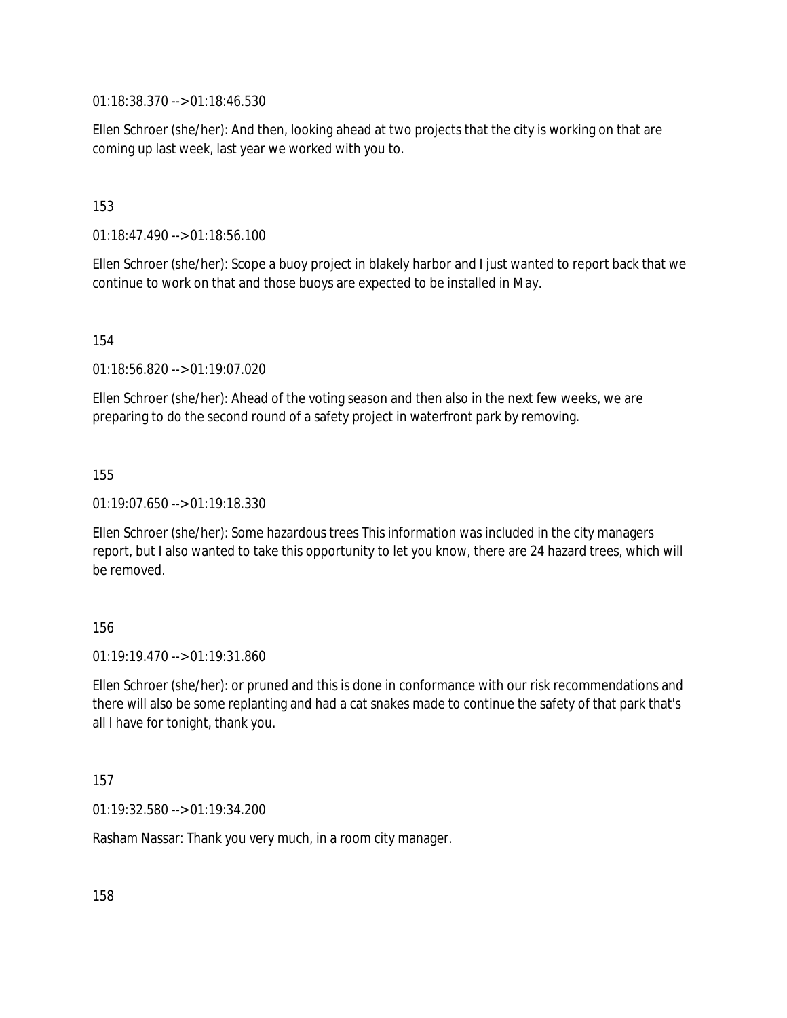01:18:38.370 --> 01:18:46.530

Ellen Schroer (she/her): And then, looking ahead at two projects that the city is working on that are coming up last week, last year we worked with you to.

153

01:18:47.490 --> 01:18:56.100

Ellen Schroer (she/her): Scope a buoy project in blakely harbor and I just wanted to report back that we continue to work on that and those buoys are expected to be installed in May.

154

01:18:56.820 --> 01:19:07.020

Ellen Schroer (she/her): Ahead of the voting season and then also in the next few weeks, we are preparing to do the second round of a safety project in waterfront park by removing.

155

01:19:07.650 --> 01:19:18.330

Ellen Schroer (she/her): Some hazardous trees This information was included in the city managers report, but I also wanted to take this opportunity to let you know, there are 24 hazard trees, which will be removed.

156

01:19:19.470 --> 01:19:31.860

Ellen Schroer (she/her): or pruned and this is done in conformance with our risk recommendations and there will also be some replanting and had a cat snakes made to continue the safety of that park that's all I have for tonight, thank you.

157

01:19:32.580 --> 01:19:34.200

Rasham Nassar: Thank you very much, in a room city manager.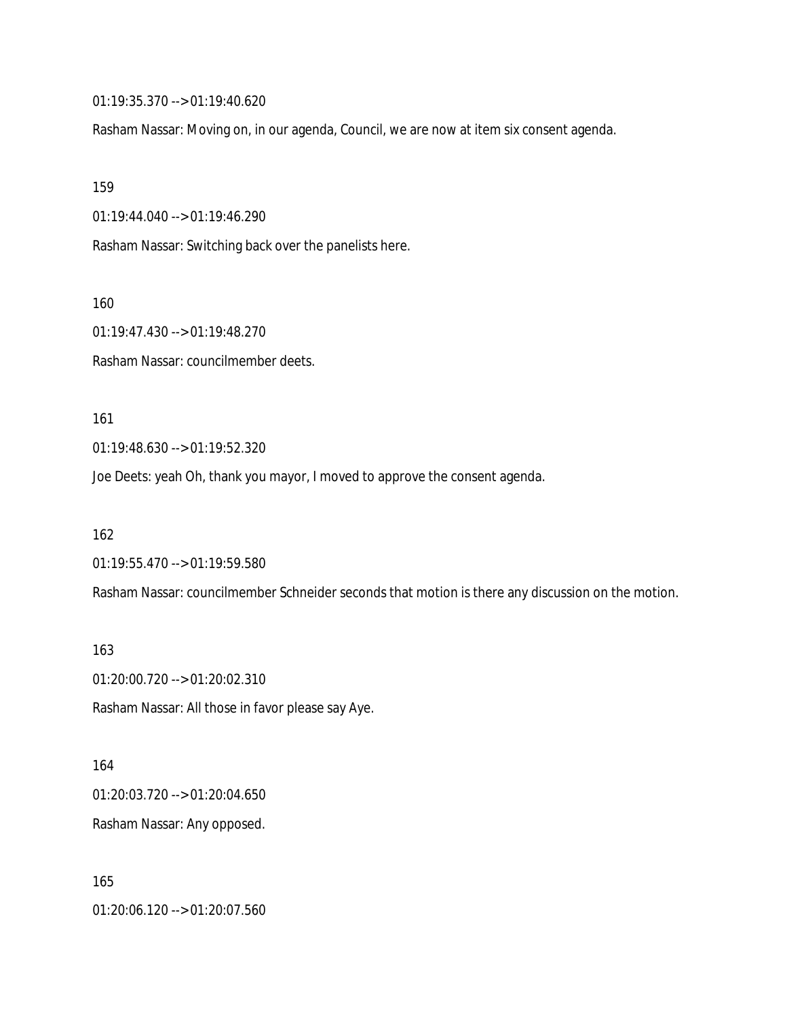01:19:35.370 --> 01:19:40.620

Rasham Nassar: Moving on, in our agenda, Council, we are now at item six consent agenda.

159

01:19:44.040 --> 01:19:46.290

Rasham Nassar: Switching back over the panelists here.

160

01:19:47.430 --> 01:19:48.270

Rasham Nassar: councilmember deets.

161

01:19:48.630 --> 01:19:52.320

Joe Deets: yeah Oh, thank you mayor, I moved to approve the consent agenda.

162

01:19:55.470 --> 01:19:59.580

Rasham Nassar: councilmember Schneider seconds that motion is there any discussion on the motion.

163

01:20:00.720 --> 01:20:02.310

Rasham Nassar: All those in favor please say Aye.

164 01:20:03.720 --> 01:20:04.650 Rasham Nassar: Any opposed.

165 01:20:06.120 --> 01:20:07.560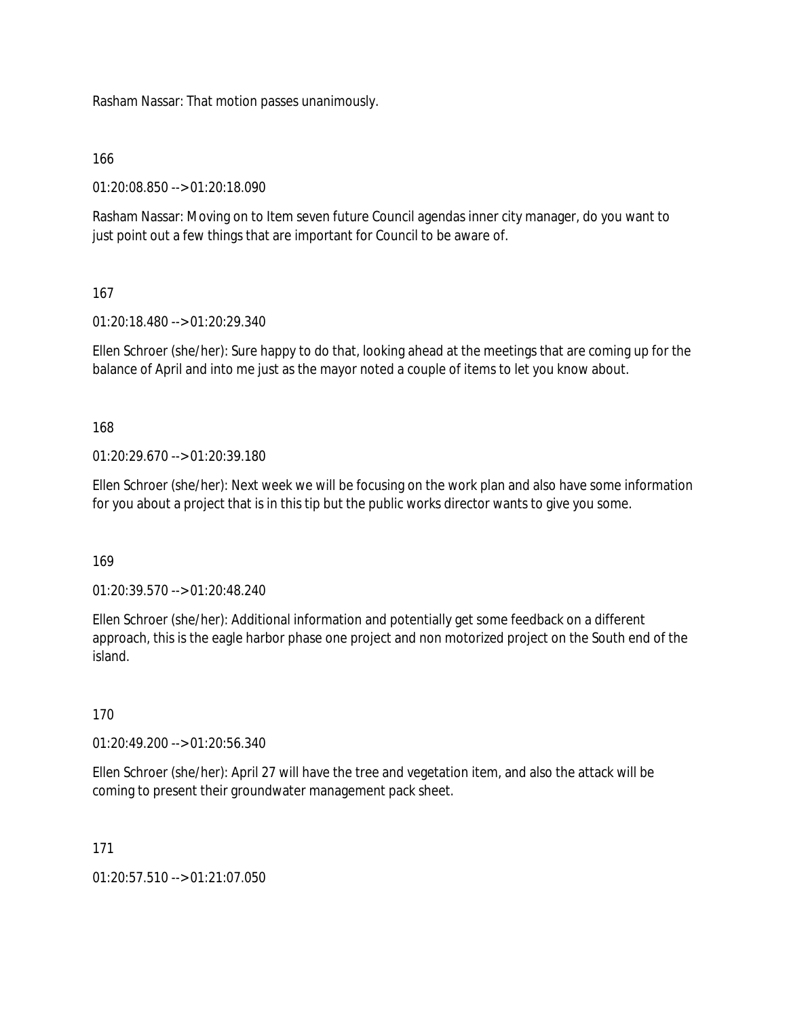Rasham Nassar: That motion passes unanimously.

166

01:20:08.850 --> 01:20:18.090

Rasham Nassar: Moving on to Item seven future Council agendas inner city manager, do you want to just point out a few things that are important for Council to be aware of.

# 167

01:20:18.480 --> 01:20:29.340

Ellen Schroer (she/her): Sure happy to do that, looking ahead at the meetings that are coming up for the balance of April and into me just as the mayor noted a couple of items to let you know about.

168

01:20:29.670 --> 01:20:39.180

Ellen Schroer (she/her): Next week we will be focusing on the work plan and also have some information for you about a project that is in this tip but the public works director wants to give you some.

169

01:20:39.570 --> 01:20:48.240

Ellen Schroer (she/her): Additional information and potentially get some feedback on a different approach, this is the eagle harbor phase one project and non motorized project on the South end of the island.

170

01:20:49.200 --> 01:20:56.340

Ellen Schroer (she/her): April 27 will have the tree and vegetation item, and also the attack will be coming to present their groundwater management pack sheet.

171

01:20:57.510 --> 01:21:07.050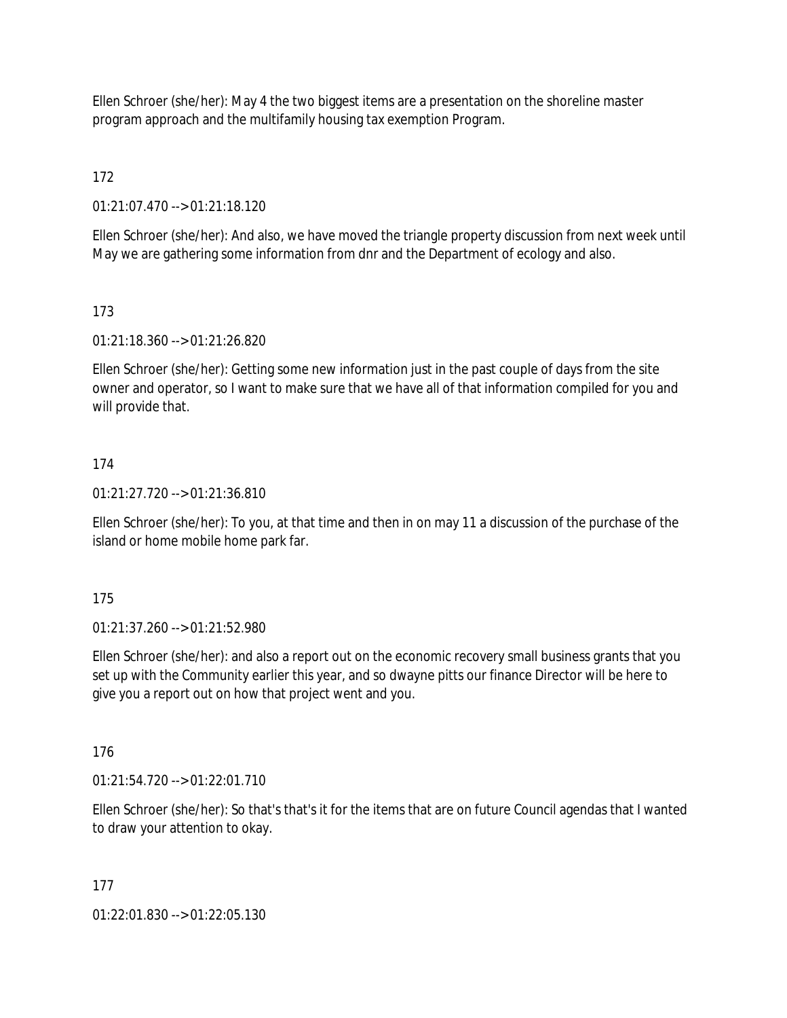Ellen Schroer (she/her): May 4 the two biggest items are a presentation on the shoreline master program approach and the multifamily housing tax exemption Program.

172

01:21:07.470 --> 01:21:18.120

Ellen Schroer (she/her): And also, we have moved the triangle property discussion from next week until May we are gathering some information from dnr and the Department of ecology and also.

# 173

01:21:18.360 --> 01:21:26.820

Ellen Schroer (she/her): Getting some new information just in the past couple of days from the site owner and operator, so I want to make sure that we have all of that information compiled for you and will provide that.

# 174

01:21:27.720 --> 01:21:36.810

Ellen Schroer (she/her): To you, at that time and then in on may 11 a discussion of the purchase of the island or home mobile home park far.

175

01:21:37.260 --> 01:21:52.980

Ellen Schroer (she/her): and also a report out on the economic recovery small business grants that you set up with the Community earlier this year, and so dwayne pitts our finance Director will be here to give you a report out on how that project went and you.

176

 $01:21:54.720 \rightarrow 01:22:01.710$ 

Ellen Schroer (she/her): So that's that's it for the items that are on future Council agendas that I wanted to draw your attention to okay.

# 177

01:22:01.830 --> 01:22:05.130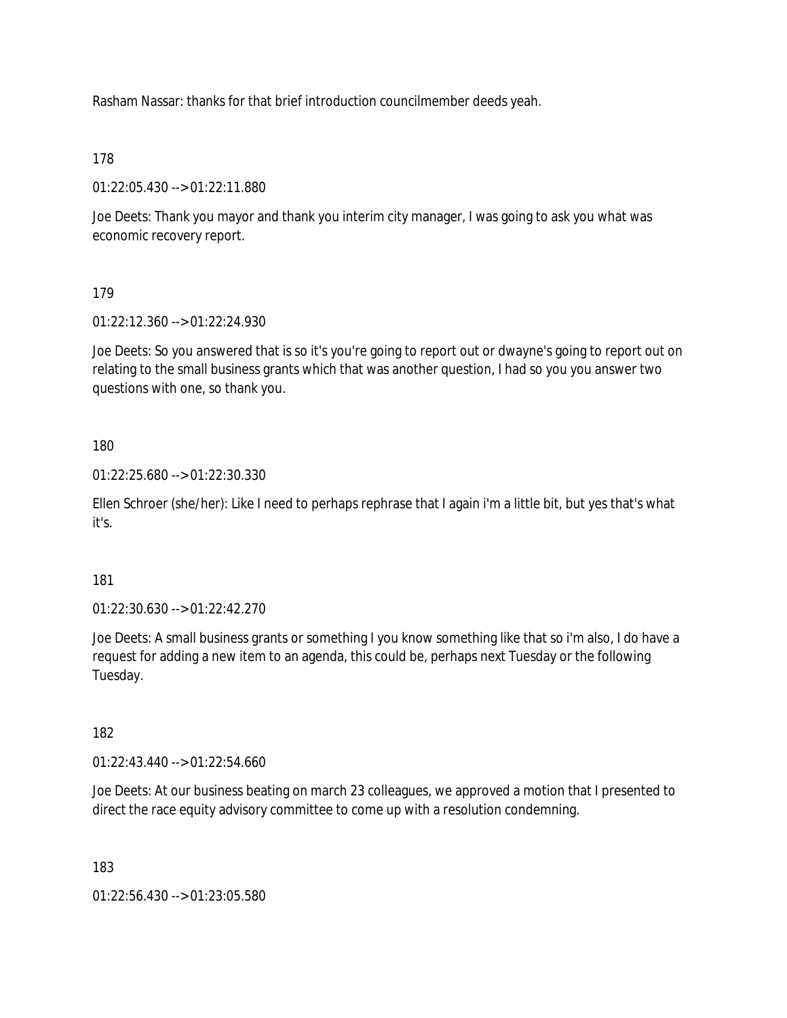Rasham Nassar: thanks for that brief introduction councilmember deeds yeah.

178

01:22:05.430 --> 01:22:11.880

Joe Deets: Thank you mayor and thank you interim city manager, I was going to ask you what was economic recovery report.

179

01:22:12.360 --> 01:22:24.930

Joe Deets: So you answered that is so it's you're going to report out or dwayne's going to report out on relating to the small business grants which that was another question, I had so you you answer two questions with one, so thank you.

180

01:22:25.680 --> 01:22:30.330

Ellen Schroer (she/her): Like I need to perhaps rephrase that I again i'm a little bit, but yes that's what it's.

181

01:22:30.630 --> 01:22:42.270

Joe Deets: A small business grants or something I you know something like that so i'm also, I do have a request for adding a new item to an agenda, this could be, perhaps next Tuesday or the following Tuesday.

182

01:22:43.440 --> 01:22:54.660

Joe Deets: At our business beating on march 23 colleagues, we approved a motion that I presented to direct the race equity advisory committee to come up with a resolution condemning.

183

01:22:56.430 --> 01:23:05.580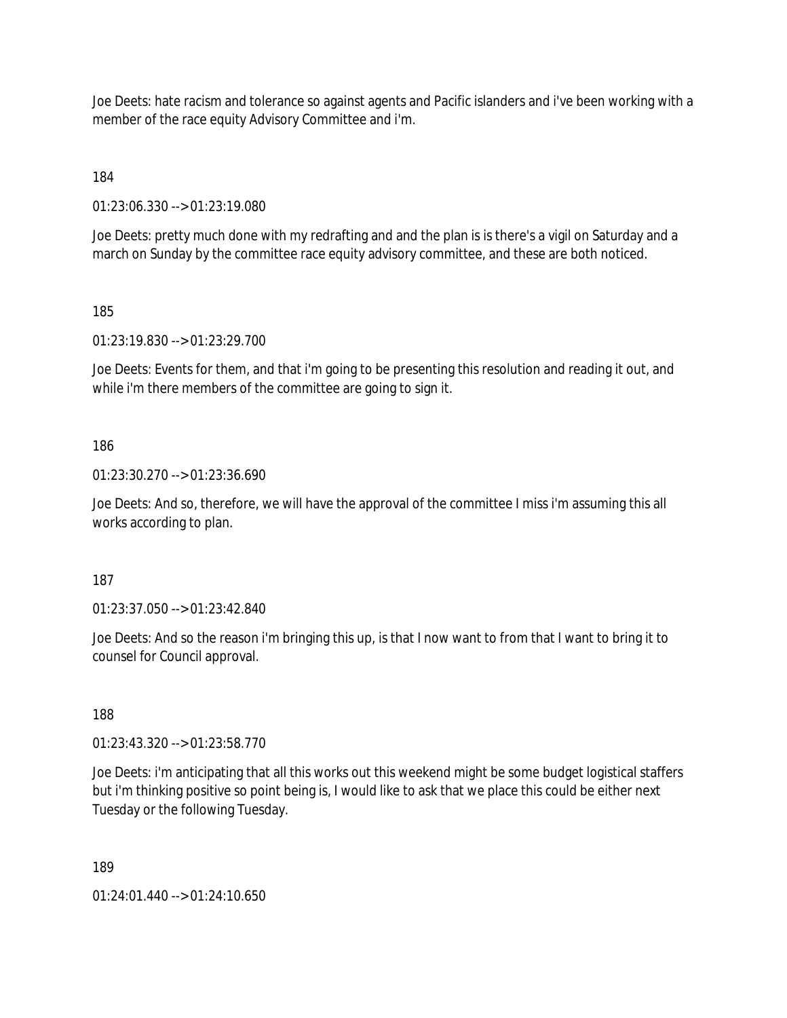Joe Deets: hate racism and tolerance so against agents and Pacific islanders and i've been working with a member of the race equity Advisory Committee and i'm.

184

01:23:06.330 --> 01:23:19.080

Joe Deets: pretty much done with my redrafting and and the plan is is there's a vigil on Saturday and a march on Sunday by the committee race equity advisory committee, and these are both noticed.

185

01:23:19.830 --> 01:23:29.700

Joe Deets: Events for them, and that i'm going to be presenting this resolution and reading it out, and while i'm there members of the committee are going to sign it.

186

01:23:30.270 --> 01:23:36.690

Joe Deets: And so, therefore, we will have the approval of the committee I miss i'm assuming this all works according to plan.

187

01:23:37.050 --> 01:23:42.840

Joe Deets: And so the reason i'm bringing this up, is that I now want to from that I want to bring it to counsel for Council approval.

188

01:23:43.320 --> 01:23:58.770

Joe Deets: i'm anticipating that all this works out this weekend might be some budget logistical staffers but i'm thinking positive so point being is, I would like to ask that we place this could be either next Tuesday or the following Tuesday.

189

01:24:01.440 --> 01:24:10.650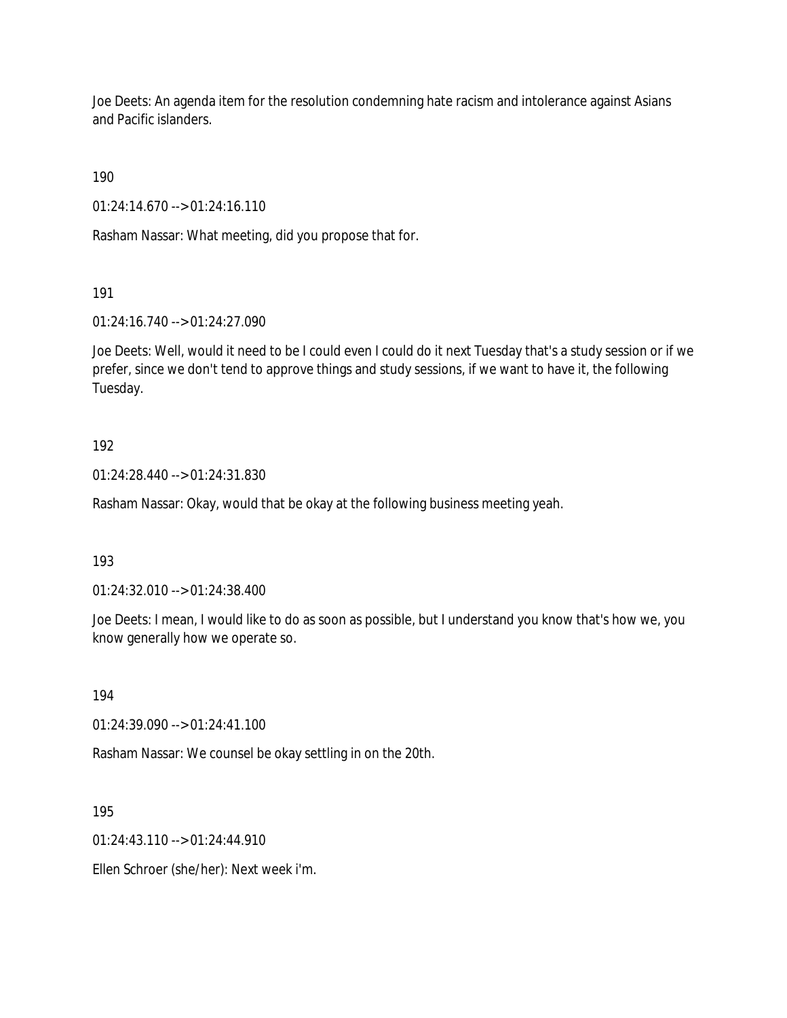Joe Deets: An agenda item for the resolution condemning hate racism and intolerance against Asians and Pacific islanders.

190

01:24:14.670 --> 01:24:16.110

Rasham Nassar: What meeting, did you propose that for.

191

01:24:16.740 --> 01:24:27.090

Joe Deets: Well, would it need to be I could even I could do it next Tuesday that's a study session or if we prefer, since we don't tend to approve things and study sessions, if we want to have it, the following Tuesday.

# 192

01:24:28.440 --> 01:24:31.830

Rasham Nassar: Okay, would that be okay at the following business meeting yeah.

193

01:24:32.010 --> 01:24:38.400

Joe Deets: I mean, I would like to do as soon as possible, but I understand you know that's how we, you know generally how we operate so.

194

01:24:39.090 --> 01:24:41.100

Rasham Nassar: We counsel be okay settling in on the 20th.

195

01:24:43.110 --> 01:24:44.910

Ellen Schroer (she/her): Next week i'm.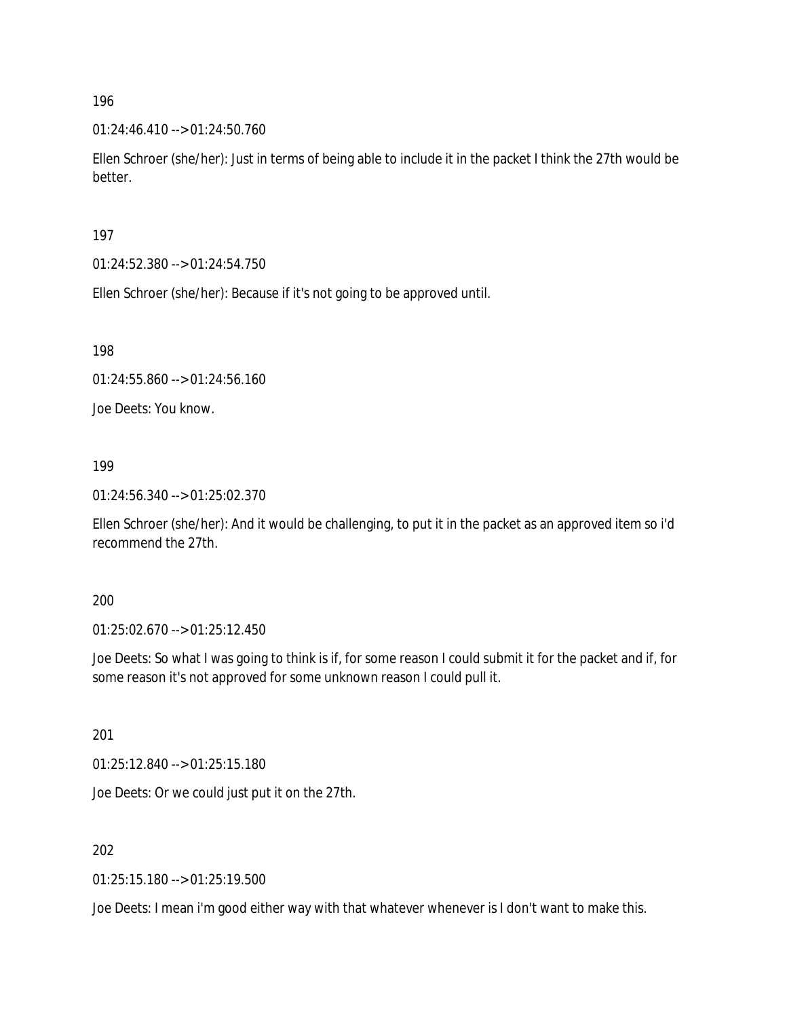01:24:46.410 --> 01:24:50.760

Ellen Schroer (she/her): Just in terms of being able to include it in the packet I think the 27th would be better.

197

01:24:52.380 --> 01:24:54.750

Ellen Schroer (she/her): Because if it's not going to be approved until.

198

01:24:55.860 --> 01:24:56.160

Joe Deets: You know.

199

01:24:56.340 --> 01:25:02.370

Ellen Schroer (she/her): And it would be challenging, to put it in the packet as an approved item so i'd recommend the 27th.

200

01:25:02.670 --> 01:25:12.450

Joe Deets: So what I was going to think is if, for some reason I could submit it for the packet and if, for some reason it's not approved for some unknown reason I could pull it.

201

01:25:12.840 --> 01:25:15.180

Joe Deets: Or we could just put it on the 27th.

202

01:25:15.180 --> 01:25:19.500

Joe Deets: I mean i'm good either way with that whatever whenever is I don't want to make this.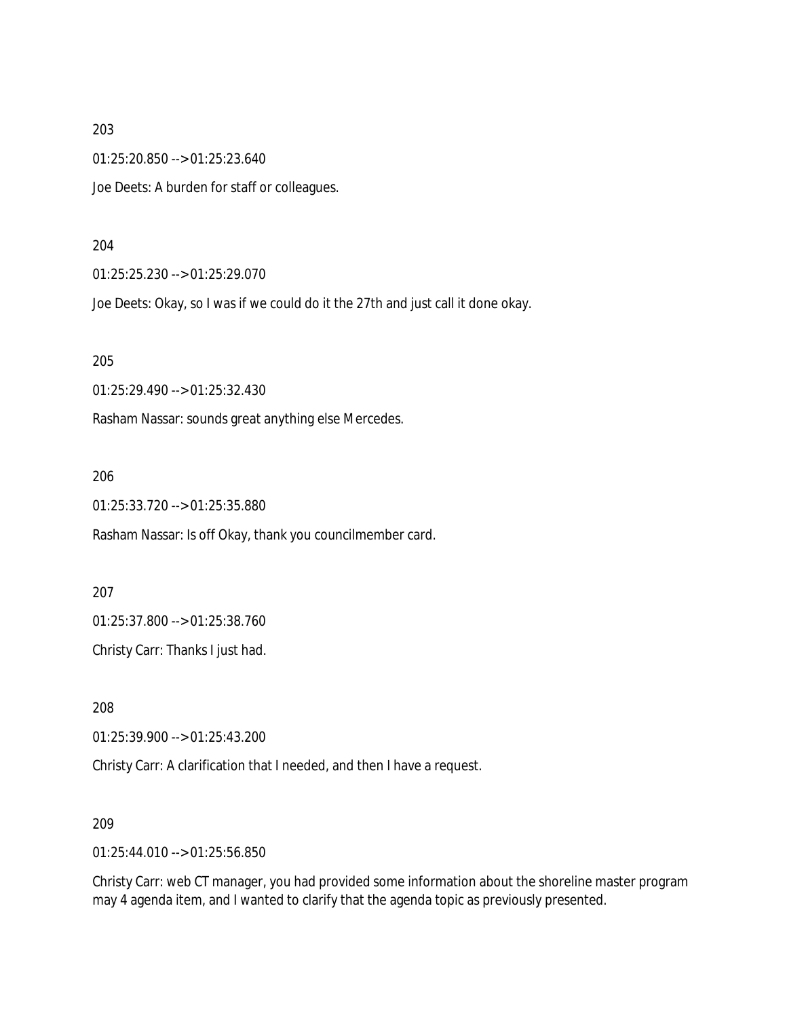01:25:20.850 --> 01:25:23.640

Joe Deets: A burden for staff or colleagues.

#### 204

01:25:25.230 --> 01:25:29.070

Joe Deets: Okay, so I was if we could do it the 27th and just call it done okay.

#### 205

01:25:29.490 --> 01:25:32.430

Rasham Nassar: sounds great anything else Mercedes.

#### 206

01:25:33.720 --> 01:25:35.880

Rasham Nassar: Is off Okay, thank you councilmember card.

207

01:25:37.800 --> 01:25:38.760

Christy Carr: Thanks I just had.

208

01:25:39.900 --> 01:25:43.200

Christy Carr: A clarification that I needed, and then I have a request.

209

01:25:44.010 --> 01:25:56.850

Christy Carr: web CT manager, you had provided some information about the shoreline master program may 4 agenda item, and I wanted to clarify that the agenda topic as previously presented.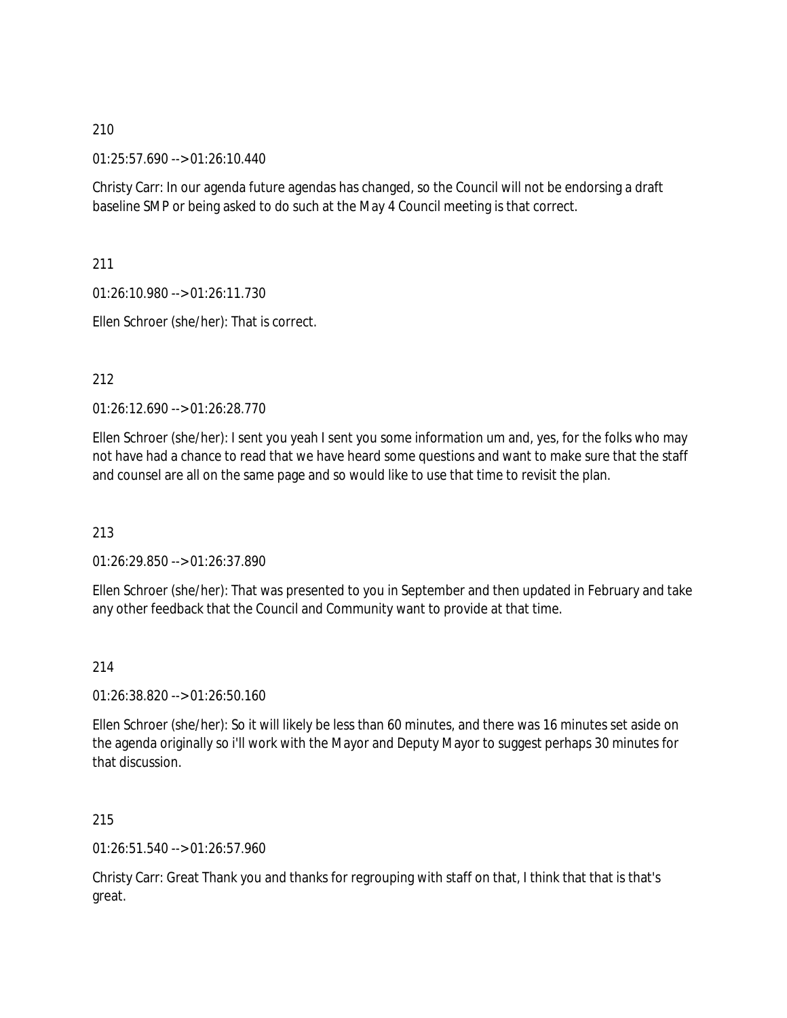01:25:57.690 --> 01:26:10.440

Christy Carr: In our agenda future agendas has changed, so the Council will not be endorsing a draft baseline SMP or being asked to do such at the May 4 Council meeting is that correct.

211

01:26:10.980 --> 01:26:11.730

Ellen Schroer (she/her): That is correct.

# 212

01:26:12.690 --> 01:26:28.770

Ellen Schroer (she/her): I sent you yeah I sent you some information um and, yes, for the folks who may not have had a chance to read that we have heard some questions and want to make sure that the staff and counsel are all on the same page and so would like to use that time to revisit the plan.

# 213

01:26:29.850 --> 01:26:37.890

Ellen Schroer (she/her): That was presented to you in September and then updated in February and take any other feedback that the Council and Community want to provide at that time.

### 214

01:26:38.820 --> 01:26:50.160

Ellen Schroer (she/her): So it will likely be less than 60 minutes, and there was 16 minutes set aside on the agenda originally so i'll work with the Mayor and Deputy Mayor to suggest perhaps 30 minutes for that discussion.

## 215

01:26:51.540 --> 01:26:57.960

Christy Carr: Great Thank you and thanks for regrouping with staff on that, I think that that is that's great.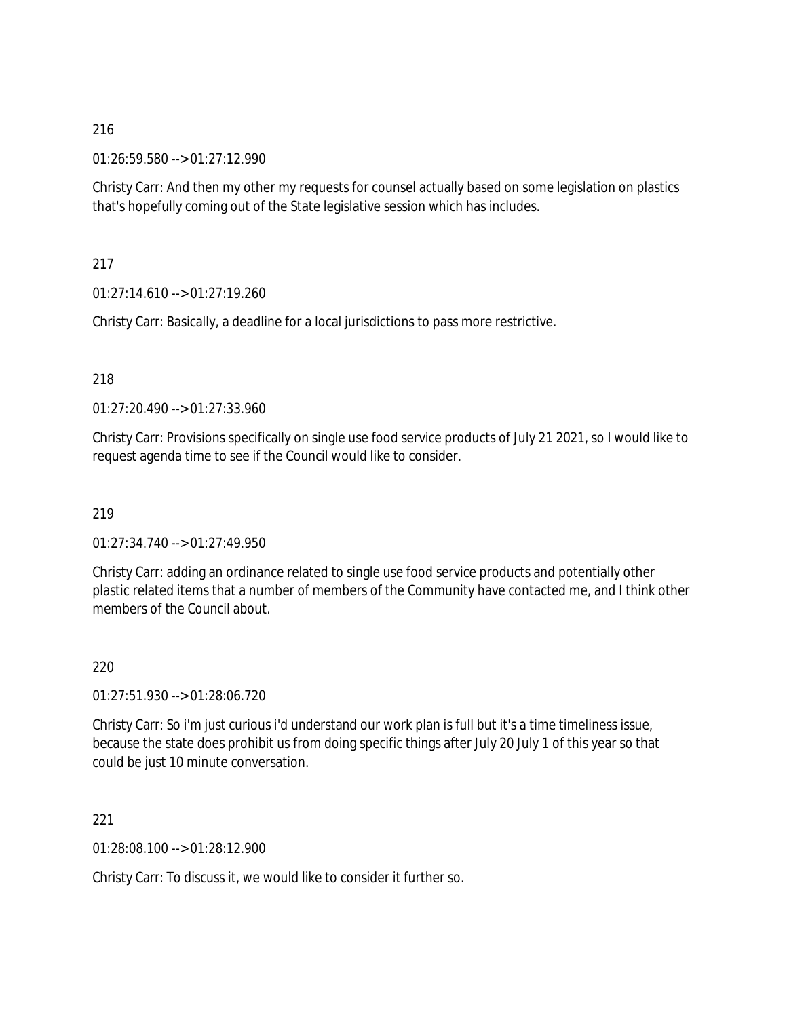01:26:59.580 --> 01:27:12.990

Christy Carr: And then my other my requests for counsel actually based on some legislation on plastics that's hopefully coming out of the State legislative session which has includes.

217

01:27:14.610 --> 01:27:19.260

Christy Carr: Basically, a deadline for a local jurisdictions to pass more restrictive.

# 218

01:27:20.490 --> 01:27:33.960

Christy Carr: Provisions specifically on single use food service products of July 21 2021, so I would like to request agenda time to see if the Council would like to consider.

# 219

01:27:34.740 --> 01:27:49.950

Christy Carr: adding an ordinance related to single use food service products and potentially other plastic related items that a number of members of the Community have contacted me, and I think other members of the Council about.

# 220

01:27:51.930 --> 01:28:06.720

Christy Carr: So i'm just curious i'd understand our work plan is full but it's a time timeliness issue, because the state does prohibit us from doing specific things after July 20 July 1 of this year so that could be just 10 minute conversation.

221

01:28:08.100 --> 01:28:12.900

Christy Carr: To discuss it, we would like to consider it further so.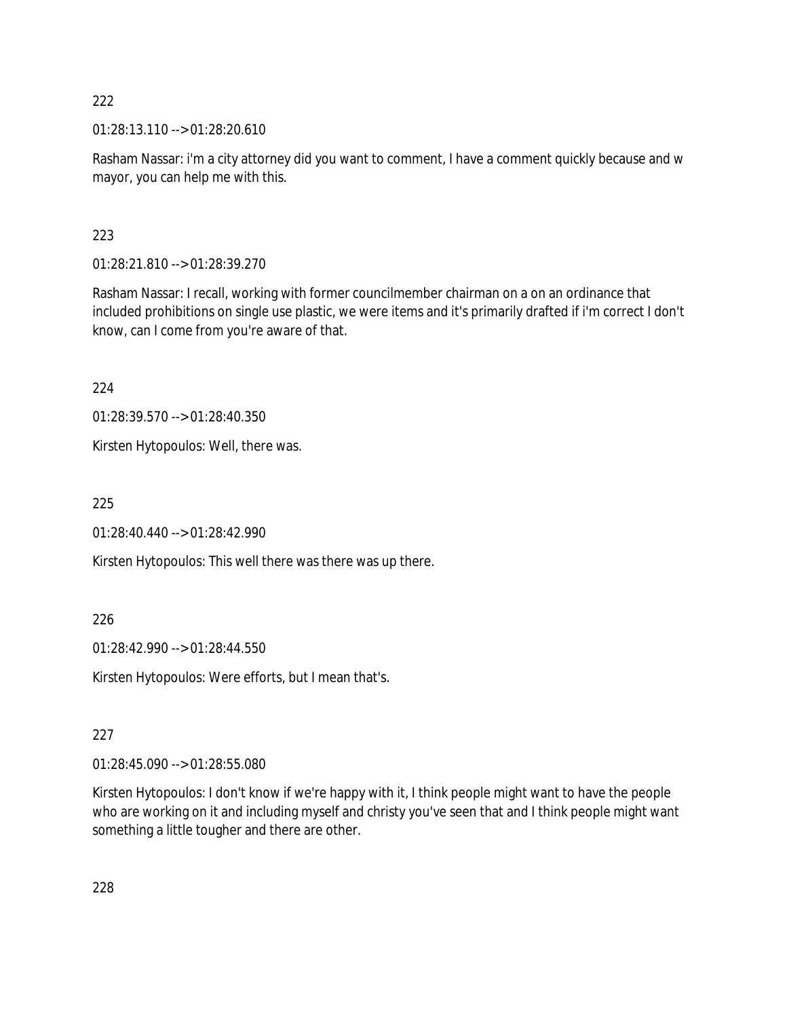01:28:13.110 --> 01:28:20.610

Rasham Nassar: i'm a city attorney did you want to comment, I have a comment quickly because and w mayor, you can help me with this.

# 223

01:28:21.810 --> 01:28:39.270

Rasham Nassar: I recall, working with former councilmember chairman on a on an ordinance that included prohibitions on single use plastic, we were items and it's primarily drafted if i'm correct I don't know, can I come from you're aware of that.

224

01:28:39.570 --> 01:28:40.350

Kirsten Hytopoulos: Well, there was.

225

01:28:40.440 --> 01:28:42.990

Kirsten Hytopoulos: This well there was there was up there.

# 226

01:28:42.990 --> 01:28:44.550

Kirsten Hytopoulos: Were efforts, but I mean that's.

# 227

01:28:45.090 --> 01:28:55.080

Kirsten Hytopoulos: I don't know if we're happy with it, I think people might want to have the people who are working on it and including myself and christy you've seen that and I think people might want something a little tougher and there are other.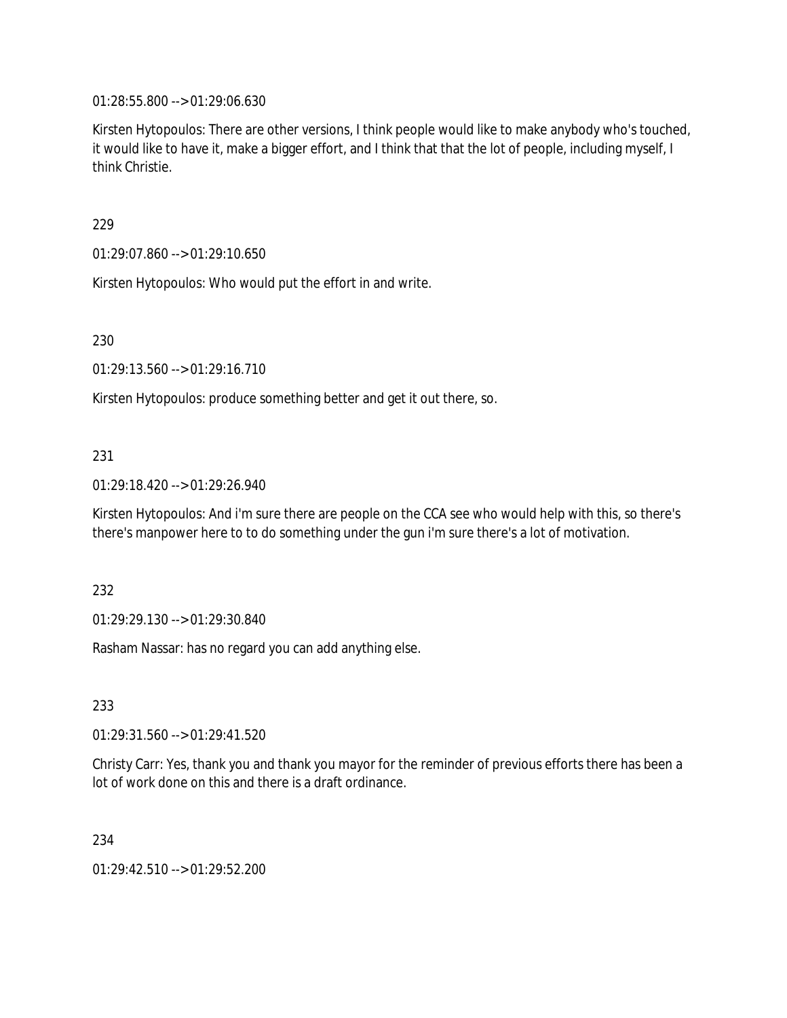01:28:55.800 --> 01:29:06.630

Kirsten Hytopoulos: There are other versions, I think people would like to make anybody who's touched, it would like to have it, make a bigger effort, and I think that that the lot of people, including myself, I think Christie.

229

01:29:07.860 --> 01:29:10.650

Kirsten Hytopoulos: Who would put the effort in and write.

230

01:29:13.560 --> 01:29:16.710

Kirsten Hytopoulos: produce something better and get it out there, so.

### 231

01:29:18.420 --> 01:29:26.940

Kirsten Hytopoulos: And i'm sure there are people on the CCA see who would help with this, so there's there's manpower here to to do something under the gun i'm sure there's a lot of motivation.

232

01:29:29.130 --> 01:29:30.840

Rasham Nassar: has no regard you can add anything else.

233

01:29:31.560 --> 01:29:41.520

Christy Carr: Yes, thank you and thank you mayor for the reminder of previous efforts there has been a lot of work done on this and there is a draft ordinance.

234

01:29:42.510 --> 01:29:52.200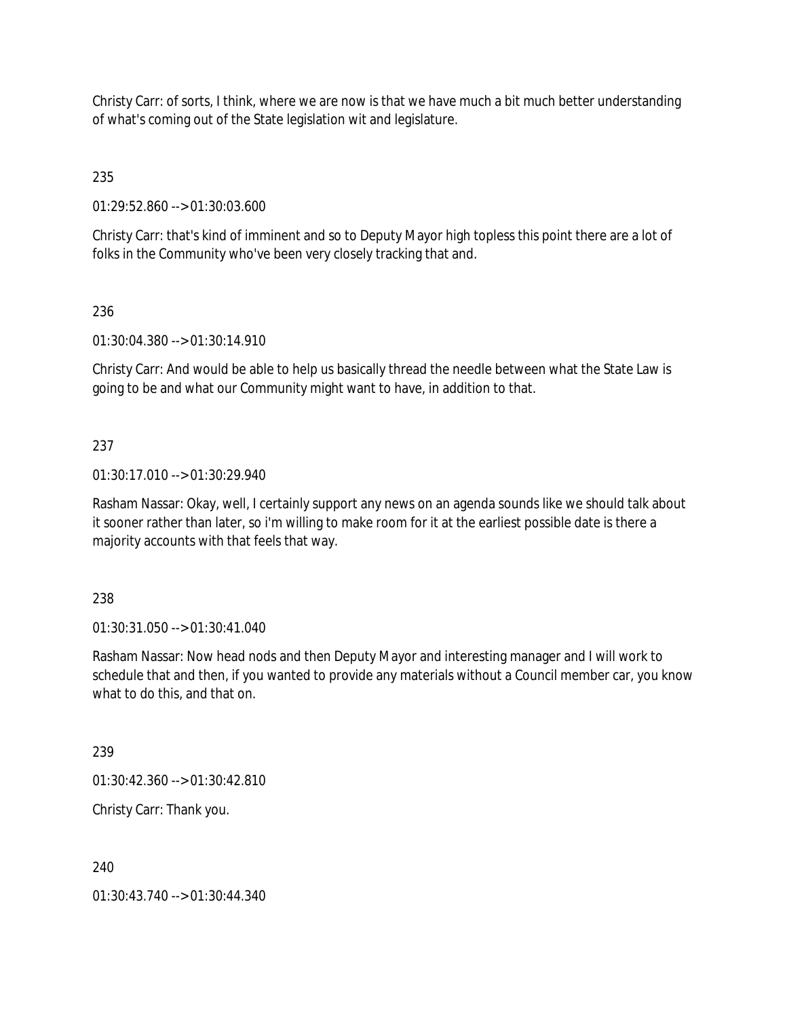Christy Carr: of sorts, I think, where we are now is that we have much a bit much better understanding of what's coming out of the State legislation wit and legislature.

235

01:29:52.860 --> 01:30:03.600

Christy Carr: that's kind of imminent and so to Deputy Mayor high topless this point there are a lot of folks in the Community who've been very closely tracking that and.

236

01:30:04.380 --> 01:30:14.910

Christy Carr: And would be able to help us basically thread the needle between what the State Law is going to be and what our Community might want to have, in addition to that.

# 237

01:30:17.010 --> 01:30:29.940

Rasham Nassar: Okay, well, I certainly support any news on an agenda sounds like we should talk about it sooner rather than later, so i'm willing to make room for it at the earliest possible date is there a majority accounts with that feels that way.

238

01:30:31.050 --> 01:30:41.040

Rasham Nassar: Now head nods and then Deputy Mayor and interesting manager and I will work to schedule that and then, if you wanted to provide any materials without a Council member car, you know what to do this, and that on.

239

01:30:42.360 --> 01:30:42.810

Christy Carr: Thank you.

240

01:30:43.740 --> 01:30:44.340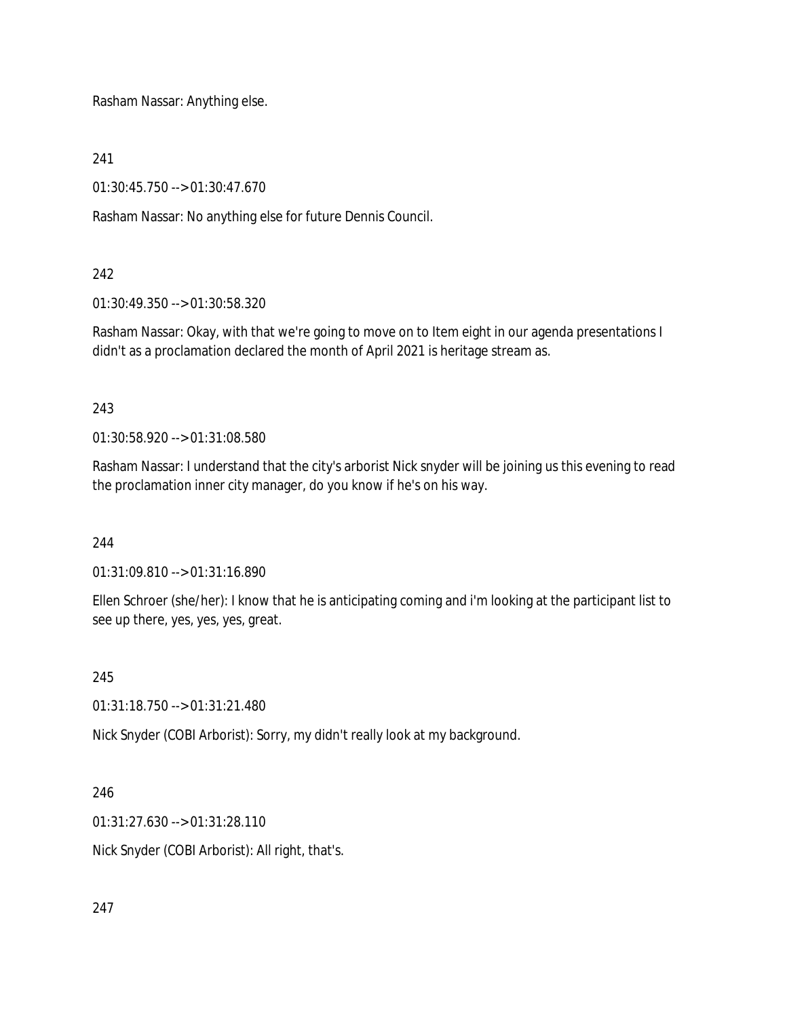Rasham Nassar: Anything else.

241

01:30:45.750 --> 01:30:47.670

Rasham Nassar: No anything else for future Dennis Council.

### 242

01:30:49.350 --> 01:30:58.320

Rasham Nassar: Okay, with that we're going to move on to Item eight in our agenda presentations I didn't as a proclamation declared the month of April 2021 is heritage stream as.

### 243

01:30:58.920 --> 01:31:08.580

Rasham Nassar: I understand that the city's arborist Nick snyder will be joining us this evening to read the proclamation inner city manager, do you know if he's on his way.

### 244

01:31:09.810 --> 01:31:16.890

Ellen Schroer (she/her): I know that he is anticipating coming and i'm looking at the participant list to see up there, yes, yes, yes, great.

# 245

01:31:18.750 --> 01:31:21.480

Nick Snyder (COBI Arborist): Sorry, my didn't really look at my background.

# 246

01:31:27.630 --> 01:31:28.110

Nick Snyder (COBI Arborist): All right, that's.

247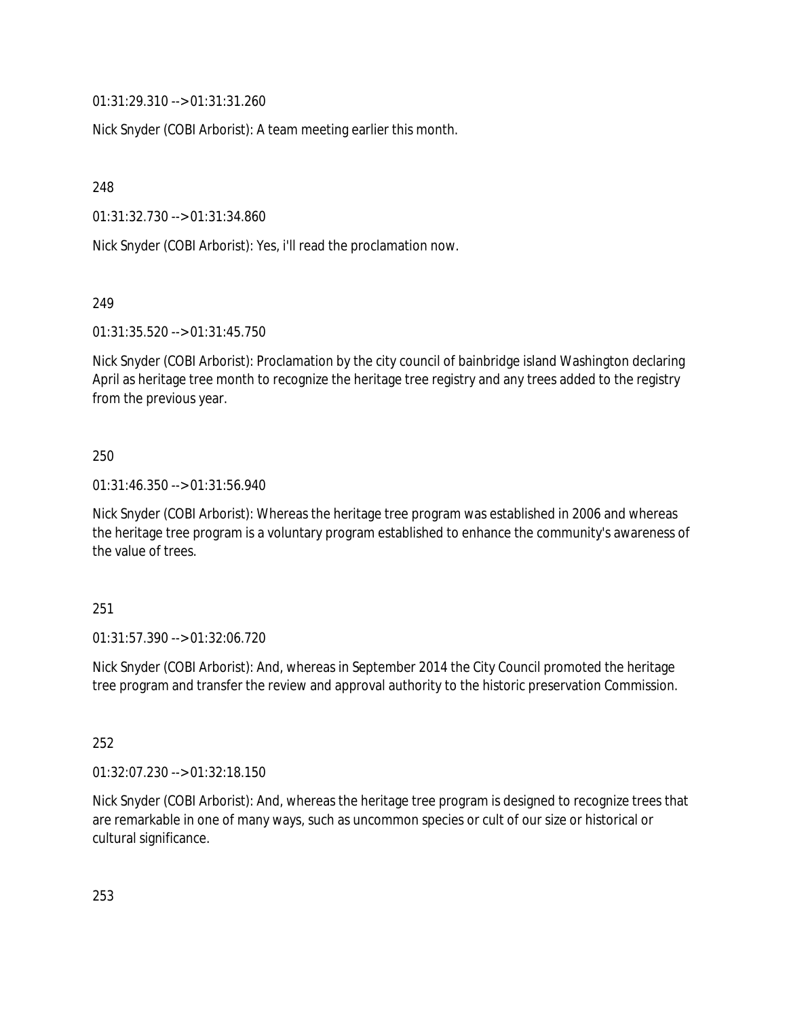01:31:29.310 --> 01:31:31.260

Nick Snyder (COBI Arborist): A team meeting earlier this month.

248

01:31:32.730 --> 01:31:34.860

Nick Snyder (COBI Arborist): Yes, i'll read the proclamation now.

249

01:31:35.520 --> 01:31:45.750

Nick Snyder (COBI Arborist): Proclamation by the city council of bainbridge island Washington declaring April as heritage tree month to recognize the heritage tree registry and any trees added to the registry from the previous year.

### 250

01:31:46.350 --> 01:31:56.940

Nick Snyder (COBI Arborist): Whereas the heritage tree program was established in 2006 and whereas the heritage tree program is a voluntary program established to enhance the community's awareness of the value of trees.

### 251

01:31:57.390 --> 01:32:06.720

Nick Snyder (COBI Arborist): And, whereas in September 2014 the City Council promoted the heritage tree program and transfer the review and approval authority to the historic preservation Commission.

252

01:32:07.230 --> 01:32:18.150

Nick Snyder (COBI Arborist): And, whereas the heritage tree program is designed to recognize trees that are remarkable in one of many ways, such as uncommon species or cult of our size or historical or cultural significance.

253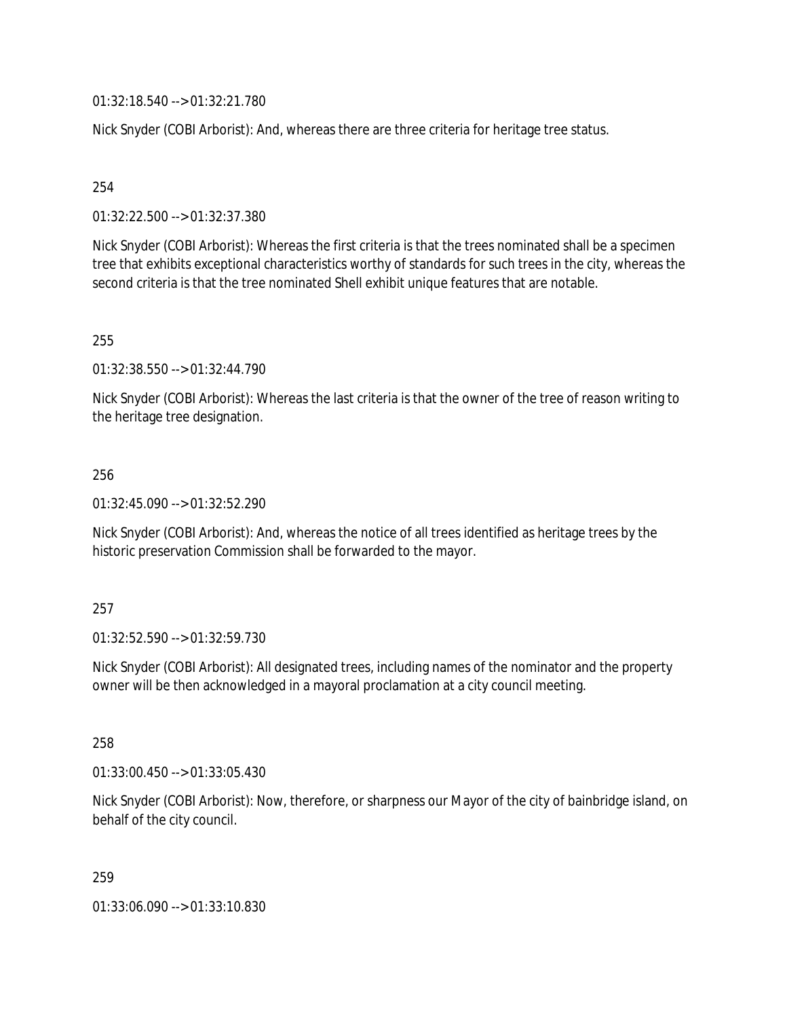01:32:18.540 --> 01:32:21.780

Nick Snyder (COBI Arborist): And, whereas there are three criteria for heritage tree status.

254

01:32:22.500 --> 01:32:37.380

Nick Snyder (COBI Arborist): Whereas the first criteria is that the trees nominated shall be a specimen tree that exhibits exceptional characteristics worthy of standards for such trees in the city, whereas the second criteria is that the tree nominated Shell exhibit unique features that are notable.

255

01:32:38.550 --> 01:32:44.790

Nick Snyder (COBI Arborist): Whereas the last criteria is that the owner of the tree of reason writing to the heritage tree designation.

256

01:32:45.090 --> 01:32:52.290

Nick Snyder (COBI Arborist): And, whereas the notice of all trees identified as heritage trees by the historic preservation Commission shall be forwarded to the mayor.

257

01:32:52.590 --> 01:32:59.730

Nick Snyder (COBI Arborist): All designated trees, including names of the nominator and the property owner will be then acknowledged in a mayoral proclamation at a city council meeting.

258

01:33:00.450 --> 01:33:05.430

Nick Snyder (COBI Arborist): Now, therefore, or sharpness our Mayor of the city of bainbridge island, on behalf of the city council.

259

01:33:06.090 --> 01:33:10.830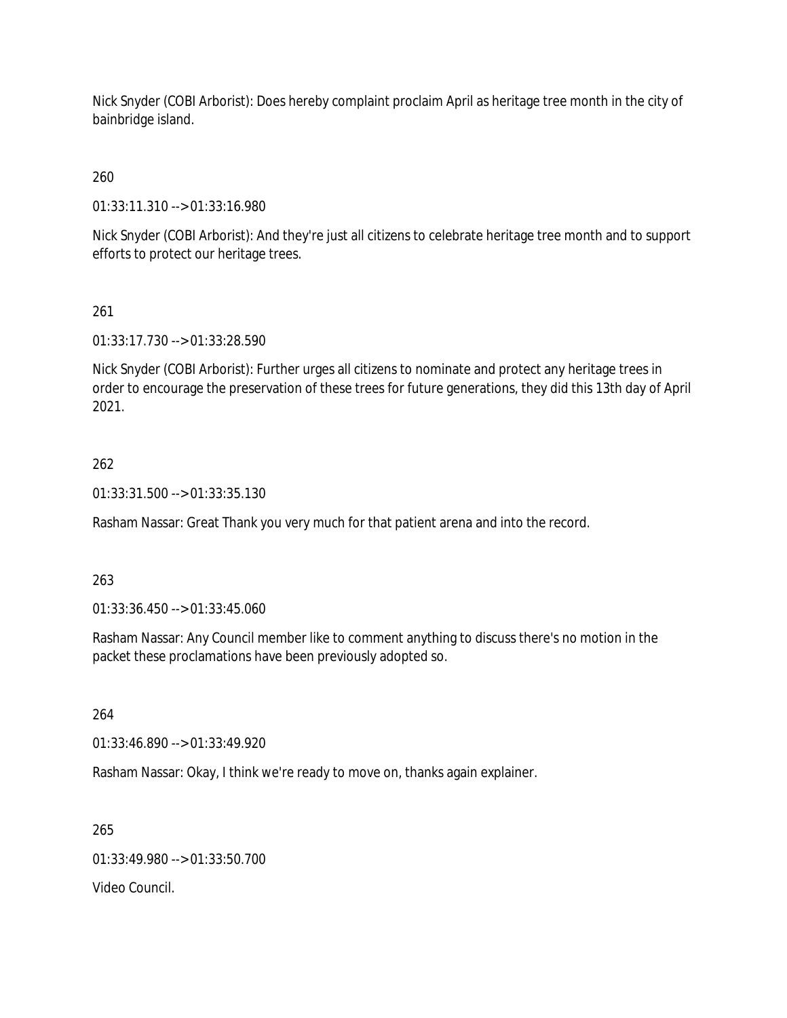Nick Snyder (COBI Arborist): Does hereby complaint proclaim April as heritage tree month in the city of bainbridge island.

# 260

01:33:11.310 --> 01:33:16.980

Nick Snyder (COBI Arborist): And they're just all citizens to celebrate heritage tree month and to support efforts to protect our heritage trees.

# 261

01:33:17.730 --> 01:33:28.590

Nick Snyder (COBI Arborist): Further urges all citizens to nominate and protect any heritage trees in order to encourage the preservation of these trees for future generations, they did this 13th day of April 2021.

### 262

01:33:31.500 --> 01:33:35.130

Rasham Nassar: Great Thank you very much for that patient arena and into the record.

### 263

01:33:36.450 --> 01:33:45.060

Rasham Nassar: Any Council member like to comment anything to discuss there's no motion in the packet these proclamations have been previously adopted so.

264

01:33:46.890 --> 01:33:49.920

Rasham Nassar: Okay, I think we're ready to move on, thanks again explainer.

265

01:33:49.980 --> 01:33:50.700

Video Council.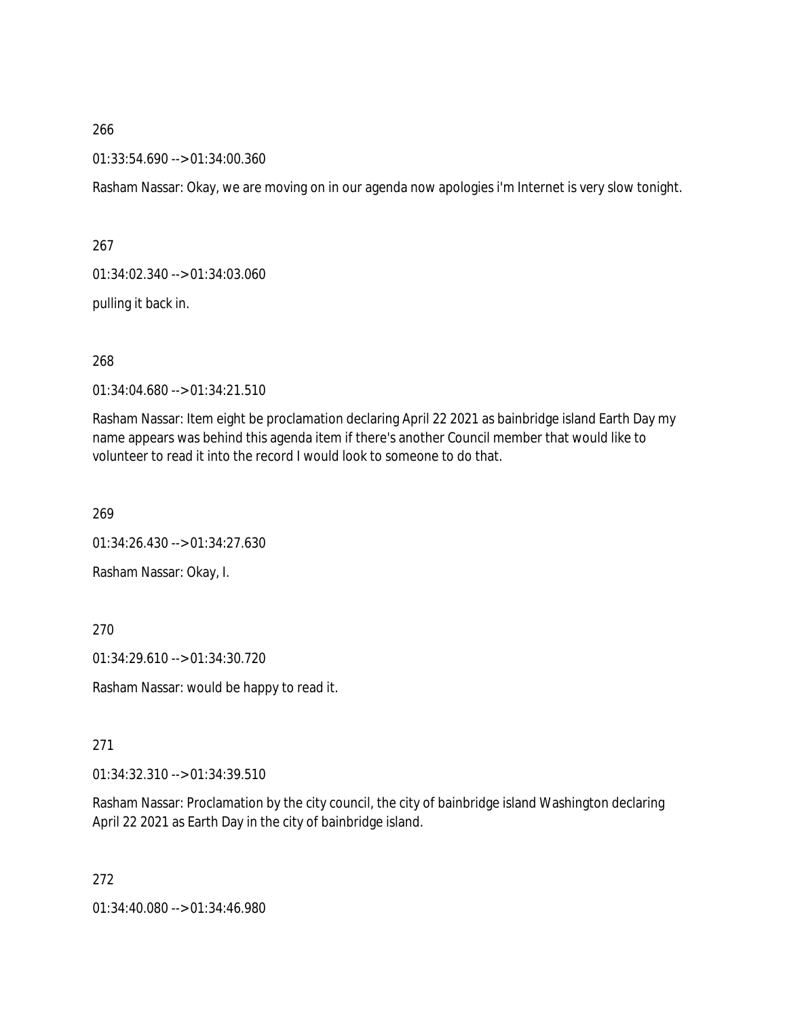01:33:54.690 --> 01:34:00.360

Rasham Nassar: Okay, we are moving on in our agenda now apologies i'm Internet is very slow tonight.

267

01:34:02.340 --> 01:34:03.060

pulling it back in.

268

01:34:04.680 --> 01:34:21.510

Rasham Nassar: Item eight be proclamation declaring April 22 2021 as bainbridge island Earth Day my name appears was behind this agenda item if there's another Council member that would like to volunteer to read it into the record I would look to someone to do that.

269

01:34:26.430 --> 01:34:27.630

Rasham Nassar: Okay, I.

270

01:34:29.610 --> 01:34:30.720

Rasham Nassar: would be happy to read it.

271

01:34:32.310 --> 01:34:39.510

Rasham Nassar: Proclamation by the city council, the city of bainbridge island Washington declaring April 22 2021 as Earth Day in the city of bainbridge island.

272

01:34:40.080 --> 01:34:46.980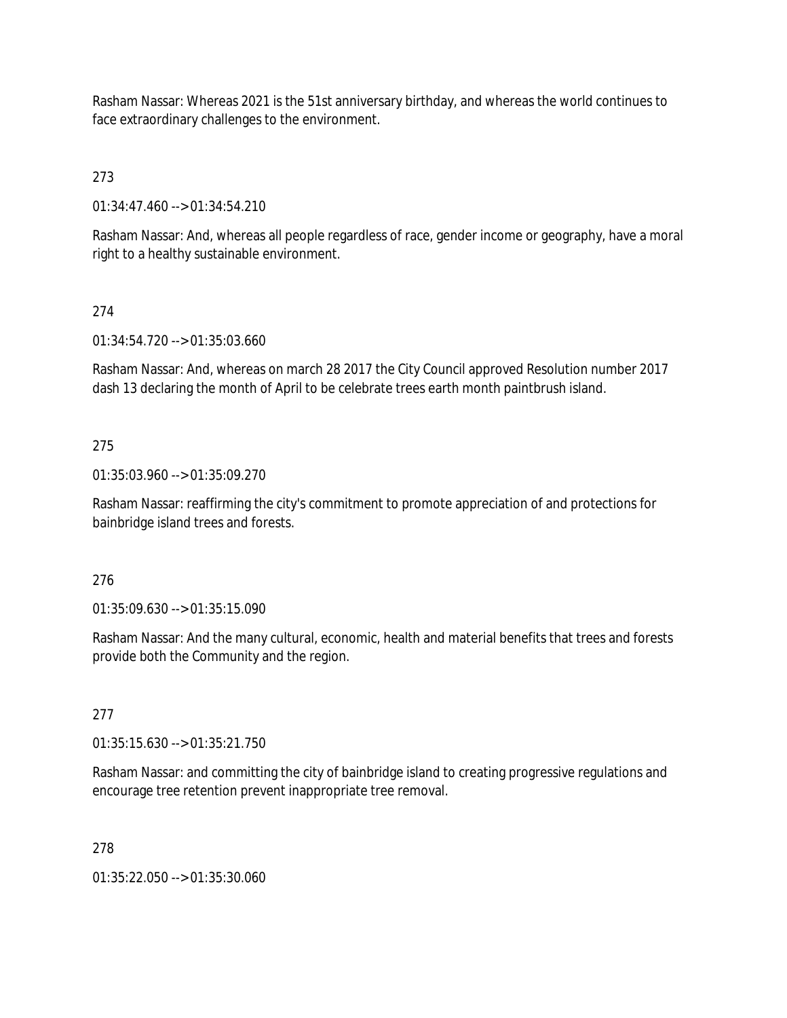Rasham Nassar: Whereas 2021 is the 51st anniversary birthday, and whereas the world continues to face extraordinary challenges to the environment.

273

01:34:47.460 --> 01:34:54.210

Rasham Nassar: And, whereas all people regardless of race, gender income or geography, have a moral right to a healthy sustainable environment.

# 274

01:34:54.720 --> 01:35:03.660

Rasham Nassar: And, whereas on march 28 2017 the City Council approved Resolution number 2017 dash 13 declaring the month of April to be celebrate trees earth month paintbrush island.

# 275

01:35:03.960 --> 01:35:09.270

Rasham Nassar: reaffirming the city's commitment to promote appreciation of and protections for bainbridge island trees and forests.

# 276

01:35:09.630 --> 01:35:15.090

Rasham Nassar: And the many cultural, economic, health and material benefits that trees and forests provide both the Community and the region.

# 277

01:35:15.630 --> 01:35:21.750

Rasham Nassar: and committing the city of bainbridge island to creating progressive regulations and encourage tree retention prevent inappropriate tree removal.

# 278

01:35:22.050 --> 01:35:30.060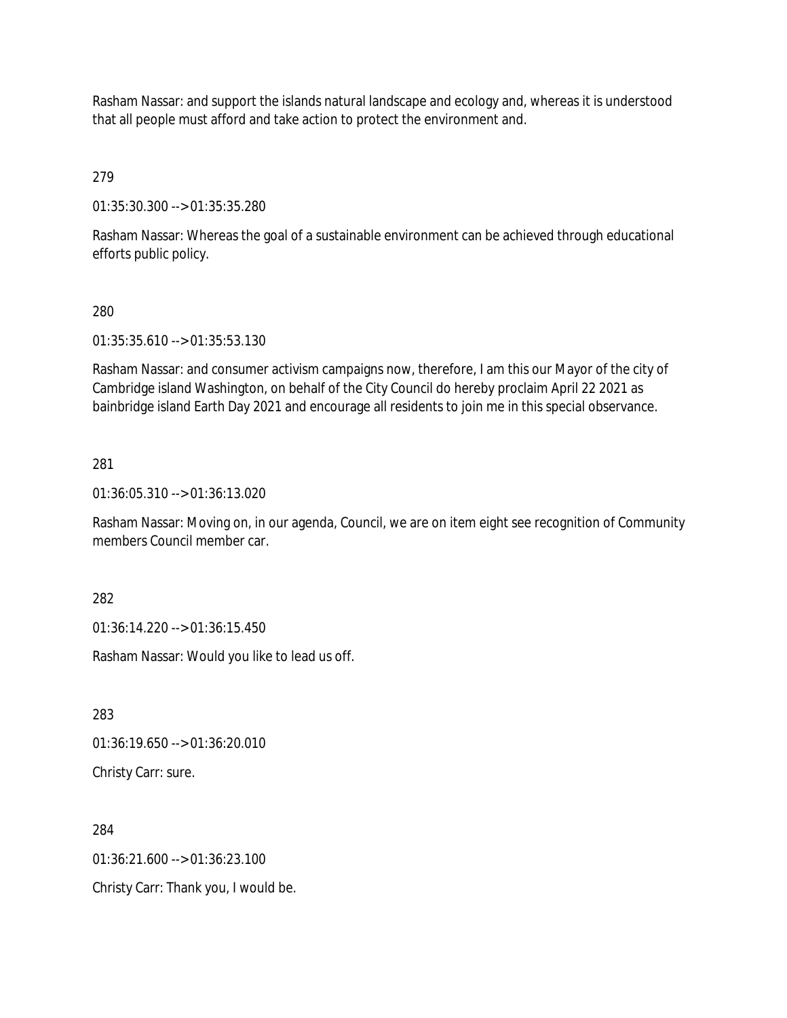Rasham Nassar: and support the islands natural landscape and ecology and, whereas it is understood that all people must afford and take action to protect the environment and.

279

01:35:30.300 --> 01:35:35.280

Rasham Nassar: Whereas the goal of a sustainable environment can be achieved through educational efforts public policy.

#### 280

01:35:35.610 --> 01:35:53.130

Rasham Nassar: and consumer activism campaigns now, therefore, I am this our Mayor of the city of Cambridge island Washington, on behalf of the City Council do hereby proclaim April 22 2021 as bainbridge island Earth Day 2021 and encourage all residents to join me in this special observance.

#### 281

01:36:05.310 --> 01:36:13.020

Rasham Nassar: Moving on, in our agenda, Council, we are on item eight see recognition of Community members Council member car.

282

01:36:14.220 --> 01:36:15.450

Rasham Nassar: Would you like to lead us off.

283

01:36:19.650 --> 01:36:20.010

Christy Carr: sure.

284 01:36:21.600 --> 01:36:23.100 Christy Carr: Thank you, I would be.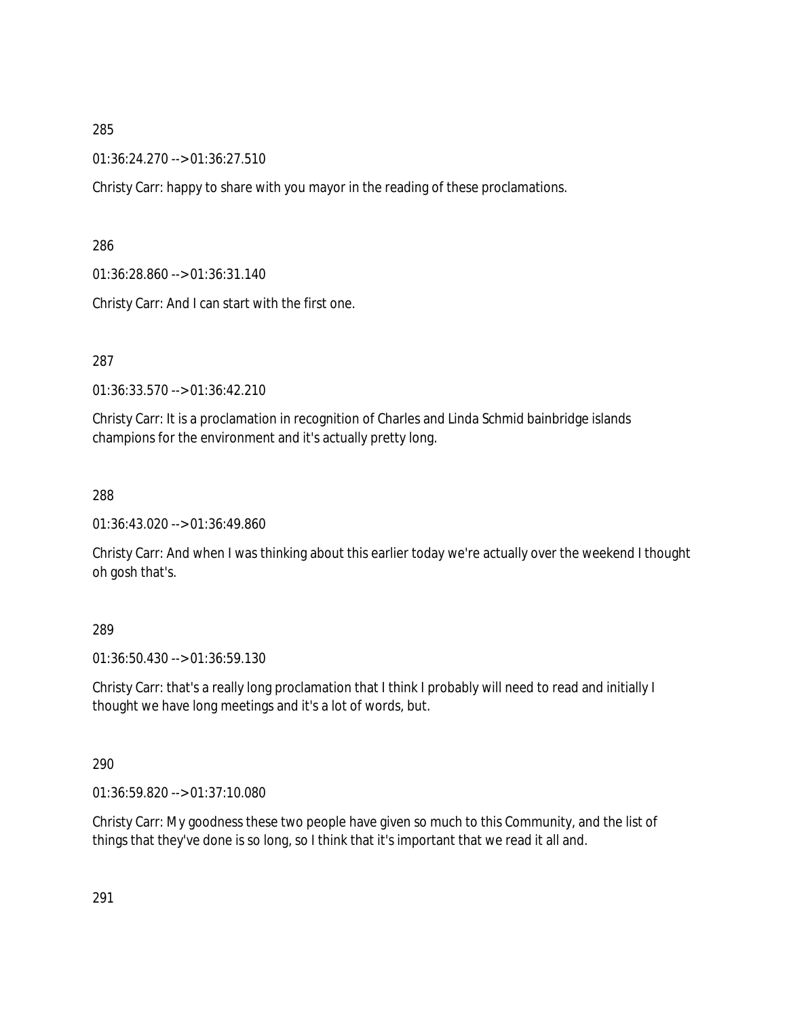01:36:24.270 --> 01:36:27.510

Christy Carr: happy to share with you mayor in the reading of these proclamations.

286

01:36:28.860 --> 01:36:31.140

Christy Carr: And I can start with the first one.

287

01:36:33.570 --> 01:36:42.210

Christy Carr: It is a proclamation in recognition of Charles and Linda Schmid bainbridge islands champions for the environment and it's actually pretty long.

288

01:36:43.020 --> 01:36:49.860

Christy Carr: And when I was thinking about this earlier today we're actually over the weekend I thought oh gosh that's.

### 289

01:36:50.430 --> 01:36:59.130

Christy Carr: that's a really long proclamation that I think I probably will need to read and initially I thought we have long meetings and it's a lot of words, but.

290

01:36:59.820 --> 01:37:10.080

Christy Carr: My goodness these two people have given so much to this Community, and the list of things that they've done is so long, so I think that it's important that we read it all and.

291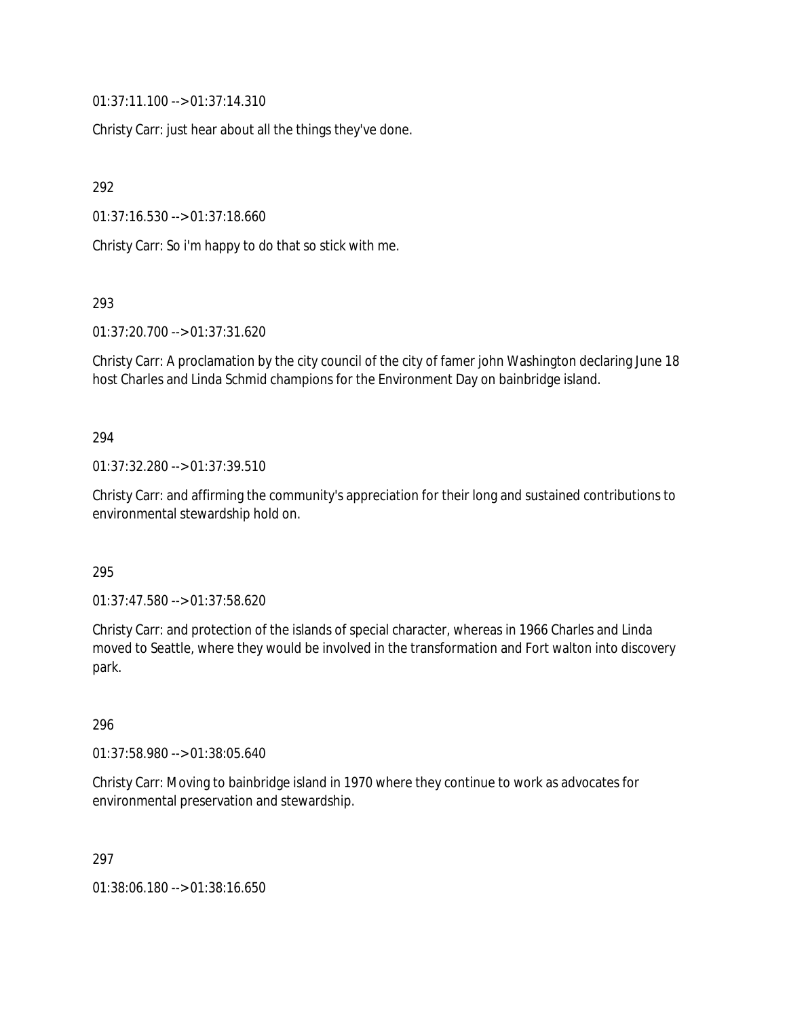01:37:11.100 --> 01:37:14.310

Christy Carr: just hear about all the things they've done.

292

01:37:16.530 --> 01:37:18.660

Christy Carr: So i'm happy to do that so stick with me.

293

01:37:20.700 --> 01:37:31.620

Christy Carr: A proclamation by the city council of the city of famer john Washington declaring June 18 host Charles and Linda Schmid champions for the Environment Day on bainbridge island.

### 294

01:37:32.280 --> 01:37:39.510

Christy Carr: and affirming the community's appreciation for their long and sustained contributions to environmental stewardship hold on.

295

01:37:47.580 --> 01:37:58.620

Christy Carr: and protection of the islands of special character, whereas in 1966 Charles and Linda moved to Seattle, where they would be involved in the transformation and Fort walton into discovery park.

### 296

01:37:58.980 --> 01:38:05.640

Christy Carr: Moving to bainbridge island in 1970 where they continue to work as advocates for environmental preservation and stewardship.

297

01:38:06.180 --> 01:38:16.650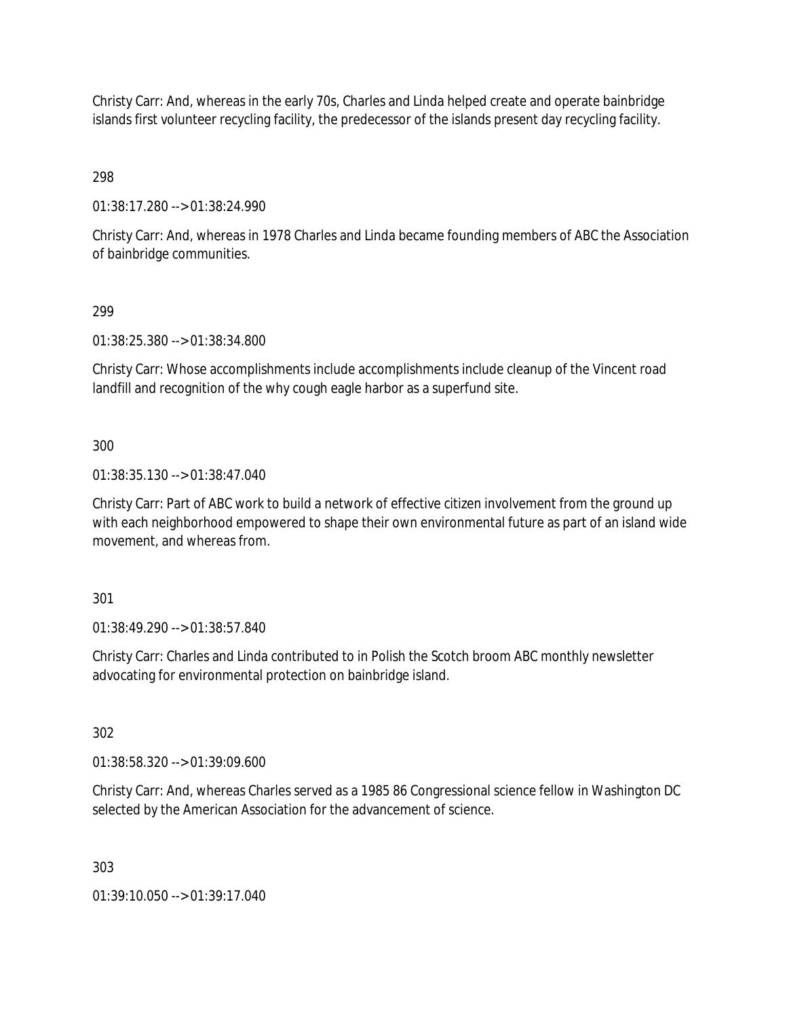Christy Carr: And, whereas in the early 70s, Charles and Linda helped create and operate bainbridge islands first volunteer recycling facility, the predecessor of the islands present day recycling facility.

298

01:38:17.280 --> 01:38:24.990

Christy Carr: And, whereas in 1978 Charles and Linda became founding members of ABC the Association of bainbridge communities.

### 299

01:38:25.380 --> 01:38:34.800

Christy Carr: Whose accomplishments include accomplishments include cleanup of the Vincent road landfill and recognition of the why cough eagle harbor as a superfund site.

### 300

01:38:35.130 --> 01:38:47.040

Christy Carr: Part of ABC work to build a network of effective citizen involvement from the ground up with each neighborhood empowered to shape their own environmental future as part of an island wide movement, and whereas from.

301

01:38:49.290 --> 01:38:57.840

Christy Carr: Charles and Linda contributed to in Polish the Scotch broom ABC monthly newsletter advocating for environmental protection on bainbridge island.

302

01:38:58.320 --> 01:39:09.600

Christy Carr: And, whereas Charles served as a 1985 86 Congressional science fellow in Washington DC selected by the American Association for the advancement of science.

303

01:39:10.050 --> 01:39:17.040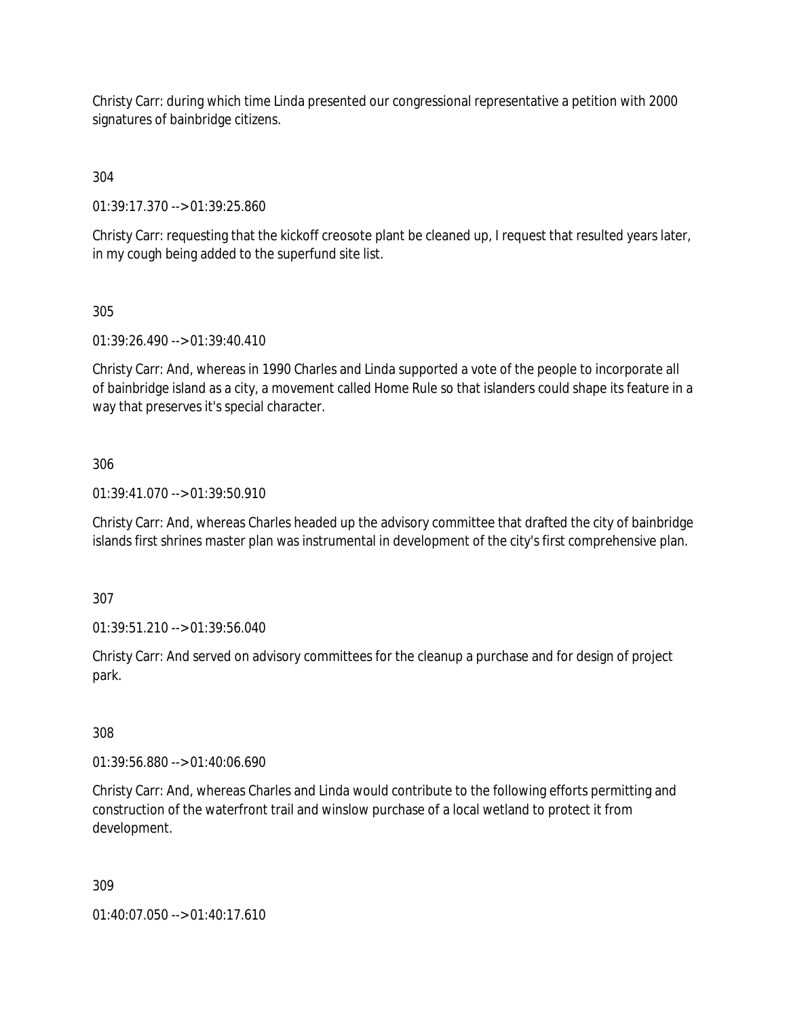Christy Carr: during which time Linda presented our congressional representative a petition with 2000 signatures of bainbridge citizens.

304

01:39:17.370 --> 01:39:25.860

Christy Carr: requesting that the kickoff creosote plant be cleaned up, I request that resulted years later, in my cough being added to the superfund site list.

305

01:39:26.490 --> 01:39:40.410

Christy Carr: And, whereas in 1990 Charles and Linda supported a vote of the people to incorporate all of bainbridge island as a city, a movement called Home Rule so that islanders could shape its feature in a way that preserves it's special character.

306

01:39:41.070 --> 01:39:50.910

Christy Carr: And, whereas Charles headed up the advisory committee that drafted the city of bainbridge islands first shrines master plan was instrumental in development of the city's first comprehensive plan.

307

01:39:51.210 --> 01:39:56.040

Christy Carr: And served on advisory committees for the cleanup a purchase and for design of project park.

308

01:39:56.880 --> 01:40:06.690

Christy Carr: And, whereas Charles and Linda would contribute to the following efforts permitting and construction of the waterfront trail and winslow purchase of a local wetland to protect it from development.

309

01:40:07.050 --> 01:40:17.610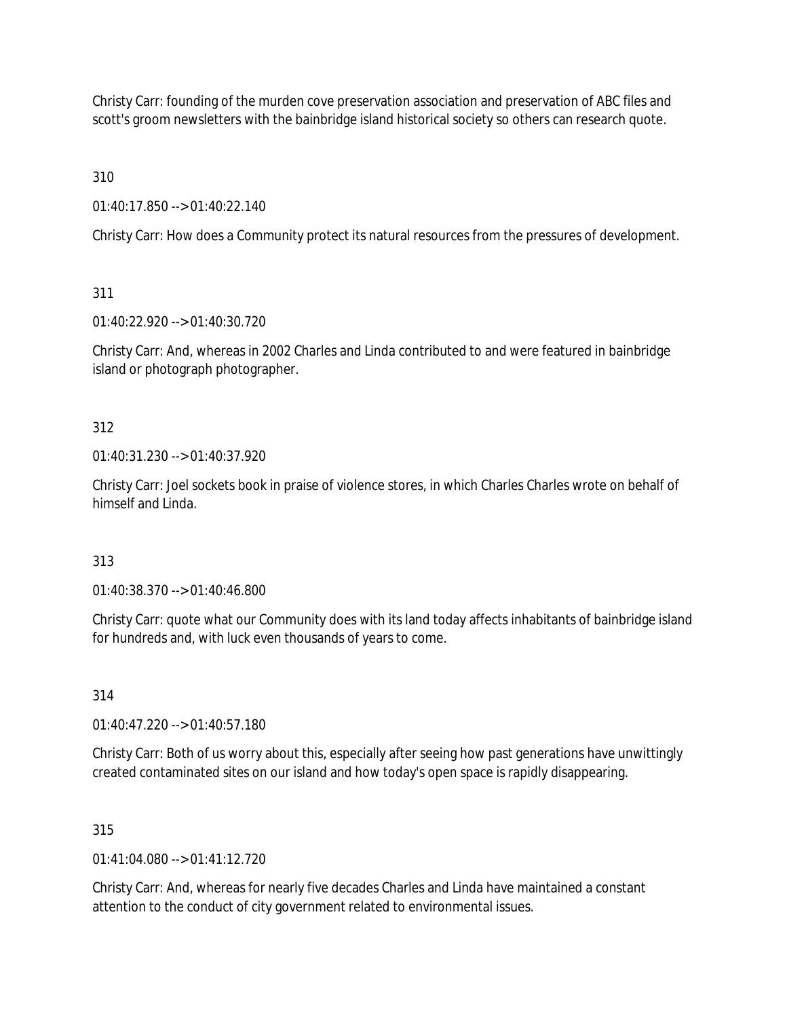Christy Carr: founding of the murden cove preservation association and preservation of ABC files and scott's groom newsletters with the bainbridge island historical society so others can research quote.

310

01:40:17.850 --> 01:40:22.140

Christy Carr: How does a Community protect its natural resources from the pressures of development.

311

01:40:22.920 --> 01:40:30.720

Christy Carr: And, whereas in 2002 Charles and Linda contributed to and were featured in bainbridge island or photograph photographer.

312

01:40:31.230 --> 01:40:37.920

Christy Carr: Joel sockets book in praise of violence stores, in which Charles Charles wrote on behalf of himself and Linda.

313

01:40:38.370 --> 01:40:46.800

Christy Carr: quote what our Community does with its land today affects inhabitants of bainbridge island for hundreds and, with luck even thousands of years to come.

314

01:40:47.220 --> 01:40:57.180

Christy Carr: Both of us worry about this, especially after seeing how past generations have unwittingly created contaminated sites on our island and how today's open space is rapidly disappearing.

315

 $01:41:04.080 \rightarrow 01:41:12.720$ 

Christy Carr: And, whereas for nearly five decades Charles and Linda have maintained a constant attention to the conduct of city government related to environmental issues.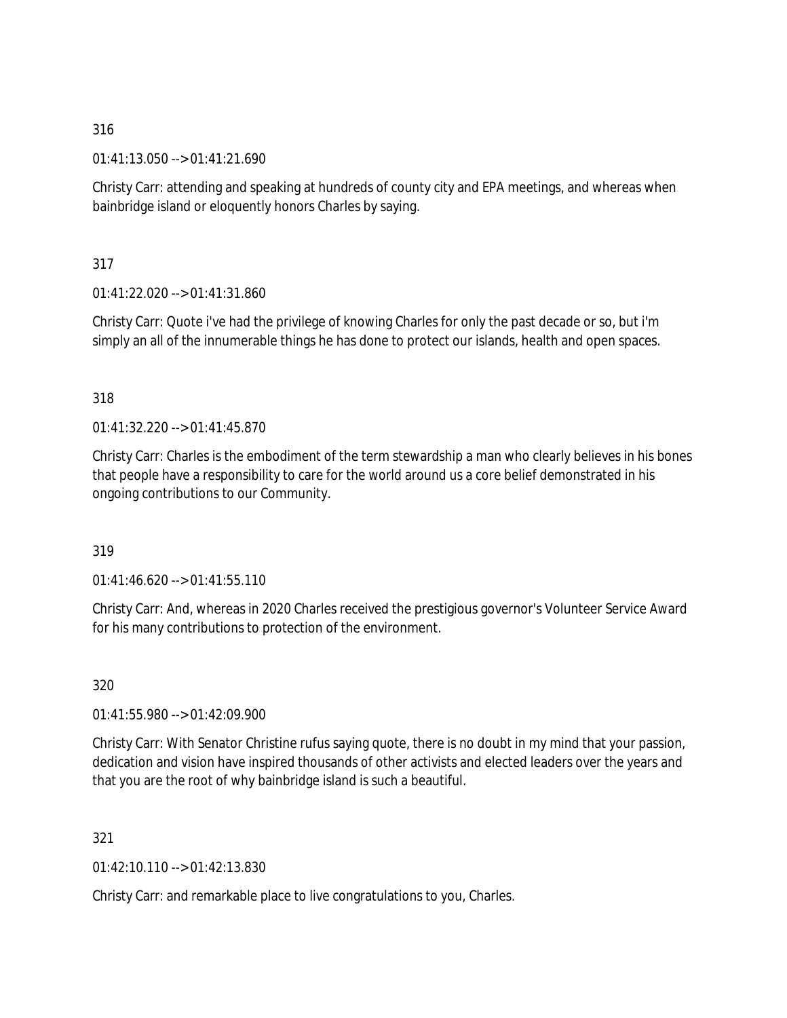01:41:13.050 --> 01:41:21.690

Christy Carr: attending and speaking at hundreds of county city and EPA meetings, and whereas when bainbridge island or eloquently honors Charles by saying.

317

01:41:22.020 --> 01:41:31.860

Christy Carr: Quote i've had the privilege of knowing Charles for only the past decade or so, but i'm simply an all of the innumerable things he has done to protect our islands, health and open spaces.

### 318

01:41:32.220 --> 01:41:45.870

Christy Carr: Charles is the embodiment of the term stewardship a man who clearly believes in his bones that people have a responsibility to care for the world around us a core belief demonstrated in his ongoing contributions to our Community.

### 319

01:41:46.620 --> 01:41:55.110

Christy Carr: And, whereas in 2020 Charles received the prestigious governor's Volunteer Service Award for his many contributions to protection of the environment.

320

01:41:55.980 --> 01:42:09.900

Christy Carr: With Senator Christine rufus saying quote, there is no doubt in my mind that your passion, dedication and vision have inspired thousands of other activists and elected leaders over the years and that you are the root of why bainbridge island is such a beautiful.

321

01:42:10.110 --> 01:42:13.830

Christy Carr: and remarkable place to live congratulations to you, Charles.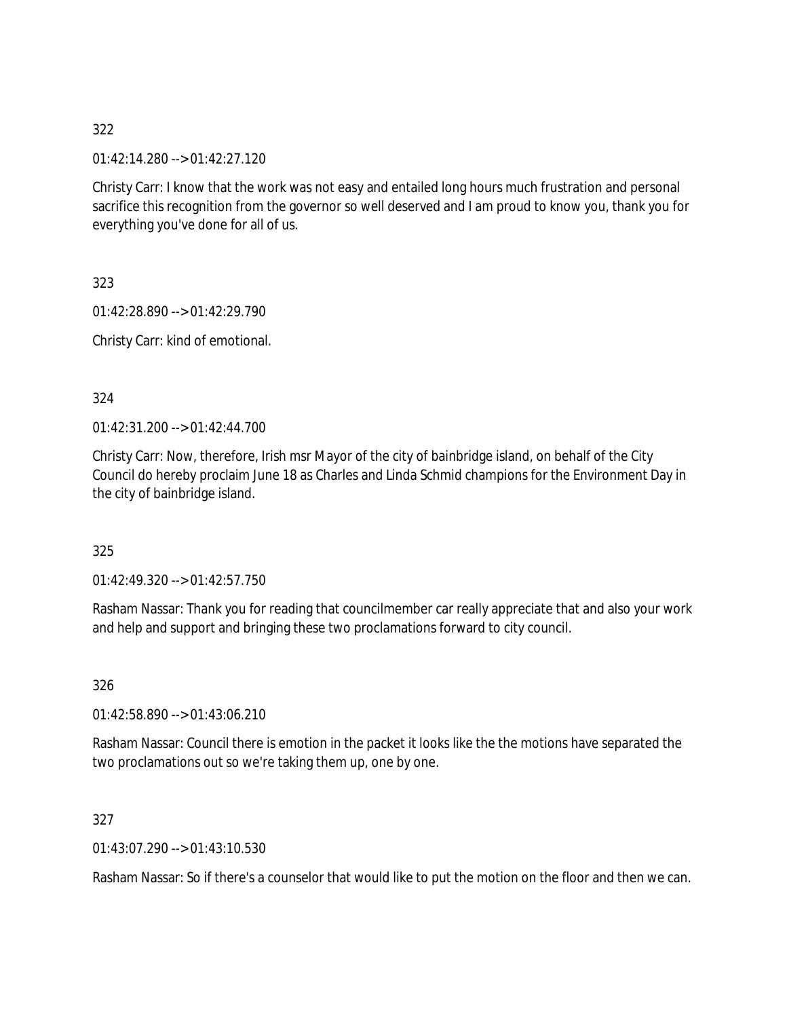01:42:14.280 --> 01:42:27.120

Christy Carr: I know that the work was not easy and entailed long hours much frustration and personal sacrifice this recognition from the governor so well deserved and I am proud to know you, thank you for everything you've done for all of us.

323

01:42:28.890 --> 01:42:29.790

Christy Carr: kind of emotional.

324

01:42:31.200 --> 01:42:44.700

Christy Carr: Now, therefore, Irish msr Mayor of the city of bainbridge island, on behalf of the City Council do hereby proclaim June 18 as Charles and Linda Schmid champions for the Environment Day in the city of bainbridge island.

325

01:42:49.320 --> 01:42:57.750

Rasham Nassar: Thank you for reading that councilmember car really appreciate that and also your work and help and support and bringing these two proclamations forward to city council.

326

01:42:58.890 --> 01:43:06.210

Rasham Nassar: Council there is emotion in the packet it looks like the the motions have separated the two proclamations out so we're taking them up, one by one.

327

01:43:07.290 --> 01:43:10.530

Rasham Nassar: So if there's a counselor that would like to put the motion on the floor and then we can.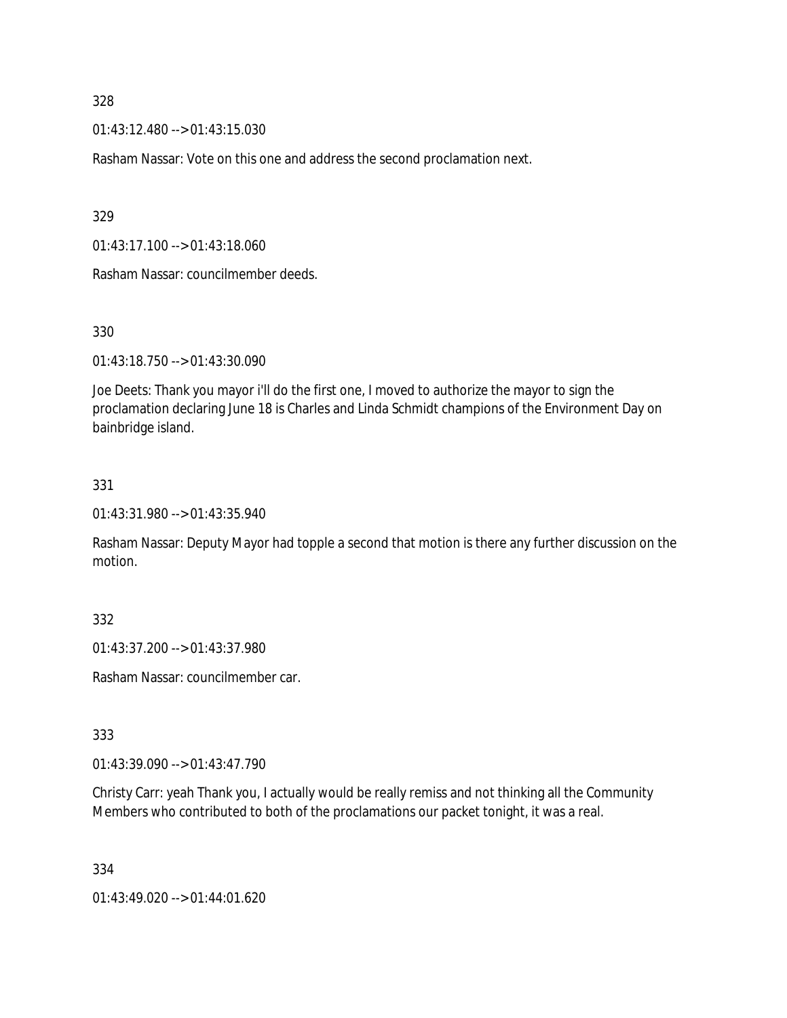01:43:12.480 --> 01:43:15.030

Rasham Nassar: Vote on this one and address the second proclamation next.

329

01:43:17.100 --> 01:43:18.060

Rasham Nassar: councilmember deeds.

330

01:43:18.750 --> 01:43:30.090

Joe Deets: Thank you mayor i'll do the first one, I moved to authorize the mayor to sign the proclamation declaring June 18 is Charles and Linda Schmidt champions of the Environment Day on bainbridge island.

331

01:43:31.980 --> 01:43:35.940

Rasham Nassar: Deputy Mayor had topple a second that motion is there any further discussion on the motion.

332

01:43:37.200 --> 01:43:37.980

Rasham Nassar: councilmember car.

333

01:43:39.090 --> 01:43:47.790

Christy Carr: yeah Thank you, I actually would be really remiss and not thinking all the Community Members who contributed to both of the proclamations our packet tonight, it was a real.

334

01:43:49.020 --> 01:44:01.620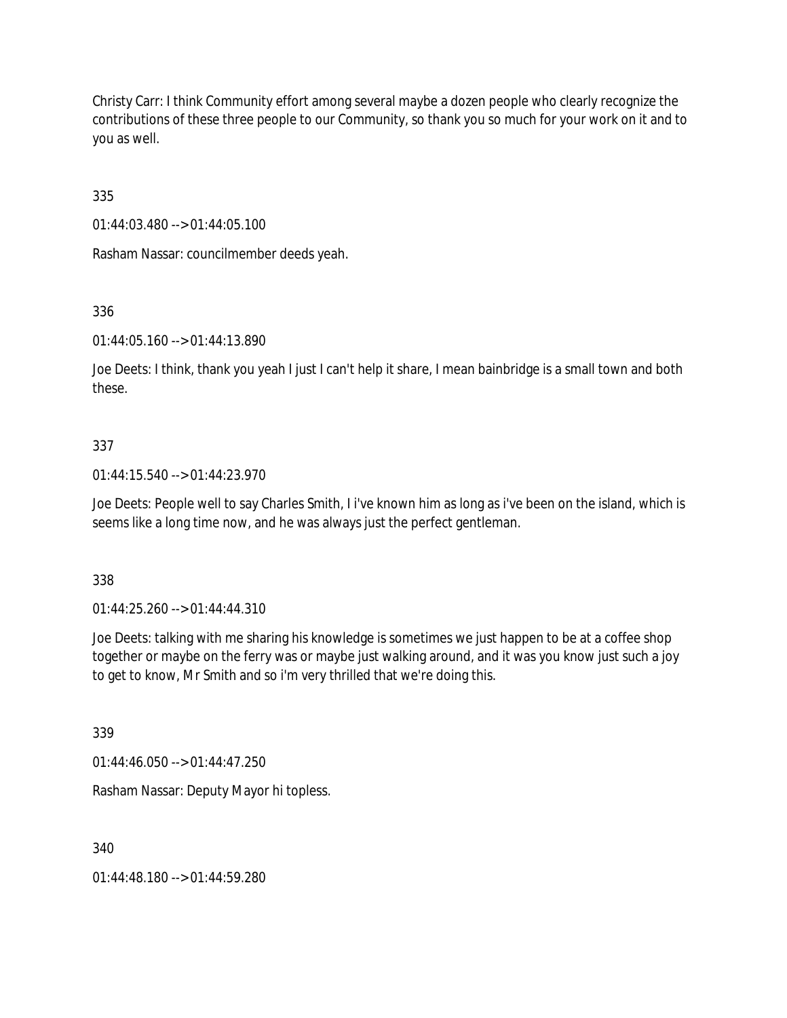Christy Carr: I think Community effort among several maybe a dozen people who clearly recognize the contributions of these three people to our Community, so thank you so much for your work on it and to you as well.

335

01:44:03.480 --> 01:44:05.100

Rasham Nassar: councilmember deeds yeah.

336

01:44:05.160 --> 01:44:13.890

Joe Deets: I think, thank you yeah I just I can't help it share, I mean bainbridge is a small town and both these.

### 337

01:44:15.540 --> 01:44:23.970

Joe Deets: People well to say Charles Smith, I i've known him as long as i've been on the island, which is seems like a long time now, and he was always just the perfect gentleman.

338

01:44:25.260 --> 01:44:44.310

Joe Deets: talking with me sharing his knowledge is sometimes we just happen to be at a coffee shop together or maybe on the ferry was or maybe just walking around, and it was you know just such a joy to get to know, Mr Smith and so i'm very thrilled that we're doing this.

339

01:44:46.050 --> 01:44:47.250

Rasham Nassar: Deputy Mayor hi topless.

340

01:44:48.180 --> 01:44:59.280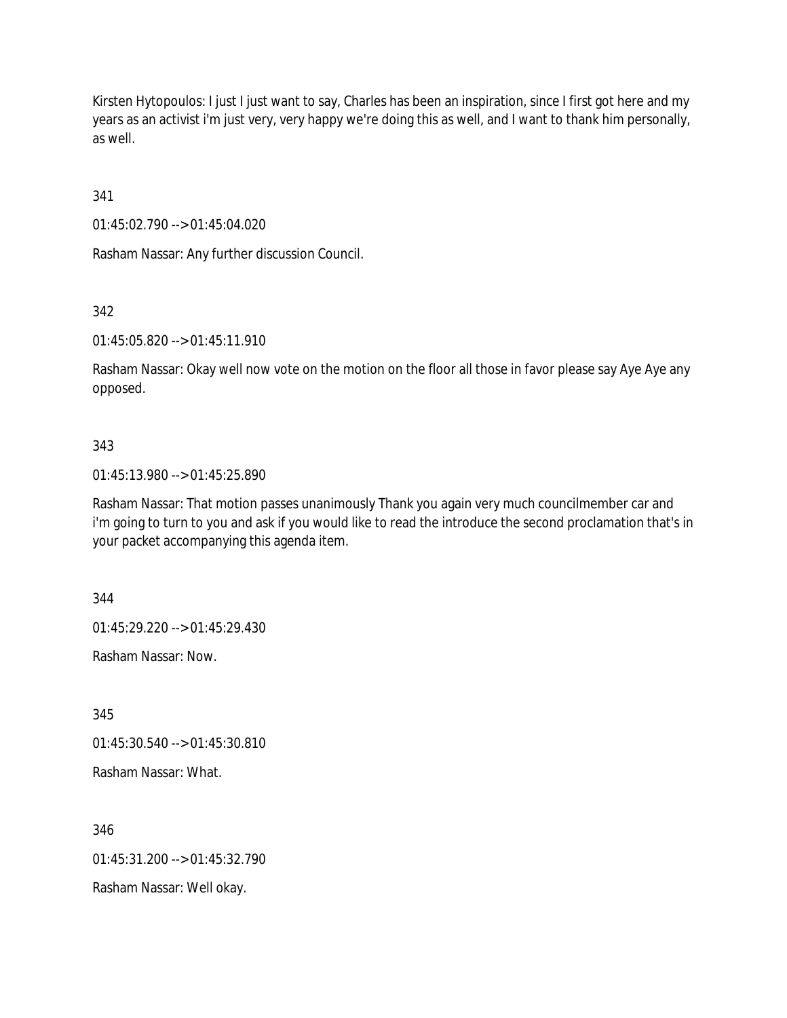Kirsten Hytopoulos: I just I just want to say, Charles has been an inspiration, since I first got here and my years as an activist i'm just very, very happy we're doing this as well, and I want to thank him personally, as well.

341

01:45:02.790 --> 01:45:04.020

Rasham Nassar: Any further discussion Council.

342

01:45:05.820 --> 01:45:11.910

Rasham Nassar: Okay well now vote on the motion on the floor all those in favor please say Aye Aye any opposed.

### 343

01:45:13.980 --> 01:45:25.890

Rasham Nassar: That motion passes unanimously Thank you again very much councilmember car and i'm going to turn to you and ask if you would like to read the introduce the second proclamation that's in your packet accompanying this agenda item.

344

01:45:29.220 --> 01:45:29.430

Rasham Nassar: Now.

345

01:45:30.540 --> 01:45:30.810

Rasham Nassar: What.

346

 $01:45:31:200 \rightarrow 01:45:32:790$ 

Rasham Nassar: Well okay.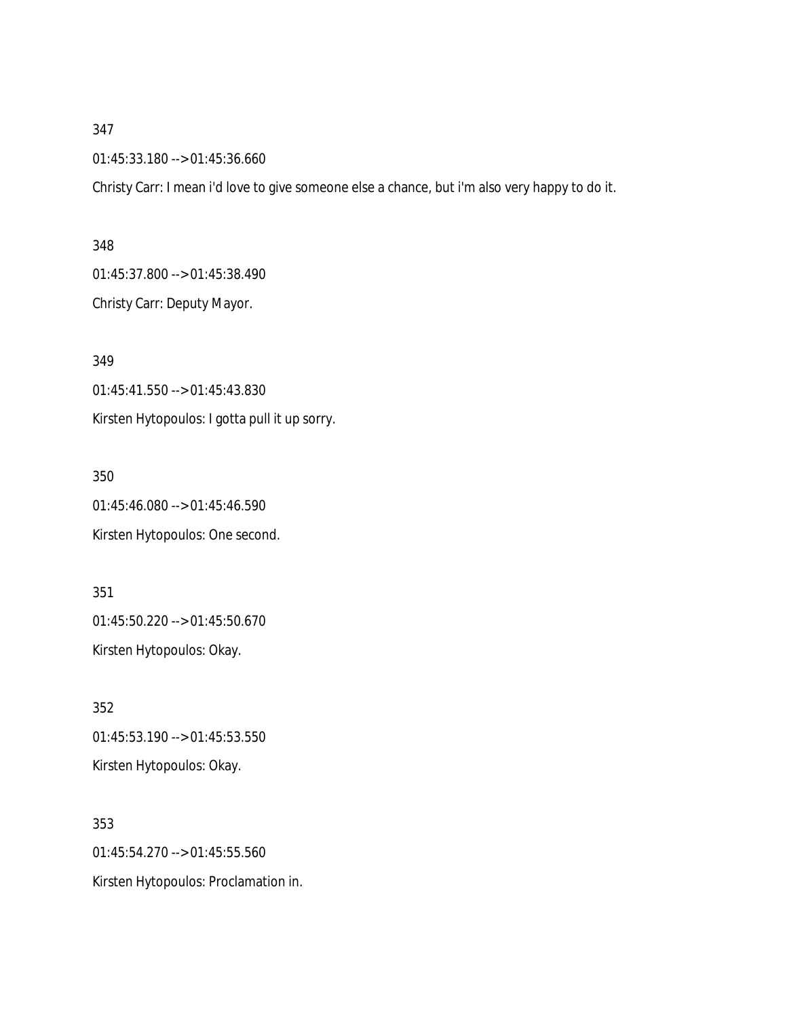01:45:33.180 --> 01:45:36.660

Christy Carr: I mean i'd love to give someone else a chance, but i'm also very happy to do it.

#### 348

01:45:37.800 --> 01:45:38.490 Christy Carr: Deputy Mayor.

349 01:45:41.550 --> 01:45:43.830 Kirsten Hytopoulos: I gotta pull it up sorry.

350 01:45:46.080 --> 01:45:46.590 Kirsten Hytopoulos: One second.

351 01:45:50.220 --> 01:45:50.670 Kirsten Hytopoulos: Okay.

352 01:45:53.190 --> 01:45:53.550 Kirsten Hytopoulos: Okay.

353 01:45:54.270 --> 01:45:55.560 Kirsten Hytopoulos: Proclamation in.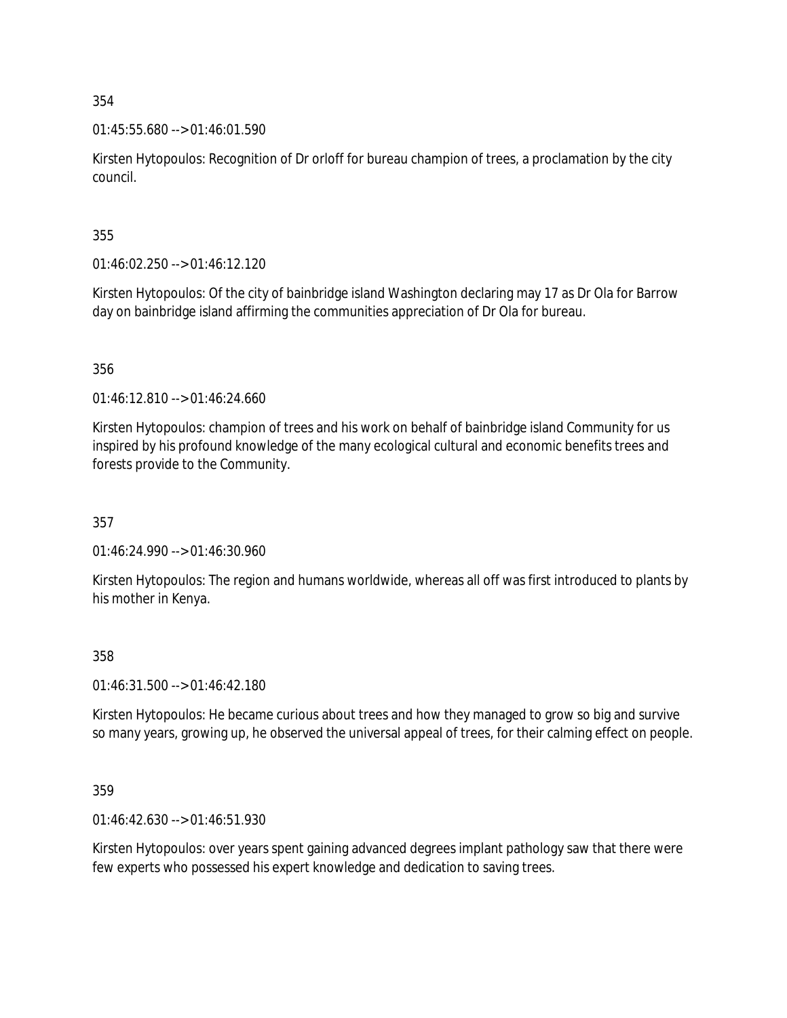01:45:55.680 --> 01:46:01.590

Kirsten Hytopoulos: Recognition of Dr orloff for bureau champion of trees, a proclamation by the city council.

355

01:46:02.250 --> 01:46:12.120

Kirsten Hytopoulos: Of the city of bainbridge island Washington declaring may 17 as Dr Ola for Barrow day on bainbridge island affirming the communities appreciation of Dr Ola for bureau.

356

01:46:12.810 --> 01:46:24.660

Kirsten Hytopoulos: champion of trees and his work on behalf of bainbridge island Community for us inspired by his profound knowledge of the many ecological cultural and economic benefits trees and forests provide to the Community.

357

01:46:24.990 --> 01:46:30.960

Kirsten Hytopoulos: The region and humans worldwide, whereas all off was first introduced to plants by his mother in Kenya.

358

01:46:31.500 --> 01:46:42.180

Kirsten Hytopoulos: He became curious about trees and how they managed to grow so big and survive so many years, growing up, he observed the universal appeal of trees, for their calming effect on people.

359

01:46:42.630 --> 01:46:51.930

Kirsten Hytopoulos: over years spent gaining advanced degrees implant pathology saw that there were few experts who possessed his expert knowledge and dedication to saving trees.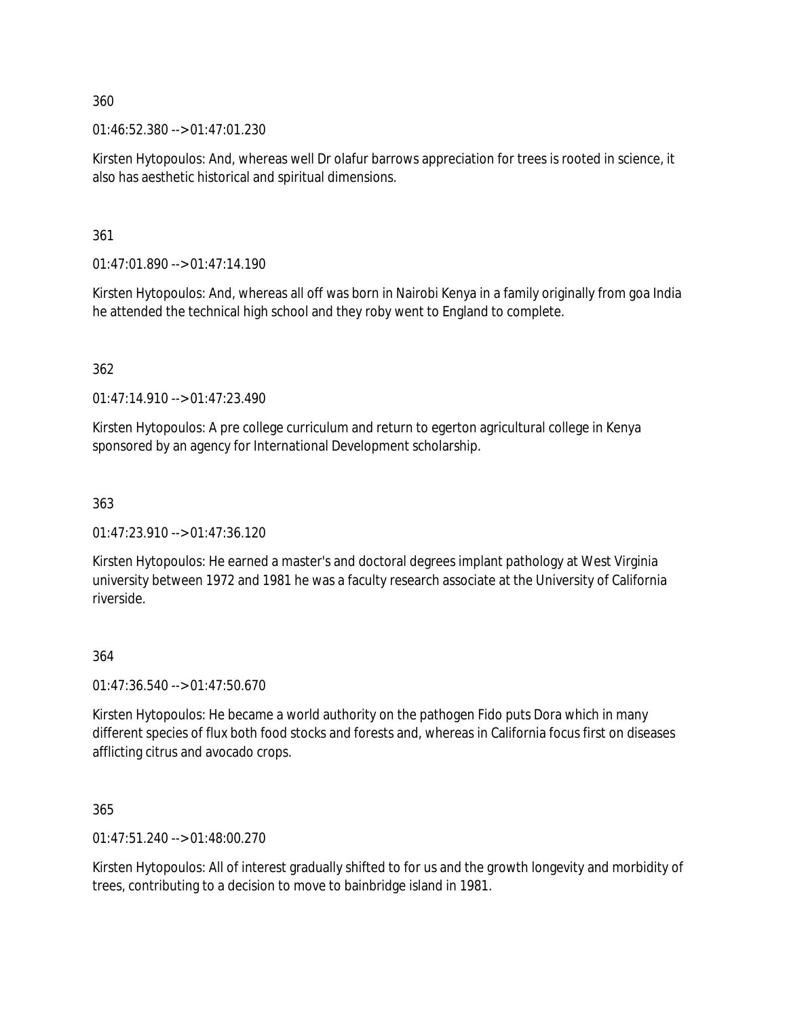01:46:52.380 --> 01:47:01.230

Kirsten Hytopoulos: And, whereas well Dr olafur barrows appreciation for trees is rooted in science, it also has aesthetic historical and spiritual dimensions.

361

 $01:47:01.890 \rightarrow 01:47:14.190$ 

Kirsten Hytopoulos: And, whereas all off was born in Nairobi Kenya in a family originally from goa India he attended the technical high school and they roby went to England to complete.

362

01:47:14.910 --> 01:47:23.490

Kirsten Hytopoulos: A pre college curriculum and return to egerton agricultural college in Kenya sponsored by an agency for International Development scholarship.

363

 $01:47:23.910 \rightarrow 01:47:36.120$ 

Kirsten Hytopoulos: He earned a master's and doctoral degrees implant pathology at West Virginia university between 1972 and 1981 he was a faculty research associate at the University of California riverside.

### 364

01:47:36.540 --> 01:47:50.670

Kirsten Hytopoulos: He became a world authority on the pathogen Fido puts Dora which in many different species of flux both food stocks and forests and, whereas in California focus first on diseases afflicting citrus and avocado crops.

365

01:47:51.240 --> 01:48:00.270

Kirsten Hytopoulos: All of interest gradually shifted to for us and the growth longevity and morbidity of trees, contributing to a decision to move to bainbridge island in 1981.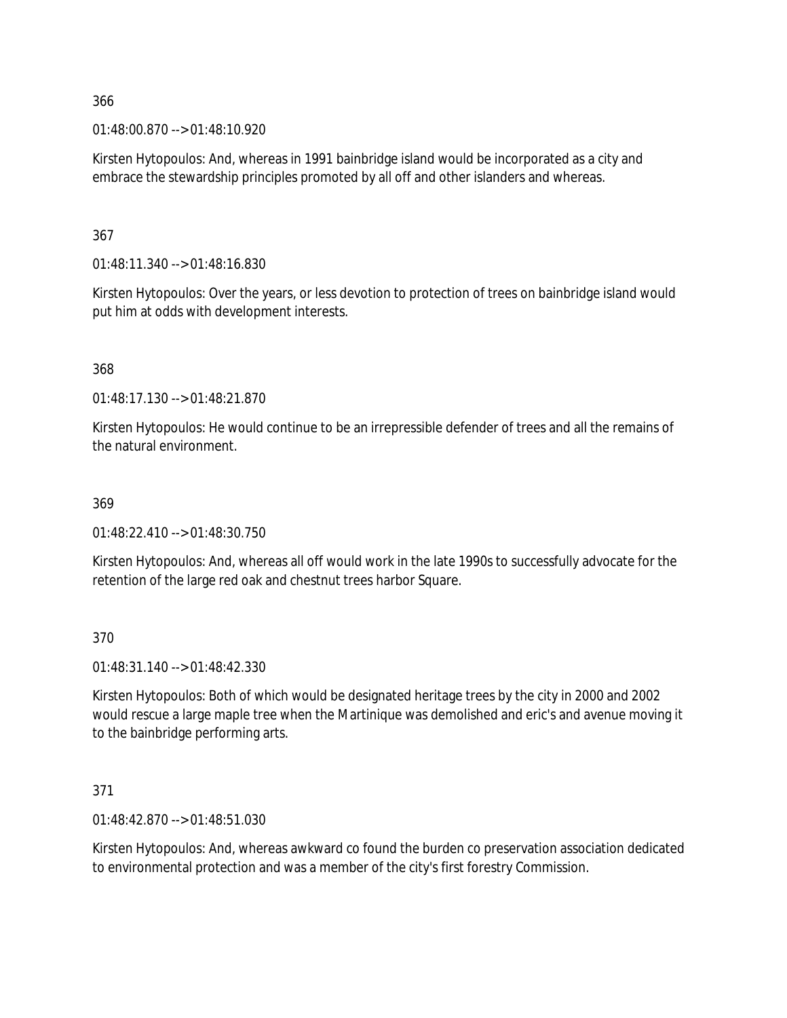01:48:00.870 --> 01:48:10.920

Kirsten Hytopoulos: And, whereas in 1991 bainbridge island would be incorporated as a city and embrace the stewardship principles promoted by all off and other islanders and whereas.

367

01:48:11.340 --> 01:48:16.830

Kirsten Hytopoulos: Over the years, or less devotion to protection of trees on bainbridge island would put him at odds with development interests.

368

01:48:17.130 --> 01:48:21.870

Kirsten Hytopoulos: He would continue to be an irrepressible defender of trees and all the remains of the natural environment.

### 369

01:48:22.410 --> 01:48:30.750

Kirsten Hytopoulos: And, whereas all off would work in the late 1990s to successfully advocate for the retention of the large red oak and chestnut trees harbor Square.

370

01:48:31.140 --> 01:48:42.330

Kirsten Hytopoulos: Both of which would be designated heritage trees by the city in 2000 and 2002 would rescue a large maple tree when the Martinique was demolished and eric's and avenue moving it to the bainbridge performing arts.

371

01:48:42.870 --> 01:48:51.030

Kirsten Hytopoulos: And, whereas awkward co found the burden co preservation association dedicated to environmental protection and was a member of the city's first forestry Commission.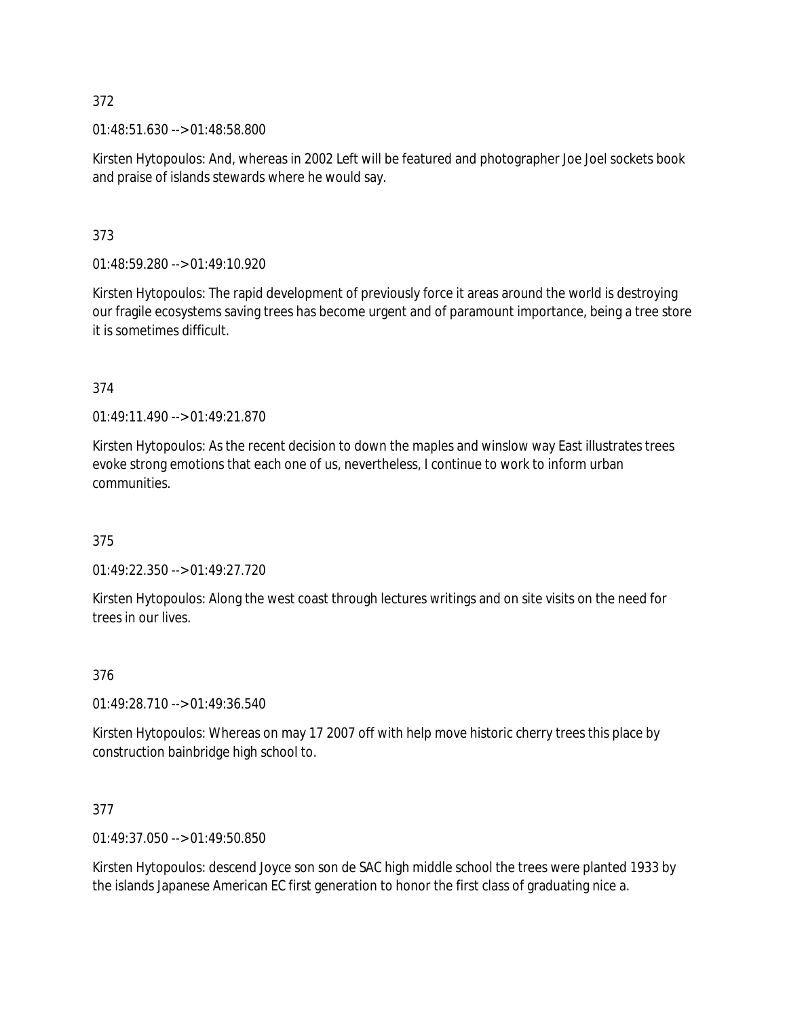01:48:51.630 --> 01:48:58.800

Kirsten Hytopoulos: And, whereas in 2002 Left will be featured and photographer Joe Joel sockets book and praise of islands stewards where he would say.

373

01:48:59.280 --> 01:49:10.920

Kirsten Hytopoulos: The rapid development of previously force it areas around the world is destroying our fragile ecosystems saving trees has become urgent and of paramount importance, being a tree store it is sometimes difficult.

374

01:49:11.490 --> 01:49:21.870

Kirsten Hytopoulos: As the recent decision to down the maples and winslow way East illustrates trees evoke strong emotions that each one of us, nevertheless, I continue to work to inform urban communities.

375

01:49:22.350 --> 01:49:27.720

Kirsten Hytopoulos: Along the west coast through lectures writings and on site visits on the need for trees in our lives.

376

01:49:28.710 --> 01:49:36.540

Kirsten Hytopoulos: Whereas on may 17 2007 off with help move historic cherry trees this place by construction bainbridge high school to.

377

01:49:37.050 --> 01:49:50.850

Kirsten Hytopoulos: descend Joyce son son de SAC high middle school the trees were planted 1933 by the islands Japanese American EC first generation to honor the first class of graduating nice a.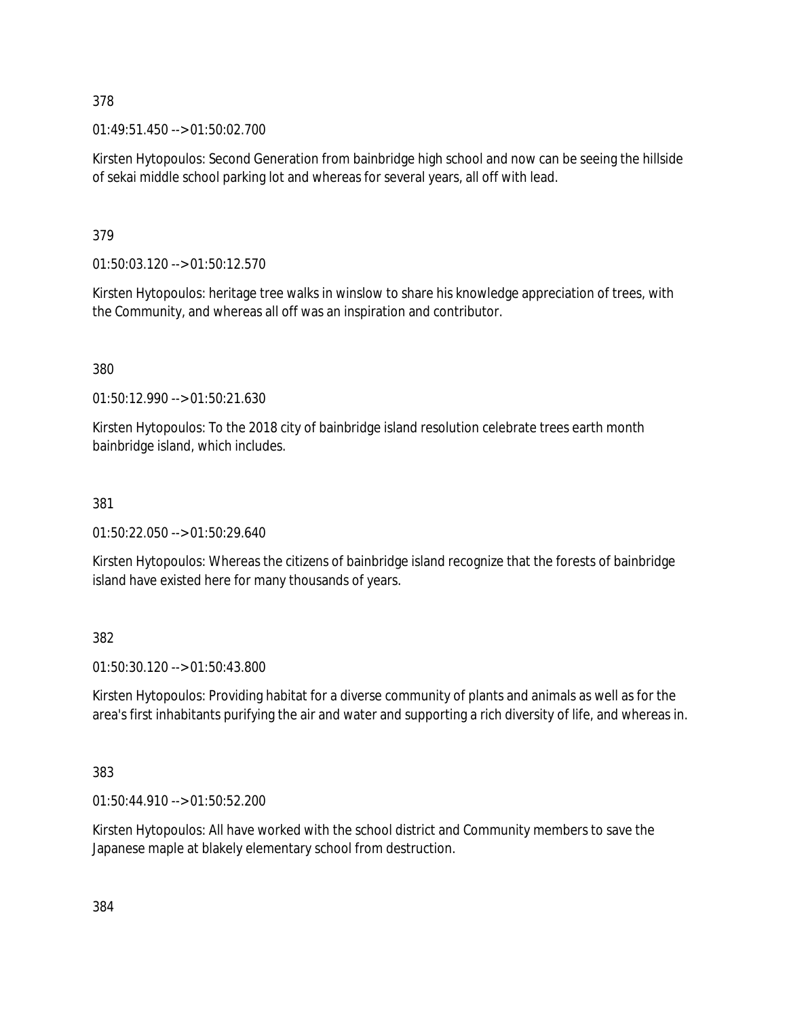01:49:51.450 --> 01:50:02.700

Kirsten Hytopoulos: Second Generation from bainbridge high school and now can be seeing the hillside of sekai middle school parking lot and whereas for several years, all off with lead.

379

01:50:03.120 --> 01:50:12.570

Kirsten Hytopoulos: heritage tree walks in winslow to share his knowledge appreciation of trees, with the Community, and whereas all off was an inspiration and contributor.

380

01:50:12.990 --> 01:50:21.630

Kirsten Hytopoulos: To the 2018 city of bainbridge island resolution celebrate trees earth month bainbridge island, which includes.

### 381

01:50:22.050 --> 01:50:29.640

Kirsten Hytopoulos: Whereas the citizens of bainbridge island recognize that the forests of bainbridge island have existed here for many thousands of years.

382

01:50:30.120 --> 01:50:43.800

Kirsten Hytopoulos: Providing habitat for a diverse community of plants and animals as well as for the area's first inhabitants purifying the air and water and supporting a rich diversity of life, and whereas in.

383

01:50:44.910 --> 01:50:52.200

Kirsten Hytopoulos: All have worked with the school district and Community members to save the Japanese maple at blakely elementary school from destruction.

384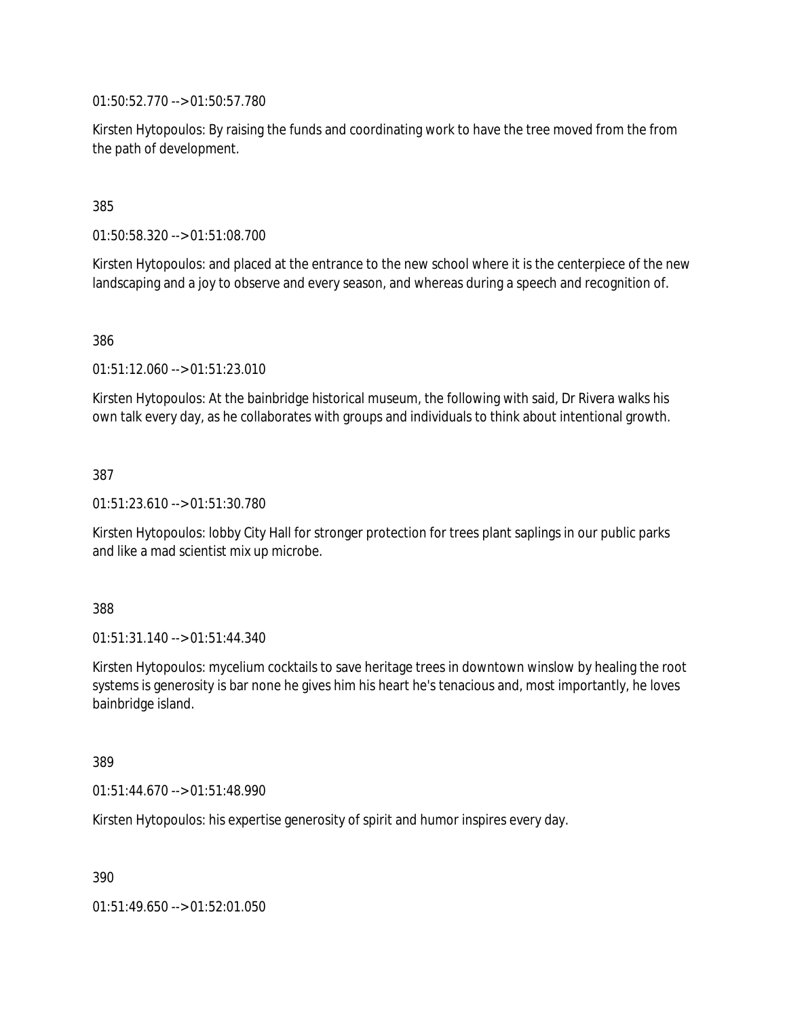01:50:52.770 --> 01:50:57.780

Kirsten Hytopoulos: By raising the funds and coordinating work to have the tree moved from the from the path of development.

385

01:50:58.320 --> 01:51:08.700

Kirsten Hytopoulos: and placed at the entrance to the new school where it is the centerpiece of the new landscaping and a joy to observe and every season, and whereas during a speech and recognition of.

386

01:51:12.060 --> 01:51:23.010

Kirsten Hytopoulos: At the bainbridge historical museum, the following with said, Dr Rivera walks his own talk every day, as he collaborates with groups and individuals to think about intentional growth.

387

01:51:23.610 --> 01:51:30.780

Kirsten Hytopoulos: lobby City Hall for stronger protection for trees plant saplings in our public parks and like a mad scientist mix up microbe.

388

01:51:31.140 --> 01:51:44.340

Kirsten Hytopoulos: mycelium cocktails to save heritage trees in downtown winslow by healing the root systems is generosity is bar none he gives him his heart he's tenacious and, most importantly, he loves bainbridge island.

389

01:51:44.670 --> 01:51:48.990

Kirsten Hytopoulos: his expertise generosity of spirit and humor inspires every day.

390

01:51:49.650 --> 01:52:01.050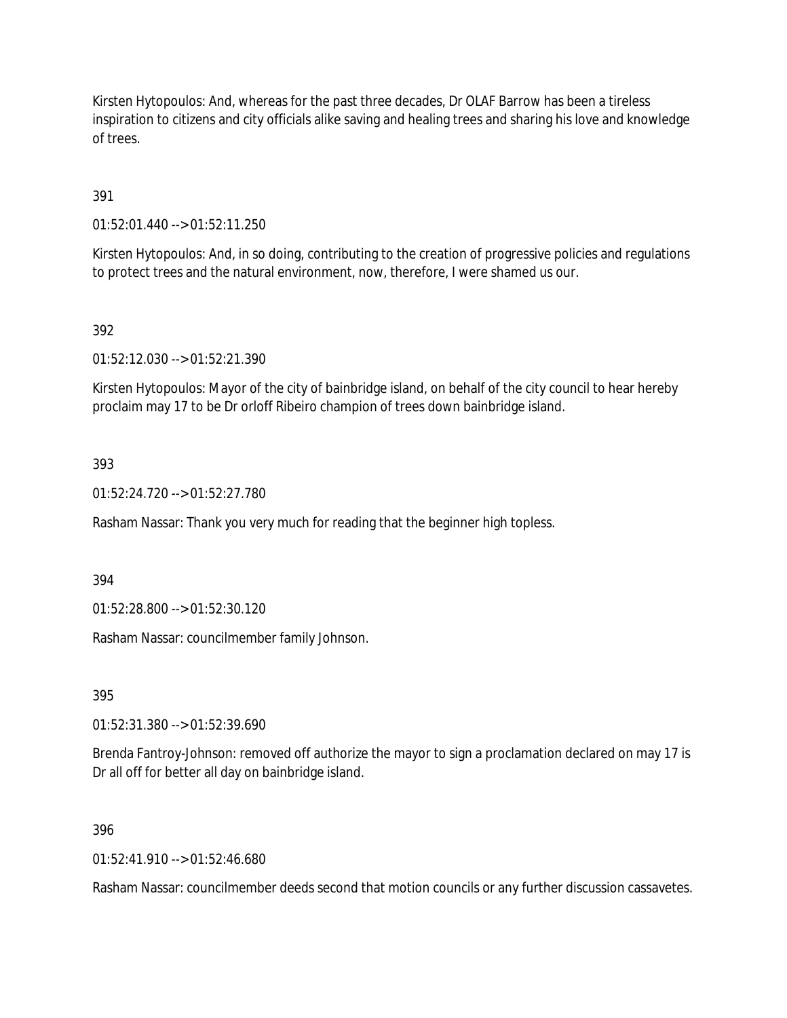Kirsten Hytopoulos: And, whereas for the past three decades, Dr OLAF Barrow has been a tireless inspiration to citizens and city officials alike saving and healing trees and sharing his love and knowledge of trees.

391

01:52:01.440 --> 01:52:11.250

Kirsten Hytopoulos: And, in so doing, contributing to the creation of progressive policies and regulations to protect trees and the natural environment, now, therefore, I were shamed us our.

### 392

01:52:12.030 --> 01:52:21.390

Kirsten Hytopoulos: Mayor of the city of bainbridge island, on behalf of the city council to hear hereby proclaim may 17 to be Dr orloff Ribeiro champion of trees down bainbridge island.

### 393

01:52:24.720 --> 01:52:27.780

Rasham Nassar: Thank you very much for reading that the beginner high topless.

394

01:52:28.800 --> 01:52:30.120

Rasham Nassar: councilmember family Johnson.

395

01:52:31.380 --> 01:52:39.690

Brenda Fantroy-Johnson: removed off authorize the mayor to sign a proclamation declared on may 17 is Dr all off for better all day on bainbridge island.

#### 396

 $01:52:41.910 \rightarrow 01:52:46.680$ 

Rasham Nassar: councilmember deeds second that motion councils or any further discussion cassavetes.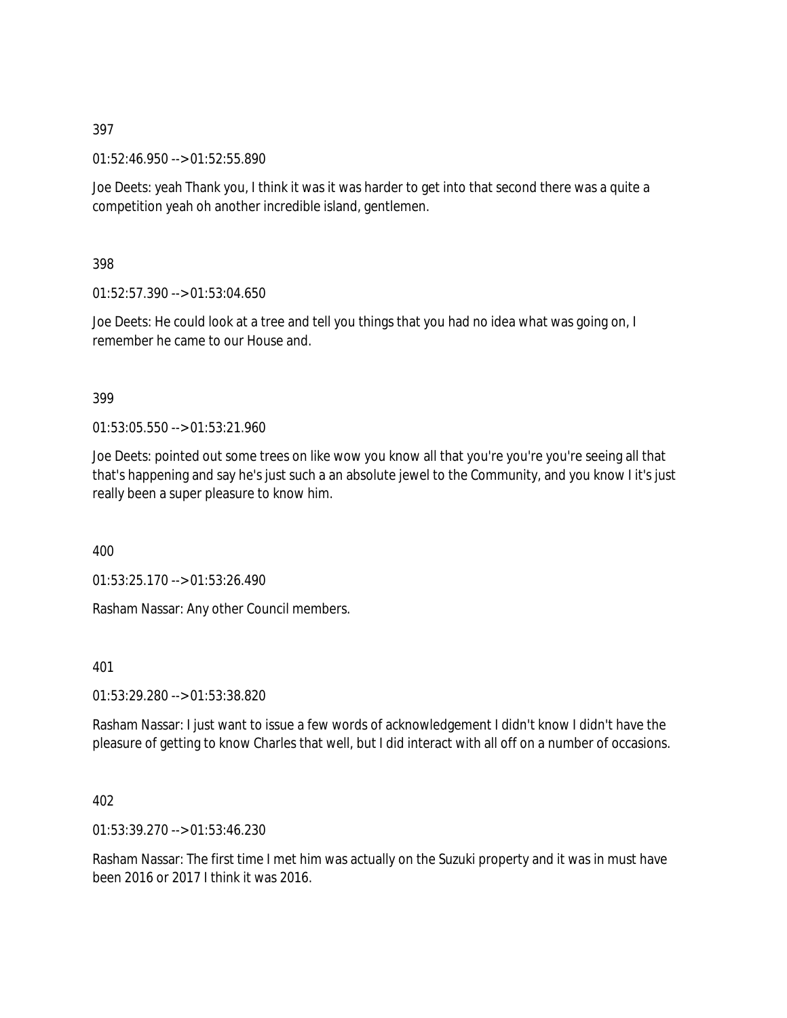01:52:46.950 --> 01:52:55.890

Joe Deets: yeah Thank you, I think it was it was harder to get into that second there was a quite a competition yeah oh another incredible island, gentlemen.

398

01:52:57.390 --> 01:53:04.650

Joe Deets: He could look at a tree and tell you things that you had no idea what was going on, I remember he came to our House and.

### 399

 $01:53:05.550 \rightarrow 01:53:21.960$ 

Joe Deets: pointed out some trees on like wow you know all that you're you're you're seeing all that that's happening and say he's just such a an absolute jewel to the Community, and you know I it's just really been a super pleasure to know him.

400

01:53:25.170 --> 01:53:26.490

Rasham Nassar: Any other Council members.

401

01:53:29.280 --> 01:53:38.820

Rasham Nassar: I just want to issue a few words of acknowledgement I didn't know I didn't have the pleasure of getting to know Charles that well, but I did interact with all off on a number of occasions.

### 402

01:53:39.270 --> 01:53:46.230

Rasham Nassar: The first time I met him was actually on the Suzuki property and it was in must have been 2016 or 2017 I think it was 2016.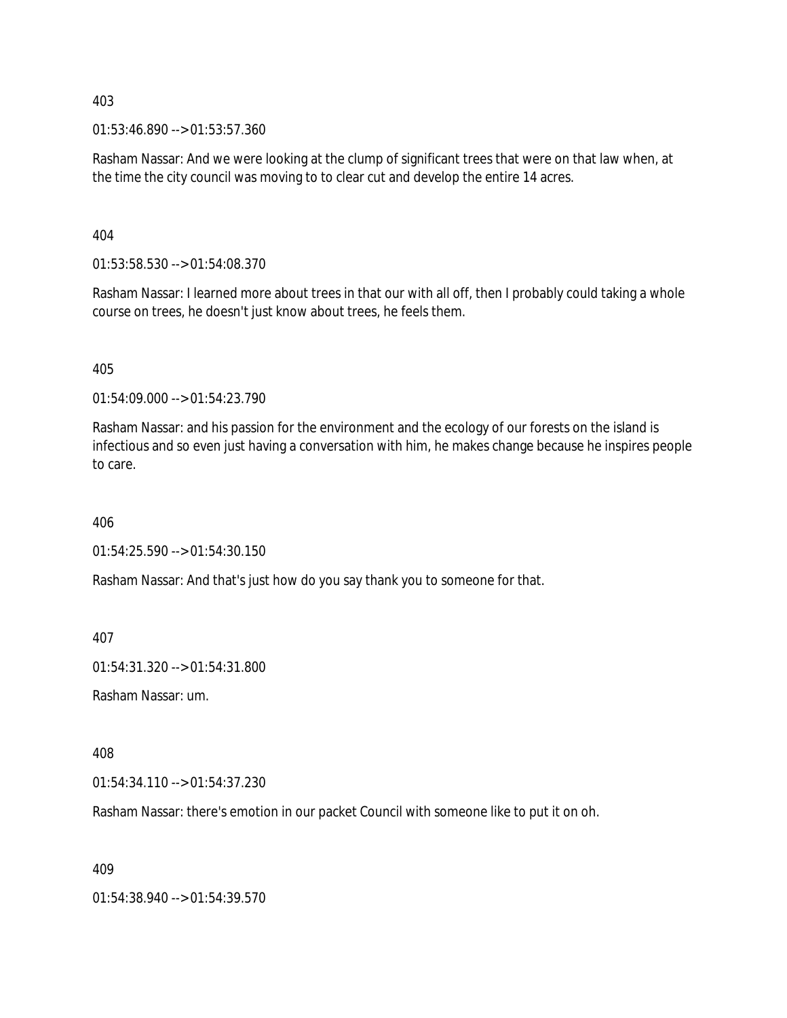01:53:46.890 --> 01:53:57.360

Rasham Nassar: And we were looking at the clump of significant trees that were on that law when, at the time the city council was moving to to clear cut and develop the entire 14 acres.

404

01:53:58.530 --> 01:54:08.370

Rasham Nassar: I learned more about trees in that our with all off, then I probably could taking a whole course on trees, he doesn't just know about trees, he feels them.

405

01:54:09.000 --> 01:54:23.790

Rasham Nassar: and his passion for the environment and the ecology of our forests on the island is infectious and so even just having a conversation with him, he makes change because he inspires people to care.

406

01:54:25.590 --> 01:54:30.150

Rasham Nassar: And that's just how do you say thank you to someone for that.

407

01:54:31.320 --> 01:54:31.800

Rasham Nassar: um.

408

01:54:34.110 --> 01:54:37.230

Rasham Nassar: there's emotion in our packet Council with someone like to put it on oh.

409

01:54:38.940 --> 01:54:39.570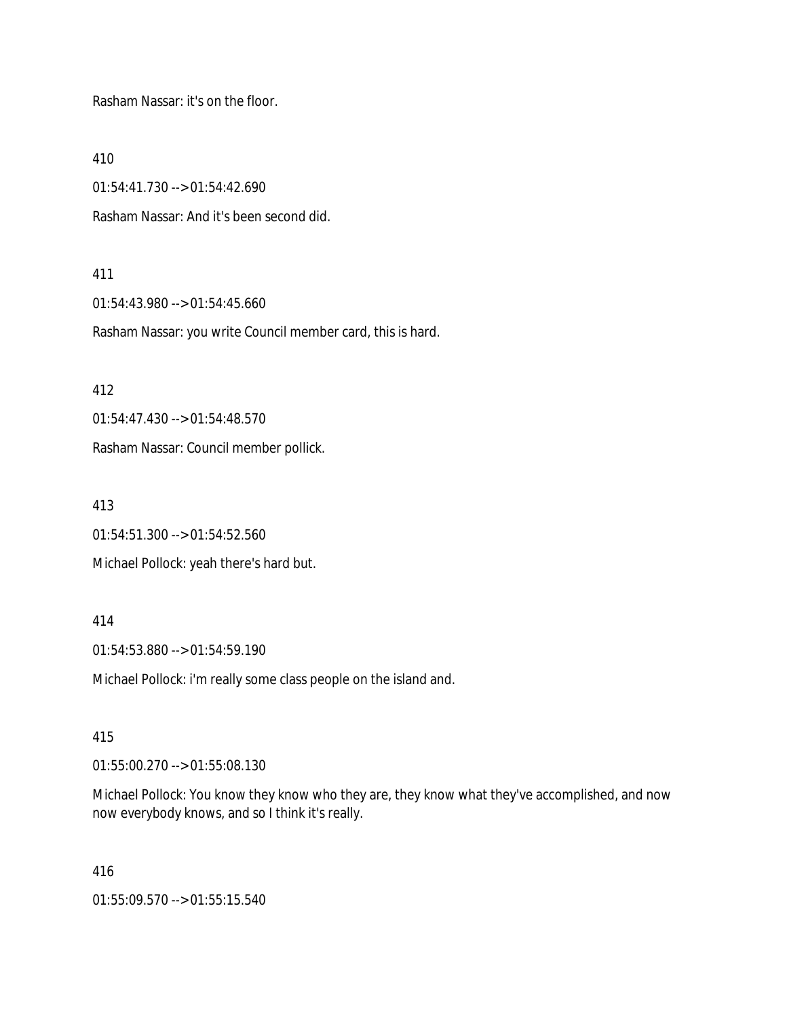Rasham Nassar: it's on the floor.

410

01:54:41.730 --> 01:54:42.690

Rasham Nassar: And it's been second did.

#### 411

01:54:43.980 --> 01:54:45.660

Rasham Nassar: you write Council member card, this is hard.

412

01:54:47.430 --> 01:54:48.570

Rasham Nassar: Council member pollick.

413

01:54:51.300 --> 01:54:52.560

Michael Pollock: yeah there's hard but.

#### 414

01:54:53.880 --> 01:54:59.190

Michael Pollock: i'm really some class people on the island and.

#### 415

01:55:00.270 --> 01:55:08.130

Michael Pollock: You know they know who they are, they know what they've accomplished, and now now everybody knows, and so I think it's really.

416

01:55:09.570 --> 01:55:15.540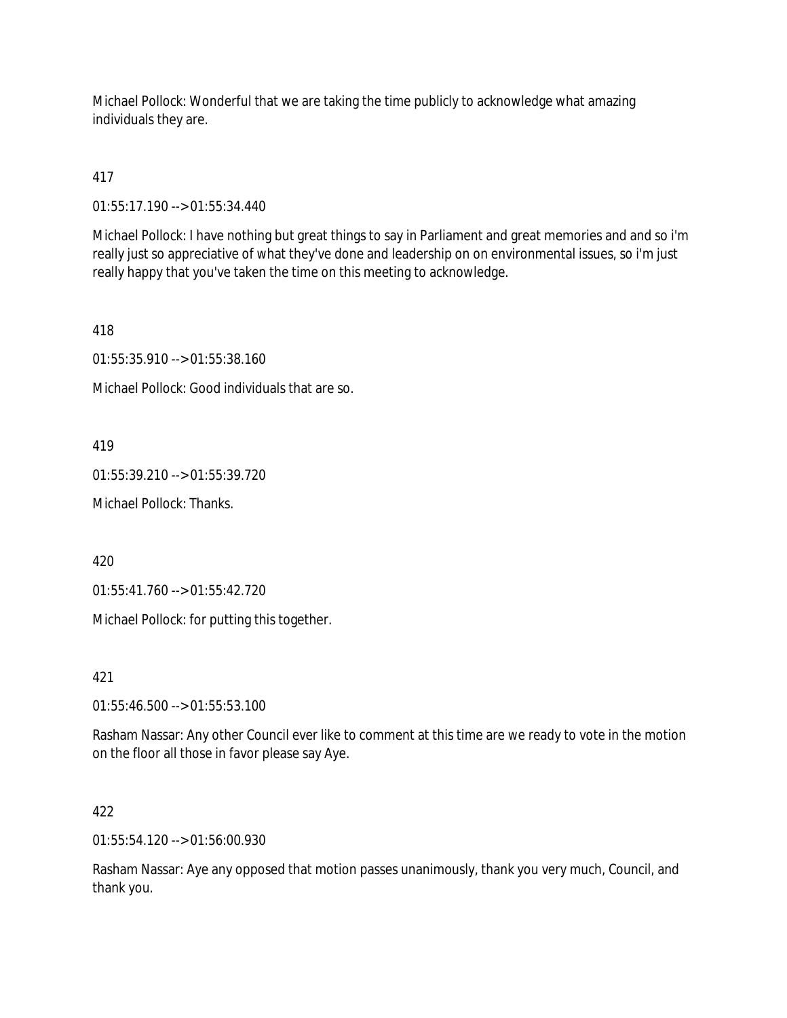Michael Pollock: Wonderful that we are taking the time publicly to acknowledge what amazing individuals they are.

417

01:55:17.190 --> 01:55:34.440

Michael Pollock: I have nothing but great things to say in Parliament and great memories and and so i'm really just so appreciative of what they've done and leadership on on environmental issues, so i'm just really happy that you've taken the time on this meeting to acknowledge.

418

01:55:35.910 --> 01:55:38.160

Michael Pollock: Good individuals that are so.

419

01:55:39.210 --> 01:55:39.720

Michael Pollock: Thanks.

420

01:55:41.760 --> 01:55:42.720

Michael Pollock: for putting this together.

421

01:55:46.500 --> 01:55:53.100

Rasham Nassar: Any other Council ever like to comment at this time are we ready to vote in the motion on the floor all those in favor please say Aye.

422

01:55:54.120 --> 01:56:00.930

Rasham Nassar: Aye any opposed that motion passes unanimously, thank you very much, Council, and thank you.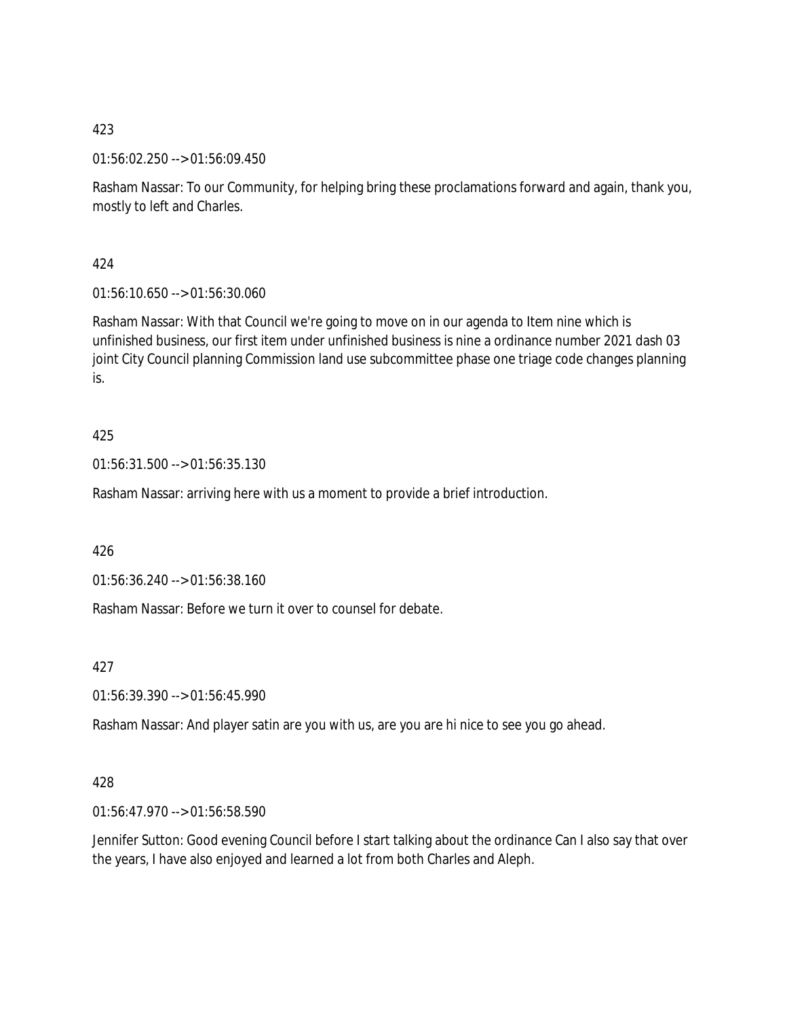01:56:02.250 --> 01:56:09.450

Rasham Nassar: To our Community, for helping bring these proclamations forward and again, thank you, mostly to left and Charles.

424

01:56:10.650 --> 01:56:30.060

Rasham Nassar: With that Council we're going to move on in our agenda to Item nine which is unfinished business, our first item under unfinished business is nine a ordinance number 2021 dash 03 joint City Council planning Commission land use subcommittee phase one triage code changes planning is.

425

01:56:31.500 --> 01:56:35.130

Rasham Nassar: arriving here with us a moment to provide a brief introduction.

426

01:56:36.240 --> 01:56:38.160

Rasham Nassar: Before we turn it over to counsel for debate.

427

01:56:39.390 --> 01:56:45.990

Rasham Nassar: And player satin are you with us, are you are hi nice to see you go ahead.

428

01:56:47.970 --> 01:56:58.590

Jennifer Sutton: Good evening Council before I start talking about the ordinance Can I also say that over the years, I have also enjoyed and learned a lot from both Charles and Aleph.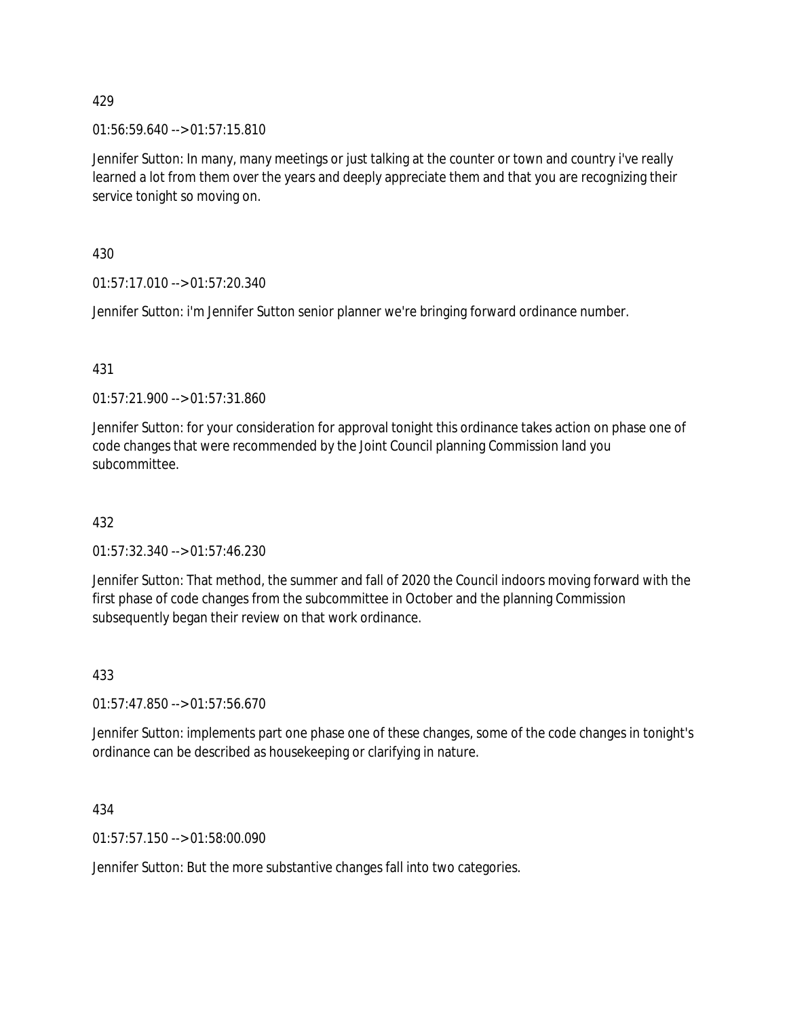01:56:59.640 --> 01:57:15.810

Jennifer Sutton: In many, many meetings or just talking at the counter or town and country i've really learned a lot from them over the years and deeply appreciate them and that you are recognizing their service tonight so moving on.

430

01:57:17.010 --> 01:57:20.340

Jennifer Sutton: i'm Jennifer Sutton senior planner we're bringing forward ordinance number.

### 431

01:57:21.900 --> 01:57:31.860

Jennifer Sutton: for your consideration for approval tonight this ordinance takes action on phase one of code changes that were recommended by the Joint Council planning Commission land you subcommittee.

### 432

01:57:32.340 --> 01:57:46.230

Jennifer Sutton: That method, the summer and fall of 2020 the Council indoors moving forward with the first phase of code changes from the subcommittee in October and the planning Commission subsequently began their review on that work ordinance.

### 433

01:57:47.850 --> 01:57:56.670

Jennifer Sutton: implements part one phase one of these changes, some of the code changes in tonight's ordinance can be described as housekeeping or clarifying in nature.

434

01:57:57.150 --> 01:58:00.090

Jennifer Sutton: But the more substantive changes fall into two categories.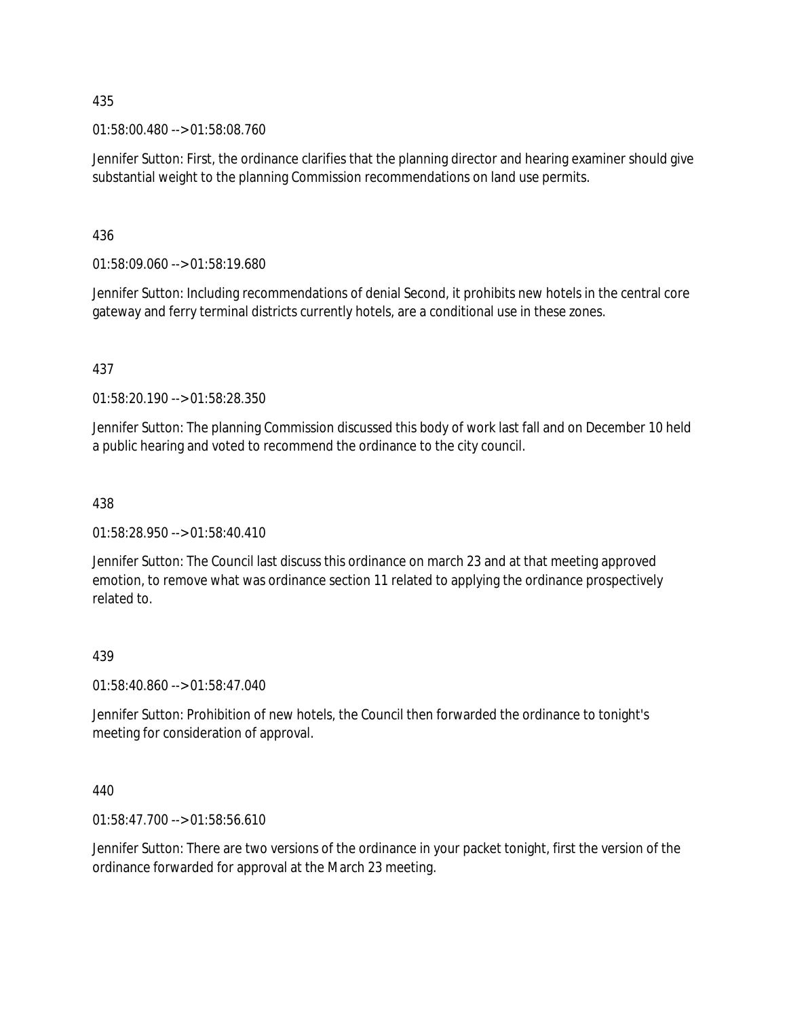01:58:00.480 --> 01:58:08.760

Jennifer Sutton: First, the ordinance clarifies that the planning director and hearing examiner should give substantial weight to the planning Commission recommendations on land use permits.

436

01:58:09.060 --> 01:58:19.680

Jennifer Sutton: Including recommendations of denial Second, it prohibits new hotels in the central core gateway and ferry terminal districts currently hotels, are a conditional use in these zones.

437

01:58:20.190 --> 01:58:28.350

Jennifer Sutton: The planning Commission discussed this body of work last fall and on December 10 held a public hearing and voted to recommend the ordinance to the city council.

438

01:58:28.950 --> 01:58:40.410

Jennifer Sutton: The Council last discuss this ordinance on march 23 and at that meeting approved emotion, to remove what was ordinance section 11 related to applying the ordinance prospectively related to.

### 439

01:58:40.860 --> 01:58:47.040

Jennifer Sutton: Prohibition of new hotels, the Council then forwarded the ordinance to tonight's meeting for consideration of approval.

440

01:58:47.700 --> 01:58:56.610

Jennifer Sutton: There are two versions of the ordinance in your packet tonight, first the version of the ordinance forwarded for approval at the March 23 meeting.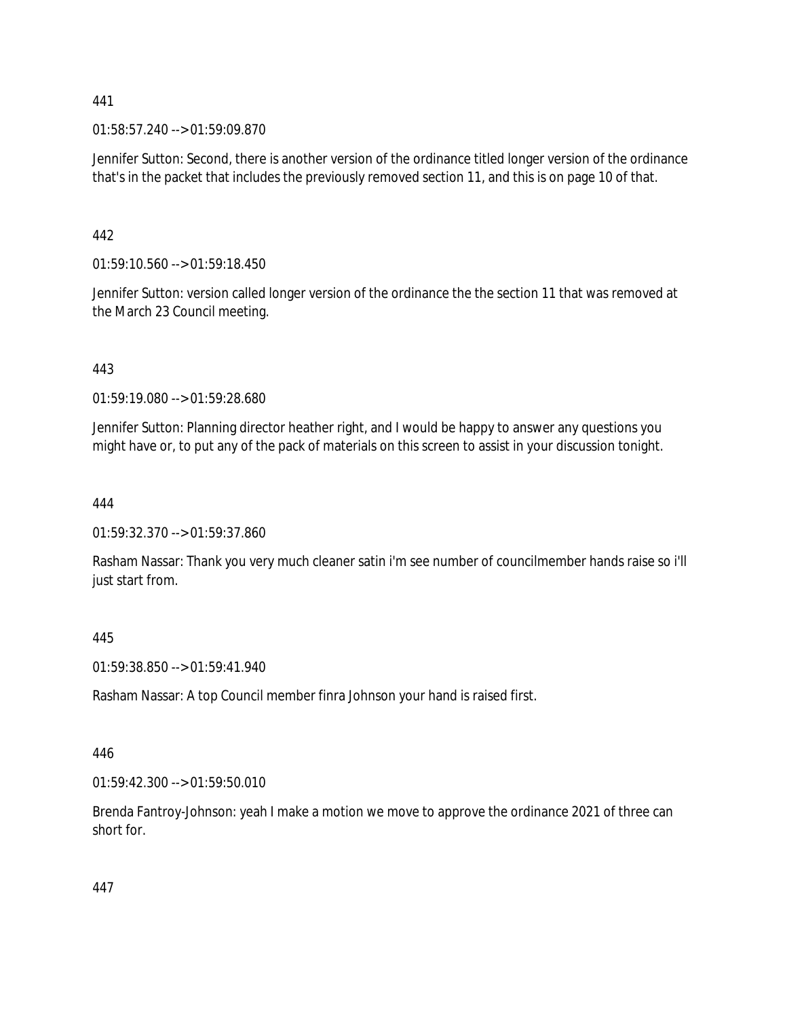01:58:57.240 --> 01:59:09.870

Jennifer Sutton: Second, there is another version of the ordinance titled longer version of the ordinance that's in the packet that includes the previously removed section 11, and this is on page 10 of that.

442

01:59:10.560 --> 01:59:18.450

Jennifer Sutton: version called longer version of the ordinance the the section 11 that was removed at the March 23 Council meeting.

443

01:59:19.080 --> 01:59:28.680

Jennifer Sutton: Planning director heather right, and I would be happy to answer any questions you might have or, to put any of the pack of materials on this screen to assist in your discussion tonight.

444

01:59:32.370 --> 01:59:37.860

Rasham Nassar: Thank you very much cleaner satin i'm see number of councilmember hands raise so i'll just start from.

445

01:59:38.850 --> 01:59:41.940

Rasham Nassar: A top Council member finra Johnson your hand is raised first.

446

01:59:42.300 --> 01:59:50.010

Brenda Fantroy-Johnson: yeah I make a motion we move to approve the ordinance 2021 of three can short for.

447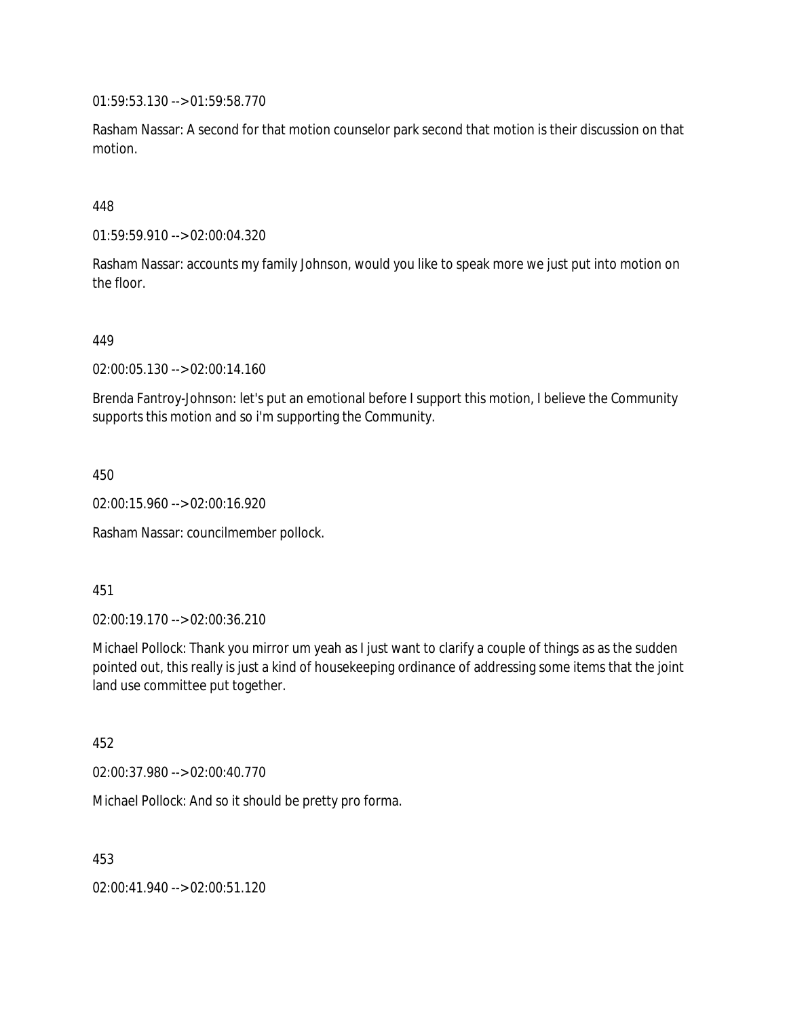01:59:53.130 --> 01:59:58.770

Rasham Nassar: A second for that motion counselor park second that motion is their discussion on that motion.

### 448

01:59:59.910 --> 02:00:04.320

Rasham Nassar: accounts my family Johnson, would you like to speak more we just put into motion on the floor.

449

02:00:05.130 --> 02:00:14.160

Brenda Fantroy-Johnson: let's put an emotional before I support this motion, I believe the Community supports this motion and so i'm supporting the Community.

450

02:00:15.960 --> 02:00:16.920

Rasham Nassar: councilmember pollock.

#### 451

02:00:19.170 --> 02:00:36.210

Michael Pollock: Thank you mirror um yeah as I just want to clarify a couple of things as as the sudden pointed out, this really is just a kind of housekeeping ordinance of addressing some items that the joint land use committee put together.

452

02:00:37.980 --> 02:00:40.770

Michael Pollock: And so it should be pretty pro forma.

453

02:00:41.940 --> 02:00:51.120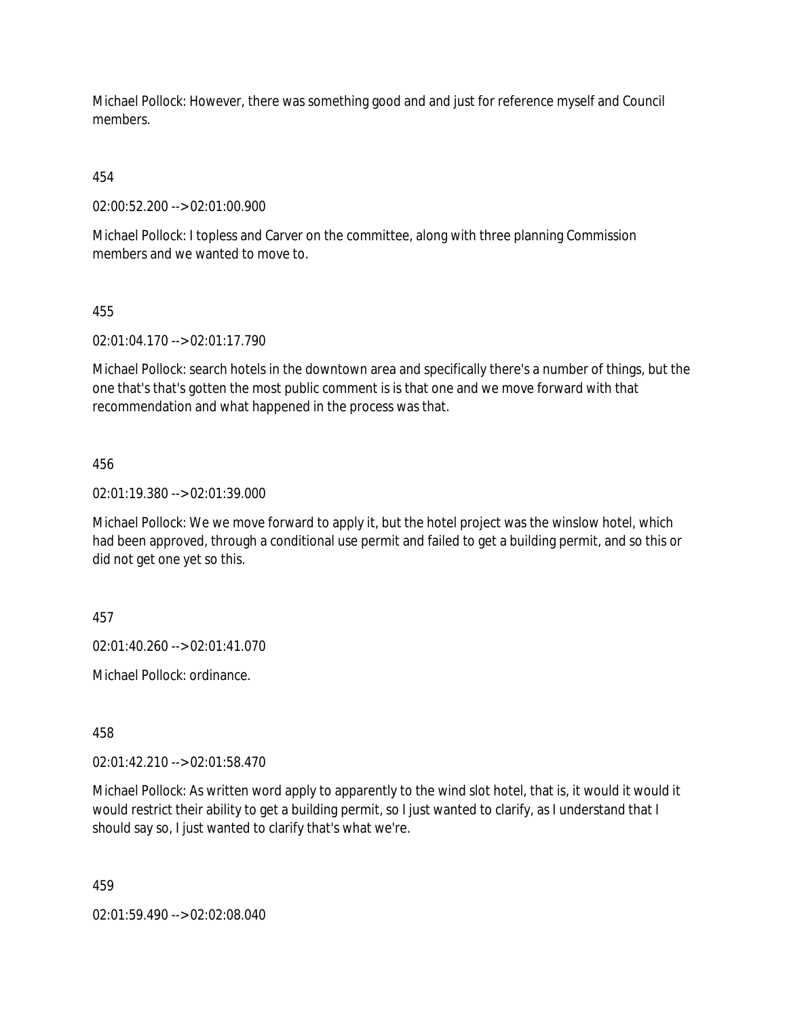Michael Pollock: However, there was something good and and just for reference myself and Council members.

454

02:00:52.200 --> 02:01:00.900

Michael Pollock: I topless and Carver on the committee, along with three planning Commission members and we wanted to move to.

455

02:01:04.170 --> 02:01:17.790

Michael Pollock: search hotels in the downtown area and specifically there's a number of things, but the one that's that's gotten the most public comment is is that one and we move forward with that recommendation and what happened in the process was that.

456

02:01:19.380 --> 02:01:39.000

Michael Pollock: We we move forward to apply it, but the hotel project was the winslow hotel, which had been approved, through a conditional use permit and failed to get a building permit, and so this or did not get one yet so this.

457

02:01:40.260 --> 02:01:41.070

Michael Pollock: ordinance.

458

02:01:42.210 --> 02:01:58.470

Michael Pollock: As written word apply to apparently to the wind slot hotel, that is, it would it would it would restrict their ability to get a building permit, so I just wanted to clarify, as I understand that I should say so, I just wanted to clarify that's what we're.

459

02:01:59.490 --> 02:02:08.040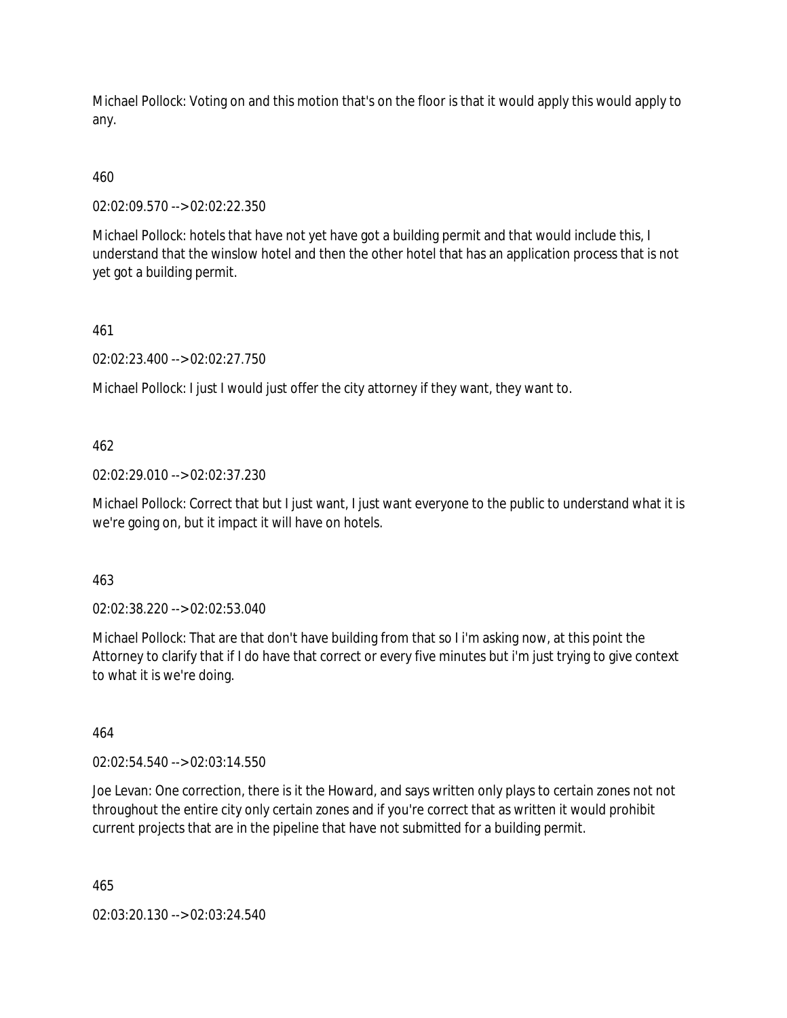Michael Pollock: Voting on and this motion that's on the floor is that it would apply this would apply to any.

# 460

02:02:09.570 --> 02:02:22.350

Michael Pollock: hotels that have not yet have got a building permit and that would include this, I understand that the winslow hotel and then the other hotel that has an application process that is not yet got a building permit.

### 461

02:02:23.400 --> 02:02:27.750

Michael Pollock: I just I would just offer the city attorney if they want, they want to.

### 462

02:02:29.010 --> 02:02:37.230

Michael Pollock: Correct that but I just want, I just want everyone to the public to understand what it is we're going on, but it impact it will have on hotels.

### 463

02:02:38.220 --> 02:02:53.040

Michael Pollock: That are that don't have building from that so I i'm asking now, at this point the Attorney to clarify that if I do have that correct or every five minutes but i'm just trying to give context to what it is we're doing.

# 464

02:02:54.540 --> 02:03:14.550

Joe Levan: One correction, there is it the Howard, and says written only plays to certain zones not not throughout the entire city only certain zones and if you're correct that as written it would prohibit current projects that are in the pipeline that have not submitted for a building permit.

465

02:03:20.130 --> 02:03:24.540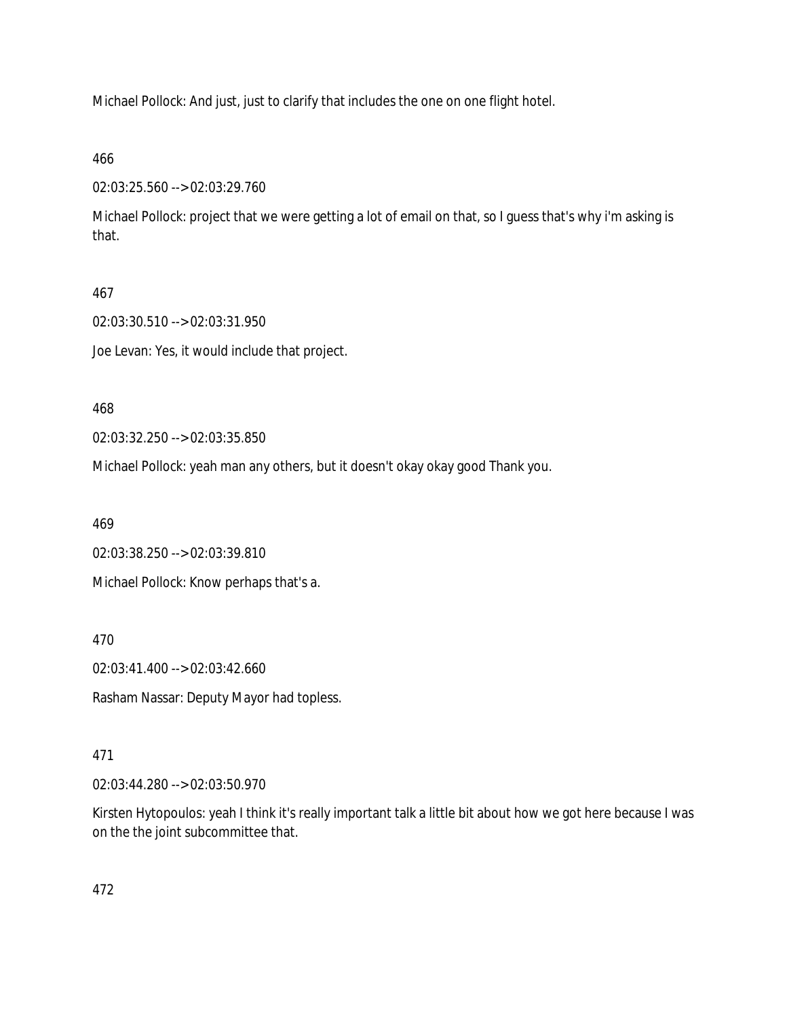Michael Pollock: And just, just to clarify that includes the one on one flight hotel.

### 466

02:03:25.560 --> 02:03:29.760

Michael Pollock: project that we were getting a lot of email on that, so I guess that's why i'm asking is that.

### 467

02:03:30.510 --> 02:03:31.950

Joe Levan: Yes, it would include that project.

### 468

02:03:32.250 --> 02:03:35.850

Michael Pollock: yeah man any others, but it doesn't okay okay good Thank you.

469

02:03:38.250 --> 02:03:39.810

Michael Pollock: Know perhaps that's a.

470

02:03:41.400 --> 02:03:42.660

Rasham Nassar: Deputy Mayor had topless.

## 471

02:03:44.280 --> 02:03:50.970

Kirsten Hytopoulos: yeah I think it's really important talk a little bit about how we got here because I was on the the joint subcommittee that.

472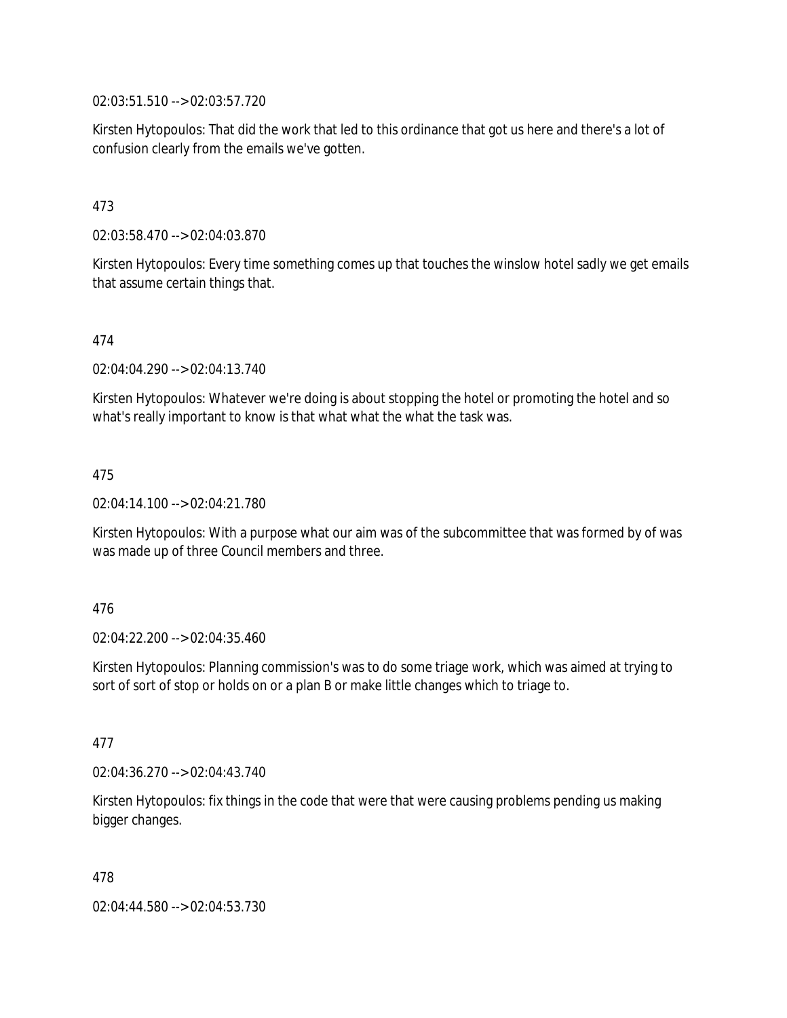02:03:51.510 --> 02:03:57.720

Kirsten Hytopoulos: That did the work that led to this ordinance that got us here and there's a lot of confusion clearly from the emails we've gotten.

### 473

02:03:58.470 --> 02:04:03.870

Kirsten Hytopoulos: Every time something comes up that touches the winslow hotel sadly we get emails that assume certain things that.

#### 474

02:04:04.290 --> 02:04:13.740

Kirsten Hytopoulos: Whatever we're doing is about stopping the hotel or promoting the hotel and so what's really important to know is that what what the what the task was.

#### 475

02:04:14.100 --> 02:04:21.780

Kirsten Hytopoulos: With a purpose what our aim was of the subcommittee that was formed by of was was made up of three Council members and three.

### 476

02:04:22.200 --> 02:04:35.460

Kirsten Hytopoulos: Planning commission's was to do some triage work, which was aimed at trying to sort of sort of stop or holds on or a plan B or make little changes which to triage to.

#### 477

02:04:36.270 --> 02:04:43.740

Kirsten Hytopoulos: fix things in the code that were that were causing problems pending us making bigger changes.

478

02:04:44.580 --> 02:04:53.730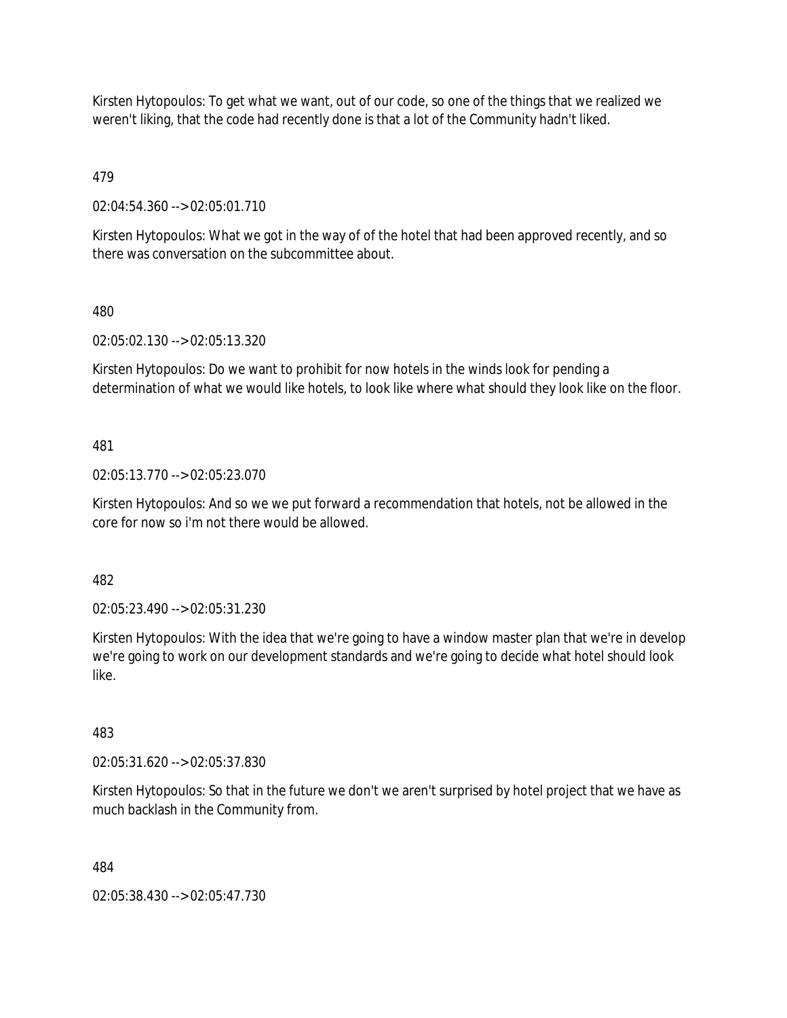Kirsten Hytopoulos: To get what we want, out of our code, so one of the things that we realized we weren't liking, that the code had recently done is that a lot of the Community hadn't liked.

479

02:04:54.360 --> 02:05:01.710

Kirsten Hytopoulos: What we got in the way of of the hotel that had been approved recently, and so there was conversation on the subcommittee about.

### 480

02:05:02.130 --> 02:05:13.320

Kirsten Hytopoulos: Do we want to prohibit for now hotels in the winds look for pending a determination of what we would like hotels, to look like where what should they look like on the floor.

### 481

02:05:13.770 --> 02:05:23.070

Kirsten Hytopoulos: And so we we put forward a recommendation that hotels, not be allowed in the core for now so i'm not there would be allowed.

482

02:05:23.490 --> 02:05:31.230

Kirsten Hytopoulos: With the idea that we're going to have a window master plan that we're in develop we're going to work on our development standards and we're going to decide what hotel should look like.

### 483

02:05:31.620 --> 02:05:37.830

Kirsten Hytopoulos: So that in the future we don't we aren't surprised by hotel project that we have as much backlash in the Community from.

484

02:05:38.430 --> 02:05:47.730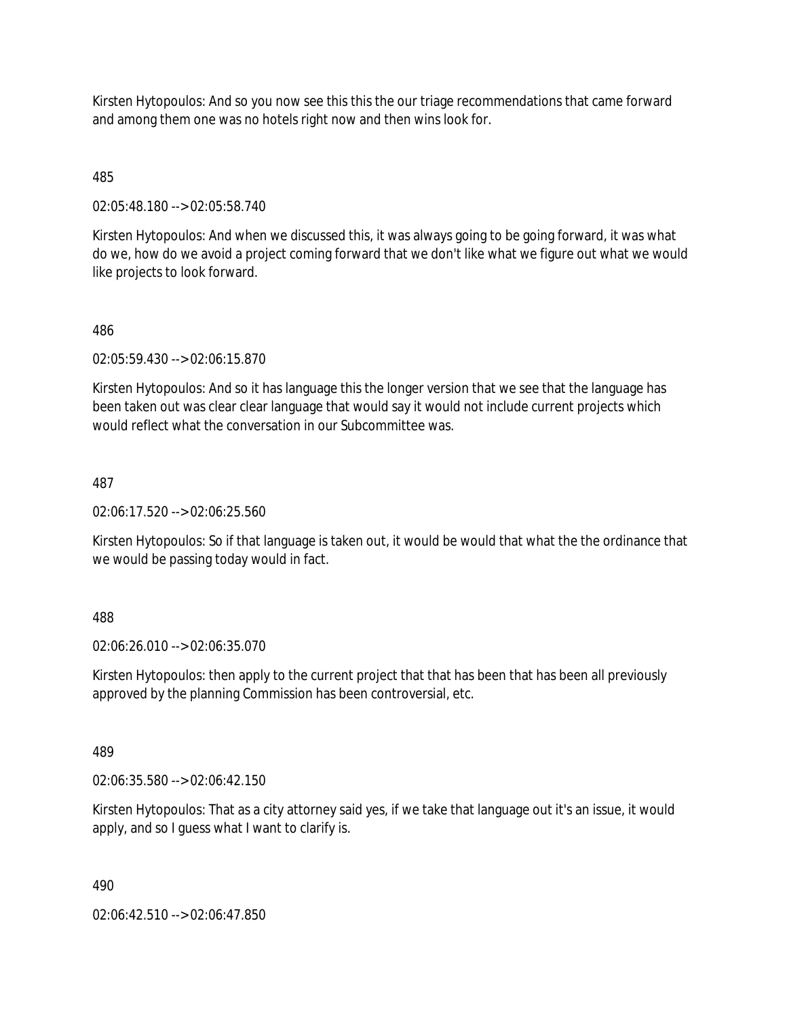Kirsten Hytopoulos: And so you now see this this the our triage recommendations that came forward and among them one was no hotels right now and then wins look for.

## 485

02:05:48.180 --> 02:05:58.740

Kirsten Hytopoulos: And when we discussed this, it was always going to be going forward, it was what do we, how do we avoid a project coming forward that we don't like what we figure out what we would like projects to look forward.

### 486

02:05:59.430 --> 02:06:15.870

Kirsten Hytopoulos: And so it has language this the longer version that we see that the language has been taken out was clear clear language that would say it would not include current projects which would reflect what the conversation in our Subcommittee was.

### 487

02:06:17.520 --> 02:06:25.560

Kirsten Hytopoulos: So if that language is taken out, it would be would that what the the ordinance that we would be passing today would in fact.

## 488

02:06:26.010 --> 02:06:35.070

Kirsten Hytopoulos: then apply to the current project that that has been that has been all previously approved by the planning Commission has been controversial, etc.

### 489

02:06:35.580 --> 02:06:42.150

Kirsten Hytopoulos: That as a city attorney said yes, if we take that language out it's an issue, it would apply, and so I guess what I want to clarify is.

### 490

02:06:42.510 --> 02:06:47.850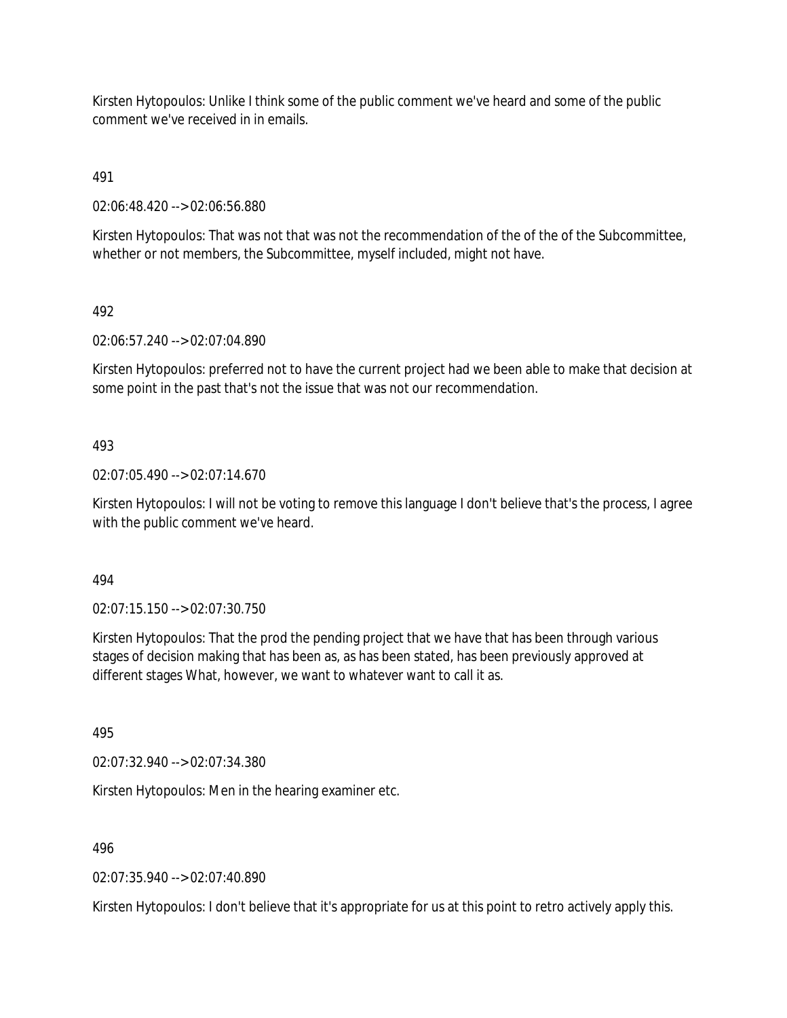Kirsten Hytopoulos: Unlike I think some of the public comment we've heard and some of the public comment we've received in in emails.

491

02:06:48.420 --> 02:06:56.880

Kirsten Hytopoulos: That was not that was not the recommendation of the of the of the Subcommittee, whether or not members, the Subcommittee, myself included, might not have.

### 492

02:06:57.240 --> 02:07:04.890

Kirsten Hytopoulos: preferred not to have the current project had we been able to make that decision at some point in the past that's not the issue that was not our recommendation.

### 493

02:07:05.490 --> 02:07:14.670

Kirsten Hytopoulos: I will not be voting to remove this language I don't believe that's the process, I agree with the public comment we've heard.

### 494

02:07:15.150 --> 02:07:30.750

Kirsten Hytopoulos: That the prod the pending project that we have that has been through various stages of decision making that has been as, as has been stated, has been previously approved at different stages What, however, we want to whatever want to call it as.

495

02:07:32.940 --> 02:07:34.380

Kirsten Hytopoulos: Men in the hearing examiner etc.

496

02:07:35.940 --> 02:07:40.890

Kirsten Hytopoulos: I don't believe that it's appropriate for us at this point to retro actively apply this.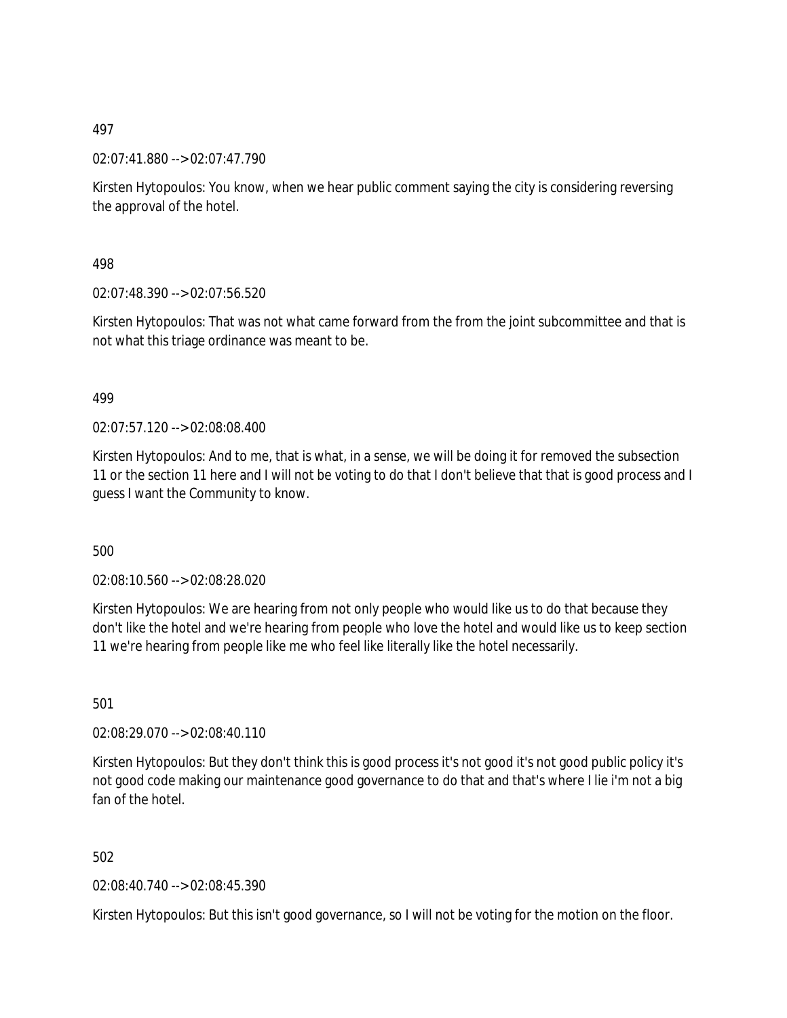02:07:41.880 --> 02:07:47.790

Kirsten Hytopoulos: You know, when we hear public comment saying the city is considering reversing the approval of the hotel.

498

02:07:48.390 --> 02:07:56.520

Kirsten Hytopoulos: That was not what came forward from the from the joint subcommittee and that is not what this triage ordinance was meant to be.

### 499

02:07:57.120 --> 02:08:08.400

Kirsten Hytopoulos: And to me, that is what, in a sense, we will be doing it for removed the subsection 11 or the section 11 here and I will not be voting to do that I don't believe that that is good process and I guess I want the Community to know.

500

02:08:10.560 --> 02:08:28.020

Kirsten Hytopoulos: We are hearing from not only people who would like us to do that because they don't like the hotel and we're hearing from people who love the hotel and would like us to keep section 11 we're hearing from people like me who feel like literally like the hotel necessarily.

501

02:08:29.070 --> 02:08:40.110

Kirsten Hytopoulos: But they don't think this is good process it's not good it's not good public policy it's not good code making our maintenance good governance to do that and that's where I lie i'm not a big fan of the hotel

502

02:08:40.740 --> 02:08:45.390

Kirsten Hytopoulos: But this isn't good governance, so I will not be voting for the motion on the floor.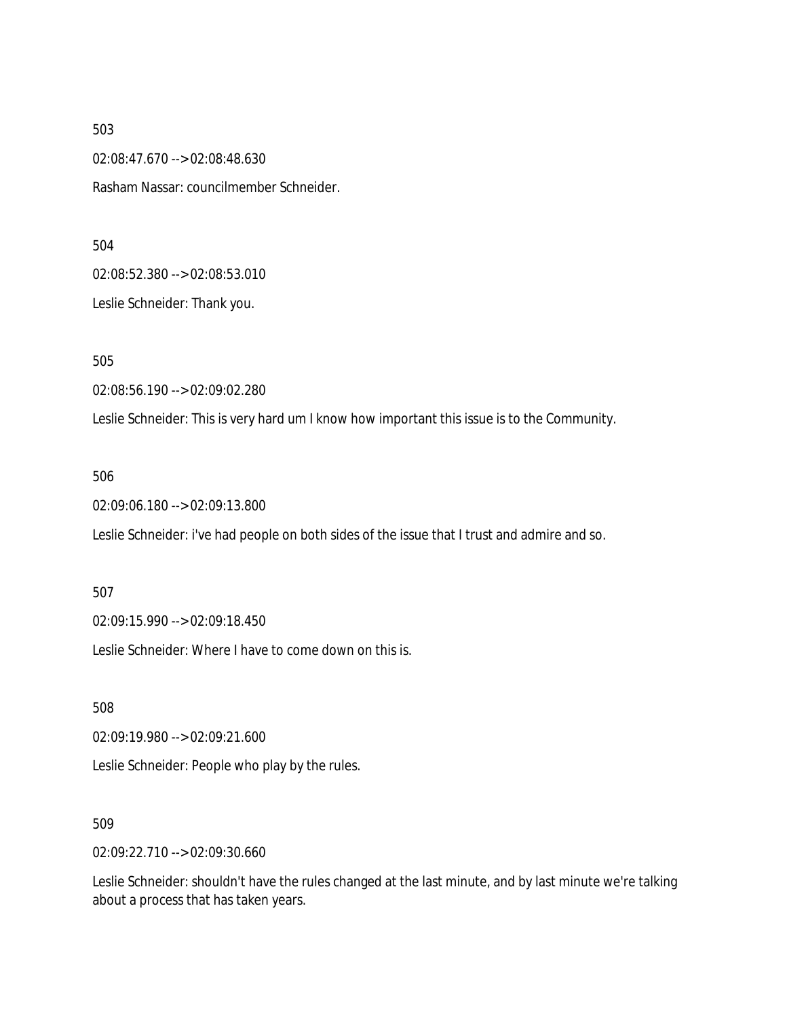02:08:47.670 --> 02:08:48.630

Rasham Nassar: councilmember Schneider.

#### 504

02:08:52.380 --> 02:08:53.010

Leslie Schneider: Thank you.

505

02:08:56.190 --> 02:09:02.280

Leslie Schneider: This is very hard um I know how important this issue is to the Community.

### 506

02:09:06.180 --> 02:09:13.800

Leslie Schneider: i've had people on both sides of the issue that I trust and admire and so.

507

02:09:15.990 --> 02:09:18.450

Leslie Schneider: Where I have to come down on this is.

508

02:09:19.980 --> 02:09:21.600

Leslie Schneider: People who play by the rules.

509

02:09:22.710 --> 02:09:30.660

Leslie Schneider: shouldn't have the rules changed at the last minute, and by last minute we're talking about a process that has taken years.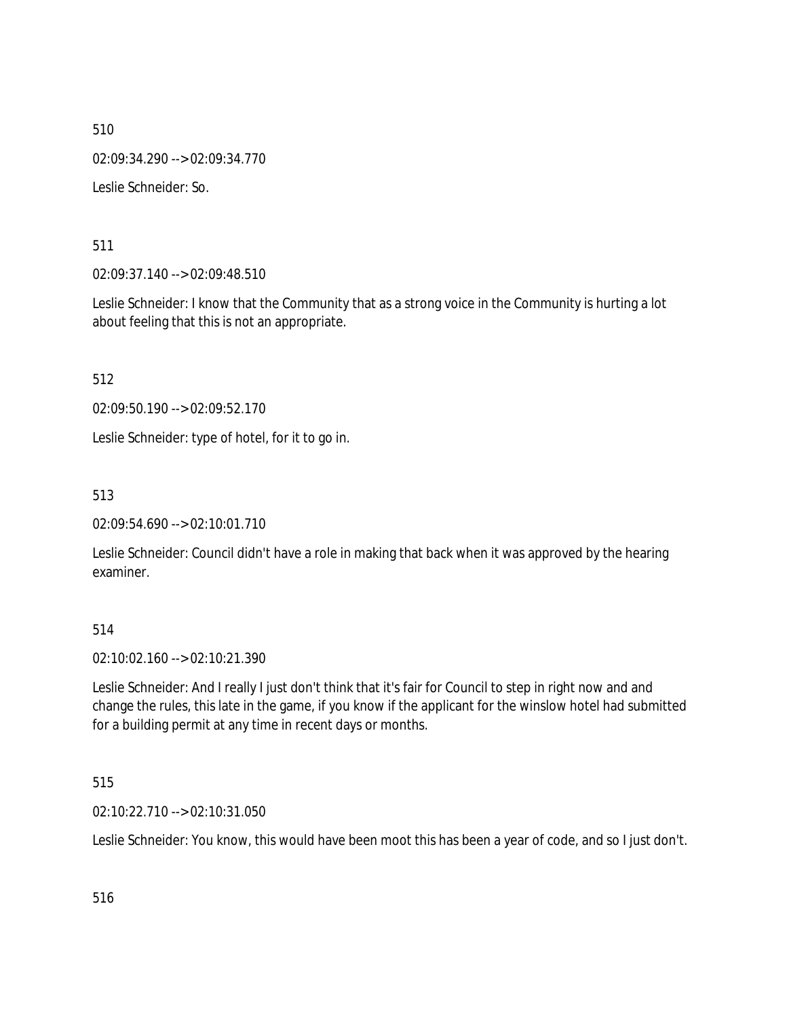510 02:09:34.290 --> 02:09:34.770 Leslie Schneider: So.

511

02:09:37.140 --> 02:09:48.510

Leslie Schneider: I know that the Community that as a strong voice in the Community is hurting a lot about feeling that this is not an appropriate.

512

02:09:50.190 --> 02:09:52.170

Leslie Schneider: type of hotel, for it to go in.

513

02:09:54.690 --> 02:10:01.710

Leslie Schneider: Council didn't have a role in making that back when it was approved by the hearing examiner.

514

02:10:02.160 --> 02:10:21.390

Leslie Schneider: And I really I just don't think that it's fair for Council to step in right now and and change the rules, this late in the game, if you know if the applicant for the winslow hotel had submitted for a building permit at any time in recent days or months.

515

02:10:22.710 --> 02:10:31.050

Leslie Schneider: You know, this would have been moot this has been a year of code, and so I just don't.

516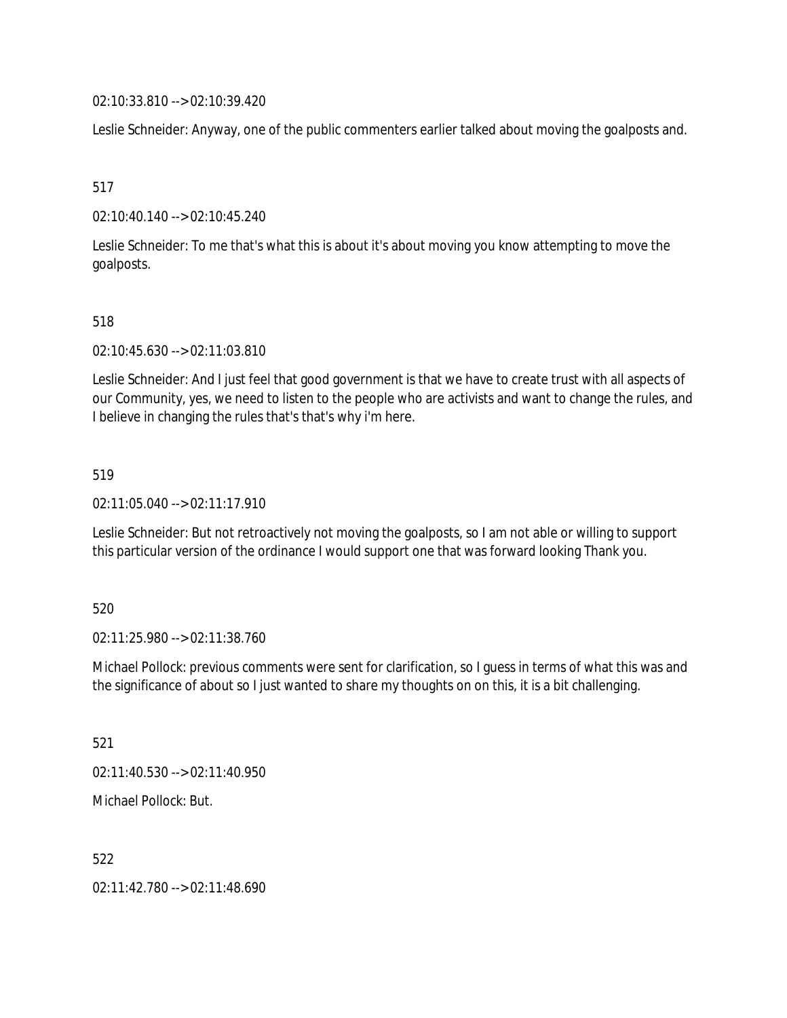02:10:33.810 --> 02:10:39.420

Leslie Schneider: Anyway, one of the public commenters earlier talked about moving the goalposts and.

517

02:10:40.140 --> 02:10:45.240

Leslie Schneider: To me that's what this is about it's about moving you know attempting to move the goalposts.

518

02:10:45.630 --> 02:11:03.810

Leslie Schneider: And I just feel that good government is that we have to create trust with all aspects of our Community, yes, we need to listen to the people who are activists and want to change the rules, and I believe in changing the rules that's that's why i'm here.

519

02:11:05.040 --> 02:11:17.910

Leslie Schneider: But not retroactively not moving the goalposts, so I am not able or willing to support this particular version of the ordinance I would support one that was forward looking Thank you.

520

02:11:25.980 --> 02:11:38.760

Michael Pollock: previous comments were sent for clarification, so I guess in terms of what this was and the significance of about so I just wanted to share my thoughts on on this, it is a bit challenging.

521

02:11:40.530 --> 02:11:40.950

Michael Pollock: But.

522

02:11:42.780 --> 02:11:48.690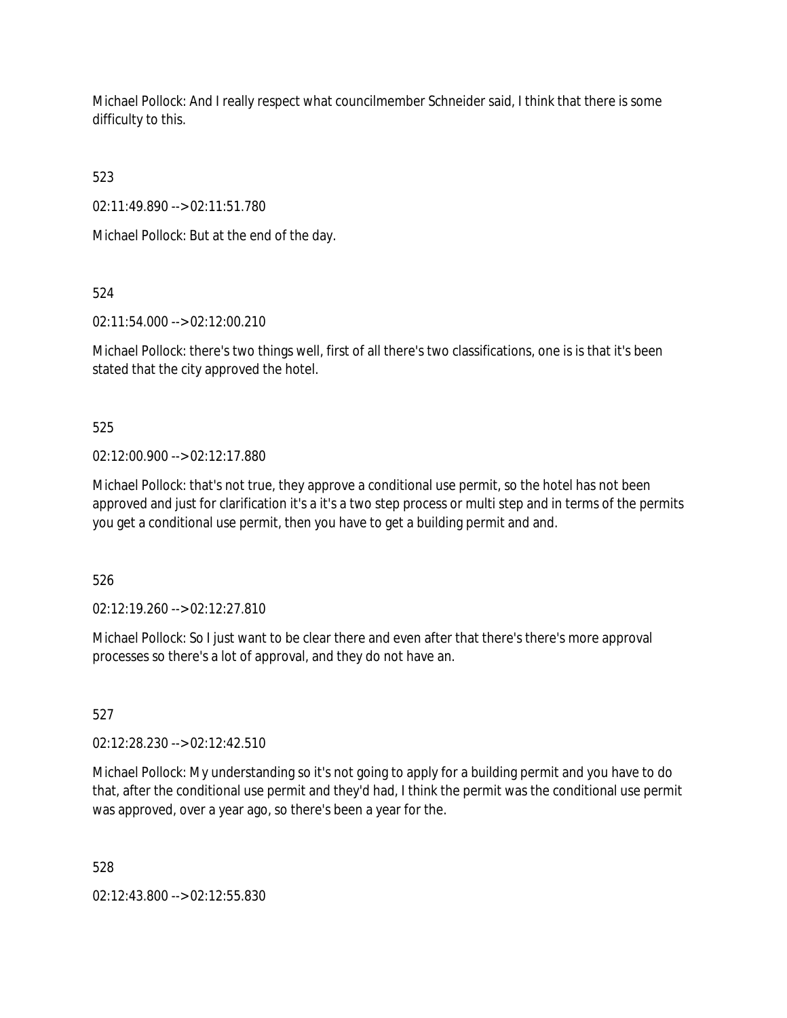Michael Pollock: And I really respect what councilmember Schneider said, I think that there is some difficulty to this.

523

02:11:49.890 --> 02:11:51.780

Michael Pollock: But at the end of the day.

524

02:11:54.000 --> 02:12:00.210

Michael Pollock: there's two things well, first of all there's two classifications, one is is that it's been stated that the city approved the hotel.

525

02:12:00.900 --> 02:12:17.880

Michael Pollock: that's not true, they approve a conditional use permit, so the hotel has not been approved and just for clarification it's a it's a two step process or multi step and in terms of the permits you get a conditional use permit, then you have to get a building permit and and.

526

02:12:19.260 --> 02:12:27.810

Michael Pollock: So I just want to be clear there and even after that there's there's more approval processes so there's a lot of approval, and they do not have an.

527

02:12:28.230 --> 02:12:42.510

Michael Pollock: My understanding so it's not going to apply for a building permit and you have to do that, after the conditional use permit and they'd had, I think the permit was the conditional use permit was approved, over a year ago, so there's been a year for the.

528

02:12:43.800 --> 02:12:55.830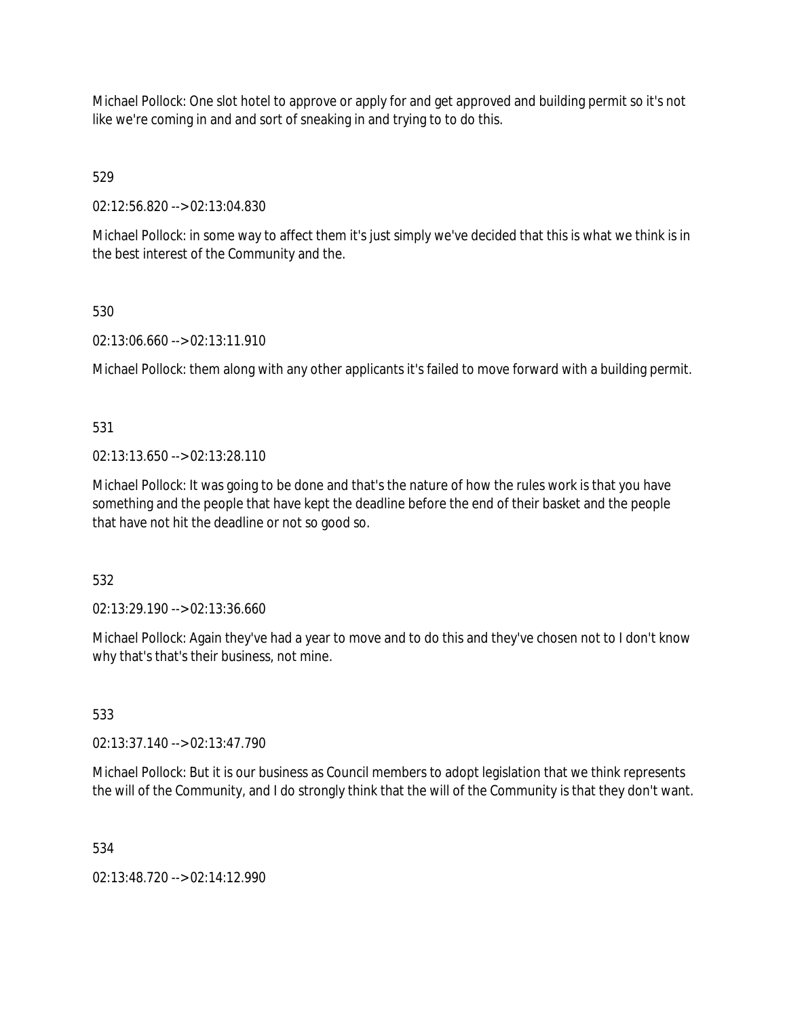Michael Pollock: One slot hotel to approve or apply for and get approved and building permit so it's not like we're coming in and and sort of sneaking in and trying to to do this.

529

02:12:56.820 --> 02:13:04.830

Michael Pollock: in some way to affect them it's just simply we've decided that this is what we think is in the best interest of the Community and the.

### 530

02:13:06.660 --> 02:13:11.910

Michael Pollock: them along with any other applicants it's failed to move forward with a building permit.

531

02:13:13.650 --> 02:13:28.110

Michael Pollock: It was going to be done and that's the nature of how the rules work is that you have something and the people that have kept the deadline before the end of their basket and the people that have not hit the deadline or not so good so.

532

02:13:29.190 --> 02:13:36.660

Michael Pollock: Again they've had a year to move and to do this and they've chosen not to I don't know why that's that's their business, not mine.

533

02:13:37.140 --> 02:13:47.790

Michael Pollock: But it is our business as Council members to adopt legislation that we think represents the will of the Community, and I do strongly think that the will of the Community is that they don't want.

534

02:13:48.720 --> 02:14:12.990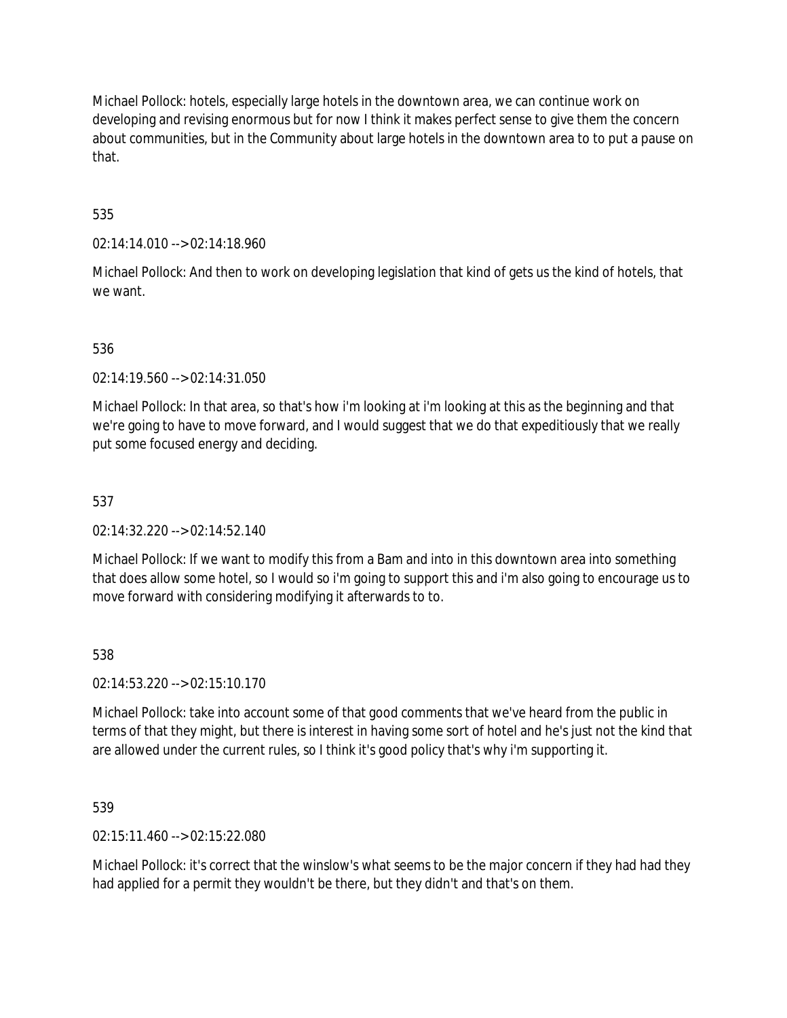Michael Pollock: hotels, especially large hotels in the downtown area, we can continue work on developing and revising enormous but for now I think it makes perfect sense to give them the concern about communities, but in the Community about large hotels in the downtown area to to put a pause on that.

# 535

02:14:14.010 --> 02:14:18.960

Michael Pollock: And then to work on developing legislation that kind of gets us the kind of hotels, that we want.

### 536

02:14:19.560 --> 02:14:31.050

Michael Pollock: In that area, so that's how i'm looking at i'm looking at this as the beginning and that we're going to have to move forward, and I would suggest that we do that expeditiously that we really put some focused energy and deciding.

### 537

02:14:32.220 --> 02:14:52.140

Michael Pollock: If we want to modify this from a Bam and into in this downtown area into something that does allow some hotel, so I would so i'm going to support this and i'm also going to encourage us to move forward with considering modifying it afterwards to to.

### 538

02:14:53.220 --> 02:15:10.170

Michael Pollock: take into account some of that good comments that we've heard from the public in terms of that they might, but there is interest in having some sort of hotel and he's just not the kind that are allowed under the current rules, so I think it's good policy that's why i'm supporting it.

539

02:15:11.460 --> 02:15:22.080

Michael Pollock: it's correct that the winslow's what seems to be the major concern if they had had they had applied for a permit they wouldn't be there, but they didn't and that's on them.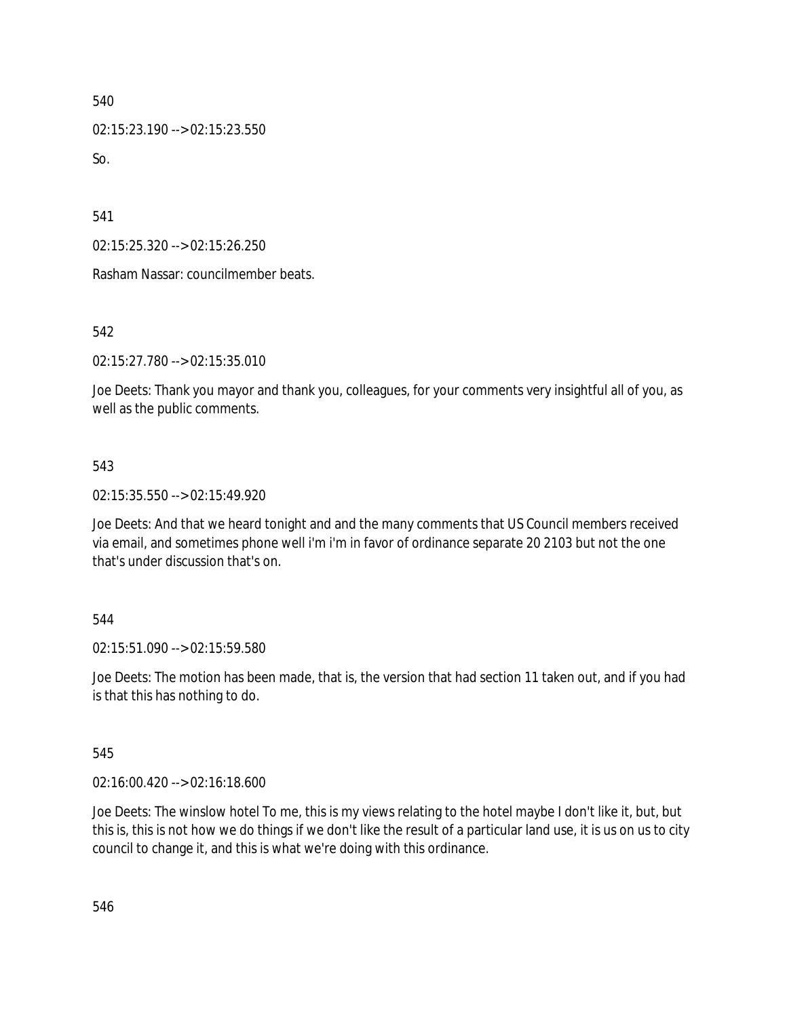02:15:23.190 --> 02:15:23.550  $So.$ 

541

02:15:25.320 --> 02:15:26.250

Rasham Nassar: councilmember beats.

542

02:15:27.780 --> 02:15:35.010

Joe Deets: Thank you mayor and thank you, colleagues, for your comments very insightful all of you, as well as the public comments.

### 543

02:15:35.550 --> 02:15:49.920

Joe Deets: And that we heard tonight and and the many comments that US Council members received via email, and sometimes phone well i'm i'm in favor of ordinance separate 20 2103 but not the one that's under discussion that's on.

### 544

02:15:51.090 --> 02:15:59.580

Joe Deets: The motion has been made, that is, the version that had section 11 taken out, and if you had is that this has nothing to do.

### 545

02:16:00.420 --> 02:16:18.600

Joe Deets: The winslow hotel To me, this is my views relating to the hotel maybe I don't like it, but, but this is, this is not how we do things if we don't like the result of a particular land use, it is us on us to city council to change it, and this is what we're doing with this ordinance.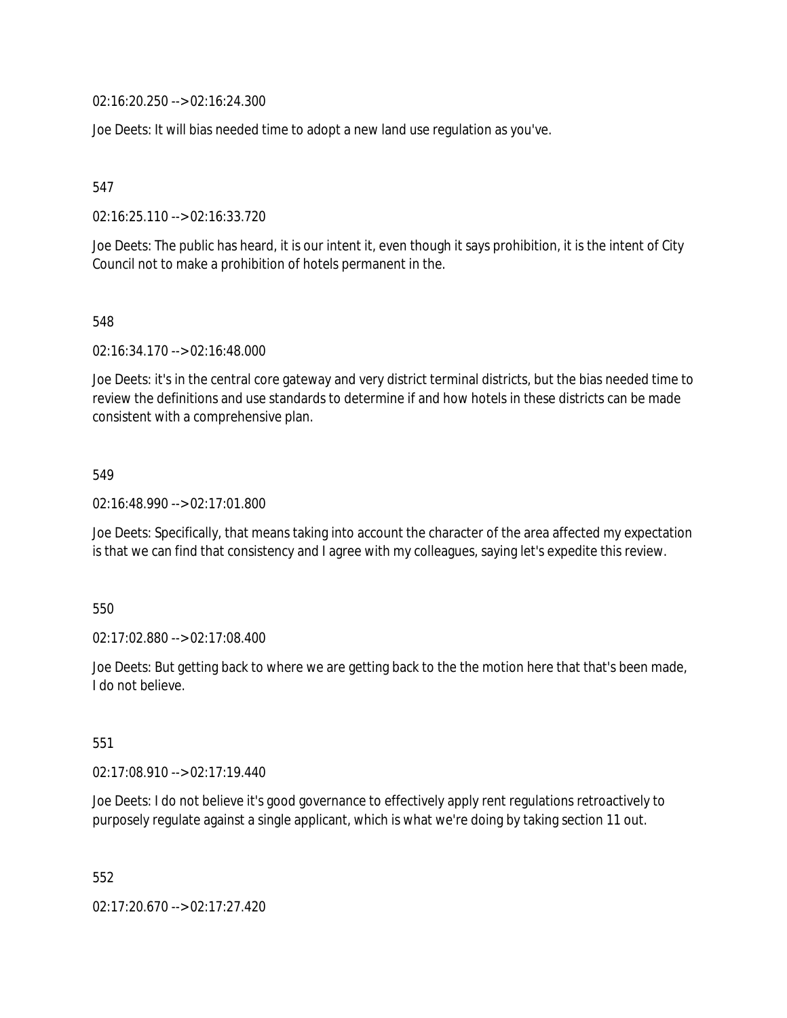02:16:20.250 --> 02:16:24.300

Joe Deets: It will bias needed time to adopt a new land use regulation as you've.

547

02:16:25.110 --> 02:16:33.720

Joe Deets: The public has heard, it is our intent it, even though it says prohibition, it is the intent of City Council not to make a prohibition of hotels permanent in the.

548

02:16:34.170 --> 02:16:48.000

Joe Deets: it's in the central core gateway and very district terminal districts, but the bias needed time to review the definitions and use standards to determine if and how hotels in these districts can be made consistent with a comprehensive plan.

549

02:16:48.990 --> 02:17:01.800

Joe Deets: Specifically, that means taking into account the character of the area affected my expectation is that we can find that consistency and I agree with my colleagues, saying let's expedite this review.

550

02:17:02.880 --> 02:17:08.400

Joe Deets: But getting back to where we are getting back to the the motion here that that's been made, I do not believe.

551

02:17:08.910 --> 02:17:19.440

Joe Deets: I do not believe it's good governance to effectively apply rent regulations retroactively to purposely regulate against a single applicant, which is what we're doing by taking section 11 out.

552

02:17:20.670 --> 02:17:27.420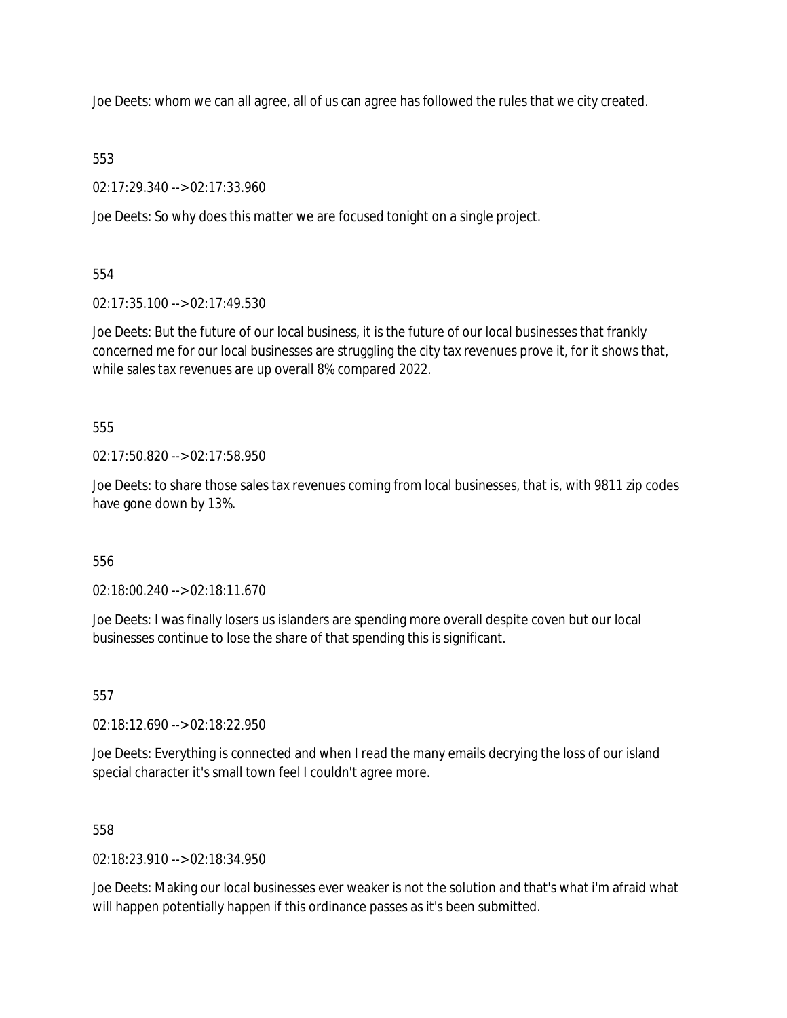Joe Deets: whom we can all agree, all of us can agree has followed the rules that we city created.

### 553

02:17:29.340 --> 02:17:33.960

Joe Deets: So why does this matter we are focused tonight on a single project.

554

02:17:35.100 --> 02:17:49.530

Joe Deets: But the future of our local business, it is the future of our local businesses that frankly concerned me for our local businesses are struggling the city tax revenues prove it, for it shows that, while sales tax revenues are up overall 8% compared 2022.

555

02:17:50.820 --> 02:17:58.950

Joe Deets: to share those sales tax revenues coming from local businesses, that is, with 9811 zip codes have gone down by 13%.

## 556

02:18:00.240 --> 02:18:11.670

Joe Deets: I was finally losers us islanders are spending more overall despite coven but our local businesses continue to lose the share of that spending this is significant.

557

02:18:12.690 --> 02:18:22.950

Joe Deets: Everything is connected and when I read the many emails decrying the loss of our island special character it's small town feel I couldn't agree more.

558

02:18:23.910 --> 02:18:34.950

Joe Deets: Making our local businesses ever weaker is not the solution and that's what i'm afraid what will happen potentially happen if this ordinance passes as it's been submitted.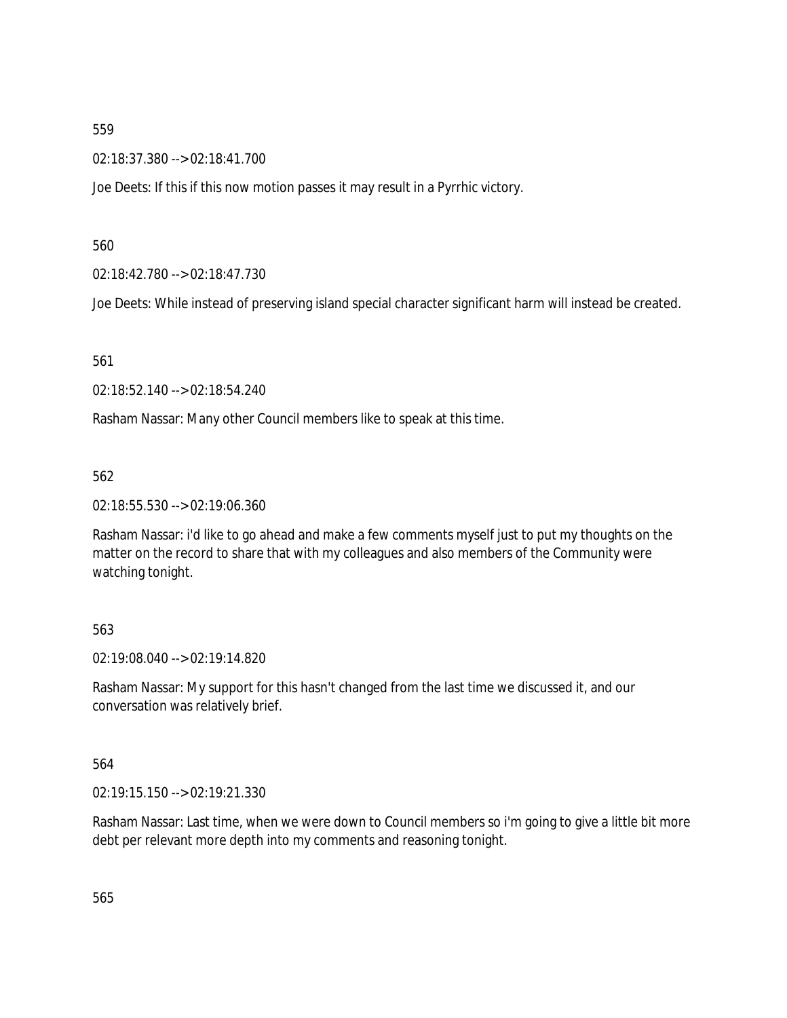02:18:37.380 --> 02:18:41.700

Joe Deets: If this if this now motion passes it may result in a Pyrrhic victory.

560

02:18:42.780 --> 02:18:47.730

Joe Deets: While instead of preserving island special character significant harm will instead be created.

561

02:18:52.140 --> 02:18:54.240

Rasham Nassar: Many other Council members like to speak at this time.

562

02:18:55.530 --> 02:19:06.360

Rasham Nassar: i'd like to go ahead and make a few comments myself just to put my thoughts on the matter on the record to share that with my colleagues and also members of the Community were watching tonight.

### 563

02:19:08.040 --> 02:19:14.820

Rasham Nassar: My support for this hasn't changed from the last time we discussed it, and our conversation was relatively brief.

564

02:19:15.150 --> 02:19:21.330

Rasham Nassar: Last time, when we were down to Council members so i'm going to give a little bit more debt per relevant more depth into my comments and reasoning tonight.

565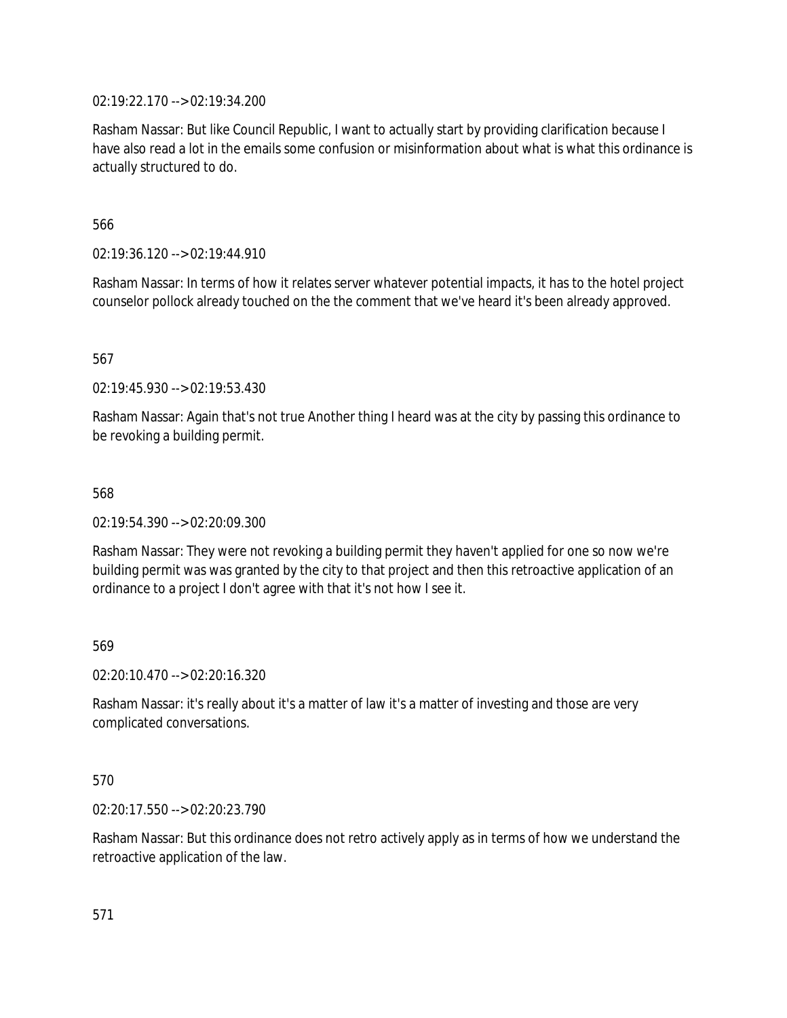02:19:22.170 --> 02:19:34.200

Rasham Nassar: But like Council Republic, I want to actually start by providing clarification because I have also read a lot in the emails some confusion or misinformation about what is what this ordinance is actually structured to do.

566

02:19:36.120 --> 02:19:44.910

Rasham Nassar: In terms of how it relates server whatever potential impacts, it has to the hotel project counselor pollock already touched on the the comment that we've heard it's been already approved.

567

02:19:45.930 --> 02:19:53.430

Rasham Nassar: Again that's not true Another thing I heard was at the city by passing this ordinance to be revoking a building permit.

568

02:19:54.390 --> 02:20:09.300

Rasham Nassar: They were not revoking a building permit they haven't applied for one so now we're building permit was was granted by the city to that project and then this retroactive application of an ordinance to a project I don't agree with that it's not how I see it.

569

02:20:10.470 --> 02:20:16.320

Rasham Nassar: it's really about it's a matter of law it's a matter of investing and those are very complicated conversations.

### 570

02:20:17.550 --> 02:20:23.790

Rasham Nassar: But this ordinance does not retro actively apply as in terms of how we understand the retroactive application of the law.

571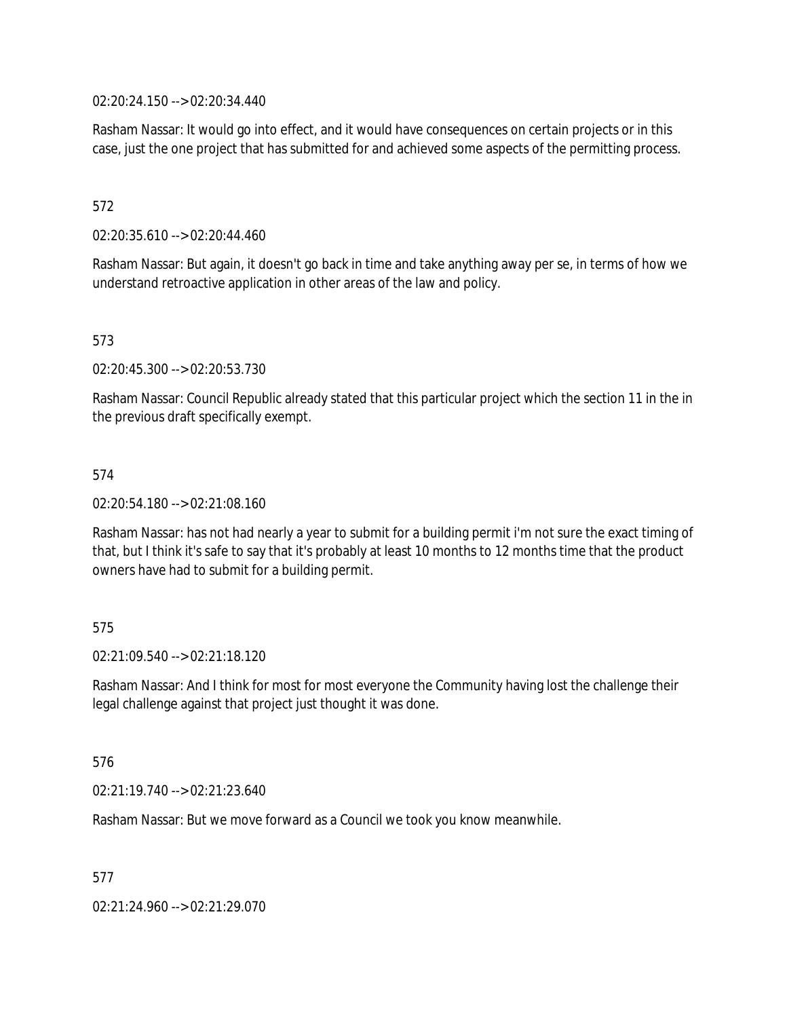02:20:24.150 --> 02:20:34.440

Rasham Nassar: It would go into effect, and it would have consequences on certain projects or in this case, just the one project that has submitted for and achieved some aspects of the permitting process.

### 572

02:20:35.610 --> 02:20:44.460

Rasham Nassar: But again, it doesn't go back in time and take anything away per se, in terms of how we understand retroactive application in other areas of the law and policy.

### 573

02:20:45.300 --> 02:20:53.730

Rasham Nassar: Council Republic already stated that this particular project which the section 11 in the in the previous draft specifically exempt.

### 574

02:20:54.180 --> 02:21:08.160

Rasham Nassar: has not had nearly a year to submit for a building permit i'm not sure the exact timing of that, but I think it's safe to say that it's probably at least 10 months to 12 months time that the product owners have had to submit for a building permit.

### 575

02:21:09.540 --> 02:21:18.120

Rasham Nassar: And I think for most for most everyone the Community having lost the challenge their legal challenge against that project just thought it was done.

### 576

02:21:19.740 --> 02:21:23.640

Rasham Nassar: But we move forward as a Council we took you know meanwhile.

577

02:21:24.960 --> 02:21:29.070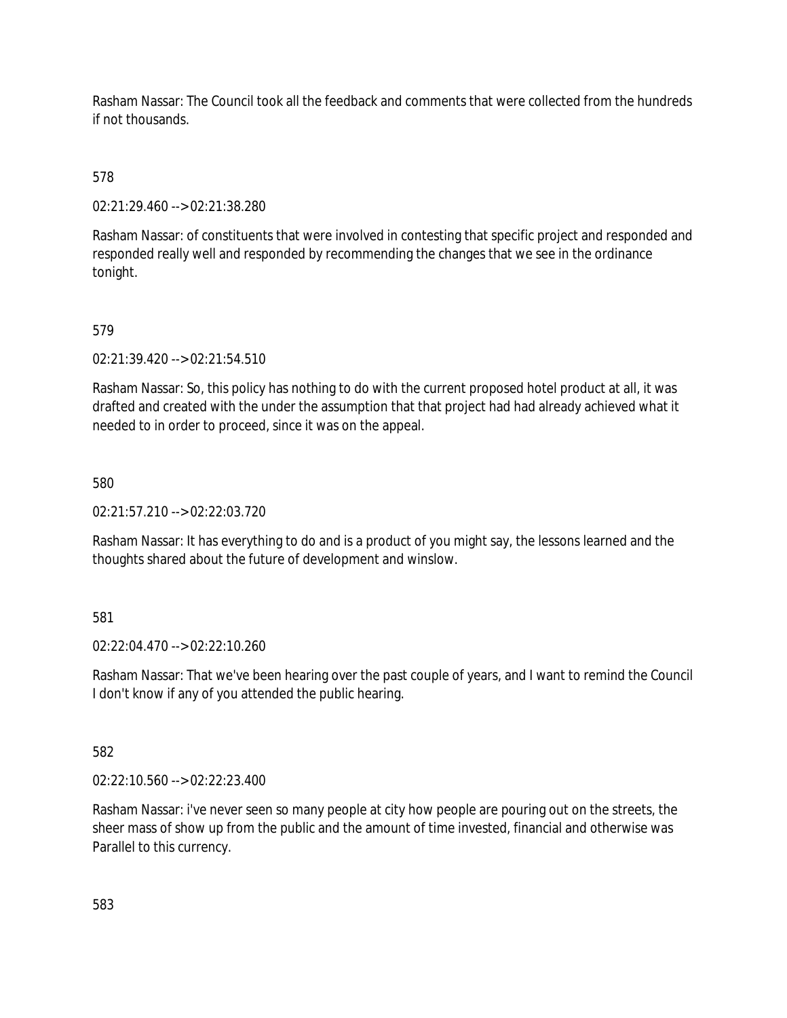Rasham Nassar: The Council took all the feedback and comments that were collected from the hundreds if not thousands.

578

02:21:29.460 --> 02:21:38.280

Rasham Nassar: of constituents that were involved in contesting that specific project and responded and responded really well and responded by recommending the changes that we see in the ordinance tonight.

579

02:21:39.420 --> 02:21:54.510

Rasham Nassar: So, this policy has nothing to do with the current proposed hotel product at all, it was drafted and created with the under the assumption that that project had had already achieved what it needed to in order to proceed, since it was on the appeal.

580

 $02.21:57.210 -502:22:03.720$ 

Rasham Nassar: It has everything to do and is a product of you might say, the lessons learned and the thoughts shared about the future of development and winslow.

581

02:22:04.470 --> 02:22:10.260

Rasham Nassar: That we've been hearing over the past couple of years, and I want to remind the Council I don't know if any of you attended the public hearing.

582

02:22:10.560 --> 02:22:23.400

Rasham Nassar: i've never seen so many people at city how people are pouring out on the streets, the sheer mass of show up from the public and the amount of time invested, financial and otherwise was Parallel to this currency.

583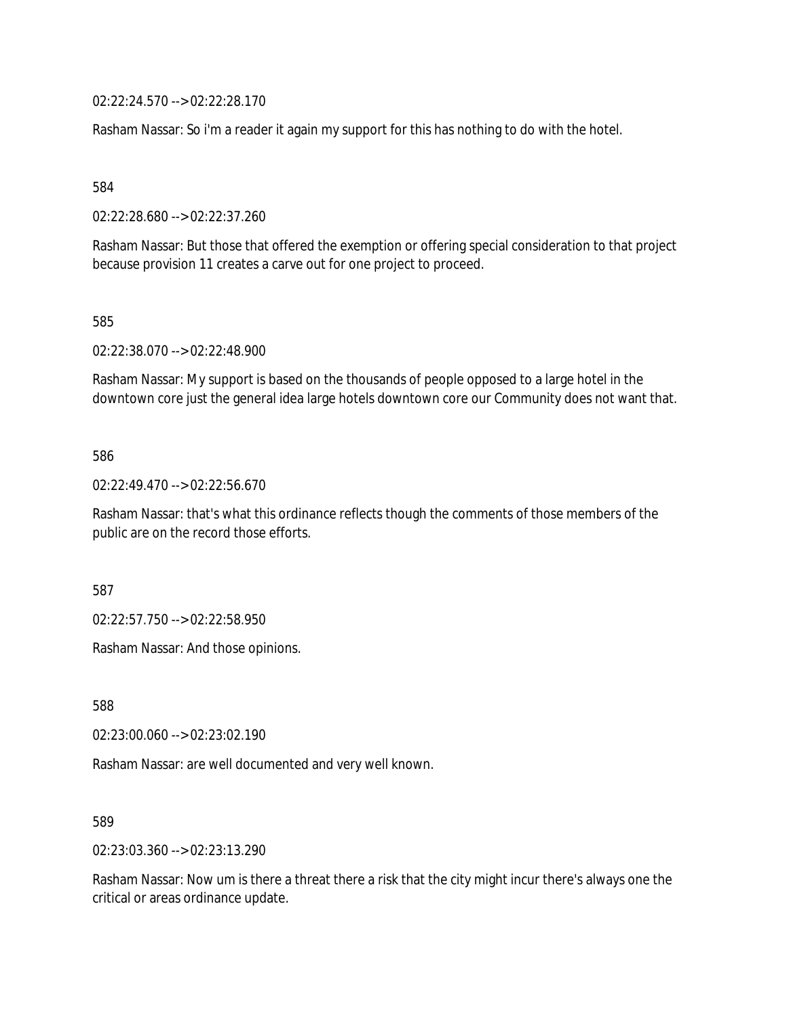02:22:24.570 --> 02:22:28.170

Rasham Nassar: So i'm a reader it again my support for this has nothing to do with the hotel.

584

02:22:28.680 --> 02:22:37.260

Rasham Nassar: But those that offered the exemption or offering special consideration to that project because provision 11 creates a carve out for one project to proceed.

585

02:22:38.070 --> 02:22:48.900

Rasham Nassar: My support is based on the thousands of people opposed to a large hotel in the downtown core just the general idea large hotels downtown core our Community does not want that.

#### 586

02:22:49.470 --> 02:22:56.670

Rasham Nassar: that's what this ordinance reflects though the comments of those members of the public are on the record those efforts.

587

02:22:57.750 --> 02:22:58.950

Rasham Nassar: And those opinions.

588

02:23:00.060 --> 02:23:02.190

Rasham Nassar: are well documented and very well known.

589

02:23:03.360 --> 02:23:13.290

Rasham Nassar: Now um is there a threat there a risk that the city might incur there's always one the critical or areas ordinance update.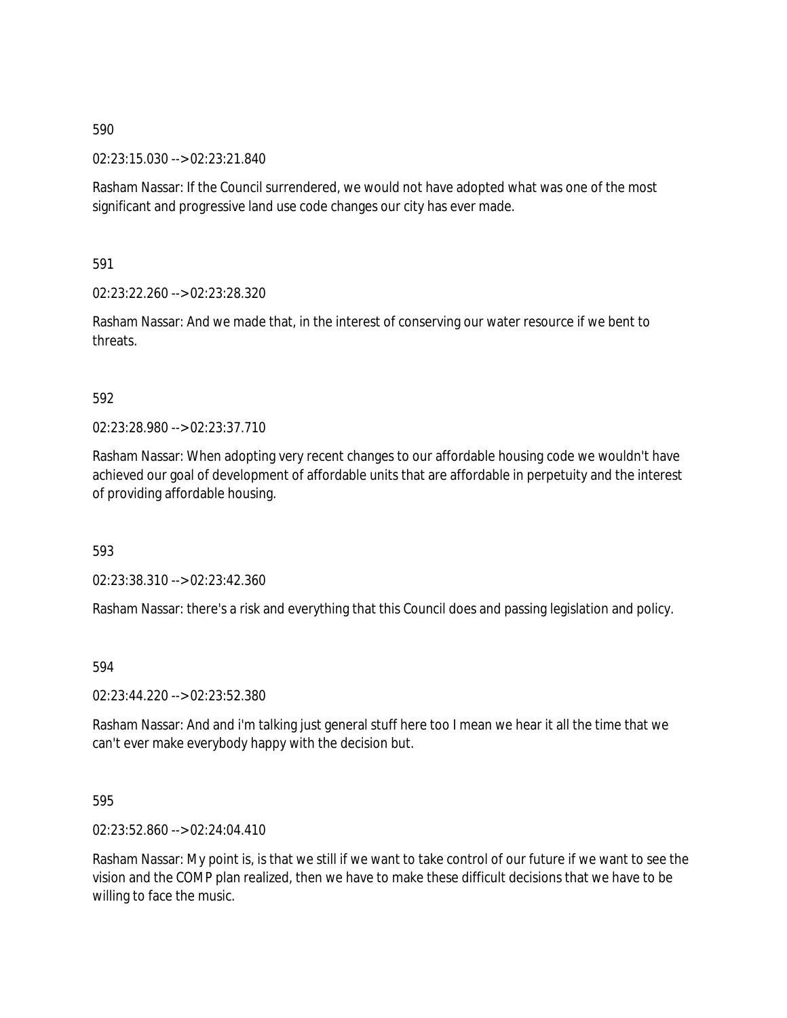02:23:15.030 --> 02:23:21.840

Rasham Nassar: If the Council surrendered, we would not have adopted what was one of the most significant and progressive land use code changes our city has ever made.

591

02:23:22.260 --> 02:23:28.320

Rasham Nassar: And we made that, in the interest of conserving our water resource if we bent to threats.

### 592

02:23:28.980 --> 02:23:37.710

Rasham Nassar: When adopting very recent changes to our affordable housing code we wouldn't have achieved our goal of development of affordable units that are affordable in perpetuity and the interest of providing affordable housing.

593

02:23:38.310 --> 02:23:42.360

Rasham Nassar: there's a risk and everything that this Council does and passing legislation and policy.

594

02:23:44.220 --> 02:23:52.380

Rasham Nassar: And and i'm talking just general stuff here too I mean we hear it all the time that we can't ever make everybody happy with the decision but.

### 595

02:23:52.860 --> 02:24:04.410

Rasham Nassar: My point is, is that we still if we want to take control of our future if we want to see the vision and the COMP plan realized, then we have to make these difficult decisions that we have to be willing to face the music.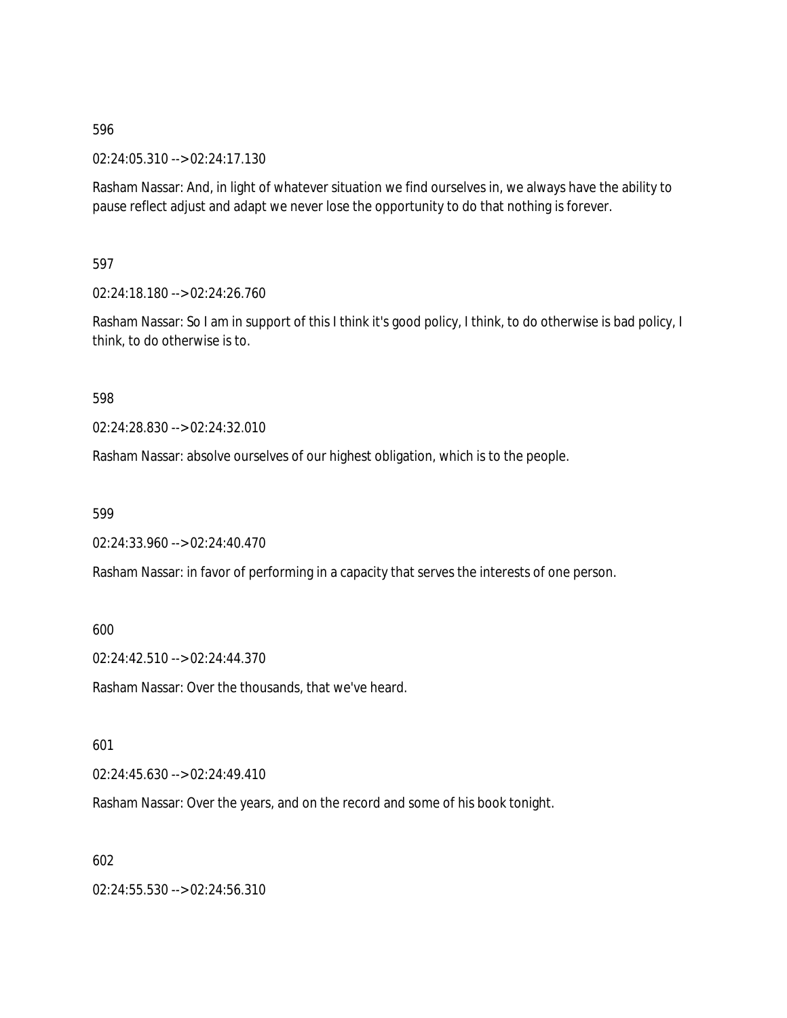02:24:05.310 --> 02:24:17.130

Rasham Nassar: And, in light of whatever situation we find ourselves in, we always have the ability to pause reflect adjust and adapt we never lose the opportunity to do that nothing is forever.

597

02:24:18.180 --> 02:24:26.760

Rasham Nassar: So I am in support of this I think it's good policy, I think, to do otherwise is bad policy, I think, to do otherwise is to.

598

02:24:28.830 --> 02:24:32.010

Rasham Nassar: absolve ourselves of our highest obligation, which is to the people.

599

02:24:33.960 --> 02:24:40.470

Rasham Nassar: in favor of performing in a capacity that serves the interests of one person.

600

02:24:42.510 --> 02:24:44.370

Rasham Nassar: Over the thousands, that we've heard.

601

02:24:45.630 --> 02:24:49.410

Rasham Nassar: Over the years, and on the record and some of his book tonight.

602

02:24:55.530 --> 02:24:56.310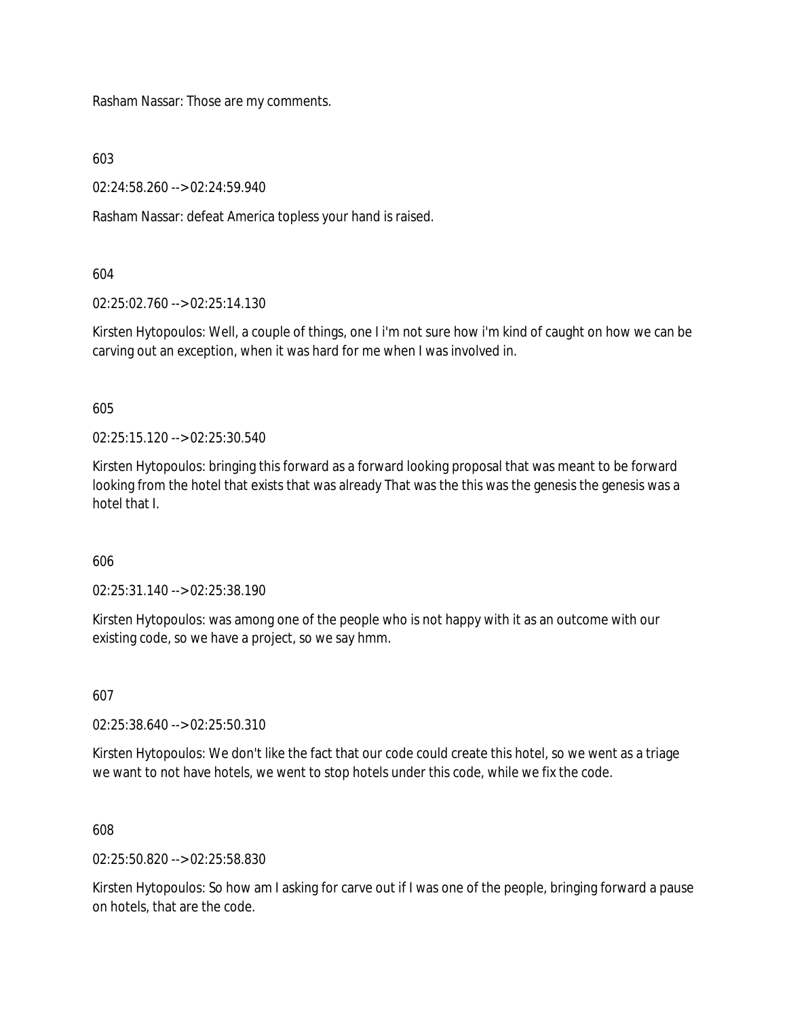Rasham Nassar: Those are my comments.

603

02:24:58.260 --> 02:24:59.940

Rasham Nassar: defeat America topless your hand is raised.

#### 604

02:25:02.760 --> 02:25:14.130

Kirsten Hytopoulos: Well, a couple of things, one I i'm not sure how i'm kind of caught on how we can be carving out an exception, when it was hard for me when I was involved in.

605

02:25:15.120 --> 02:25:30.540

Kirsten Hytopoulos: bringing this forward as a forward looking proposal that was meant to be forward looking from the hotel that exists that was already That was the this was the genesis the genesis was a hotel that I.

### 606

02:25:31.140 --> 02:25:38.190

Kirsten Hytopoulos: was among one of the people who is not happy with it as an outcome with our existing code, so we have a project, so we say hmm.

607

02:25:38.640 --> 02:25:50.310

Kirsten Hytopoulos: We don't like the fact that our code could create this hotel, so we went as a triage we want to not have hotels, we went to stop hotels under this code, while we fix the code.

608

02:25:50.820 --> 02:25:58.830

Kirsten Hytopoulos: So how am I asking for carve out if I was one of the people, bringing forward a pause on hotels, that are the code.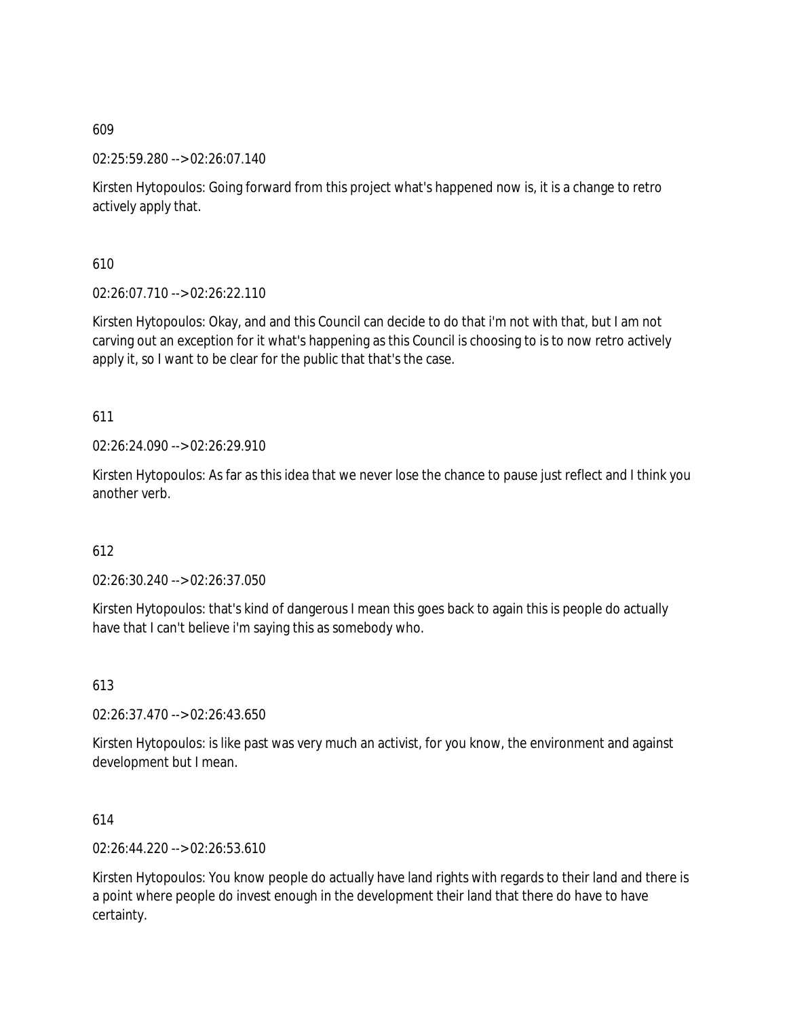02:25:59.280 --> 02:26:07.140

Kirsten Hytopoulos: Going forward from this project what's happened now is, it is a change to retro actively apply that.

610

02:26:07.710 --> 02:26:22.110

Kirsten Hytopoulos: Okay, and and this Council can decide to do that i'm not with that, but I am not carving out an exception for it what's happening as this Council is choosing to is to now retro actively apply it, so I want to be clear for the public that that's the case.

611

02:26:24.090 --> 02:26:29.910

Kirsten Hytopoulos: As far as this idea that we never lose the chance to pause just reflect and I think you another verb.

612

02:26:30.240 --> 02:26:37.050

Kirsten Hytopoulos: that's kind of dangerous I mean this goes back to again this is people do actually have that I can't believe i'm saying this as somebody who.

613

02:26:37.470 --> 02:26:43.650

Kirsten Hytopoulos: is like past was very much an activist, for you know, the environment and against development but I mean.

614

02:26:44.220 --> 02:26:53.610

Kirsten Hytopoulos: You know people do actually have land rights with regards to their land and there is a point where people do invest enough in the development their land that there do have to have certainty.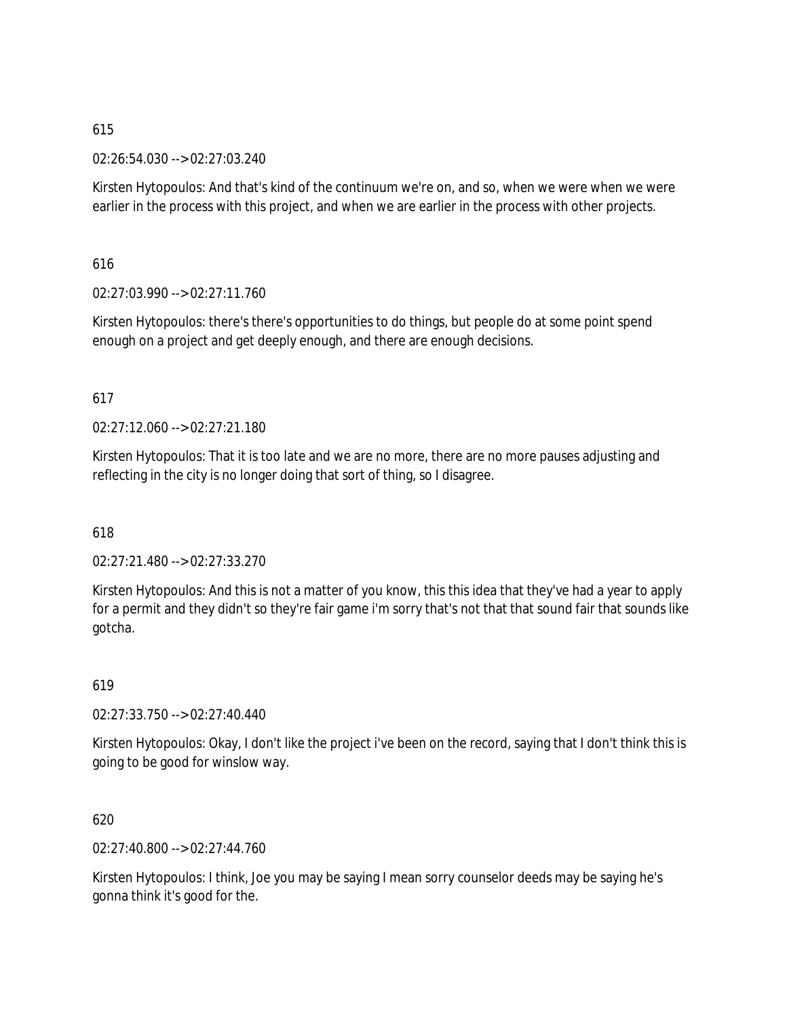02:26:54.030 --> 02:27:03.240

Kirsten Hytopoulos: And that's kind of the continuum we're on, and so, when we were when we were earlier in the process with this project, and when we are earlier in the process with other projects.

616

02:27:03.990 --> 02:27:11.760

Kirsten Hytopoulos: there's there's opportunities to do things, but people do at some point spend enough on a project and get deeply enough, and there are enough decisions.

617

 $02:27:12.060 \rightarrow 02:27:21.180$ 

Kirsten Hytopoulos: That it is too late and we are no more, there are no more pauses adjusting and reflecting in the city is no longer doing that sort of thing, so I disagree.

618

02:27:21.480 --> 02:27:33.270

Kirsten Hytopoulos: And this is not a matter of you know, this this idea that they've had a year to apply for a permit and they didn't so they're fair game i'm sorry that's not that that sound fair that sounds like gotcha.

619

02:27:33.750 --> 02:27:40.440

Kirsten Hytopoulos: Okay, I don't like the project i've been on the record, saying that I don't think this is going to be good for winslow way.

620

02:27:40.800 --> 02:27:44.760

Kirsten Hytopoulos: I think, Joe you may be saying I mean sorry counselor deeds may be saying he's gonna think it's good for the.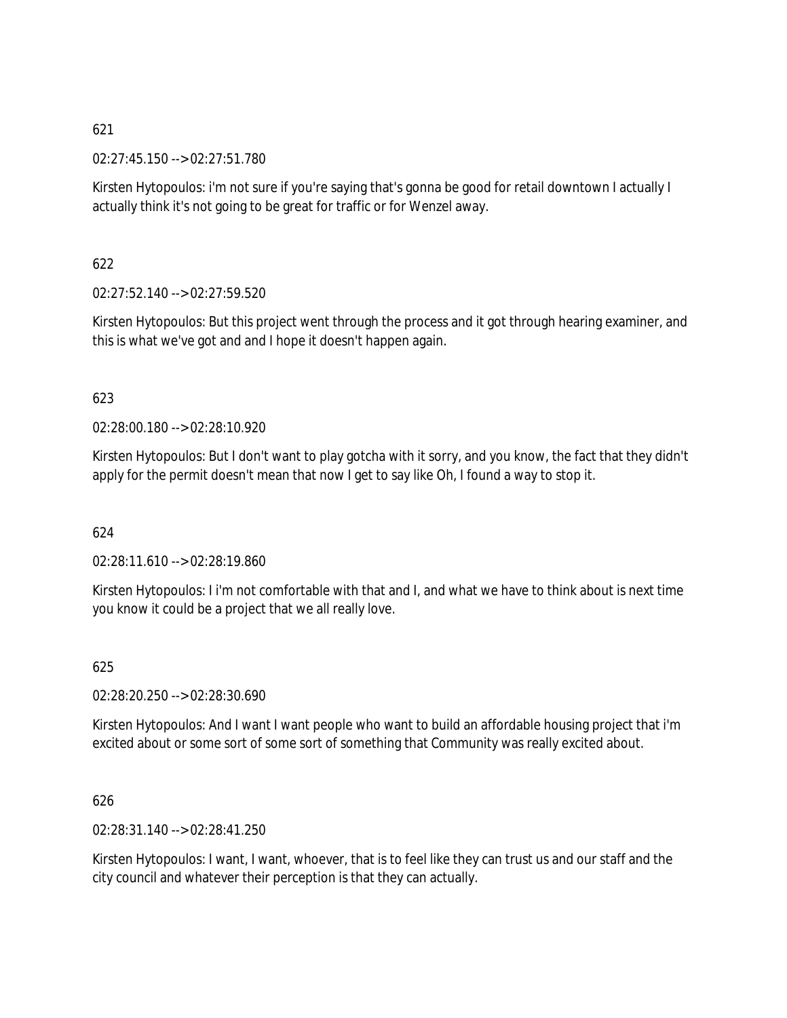02:27:45.150 --> 02:27:51.780

Kirsten Hytopoulos: i'm not sure if you're saying that's gonna be good for retail downtown I actually I actually think it's not going to be great for traffic or for Wenzel away.

622

02:27:52.140 --> 02:27:59.520

Kirsten Hytopoulos: But this project went through the process and it got through hearing examiner, and this is what we've got and and I hope it doesn't happen again.

623

02:28:00.180 --> 02:28:10.920

Kirsten Hytopoulos: But I don't want to play gotcha with it sorry, and you know, the fact that they didn't apply for the permit doesn't mean that now I get to say like Oh, I found a way to stop it.

624

02:28:11.610 --> 02:28:19.860

Kirsten Hytopoulos: I i'm not comfortable with that and I, and what we have to think about is next time you know it could be a project that we all really love.

625

02:28:20.250 --> 02:28:30.690

Kirsten Hytopoulos: And I want I want people who want to build an affordable housing project that i'm excited about or some sort of some sort of something that Community was really excited about.

626

02:28:31.140 --> 02:28:41.250

Kirsten Hytopoulos: I want, I want, whoever, that is to feel like they can trust us and our staff and the city council and whatever their perception is that they can actually.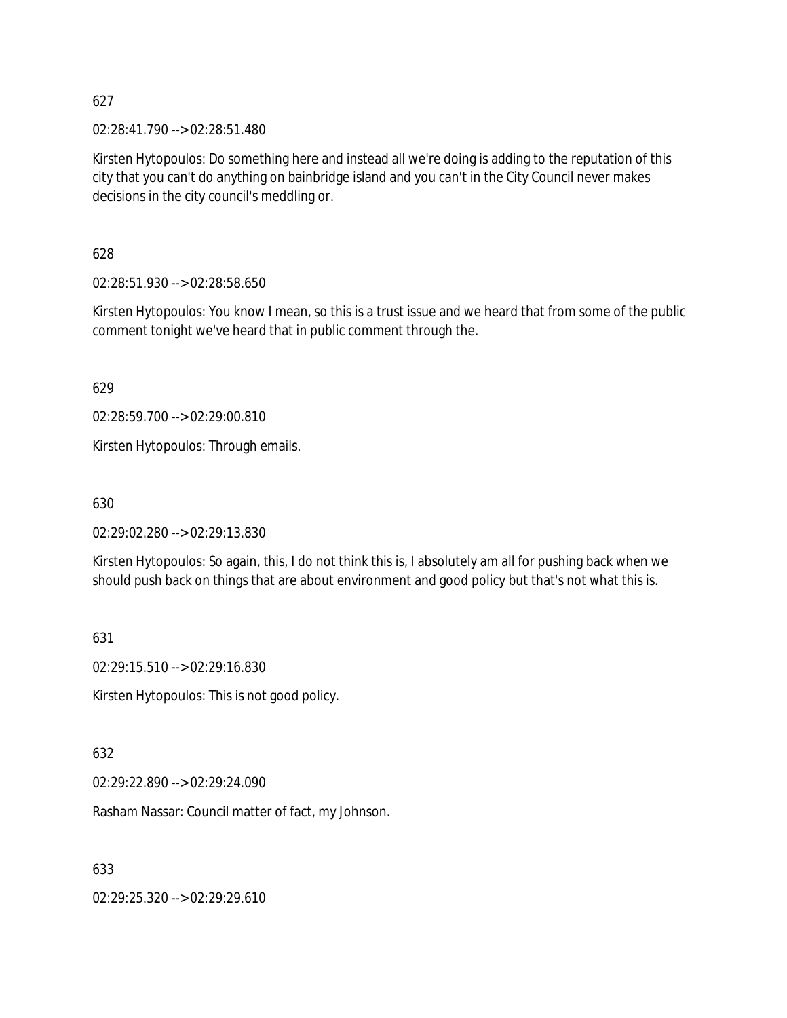02:28:41.790 --> 02:28:51.480

Kirsten Hytopoulos: Do something here and instead all we're doing is adding to the reputation of this city that you can't do anything on bainbridge island and you can't in the City Council never makes decisions in the city council's meddling or.

628

02:28:51.930 --> 02:28:58.650

Kirsten Hytopoulos: You know I mean, so this is a trust issue and we heard that from some of the public comment tonight we've heard that in public comment through the.

629

02:28:59.700 --> 02:29:00.810

Kirsten Hytopoulos: Through emails.

630

02:29:02.280 --> 02:29:13.830

Kirsten Hytopoulos: So again, this, I do not think this is, I absolutely am all for pushing back when we should push back on things that are about environment and good policy but that's not what this is.

631

02:29:15.510 --> 02:29:16.830

Kirsten Hytopoulos: This is not good policy.

632

02:29:22.890 --> 02:29:24.090

Rasham Nassar: Council matter of fact, my Johnson.

633

02:29:25.320 --> 02:29:29.610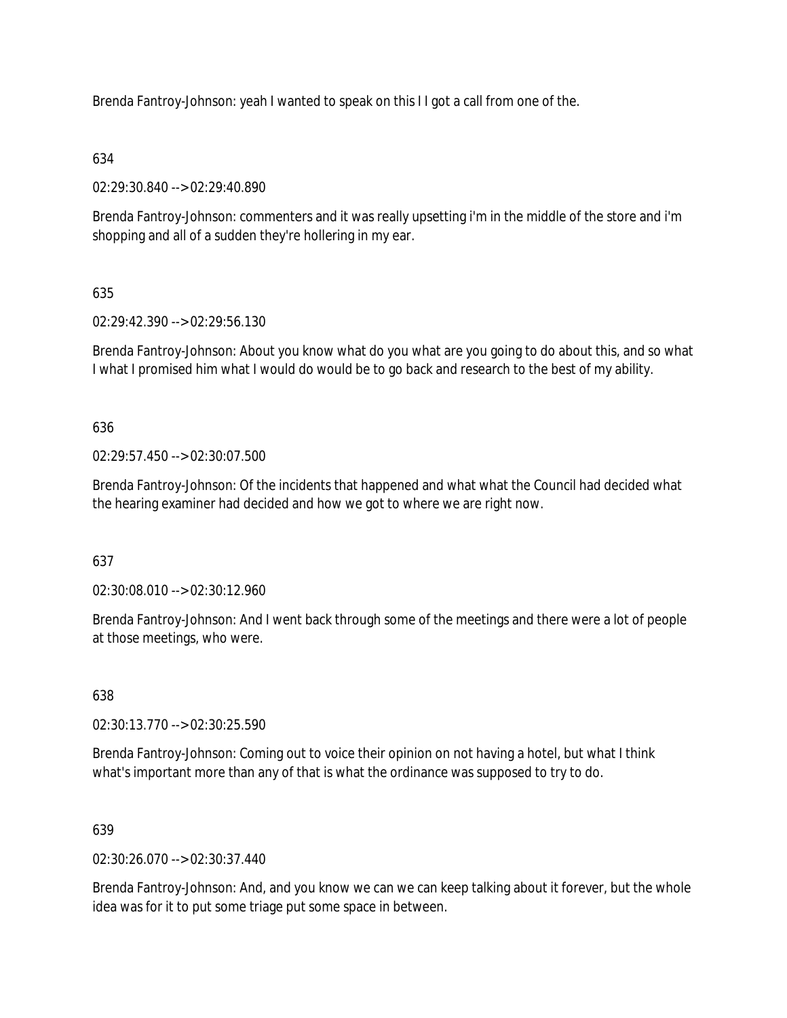Brenda Fantroy-Johnson: yeah I wanted to speak on this I I got a call from one of the.

# 634

02:29:30.840 --> 02:29:40.890

Brenda Fantroy-Johnson: commenters and it was really upsetting i'm in the middle of the store and i'm shopping and all of a sudden they're hollering in my ear.

# 635

02:29:42.390 --> 02:29:56.130

Brenda Fantroy-Johnson: About you know what do you what are you going to do about this, and so what I what I promised him what I would do would be to go back and research to the best of my ability.

## 636

02:29:57.450 --> 02:30:07.500

Brenda Fantroy-Johnson: Of the incidents that happened and what what the Council had decided what the hearing examiner had decided and how we got to where we are right now.

## 637

02:30:08.010 --> 02:30:12.960

Brenda Fantroy-Johnson: And I went back through some of the meetings and there were a lot of people at those meetings, who were.

## 638

02:30:13.770 --> 02:30:25.590

Brenda Fantroy-Johnson: Coming out to voice their opinion on not having a hotel, but what I think what's important more than any of that is what the ordinance was supposed to try to do.

## 639

02:30:26.070 --> 02:30:37.440

Brenda Fantroy-Johnson: And, and you know we can we can keep talking about it forever, but the whole idea was for it to put some triage put some space in between.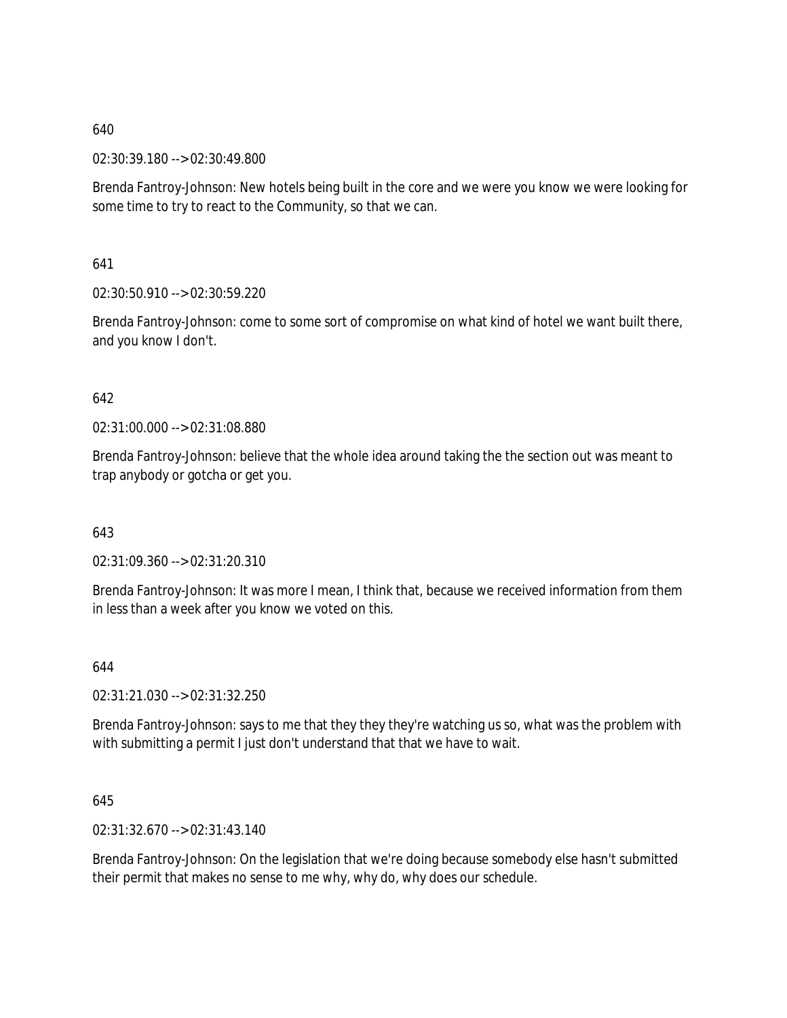02:30:39.180 --> 02:30:49.800

Brenda Fantroy-Johnson: New hotels being built in the core and we were you know we were looking for some time to try to react to the Community, so that we can.

641

02:30:50.910 --> 02:30:59.220

Brenda Fantroy-Johnson: come to some sort of compromise on what kind of hotel we want built there, and you know I don't.

### 642

02:31:00.000 --> 02:31:08.880

Brenda Fantroy-Johnson: believe that the whole idea around taking the the section out was meant to trap anybody or gotcha or get you.

643

02:31:09.360 --> 02:31:20.310

Brenda Fantroy-Johnson: It was more I mean, I think that, because we received information from them in less than a week after you know we voted on this.

644

02:31:21.030 --> 02:31:32.250

Brenda Fantroy-Johnson: says to me that they they they're watching us so, what was the problem with with submitting a permit I just don't understand that that we have to wait.

645

02:31:32.670 --> 02:31:43.140

Brenda Fantroy-Johnson: On the legislation that we're doing because somebody else hasn't submitted their permit that makes no sense to me why, why do, why does our schedule.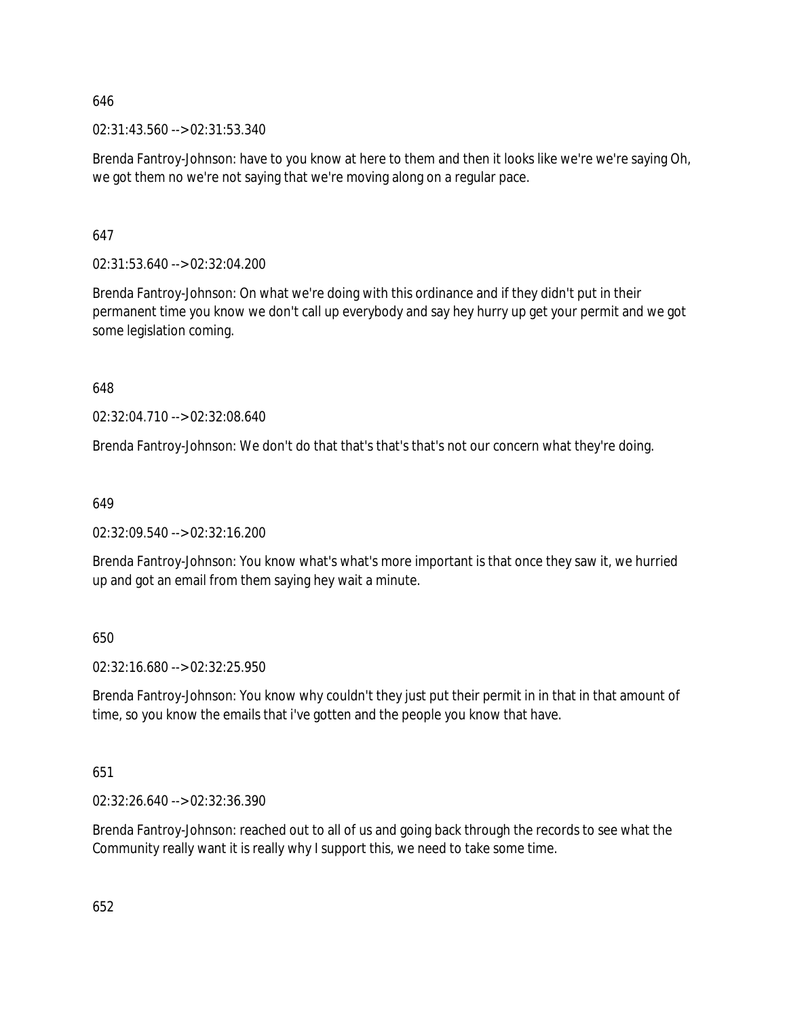02:31:43.560 --> 02:31:53.340

Brenda Fantroy-Johnson: have to you know at here to them and then it looks like we're we're saying Oh, we got them no we're not saying that we're moving along on a regular pace.

647

02:31:53.640 --> 02:32:04.200

Brenda Fantroy-Johnson: On what we're doing with this ordinance and if they didn't put in their permanent time you know we don't call up everybody and say hey hurry up get your permit and we got some legislation coming.

648

02:32:04.710 --> 02:32:08.640

Brenda Fantroy-Johnson: We don't do that that's that's that's not our concern what they're doing.

649

02:32:09.540 --> 02:32:16.200

Brenda Fantroy-Johnson: You know what's what's more important is that once they saw it, we hurried up and got an email from them saying hey wait a minute.

650

02:32:16.680 --> 02:32:25.950

Brenda Fantroy-Johnson: You know why couldn't they just put their permit in in that in that amount of time, so you know the emails that i've gotten and the people you know that have.

651

02:32:26.640 --> 02:32:36.390

Brenda Fantroy-Johnson: reached out to all of us and going back through the records to see what the Community really want it is really why I support this, we need to take some time.

652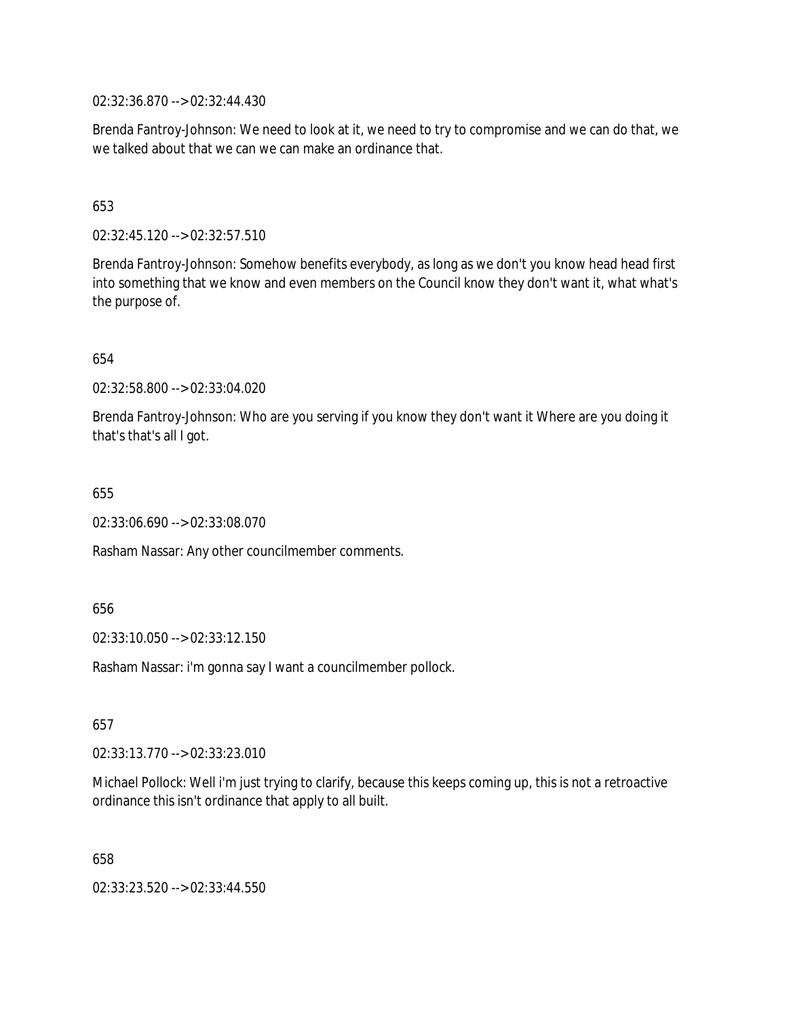02:32:36.870 --> 02:32:44.430

Brenda Fantroy-Johnson: We need to look at it, we need to try to compromise and we can do that, we we talked about that we can we can make an ordinance that.

### 653

02:32:45.120 --> 02:32:57.510

Brenda Fantroy-Johnson: Somehow benefits everybody, as long as we don't you know head head first into something that we know and even members on the Council know they don't want it, what what's the purpose of.

#### 654

02:32:58.800 --> 02:33:04.020

Brenda Fantroy-Johnson: Who are you serving if you know they don't want it Where are you doing it that's that's all I got.

655

02:33:06.690 --> 02:33:08.070

Rasham Nassar: Any other councilmember comments.

656

02:33:10.050 --> 02:33:12.150

Rasham Nassar: i'm gonna say I want a councilmember pollock.

657

02:33:13.770 --> 02:33:23.010

Michael Pollock: Well i'm just trying to clarify, because this keeps coming up, this is not a retroactive ordinance this isn't ordinance that apply to all built.

658

02:33:23.520 --> 02:33:44.550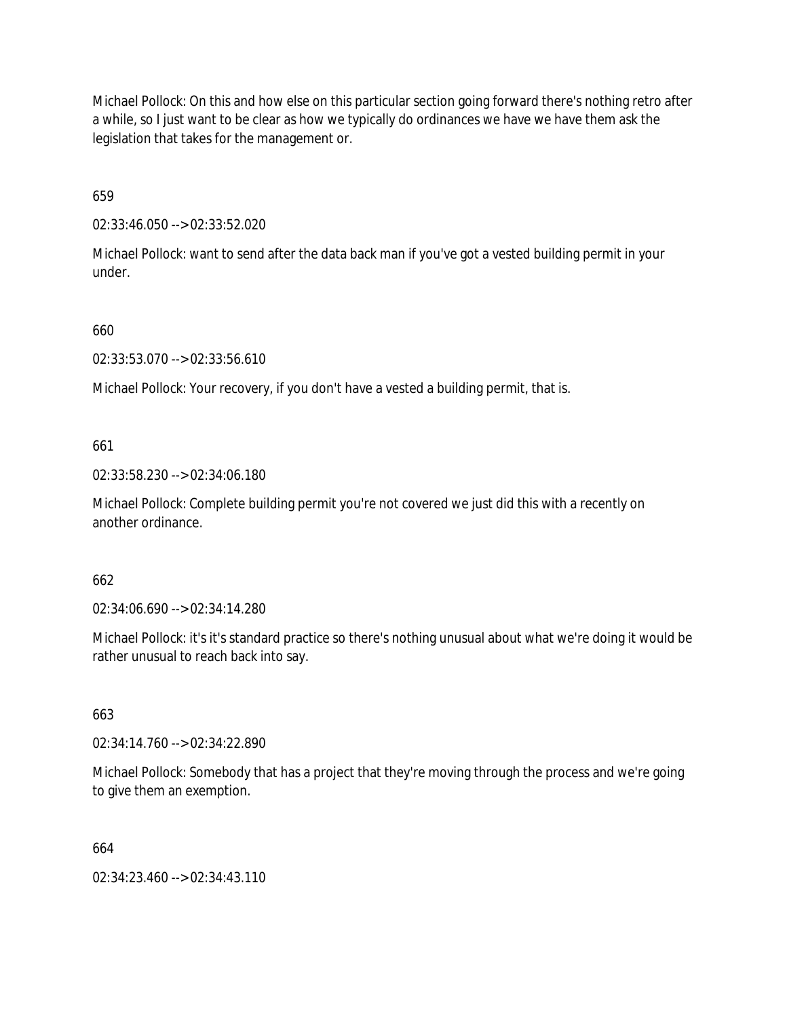Michael Pollock: On this and how else on this particular section going forward there's nothing retro after a while, so I just want to be clear as how we typically do ordinances we have we have them ask the legislation that takes for the management or.

659

02:33:46.050 --> 02:33:52.020

Michael Pollock: want to send after the data back man if you've got a vested building permit in your under.

660

02:33:53.070 --> 02:33:56.610

Michael Pollock: Your recovery, if you don't have a vested a building permit, that is.

661

02:33:58.230 --> 02:34:06.180

Michael Pollock: Complete building permit you're not covered we just did this with a recently on another ordinance.

662

02:34:06.690 --> 02:34:14.280

Michael Pollock: it's it's standard practice so there's nothing unusual about what we're doing it would be rather unusual to reach back into say.

663

02:34:14.760 --> 02:34:22.890

Michael Pollock: Somebody that has a project that they're moving through the process and we're going to give them an exemption.

664

02:34:23.460 --> 02:34:43.110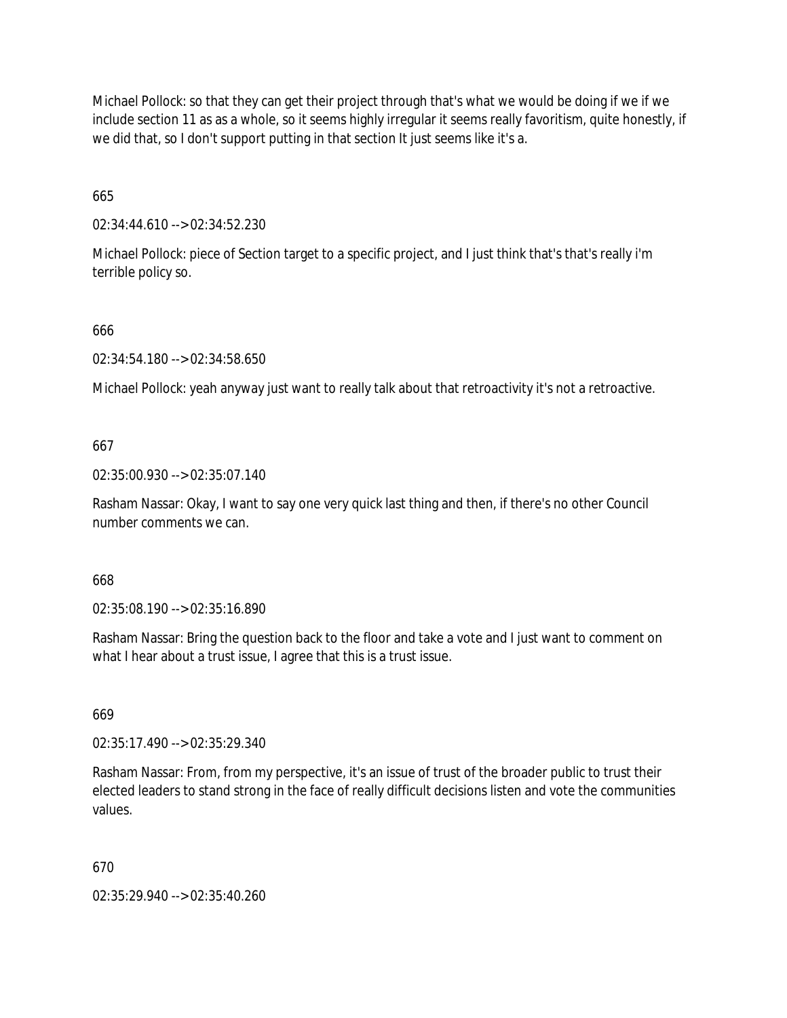Michael Pollock: so that they can get their project through that's what we would be doing if we if we include section 11 as as a whole, so it seems highly irregular it seems really favoritism, quite honestly, if we did that, so I don't support putting in that section It just seems like it's a.

665

02:34:44.610 --> 02:34:52.230

Michael Pollock: piece of Section target to a specific project, and I just think that's that's really i'm terrible policy so.

666

02:34:54.180 --> 02:34:58.650

Michael Pollock: yeah anyway just want to really talk about that retroactivity it's not a retroactive.

667

02:35:00.930 --> 02:35:07.140

Rasham Nassar: Okay, I want to say one very quick last thing and then, if there's no other Council number comments we can.

668

02:35:08.190 --> 02:35:16.890

Rasham Nassar: Bring the question back to the floor and take a vote and I just want to comment on what I hear about a trust issue, I agree that this is a trust issue.

669

02:35:17.490 --> 02:35:29.340

Rasham Nassar: From, from my perspective, it's an issue of trust of the broader public to trust their elected leaders to stand strong in the face of really difficult decisions listen and vote the communities values.

670

02:35:29.940 --> 02:35:40.260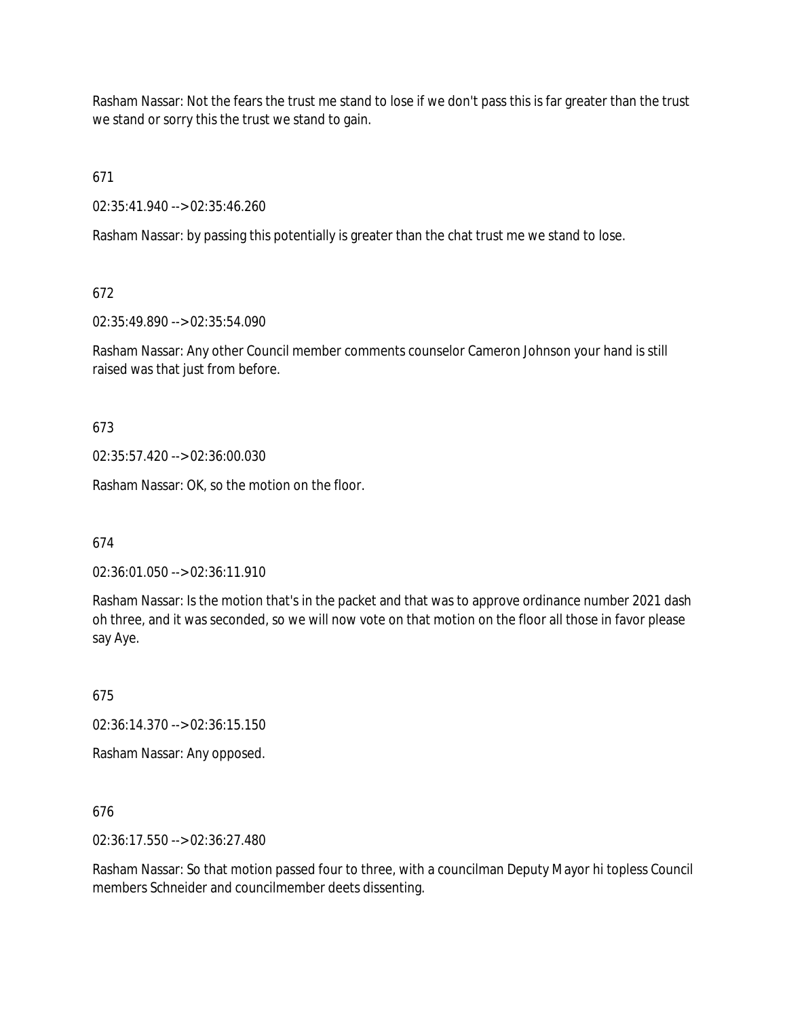Rasham Nassar: Not the fears the trust me stand to lose if we don't pass this is far greater than the trust we stand or sorry this the trust we stand to gain.

671

02:35:41.940 --> 02:35:46.260

Rasham Nassar: by passing this potentially is greater than the chat trust me we stand to lose.

672

02:35:49.890 --> 02:35:54.090

Rasham Nassar: Any other Council member comments counselor Cameron Johnson your hand is still raised was that just from before.

673

02:35:57.420 --> 02:36:00.030

Rasham Nassar: OK, so the motion on the floor.

674

02:36:01.050 --> 02:36:11.910

Rasham Nassar: Is the motion that's in the packet and that was to approve ordinance number 2021 dash oh three, and it was seconded, so we will now vote on that motion on the floor all those in favor please say Aye.

675

02:36:14.370 --> 02:36:15.150

Rasham Nassar: Any opposed.

676

02:36:17.550 --> 02:36:27.480

Rasham Nassar: So that motion passed four to three, with a councilman Deputy Mayor hi topless Council members Schneider and councilmember deets dissenting.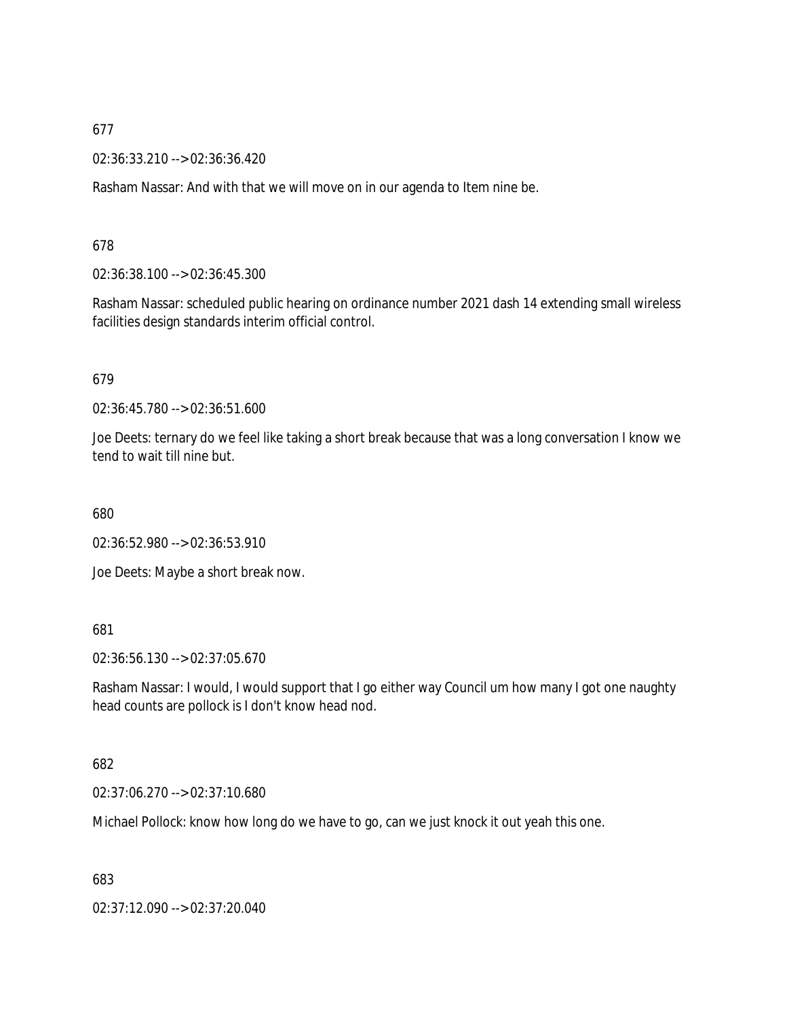02:36:33.210 --> 02:36:36.420

Rasham Nassar: And with that we will move on in our agenda to Item nine be.

## 678

02:36:38.100 --> 02:36:45.300

Rasham Nassar: scheduled public hearing on ordinance number 2021 dash 14 extending small wireless facilities design standards interim official control.

## 679

02:36:45.780 --> 02:36:51.600

Joe Deets: ternary do we feel like taking a short break because that was a long conversation I know we tend to wait till nine but.

680

02:36:52.980 --> 02:36:53.910

Joe Deets: Maybe a short break now.

## 681

02:36:56.130 --> 02:37:05.670

Rasham Nassar: I would, I would support that I go either way Council um how many I got one naughty head counts are pollock is I don't know head nod.

## 682

02:37:06.270 --> 02:37:10.680

Michael Pollock: know how long do we have to go, can we just knock it out yeah this one.

683

02:37:12.090 --> 02:37:20.040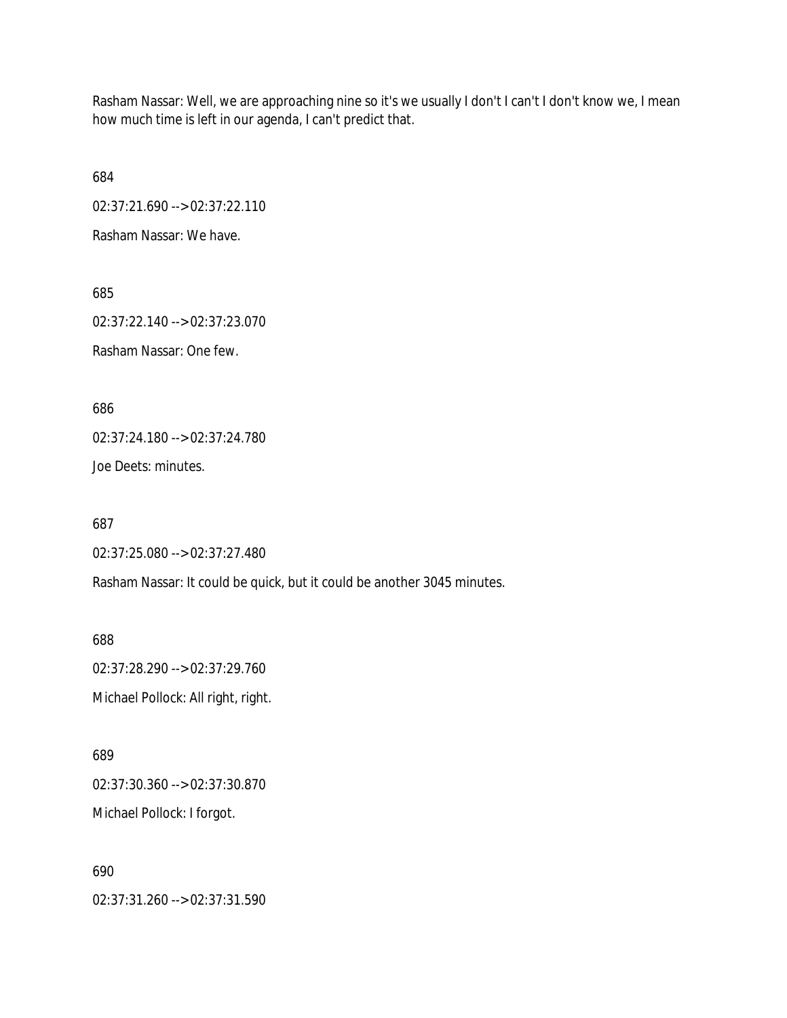Rasham Nassar: Well, we are approaching nine so it's we usually I don't I can't I don't know we, I mean how much time is left in our agenda, I can't predict that.

684

02:37:21.690 --> 02:37:22.110

Rasham Nassar: We have.

685

02:37:22.140 --> 02:37:23.070 Rasham Nassar: One few.

686

02:37:24.180 --> 02:37:24.780

Joe Deets: minutes.

687

02:37:25.080 --> 02:37:27.480

Rasham Nassar: It could be quick, but it could be another 3045 minutes.

688 02:37:28.290 --> 02:37:29.760 Michael Pollock: All right, right.

689 02:37:30.360 --> 02:37:30.870 Michael Pollock: I forgot.

690 02:37:31.260 --> 02:37:31.590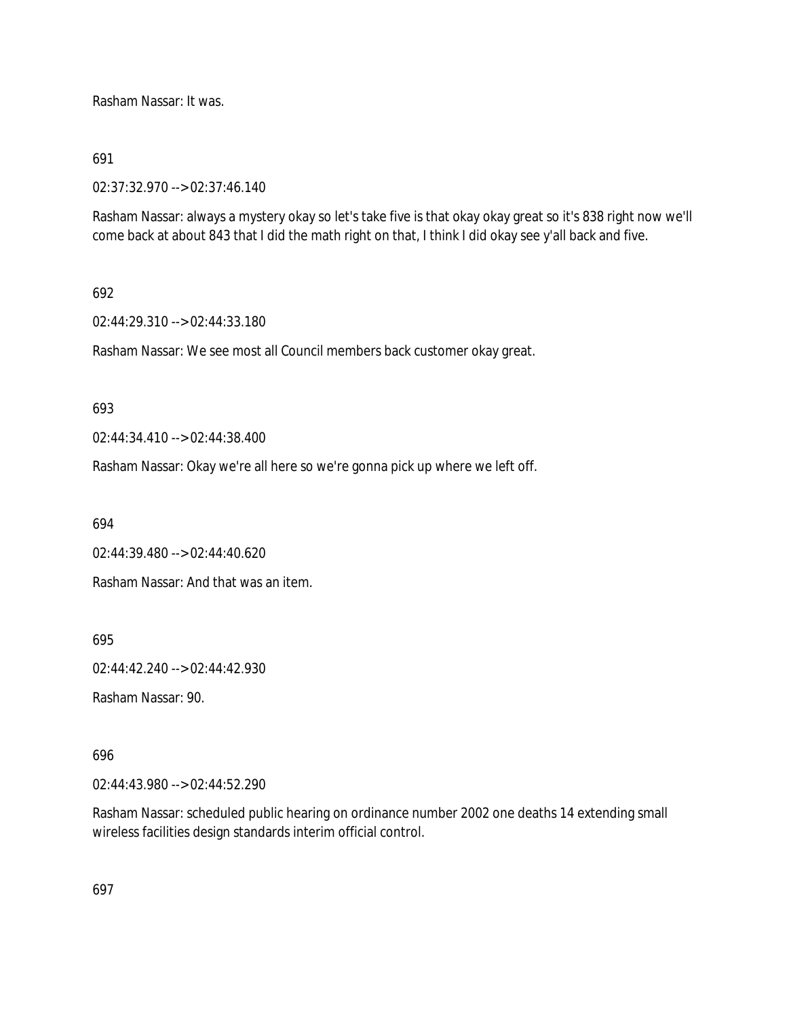Rasham Nassar: It was.

## 691

02:37:32.970 --> 02:37:46.140

Rasham Nassar: always a mystery okay so let's take five is that okay okay great so it's 838 right now we'll come back at about 843 that I did the math right on that, I think I did okay see y'all back and five.

## 692

02:44:29.310 --> 02:44:33.180

Rasham Nassar: We see most all Council members back customer okay great.

### 693

02:44:34.410 --> 02:44:38.400

Rasham Nassar: Okay we're all here so we're gonna pick up where we left off.

694

02:44:39.480 --> 02:44:40.620

Rasham Nassar: And that was an item.

695

02:44:42.240 --> 02:44:42.930

Rasham Nassar: 90.

## 696

02:44:43.980 --> 02:44:52.290

Rasham Nassar: scheduled public hearing on ordinance number 2002 one deaths 14 extending small wireless facilities design standards interim official control.

697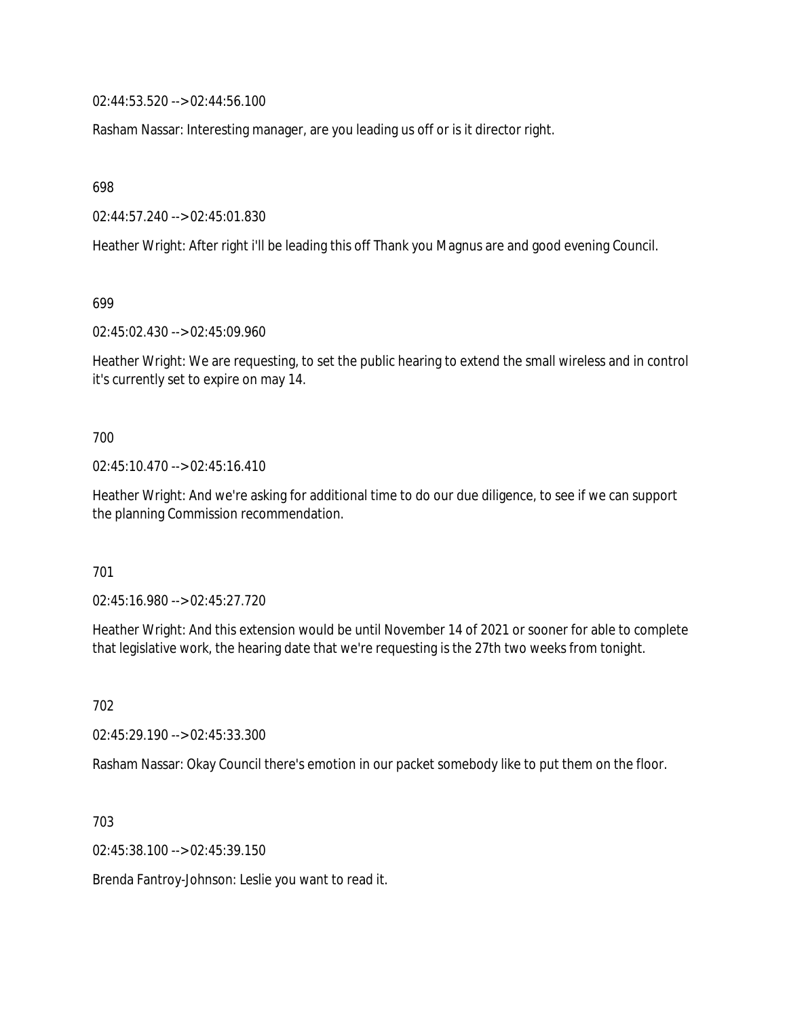02:44:53.520 --> 02:44:56.100

Rasham Nassar: Interesting manager, are you leading us off or is it director right.

698

02:44:57.240 --> 02:45:01.830

Heather Wright: After right i'll be leading this off Thank you Magnus are and good evening Council.

699

02:45:02.430 --> 02:45:09.960

Heather Wright: We are requesting, to set the public hearing to extend the small wireless and in control it's currently set to expire on may 14.

700

02:45:10.470 --> 02:45:16.410

Heather Wright: And we're asking for additional time to do our due diligence, to see if we can support the planning Commission recommendation.

701

02:45:16.980 --> 02:45:27.720

Heather Wright: And this extension would be until November 14 of 2021 or sooner for able to complete that legislative work, the hearing date that we're requesting is the 27th two weeks from tonight.

702

02:45:29.190 --> 02:45:33.300

Rasham Nassar: Okay Council there's emotion in our packet somebody like to put them on the floor.

703

02:45:38.100 --> 02:45:39.150

Brenda Fantroy-Johnson: Leslie you want to read it.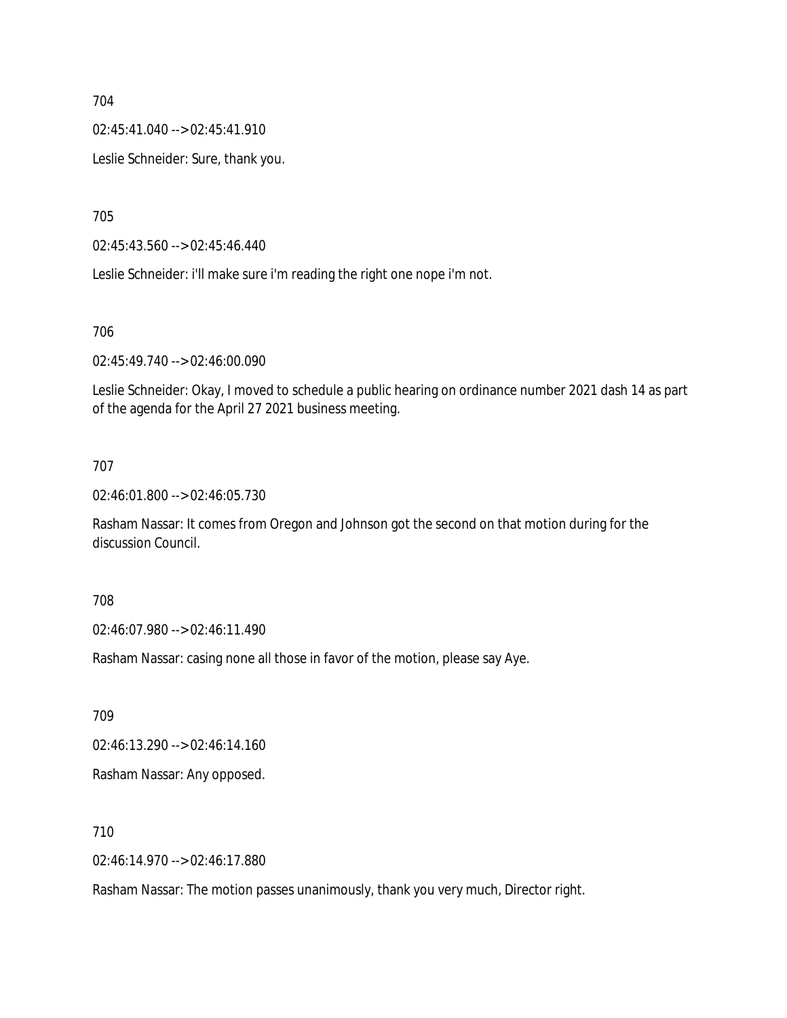02:45:41.040 --> 02:45:41.910

Leslie Schneider: Sure, thank you.

705

02:45:43.560 --> 02:45:46.440

Leslie Schneider: i'll make sure i'm reading the right one nope i'm not.

706

02:45:49.740 --> 02:46:00.090

Leslie Schneider: Okay, I moved to schedule a public hearing on ordinance number 2021 dash 14 as part of the agenda for the April 27 2021 business meeting.

## 707

02:46:01.800 --> 02:46:05.730

Rasham Nassar: It comes from Oregon and Johnson got the second on that motion during for the discussion Council.

708

02:46:07.980 --> 02:46:11.490

Rasham Nassar: casing none all those in favor of the motion, please say Aye.

709

02:46:13.290 --> 02:46:14.160

Rasham Nassar: Any opposed.

710

02:46:14.970 --> 02:46:17.880

Rasham Nassar: The motion passes unanimously, thank you very much, Director right.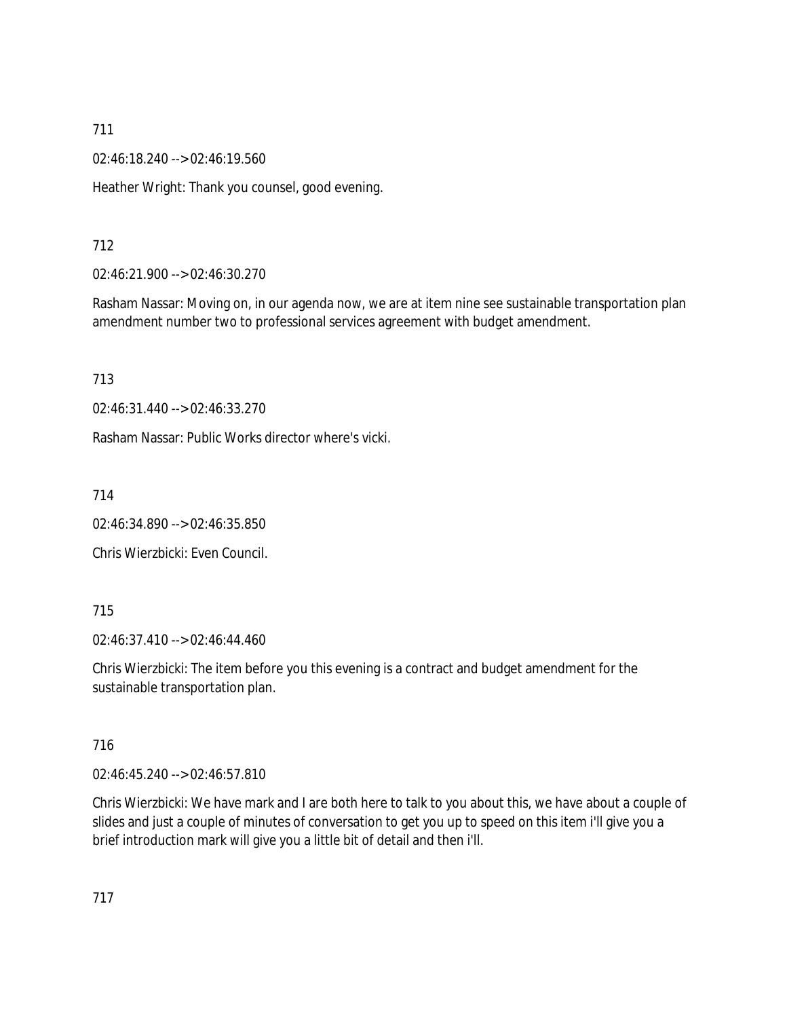02:46:18.240 --> 02:46:19.560

Heather Wright: Thank you counsel, good evening.

# 712

02:46:21.900 --> 02:46:30.270

Rasham Nassar: Moving on, in our agenda now, we are at item nine see sustainable transportation plan amendment number two to professional services agreement with budget amendment.

713

02:46:31.440 --> 02:46:33.270

Rasham Nassar: Public Works director where's vicki.

714

02:46:34.890 --> 02:46:35.850

Chris Wierzbicki: Even Council.

## 715

02:46:37.410 --> 02:46:44.460

Chris Wierzbicki: The item before you this evening is a contract and budget amendment for the sustainable transportation plan.

## 716

02:46:45.240 --> 02:46:57.810

Chris Wierzbicki: We have mark and I are both here to talk to you about this, we have about a couple of slides and just a couple of minutes of conversation to get you up to speed on this item i'll give you a brief introduction mark will give you a little bit of detail and then i'll.

717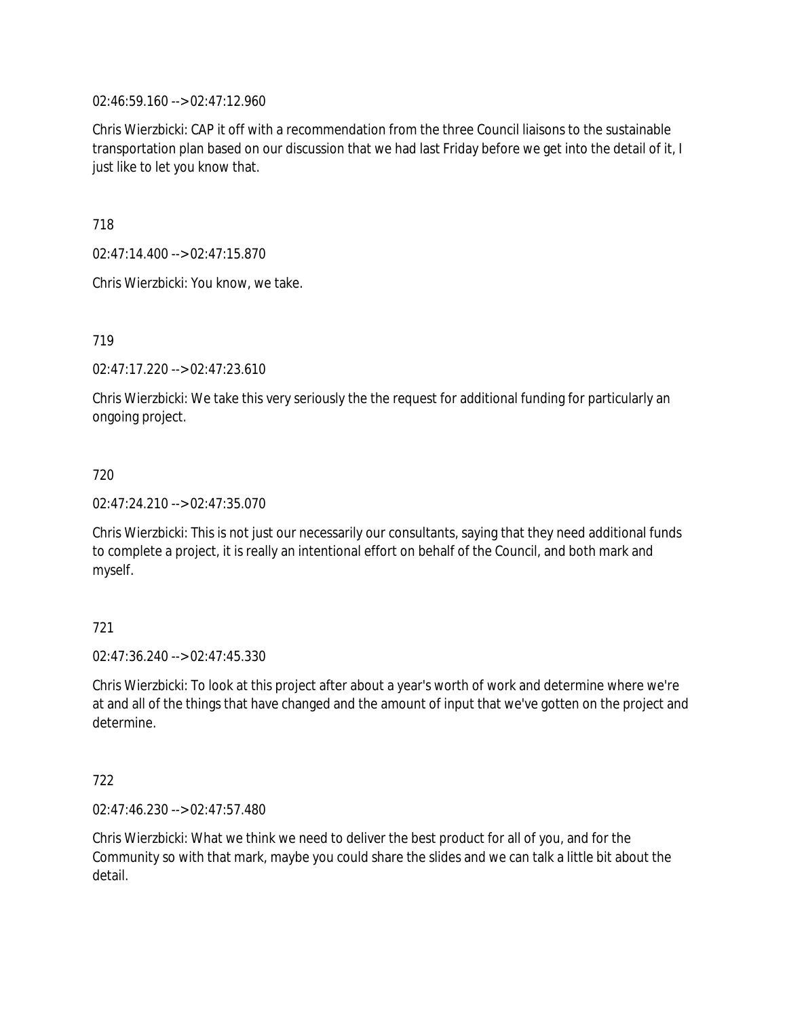02:46:59.160 --> 02:47:12.960

Chris Wierzbicki: CAP it off with a recommendation from the three Council liaisons to the sustainable transportation plan based on our discussion that we had last Friday before we get into the detail of it, I just like to let you know that.

718

02:47:14.400 --> 02:47:15.870

Chris Wierzbicki: You know, we take.

719

02:47:17.220 --> 02:47:23.610

Chris Wierzbicki: We take this very seriously the the request for additional funding for particularly an ongoing project.

## 720

02:47:24.210 --> 02:47:35.070

Chris Wierzbicki: This is not just our necessarily our consultants, saying that they need additional funds to complete a project, it is really an intentional effort on behalf of the Council, and both mark and myself.

# 721

 $02.47.36.240 -5.02.47.45.330$ 

Chris Wierzbicki: To look at this project after about a year's worth of work and determine where we're at and all of the things that have changed and the amount of input that we've gotten on the project and determine.

## 722

02:47:46.230 --> 02:47:57.480

Chris Wierzbicki: What we think we need to deliver the best product for all of you, and for the Community so with that mark, maybe you could share the slides and we can talk a little bit about the detail.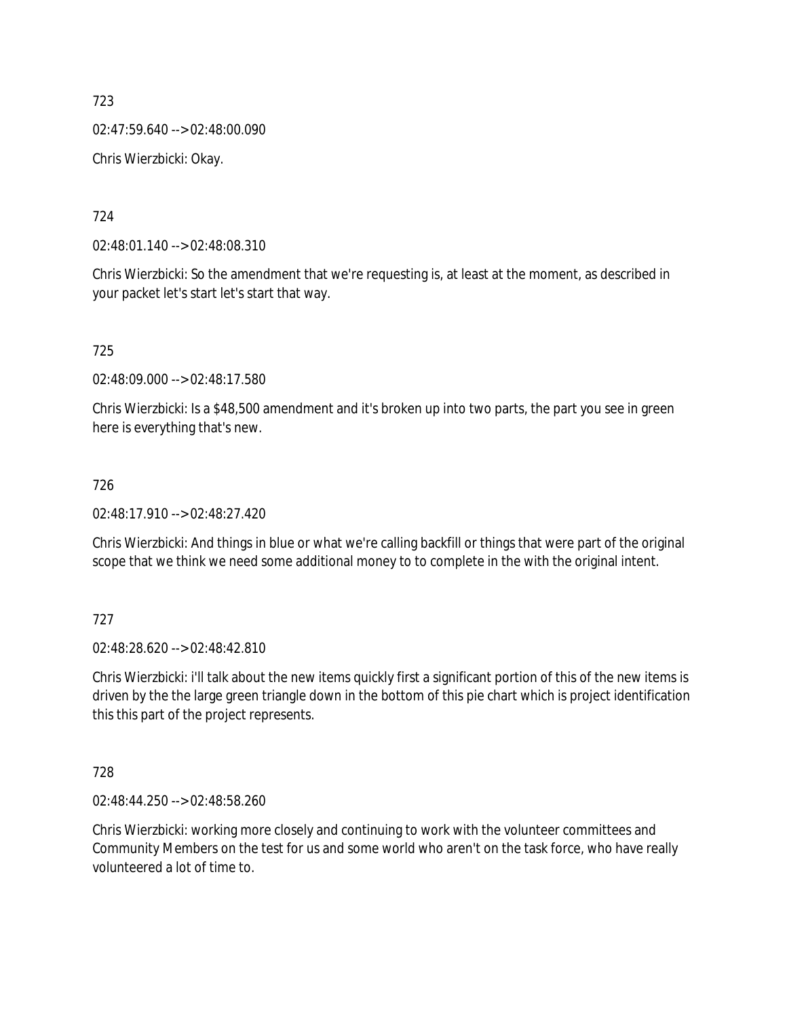02:47:59.640 --> 02:48:00.090 Chris Wierzbicki: Okay.

724

02:48:01.140 --> 02:48:08.310

Chris Wierzbicki: So the amendment that we're requesting is, at least at the moment, as described in your packet let's start let's start that way.

725

02:48:09.000 --> 02:48:17.580

Chris Wierzbicki: Is a \$48,500 amendment and it's broken up into two parts, the part you see in green here is everything that's new.

## 726

02:48:17.910 --> 02:48:27.420

Chris Wierzbicki: And things in blue or what we're calling backfill or things that were part of the original scope that we think we need some additional money to to complete in the with the original intent.

### 727

02:48:28.620 --> 02:48:42.810

Chris Wierzbicki: i'll talk about the new items quickly first a significant portion of this of the new items is driven by the the large green triangle down in the bottom of this pie chart which is project identification this this part of the project represents.

### 728

02:48:44.250 --> 02:48:58.260

Chris Wierzbicki: working more closely and continuing to work with the volunteer committees and Community Members on the test for us and some world who aren't on the task force, who have really volunteered a lot of time to.

723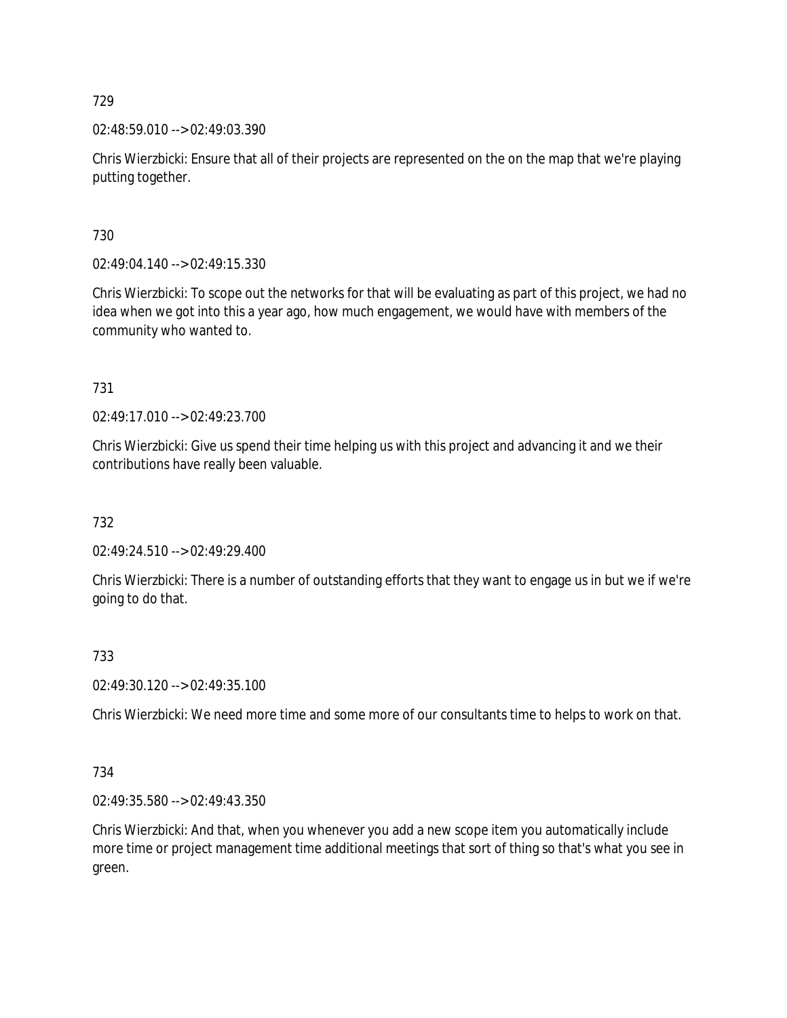02:48:59.010 --> 02:49:03.390

Chris Wierzbicki: Ensure that all of their projects are represented on the on the map that we're playing putting together.

730

02:49:04.140 --> 02:49:15.330

Chris Wierzbicki: To scope out the networks for that will be evaluating as part of this project, we had no idea when we got into this a year ago, how much engagement, we would have with members of the community who wanted to.

731

02:49:17.010 --> 02:49:23.700

Chris Wierzbicki: Give us spend their time helping us with this project and advancing it and we their contributions have really been valuable.

732

02:49:24.510 --> 02:49:29.400

Chris Wierzbicki: There is a number of outstanding efforts that they want to engage us in but we if we're going to do that.

733

02:49:30.120 --> 02:49:35.100

Chris Wierzbicki: We need more time and some more of our consultants time to helps to work on that.

734

02:49:35.580 --> 02:49:43.350

Chris Wierzbicki: And that, when you whenever you add a new scope item you automatically include more time or project management time additional meetings that sort of thing so that's what you see in green.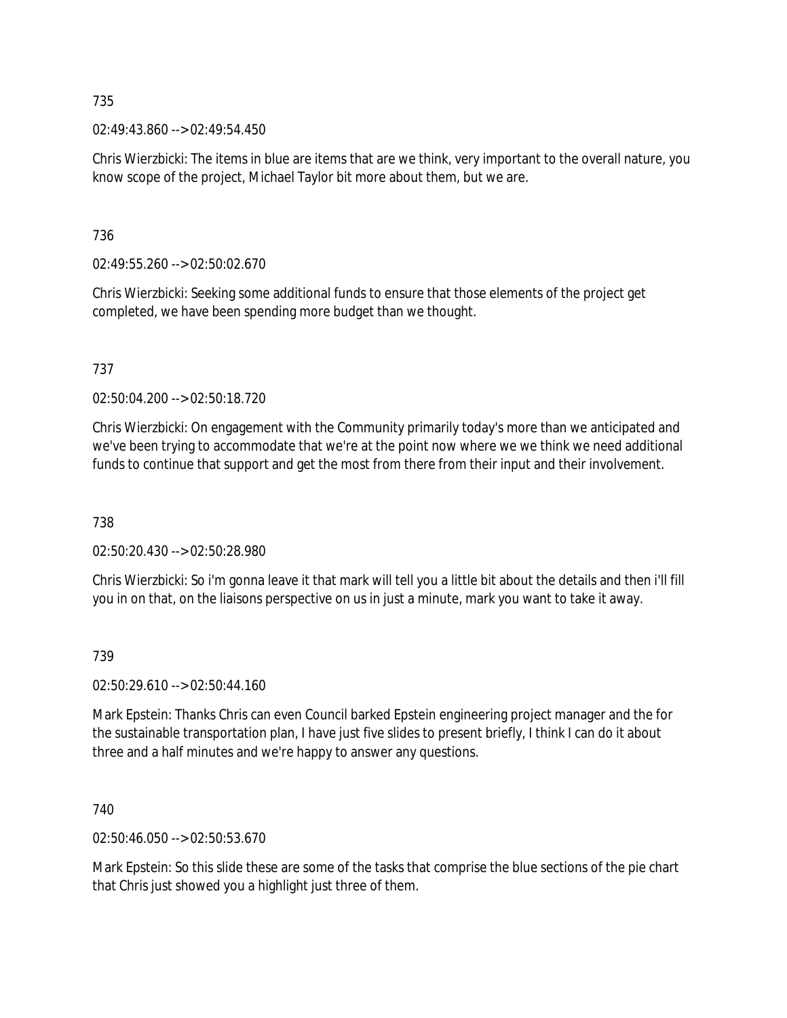02:49:43.860 --> 02:49:54.450

Chris Wierzbicki: The items in blue are items that are we think, very important to the overall nature, you know scope of the project, Michael Taylor bit more about them, but we are.

736

02:49:55.260 --> 02:50:02.670

Chris Wierzbicki: Seeking some additional funds to ensure that those elements of the project get completed, we have been spending more budget than we thought.

737

02:50:04.200 --> 02:50:18.720

Chris Wierzbicki: On engagement with the Community primarily today's more than we anticipated and we've been trying to accommodate that we're at the point now where we we think we need additional funds to continue that support and get the most from there from their input and their involvement.

738

02:50:20.430 --> 02:50:28.980

Chris Wierzbicki: So i'm gonna leave it that mark will tell you a little bit about the details and then i'll fill you in on that, on the liaisons perspective on us in just a minute, mark you want to take it away.

739

02:50:29.610 --> 02:50:44.160

Mark Epstein: Thanks Chris can even Council barked Epstein engineering project manager and the for the sustainable transportation plan, I have just five slides to present briefly, I think I can do it about three and a half minutes and we're happy to answer any questions.

740

02:50:46.050 --> 02:50:53.670

Mark Epstein: So this slide these are some of the tasks that comprise the blue sections of the pie chart that Chris just showed you a highlight just three of them.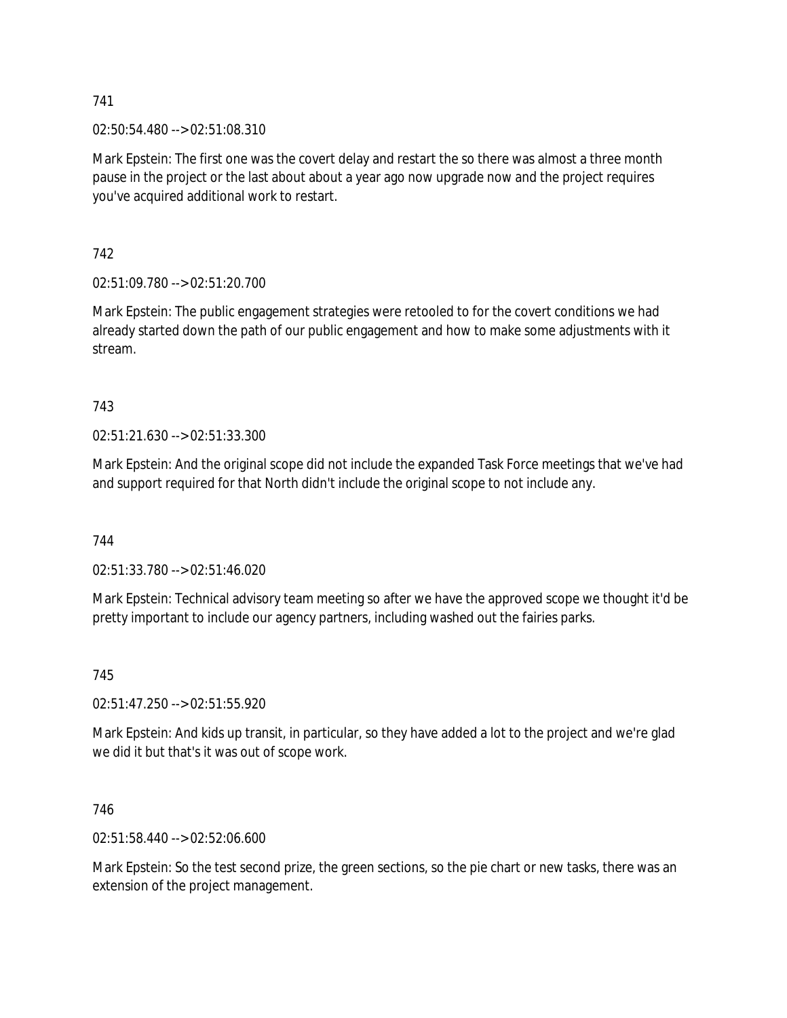02:50:54.480 --> 02:51:08.310

Mark Epstein: The first one was the covert delay and restart the so there was almost a three month pause in the project or the last about about a year ago now upgrade now and the project requires you've acquired additional work to restart.

742

02:51:09.780 --> 02:51:20.700

Mark Epstein: The public engagement strategies were retooled to for the covert conditions we had already started down the path of our public engagement and how to make some adjustments with it stream.

743

02:51:21.630 --> 02:51:33.300

Mark Epstein: And the original scope did not include the expanded Task Force meetings that we've had and support required for that North didn't include the original scope to not include any.

744

02:51:33.780 --> 02:51:46.020

Mark Epstein: Technical advisory team meeting so after we have the approved scope we thought it'd be pretty important to include our agency partners, including washed out the fairies parks.

745

02:51:47.250 --> 02:51:55.920

Mark Epstein: And kids up transit, in particular, so they have added a lot to the project and we're glad we did it but that's it was out of scope work.

746

02:51:58.440 --> 02:52:06.600

Mark Epstein: So the test second prize, the green sections, so the pie chart or new tasks, there was an extension of the project management.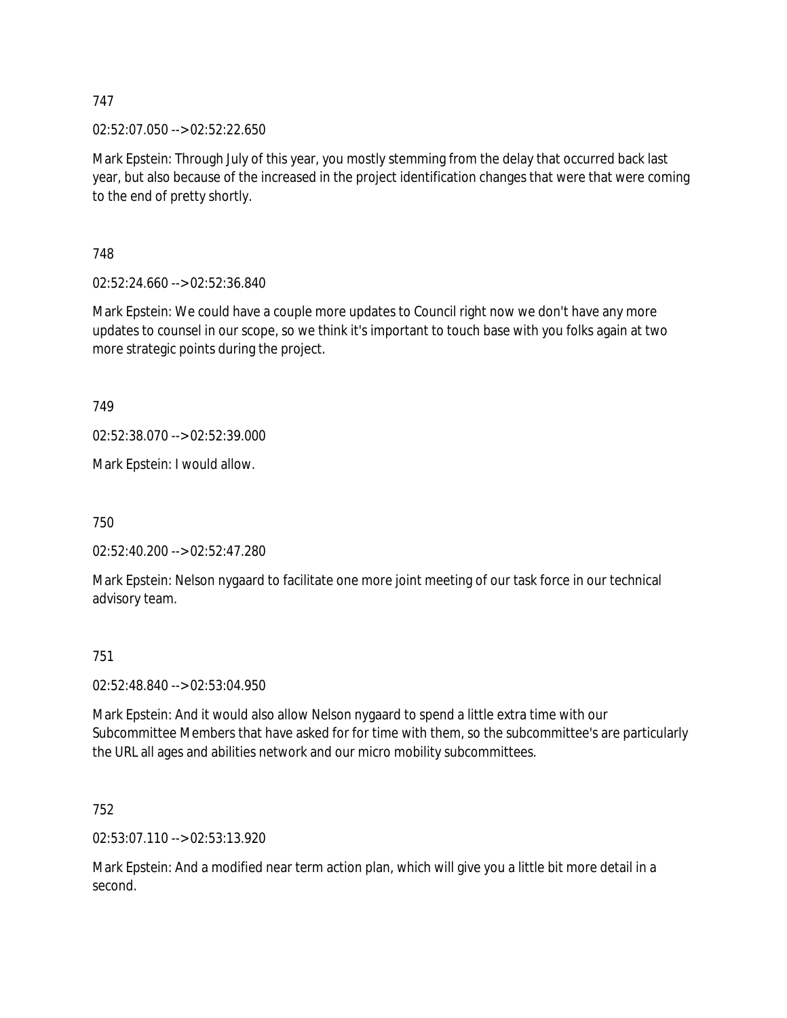02:52:07.050 --> 02:52:22.650

Mark Epstein: Through July of this year, you mostly stemming from the delay that occurred back last year, but also because of the increased in the project identification changes that were that were coming to the end of pretty shortly.

748

02:52:24.660 --> 02:52:36.840

Mark Epstein: We could have a couple more updates to Council right now we don't have any more updates to counsel in our scope, so we think it's important to touch base with you folks again at two more strategic points during the project.

749

02:52:38.070 --> 02:52:39.000

Mark Epstein: I would allow.

750

02:52:40.200 --> 02:52:47.280

Mark Epstein: Nelson nygaard to facilitate one more joint meeting of our task force in our technical advisory team.

### 751

02:52:48.840 --> 02:53:04.950

Mark Epstein: And it would also allow Nelson nygaard to spend a little extra time with our Subcommittee Members that have asked for for time with them, so the subcommittee's are particularly the URL all ages and abilities network and our micro mobility subcommittees.

752

02:53:07.110 --> 02:53:13.920

Mark Epstein: And a modified near term action plan, which will give you a little bit more detail in a second.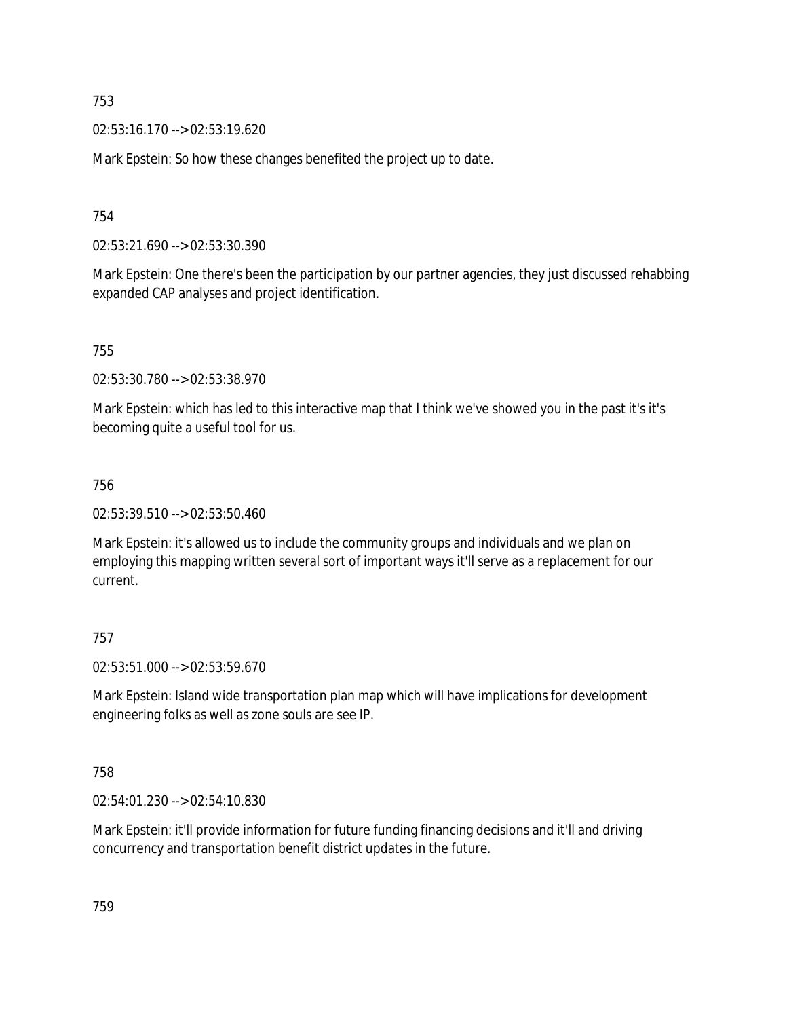02:53:16.170 --> 02:53:19.620

Mark Epstein: So how these changes benefited the project up to date.

754

02:53:21.690 --> 02:53:30.390

Mark Epstein: One there's been the participation by our partner agencies, they just discussed rehabbing expanded CAP analyses and project identification.

755

02:53:30.780 --> 02:53:38.970

Mark Epstein: which has led to this interactive map that I think we've showed you in the past it's it's becoming quite a useful tool for us.

## 756

02:53:39.510 --> 02:53:50.460

Mark Epstein: it's allowed us to include the community groups and individuals and we plan on employing this mapping written several sort of important ways it'll serve as a replacement for our current.

# 757

02:53:51.000 --> 02:53:59.670

Mark Epstein: Island wide transportation plan map which will have implications for development engineering folks as well as zone souls are see IP.

758

02:54:01.230 --> 02:54:10.830

Mark Epstein: it'll provide information for future funding financing decisions and it'll and driving concurrency and transportation benefit district updates in the future.

759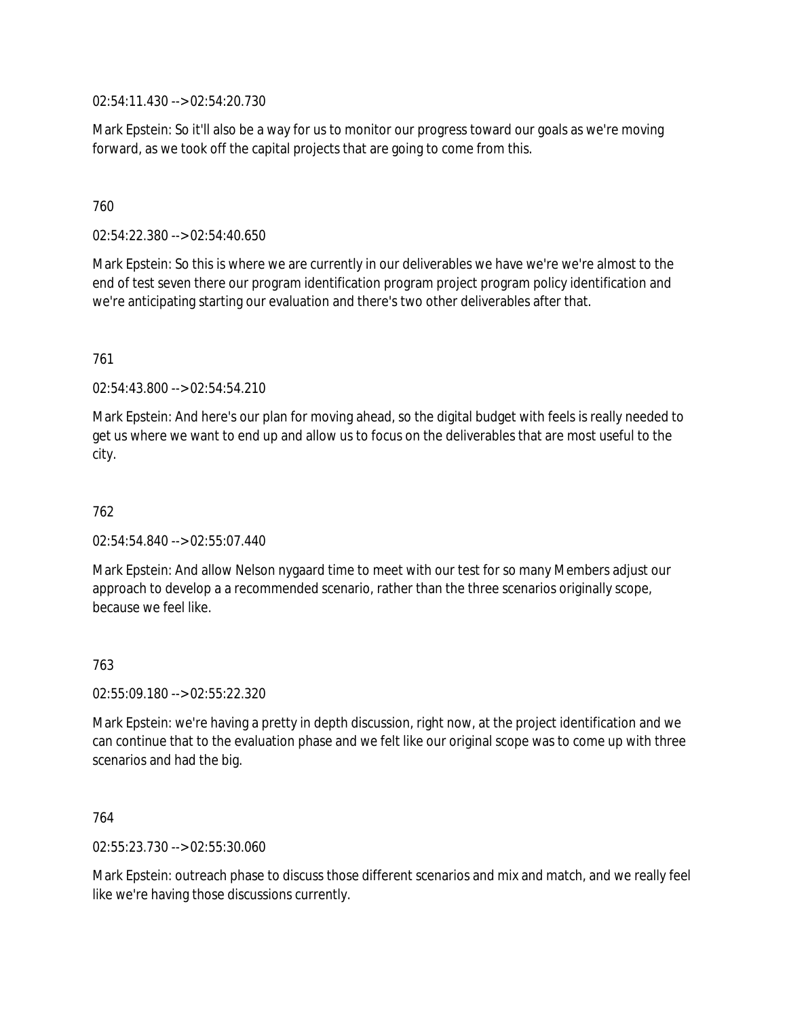02:54:11.430 --> 02:54:20.730

Mark Epstein: So it'll also be a way for us to monitor our progress toward our goals as we're moving forward, as we took off the capital projects that are going to come from this.

## 760

02:54:22.380 --> 02:54:40.650

Mark Epstein: So this is where we are currently in our deliverables we have we're we're almost to the end of test seven there our program identification program project program policy identification and we're anticipating starting our evaluation and there's two other deliverables after that.

### 761

02:54:43.800 --> 02:54:54.210

Mark Epstein: And here's our plan for moving ahead, so the digital budget with feels is really needed to get us where we want to end up and allow us to focus on the deliverables that are most useful to the city.

## 762

02:54:54.840 --> 02:55:07.440

Mark Epstein: And allow Nelson nygaard time to meet with our test for so many Members adjust our approach to develop a a recommended scenario, rather than the three scenarios originally scope, because we feel like.

## 763

02:55:09.180 --> 02:55:22.320

Mark Epstein: we're having a pretty in depth discussion, right now, at the project identification and we can continue that to the evaluation phase and we felt like our original scope was to come up with three scenarios and had the big.

764

02:55:23.730 --> 02:55:30.060

Mark Epstein: outreach phase to discuss those different scenarios and mix and match, and we really feel like we're having those discussions currently.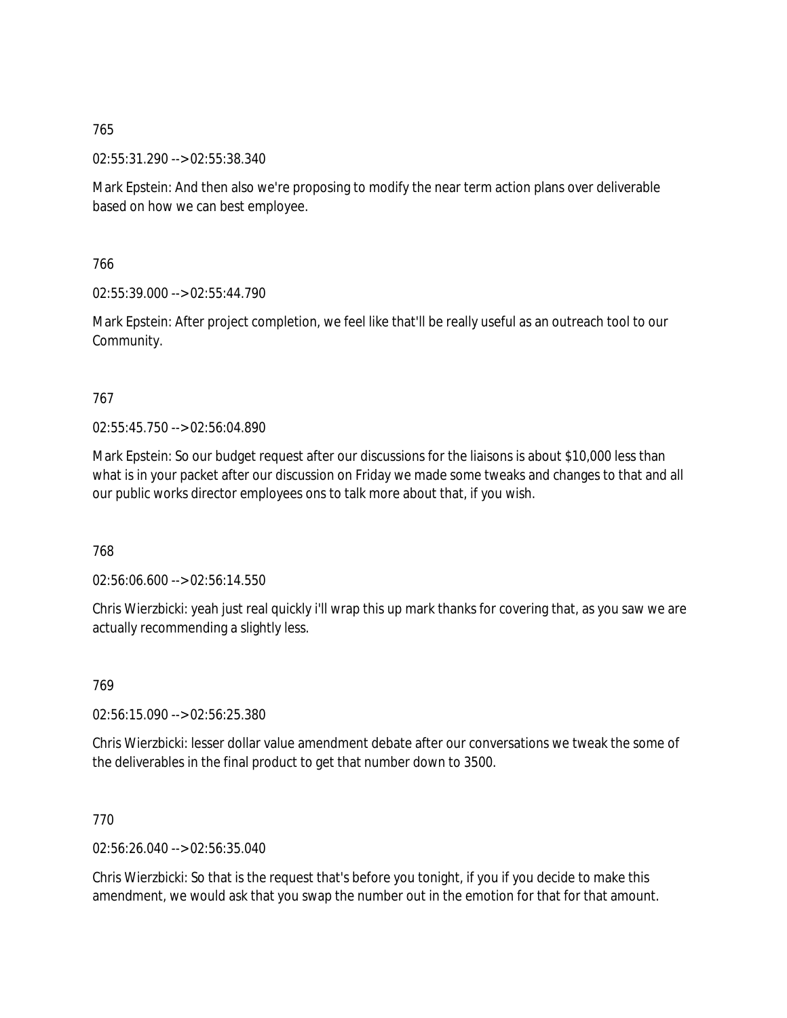02:55:31.290 --> 02:55:38.340

Mark Epstein: And then also we're proposing to modify the near term action plans over deliverable based on how we can best employee.

766

02:55:39.000 --> 02:55:44.790

Mark Epstein: After project completion, we feel like that'll be really useful as an outreach tool to our Community.

## 767

02:55:45.750 --> 02:56:04.890

Mark Epstein: So our budget request after our discussions for the liaisons is about \$10,000 less than what is in your packet after our discussion on Friday we made some tweaks and changes to that and all our public works director employees ons to talk more about that, if you wish.

768

02:56:06.600 --> 02:56:14.550

Chris Wierzbicki: yeah just real quickly i'll wrap this up mark thanks for covering that, as you saw we are actually recommending a slightly less.

769

02:56:15.090 --> 02:56:25.380

Chris Wierzbicki: lesser dollar value amendment debate after our conversations we tweak the some of the deliverables in the final product to get that number down to 3500.

770

02:56:26.040 --> 02:56:35.040

Chris Wierzbicki: So that is the request that's before you tonight, if you if you decide to make this amendment, we would ask that you swap the number out in the emotion for that for that amount.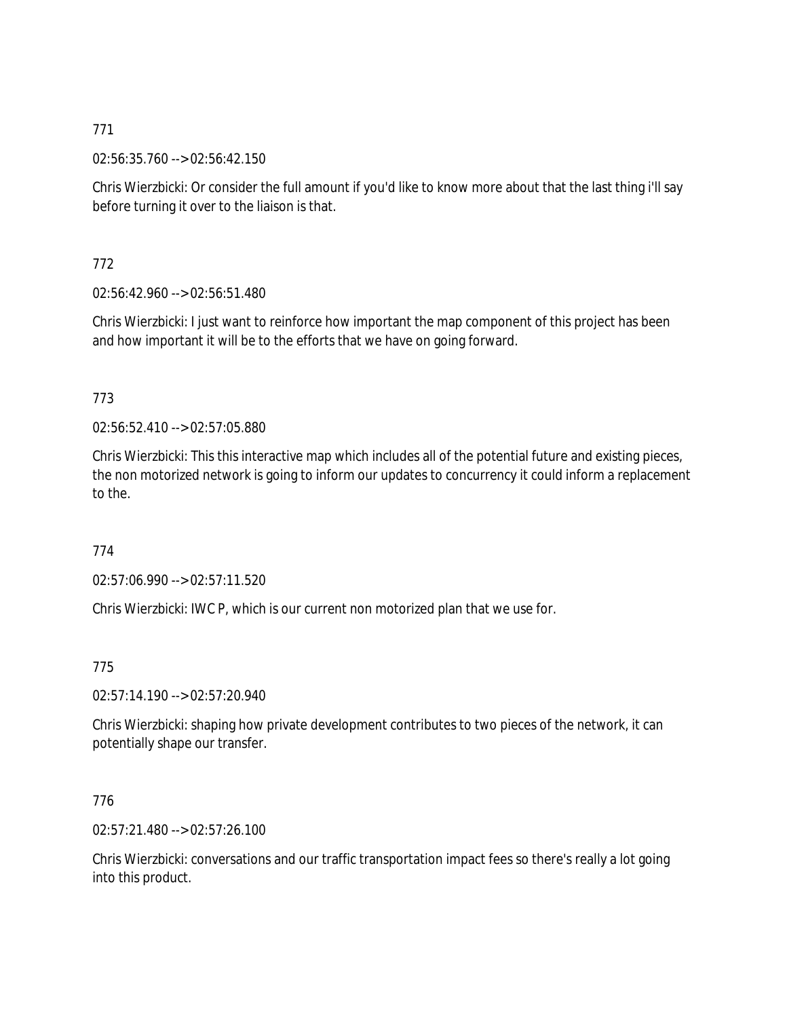02:56:35.760 --> 02:56:42.150

Chris Wierzbicki: Or consider the full amount if you'd like to know more about that the last thing i'll say before turning it over to the liaison is that.

772

02:56:42.960 --> 02:56:51.480

Chris Wierzbicki: I just want to reinforce how important the map component of this project has been and how important it will be to the efforts that we have on going forward.

# 773

02:56:52.410 --> 02:57:05.880

Chris Wierzbicki: This this interactive map which includes all of the potential future and existing pieces, the non motorized network is going to inform our updates to concurrency it could inform a replacement to the.

774

02:57:06.990 --> 02:57:11.520

Chris Wierzbicki: IWC P, which is our current non motorized plan that we use for.

775

02:57:14.190 --> 02:57:20.940

Chris Wierzbicki: shaping how private development contributes to two pieces of the network, it can potentially shape our transfer.

# 776

02:57:21.480 --> 02:57:26.100

Chris Wierzbicki: conversations and our traffic transportation impact fees so there's really a lot going into this product.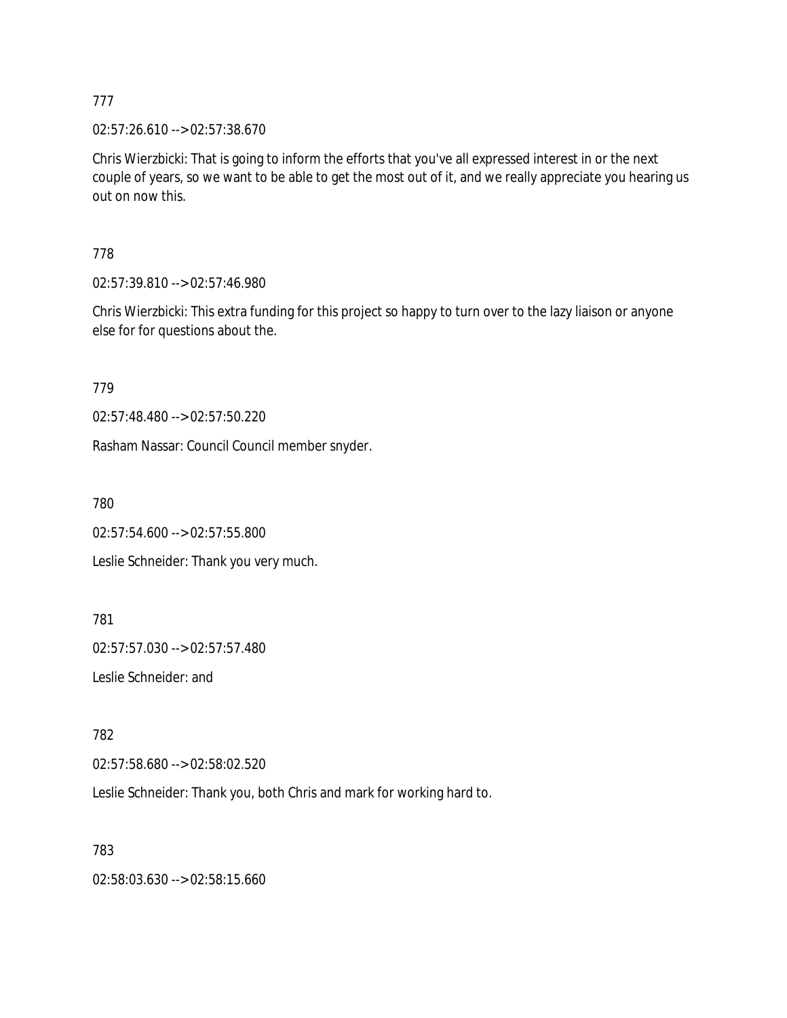02:57:26.610 --> 02:57:38.670

Chris Wierzbicki: That is going to inform the efforts that you've all expressed interest in or the next couple of years, so we want to be able to get the most out of it, and we really appreciate you hearing us out on now this.

778

02:57:39.810 --> 02:57:46.980

Chris Wierzbicki: This extra funding for this project so happy to turn over to the lazy liaison or anyone else for for questions about the.

779

02:57:48.480 --> 02:57:50.220

Rasham Nassar: Council Council member snyder.

780

02:57:54.600 --> 02:57:55.800

Leslie Schneider: Thank you very much.

781

02:57:57.030 --> 02:57:57.480

Leslie Schneider: and

782

02:57:58.680 --> 02:58:02.520

Leslie Schneider: Thank you, both Chris and mark for working hard to.

783

02:58:03.630 --> 02:58:15.660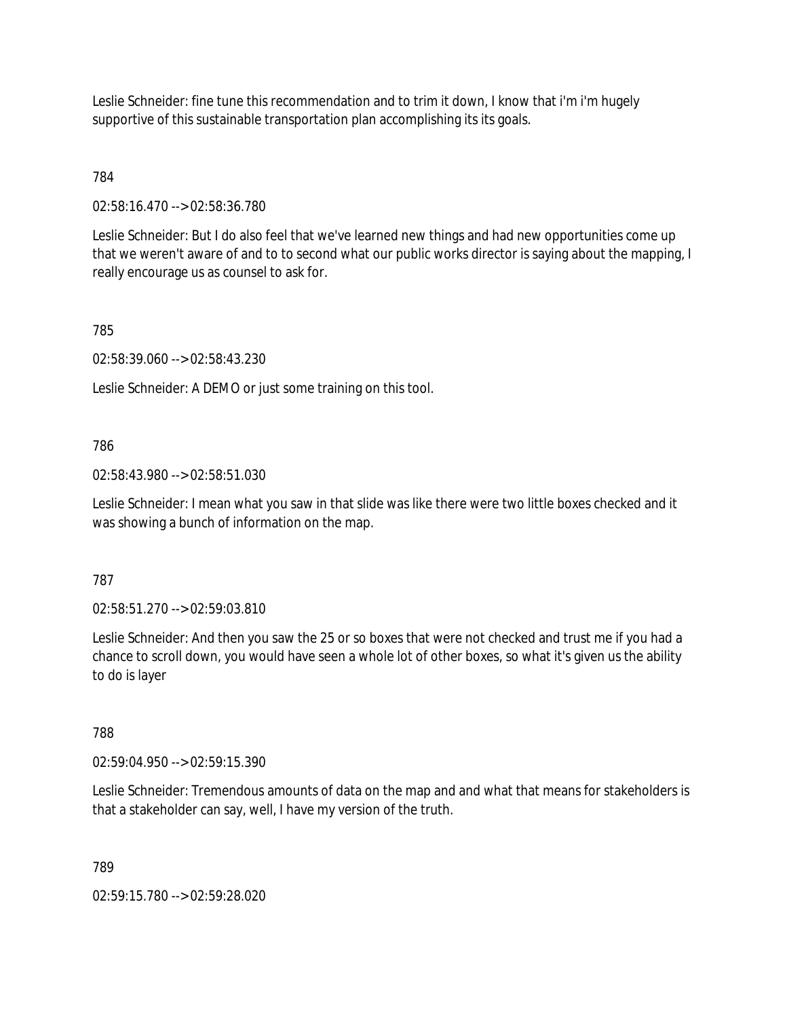Leslie Schneider: fine tune this recommendation and to trim it down, I know that i'm i'm hugely supportive of this sustainable transportation plan accomplishing its its goals.

# 784

02:58:16.470 --> 02:58:36.780

Leslie Schneider: But I do also feel that we've learned new things and had new opportunities come up that we weren't aware of and to to second what our public works director is saying about the mapping, I really encourage us as counsel to ask for.

## 785

02:58:39.060 --> 02:58:43.230

Leslie Schneider: A DEMO or just some training on this tool.

## 786

02:58:43.980 --> 02:58:51.030

Leslie Schneider: I mean what you saw in that slide was like there were two little boxes checked and it was showing a bunch of information on the map.

## 787

02:58:51.270 --> 02:59:03.810

Leslie Schneider: And then you saw the 25 or so boxes that were not checked and trust me if you had a chance to scroll down, you would have seen a whole lot of other boxes, so what it's given us the ability to do is layer

# 788

02:59:04.950 --> 02:59:15.390

Leslie Schneider: Tremendous amounts of data on the map and and what that means for stakeholders is that a stakeholder can say, well, I have my version of the truth.

789

02:59:15.780 --> 02:59:28.020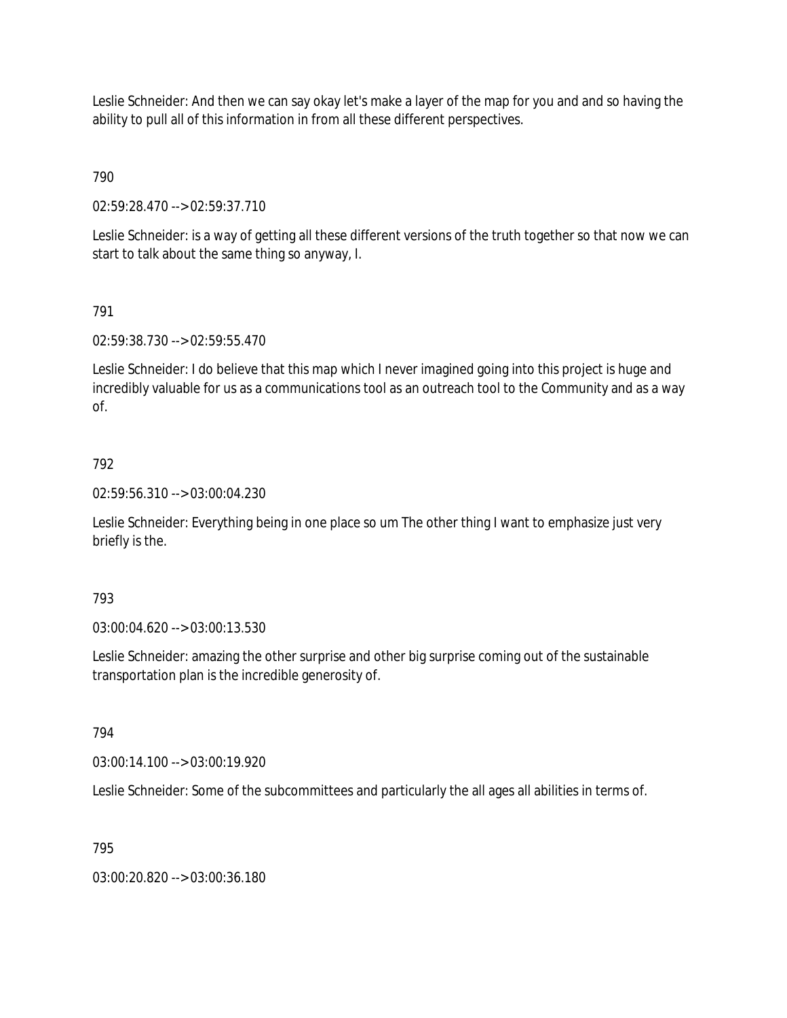Leslie Schneider: And then we can say okay let's make a layer of the map for you and and so having the ability to pull all of this information in from all these different perspectives.

790

02:59:28.470 --> 02:59:37.710

Leslie Schneider: is a way of getting all these different versions of the truth together so that now we can start to talk about the same thing so anyway, I.

## 791

02:59:38.730 --> 02:59:55.470

Leslie Schneider: I do believe that this map which I never imagined going into this project is huge and incredibly valuable for us as a communications tool as an outreach tool to the Community and as a way of.

## 792

02:59:56.310 --> 03:00:04.230

Leslie Schneider: Everything being in one place so um The other thing I want to emphasize just very briefly is the.

## 793

03:00:04.620 --> 03:00:13.530

Leslie Schneider: amazing the other surprise and other big surprise coming out of the sustainable transportation plan is the incredible generosity of.

## 794

03:00:14.100 --> 03:00:19.920

Leslie Schneider: Some of the subcommittees and particularly the all ages all abilities in terms of.

## 795

03:00:20.820 --> 03:00:36.180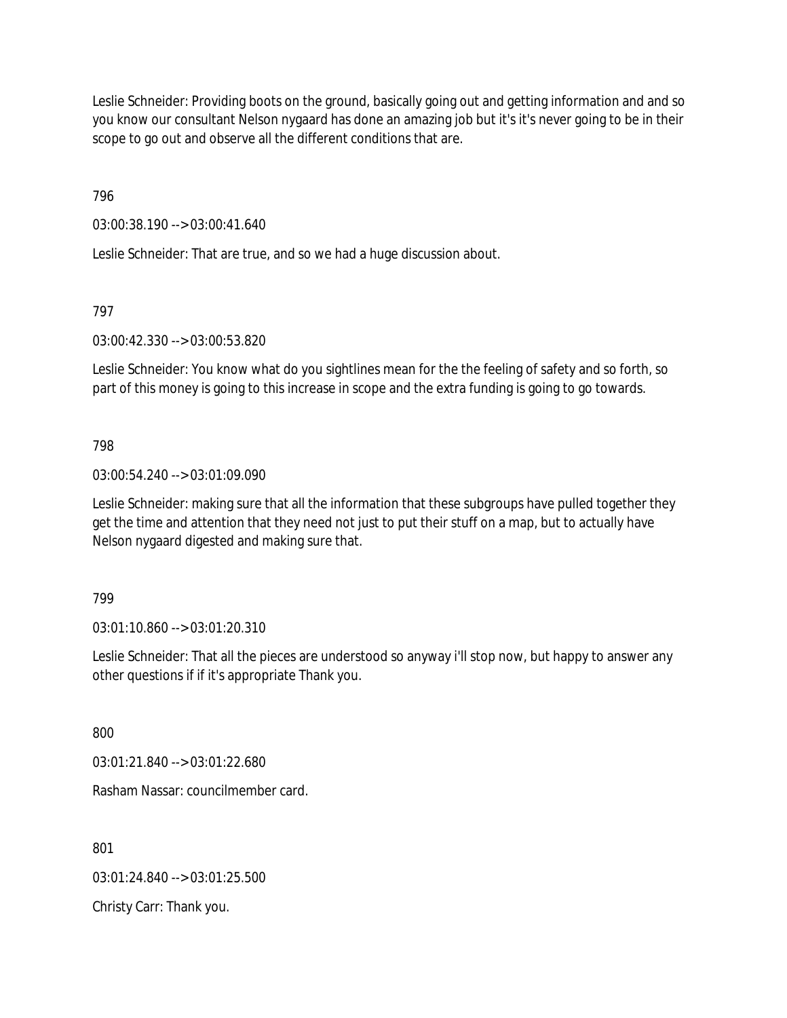Leslie Schneider: Providing boots on the ground, basically going out and getting information and and so you know our consultant Nelson nygaard has done an amazing job but it's it's never going to be in their scope to go out and observe all the different conditions that are.

796

03:00:38.190 --> 03:00:41.640

Leslie Schneider: That are true, and so we had a huge discussion about.

797

03:00:42.330 --> 03:00:53.820

Leslie Schneider: You know what do you sightlines mean for the the feeling of safety and so forth, so part of this money is going to this increase in scope and the extra funding is going to go towards.

798

03:00:54.240 --> 03:01:09.090

Leslie Schneider: making sure that all the information that these subgroups have pulled together they get the time and attention that they need not just to put their stuff on a map, but to actually have Nelson nygaard digested and making sure that.

799

03:01:10.860 --> 03:01:20.310

Leslie Schneider: That all the pieces are understood so anyway i'll stop now, but happy to answer any other questions if if it's appropriate Thank you.

800

03:01:21.840 --> 03:01:22.680

Rasham Nassar: councilmember card.

801

03:01:24.840 --> 03:01:25.500

Christy Carr: Thank you.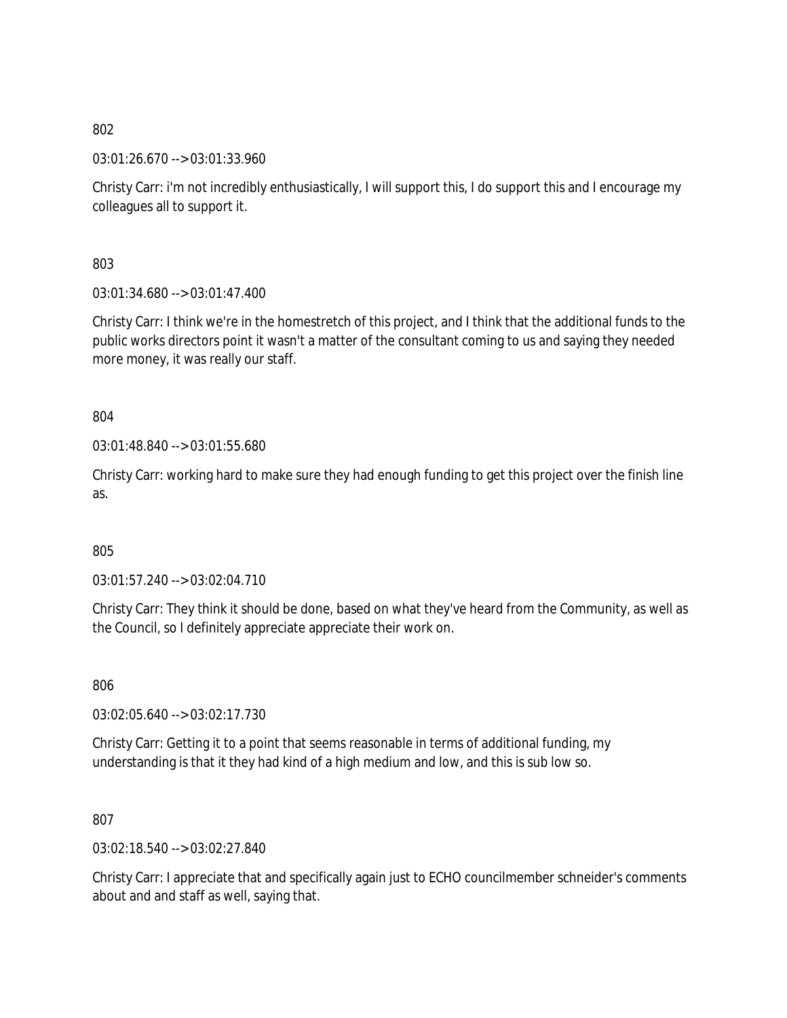03:01:26.670 --> 03:01:33.960

Christy Carr: i'm not incredibly enthusiastically, I will support this, I do support this and I encourage my colleagues all to support it.

803

03:01:34.680 --> 03:01:47.400

Christy Carr: I think we're in the homestretch of this project, and I think that the additional funds to the public works directors point it wasn't a matter of the consultant coming to us and saying they needed more money, it was really our staff.

804

03:01:48.840 --> 03:01:55.680

Christy Carr: working hard to make sure they had enough funding to get this project over the finish line as.

805

03:01:57.240 --> 03:02:04.710

Christy Carr: They think it should be done, based on what they've heard from the Community, as well as the Council, so I definitely appreciate appreciate their work on.

806

03:02:05.640 --> 03:02:17.730

Christy Carr: Getting it to a point that seems reasonable in terms of additional funding, my understanding is that it they had kind of a high medium and low, and this is sub low so.

807

03:02:18.540 --> 03:02:27.840

Christy Carr: I appreciate that and specifically again just to ECHO councilmember schneider's comments about and and staff as well, saying that.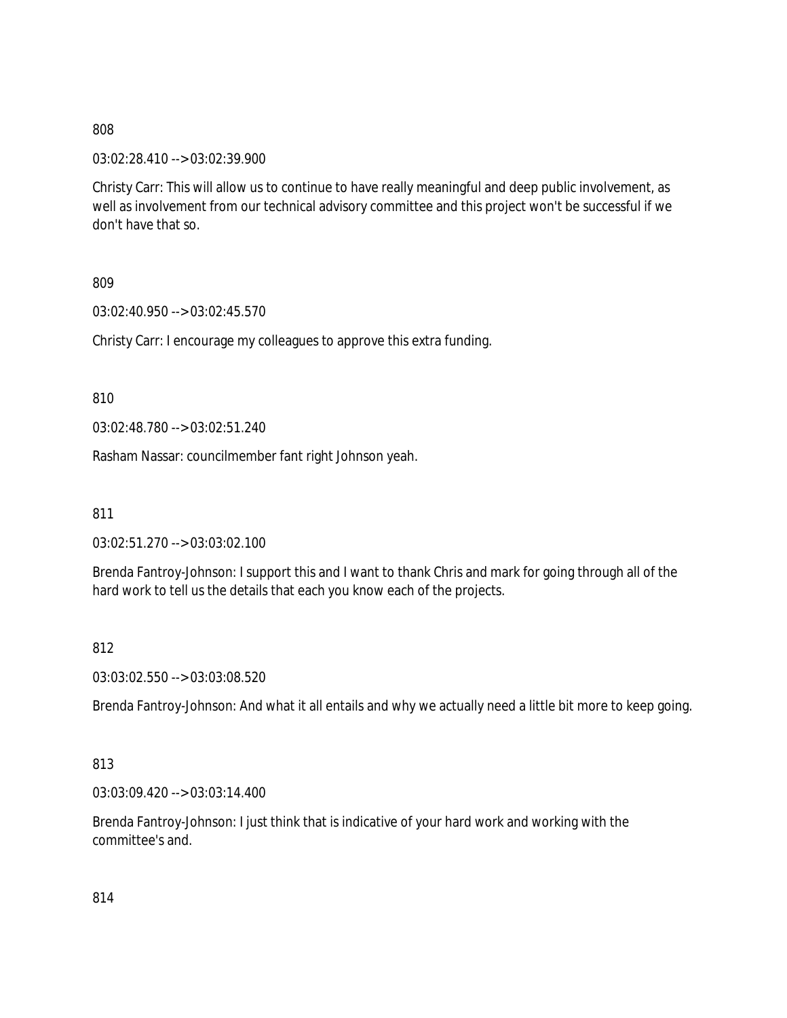03:02:28.410 --> 03:02:39.900

Christy Carr: This will allow us to continue to have really meaningful and deep public involvement, as well as involvement from our technical advisory committee and this project won't be successful if we don't have that so.

809

03:02:40.950 --> 03:02:45.570

Christy Carr: I encourage my colleagues to approve this extra funding.

810

03:02:48.780 --> 03:02:51.240

Rasham Nassar: councilmember fant right Johnson yeah.

811

03:02:51.270 --> 03:03:02.100

Brenda Fantroy-Johnson: I support this and I want to thank Chris and mark for going through all of the hard work to tell us the details that each you know each of the projects.

## 812

03:03:02.550 --> 03:03:08.520

Brenda Fantroy-Johnson: And what it all entails and why we actually need a little bit more to keep going.

## 813

03:03:09.420 --> 03:03:14.400

Brenda Fantroy-Johnson: I just think that is indicative of your hard work and working with the committee's and.

814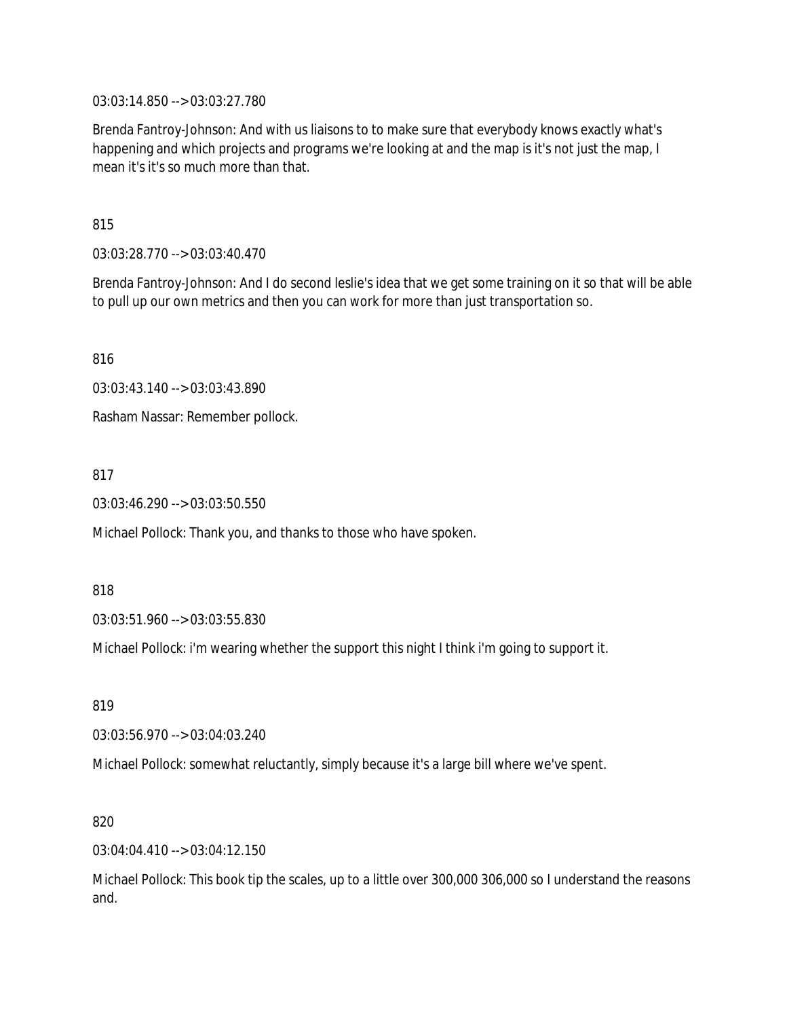03:03:14.850 --> 03:03:27.780

Brenda Fantroy-Johnson: And with us liaisons to to make sure that everybody knows exactly what's happening and which projects and programs we're looking at and the map is it's not just the map, I mean it's it's so much more than that.

815

03:03:28.770 --> 03:03:40.470

Brenda Fantroy-Johnson: And I do second leslie's idea that we get some training on it so that will be able to pull up our own metrics and then you can work for more than just transportation so.

816

03:03:43.140 --> 03:03:43.890

Rasham Nassar: Remember pollock.

817

03:03:46.290 --> 03:03:50.550

Michael Pollock: Thank you, and thanks to those who have spoken.

818

03:03:51.960 --> 03:03:55.830

Michael Pollock: i'm wearing whether the support this night I think i'm going to support it.

819

03:03:56.970 --> 03:04:03.240

Michael Pollock: somewhat reluctantly, simply because it's a large bill where we've spent.

820

03:04:04.410 --> 03:04:12.150

Michael Pollock: This book tip the scales, up to a little over 300,000 306,000 so I understand the reasons and.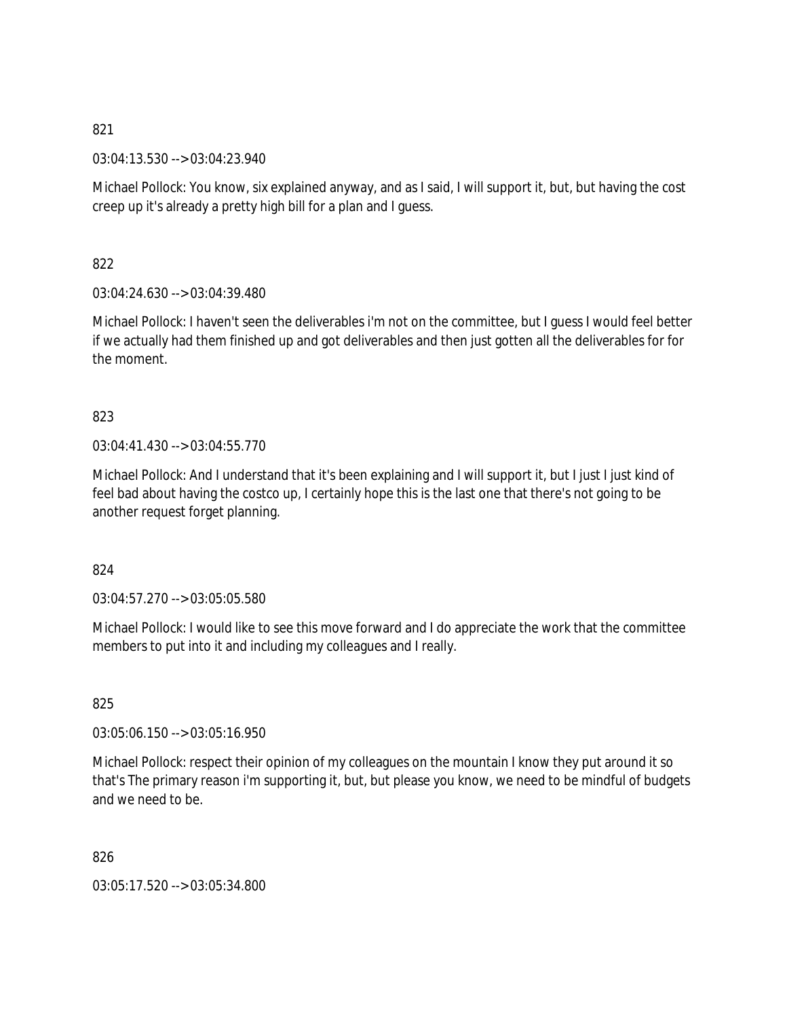03:04:13.530 --> 03:04:23.940

Michael Pollock: You know, six explained anyway, and as I said, I will support it, but, but having the cost creep up it's already a pretty high bill for a plan and I guess.

822

03:04:24.630 --> 03:04:39.480

Michael Pollock: I haven't seen the deliverables i'm not on the committee, but I guess I would feel better if we actually had them finished up and got deliverables and then just gotten all the deliverables for for the moment.

# 823

03:04:41.430 --> 03:04:55.770

Michael Pollock: And I understand that it's been explaining and I will support it, but I just I just kind of feel bad about having the costco up, I certainly hope this is the last one that there's not going to be another request forget planning.

824

03:04:57.270 --> 03:05:05.580

Michael Pollock: I would like to see this move forward and I do appreciate the work that the committee members to put into it and including my colleagues and I really.

825

03:05:06.150 --> 03:05:16.950

Michael Pollock: respect their opinion of my colleagues on the mountain I know they put around it so that's The primary reason i'm supporting it, but, but please you know, we need to be mindful of budgets and we need to be.

826

03:05:17.520 --> 03:05:34.800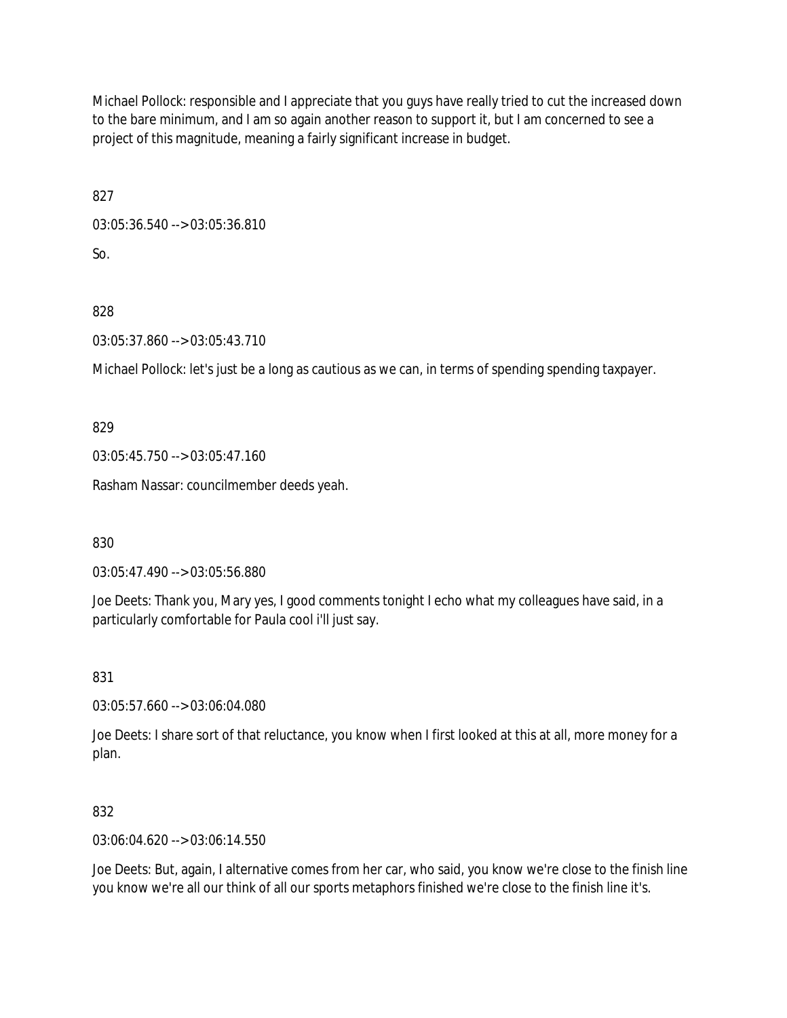Michael Pollock: responsible and I appreciate that you guys have really tried to cut the increased down to the bare minimum, and I am so again another reason to support it, but I am concerned to see a project of this magnitude, meaning a fairly significant increase in budget.

827

03:05:36.540 --> 03:05:36.810 So.

828

03:05:37.860 --> 03:05:43.710

Michael Pollock: let's just be a long as cautious as we can, in terms of spending spending taxpayer.

829

03:05:45.750 --> 03:05:47.160

Rasham Nassar: councilmember deeds yeah.

830

03:05:47.490 --> 03:05:56.880

Joe Deets: Thank you, Mary yes, I good comments tonight I echo what my colleagues have said, in a particularly comfortable for Paula cool i'll just say.

831

03:05:57.660 --> 03:06:04.080

Joe Deets: I share sort of that reluctance, you know when I first looked at this at all, more money for a plan.

832

03:06:04.620 --> 03:06:14.550

Joe Deets: But, again, I alternative comes from her car, who said, you know we're close to the finish line you know we're all our think of all our sports metaphors finished we're close to the finish line it's.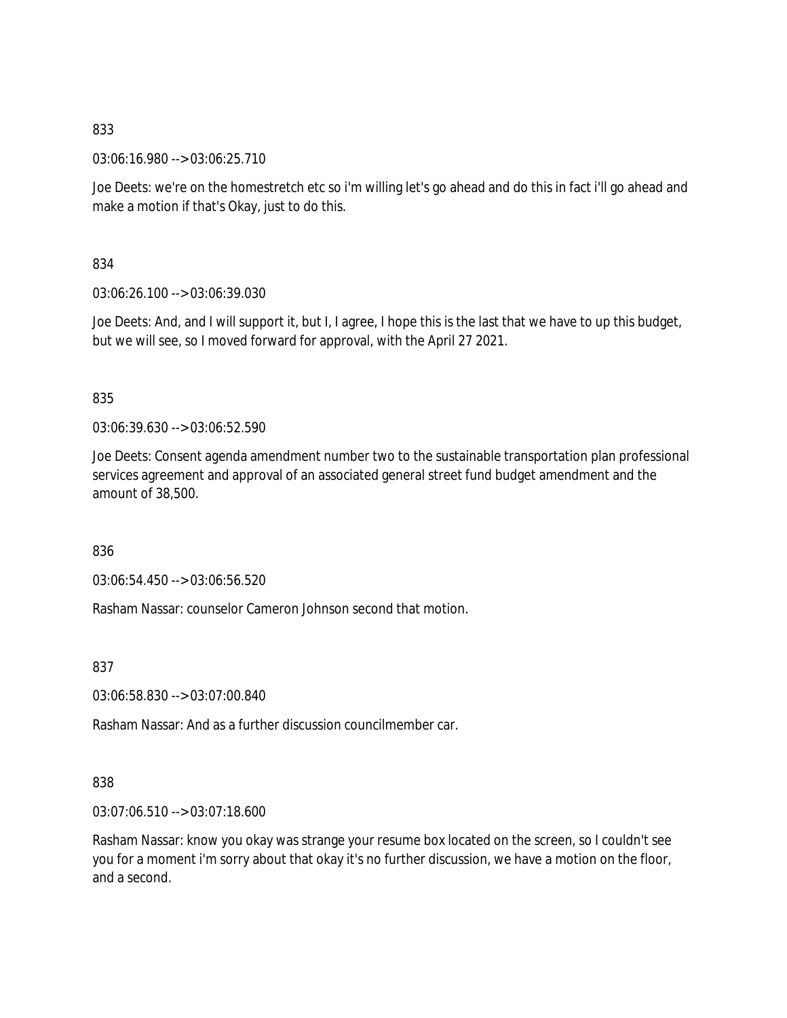03:06:16.980 --> 03:06:25.710

Joe Deets: we're on the homestretch etc so i'm willing let's go ahead and do this in fact i'll go ahead and make a motion if that's Okay, just to do this.

834

03:06:26.100 --> 03:06:39.030

Joe Deets: And, and I will support it, but I, I agree, I hope this is the last that we have to up this budget, but we will see, so I moved forward for approval, with the April 27 2021.

## 835

03:06:39.630 --> 03:06:52.590

Joe Deets: Consent agenda amendment number two to the sustainable transportation plan professional services agreement and approval of an associated general street fund budget amendment and the amount of 38,500.

836

03:06:54.450 --> 03:06:56.520

Rasham Nassar: counselor Cameron Johnson second that motion.

837

03:06:58.830 --> 03:07:00.840

Rasham Nassar: And as a further discussion councilmember car.

## 838

03:07:06.510 --> 03:07:18.600

Rasham Nassar: know you okay was strange your resume box located on the screen, so I couldn't see you for a moment i'm sorry about that okay it's no further discussion, we have a motion on the floor, and a second.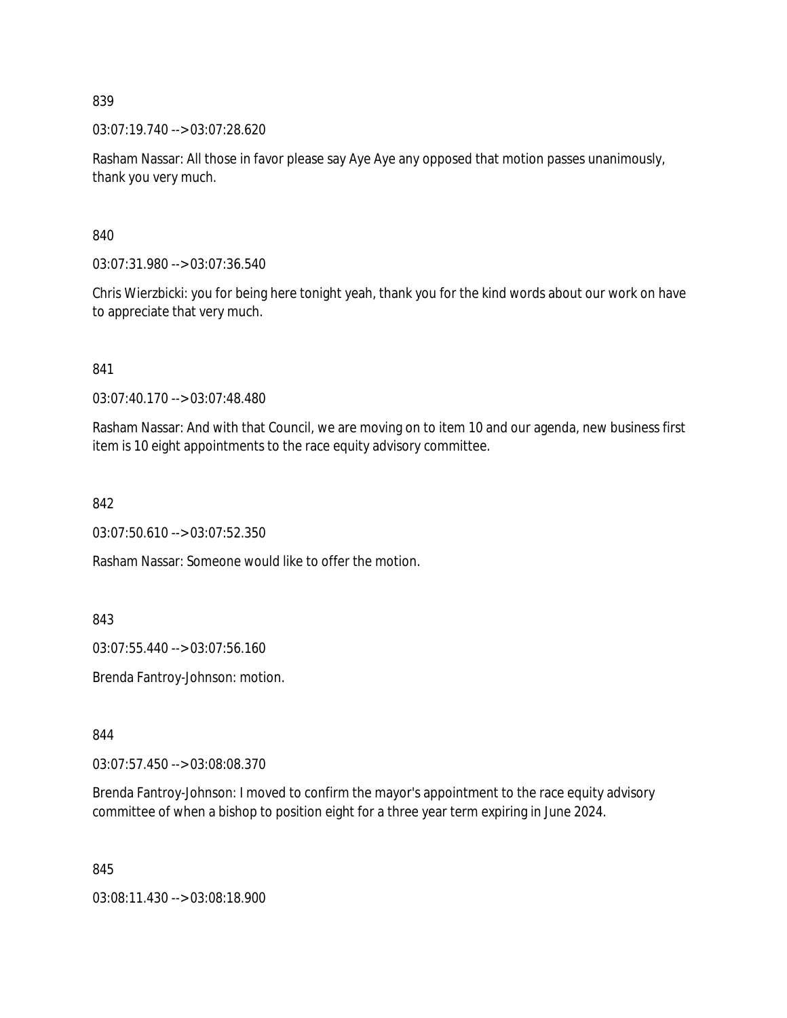03:07:19.740 --> 03:07:28.620

Rasham Nassar: All those in favor please say Aye Aye any opposed that motion passes unanimously, thank you very much.

840

03:07:31.980 --> 03:07:36.540

Chris Wierzbicki: you for being here tonight yeah, thank you for the kind words about our work on have to appreciate that very much.

841

03:07:40.170 --> 03:07:48.480

Rasham Nassar: And with that Council, we are moving on to item 10 and our agenda, new business first item is 10 eight appointments to the race equity advisory committee.

842

03:07:50.610 --> 03:07:52.350

Rasham Nassar: Someone would like to offer the motion.

843

03:07:55.440 --> 03:07:56.160

Brenda Fantroy-Johnson: motion.

844

03:07:57.450 --> 03:08:08.370

Brenda Fantroy-Johnson: I moved to confirm the mayor's appointment to the race equity advisory committee of when a bishop to position eight for a three year term expiring in June 2024.

845

03:08:11.430 --> 03:08:18.900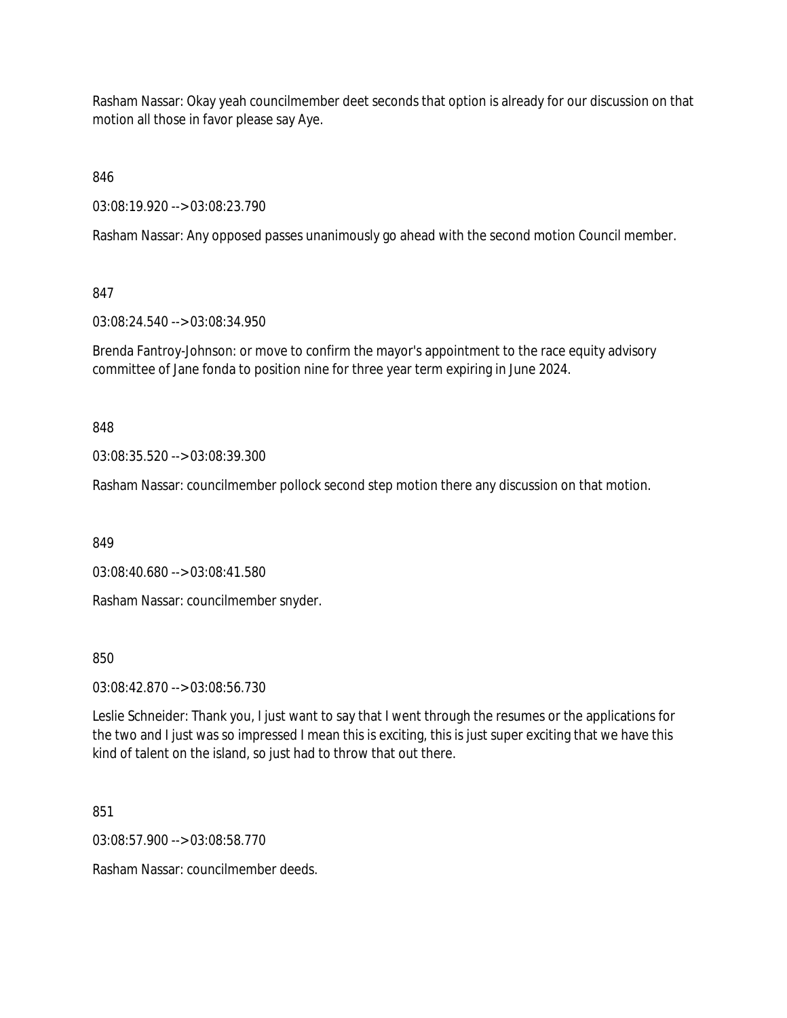Rasham Nassar: Okay yeah councilmember deet seconds that option is already for our discussion on that motion all those in favor please say Aye.

846

03:08:19.920 --> 03:08:23.790

Rasham Nassar: Any opposed passes unanimously go ahead with the second motion Council member.

847

03:08:24.540 --> 03:08:34.950

Brenda Fantroy-Johnson: or move to confirm the mayor's appointment to the race equity advisory committee of Jane fonda to position nine for three year term expiring in June 2024.

848

03:08:35.520 --> 03:08:39.300

Rasham Nassar: councilmember pollock second step motion there any discussion on that motion.

849

03:08:40.680 --> 03:08:41.580

Rasham Nassar: councilmember snyder.

850

03:08:42.870 --> 03:08:56.730

Leslie Schneider: Thank you, I just want to say that I went through the resumes or the applications for the two and I just was so impressed I mean this is exciting, this is just super exciting that we have this kind of talent on the island, so just had to throw that out there.

851

03:08:57.900 --> 03:08:58.770

Rasham Nassar: councilmember deeds.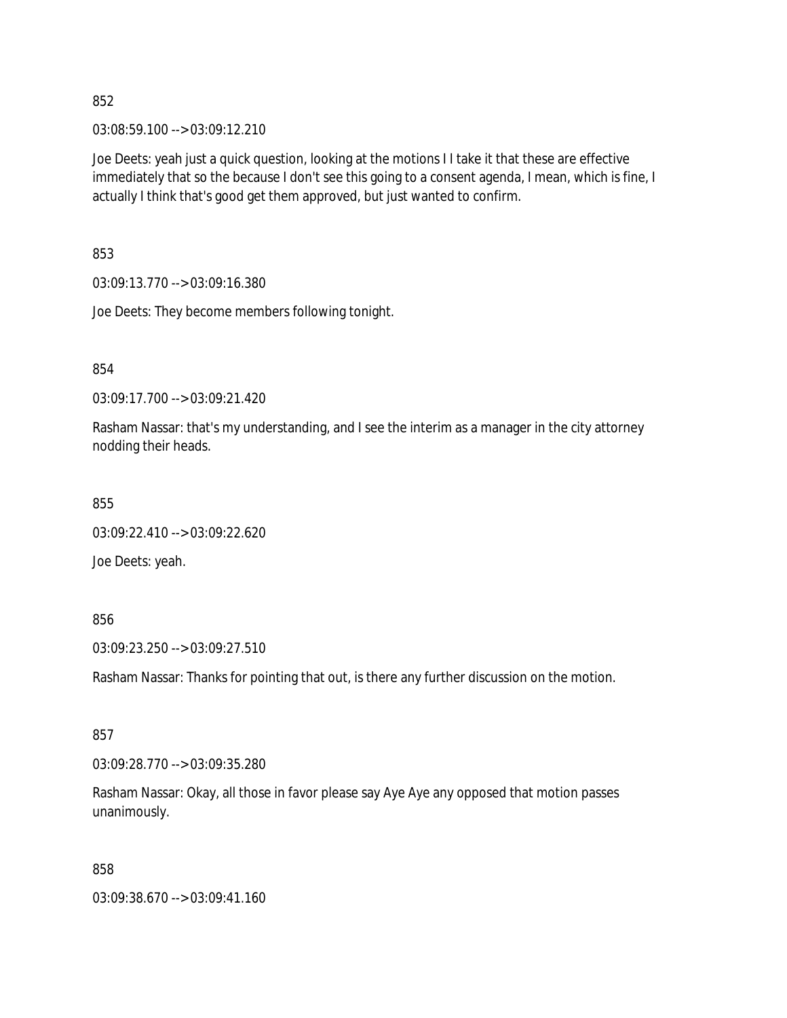03:08:59.100 --> 03:09:12.210

Joe Deets: yeah just a quick question, looking at the motions I I take it that these are effective immediately that so the because I don't see this going to a consent agenda, I mean, which is fine, I actually I think that's good get them approved, but just wanted to confirm.

853

03:09:13.770 --> 03:09:16.380

Joe Deets: They become members following tonight.

854

03:09:17.700 --> 03:09:21.420

Rasham Nassar: that's my understanding, and I see the interim as a manager in the city attorney nodding their heads.

855

03:09:22.410 --> 03:09:22.620

Joe Deets: yeah.

856

03:09:23.250 --> 03:09:27.510

Rasham Nassar: Thanks for pointing that out, is there any further discussion on the motion.

857

03:09:28.770 --> 03:09:35.280

Rasham Nassar: Okay, all those in favor please say Aye Aye any opposed that motion passes unanimously.

858

03:09:38.670 --> 03:09:41.160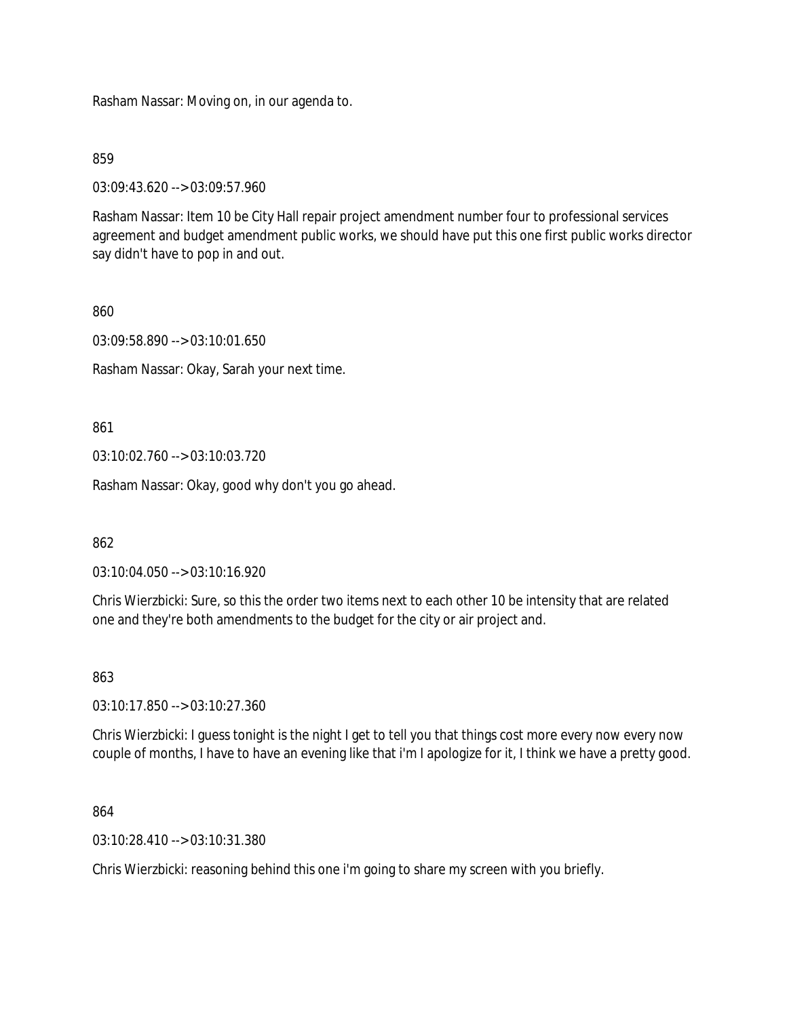Rasham Nassar: Moving on, in our agenda to.

859

03:09:43.620 --> 03:09:57.960

Rasham Nassar: Item 10 be City Hall repair project amendment number four to professional services agreement and budget amendment public works, we should have put this one first public works director say didn't have to pop in and out.

860

03:09:58.890 --> 03:10:01.650

Rasham Nassar: Okay, Sarah your next time.

861

03:10:02.760 --> 03:10:03.720

Rasham Nassar: Okay, good why don't you go ahead.

862

03:10:04.050 --> 03:10:16.920

Chris Wierzbicki: Sure, so this the order two items next to each other 10 be intensity that are related one and they're both amendments to the budget for the city or air project and.

863

03:10:17.850 --> 03:10:27.360

Chris Wierzbicki: I guess tonight is the night I get to tell you that things cost more every now every now couple of months, I have to have an evening like that i'm I apologize for it, I think we have a pretty good.

864

03:10:28.410 --> 03:10:31.380

Chris Wierzbicki: reasoning behind this one i'm going to share my screen with you briefly.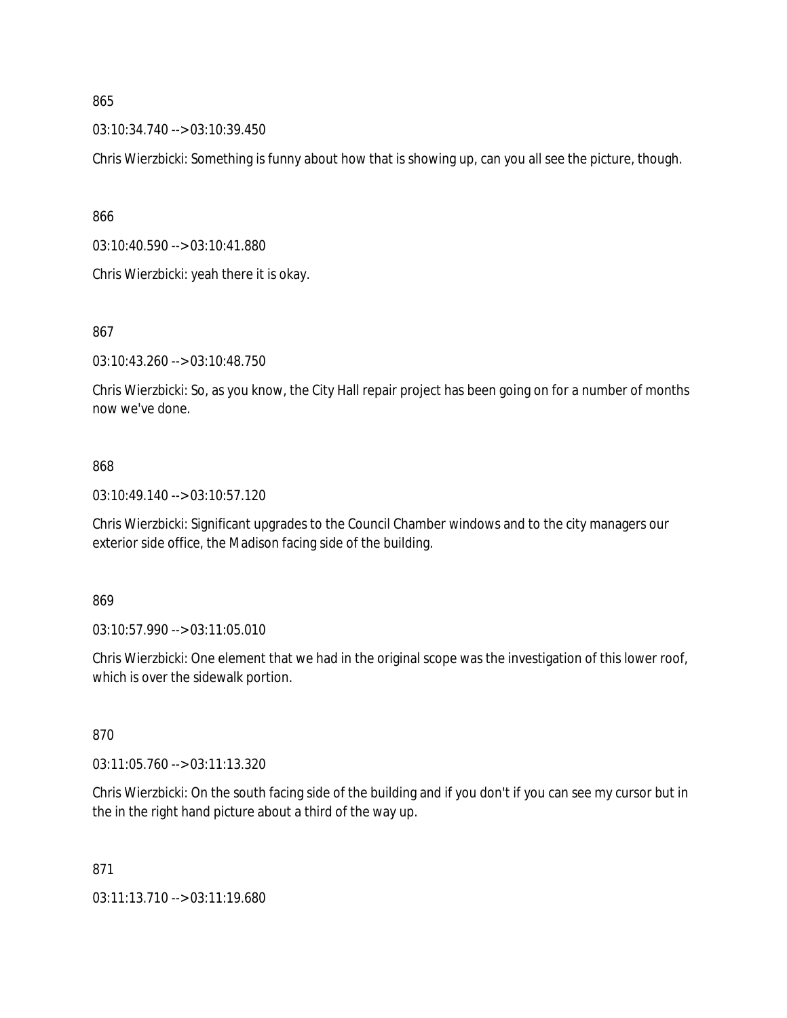03:10:34.740 --> 03:10:39.450

Chris Wierzbicki: Something is funny about how that is showing up, can you all see the picture, though.

866

03:10:40.590 --> 03:10:41.880

Chris Wierzbicki: yeah there it is okay.

867

03:10:43.260 --> 03:10:48.750

Chris Wierzbicki: So, as you know, the City Hall repair project has been going on for a number of months now we've done.

### 868

03:10:49.140 --> 03:10:57.120

Chris Wierzbicki: Significant upgrades to the Council Chamber windows and to the city managers our exterior side office, the Madison facing side of the building.

869

03:10:57.990 --> 03:11:05.010

Chris Wierzbicki: One element that we had in the original scope was the investigation of this lower roof, which is over the sidewalk portion.

870

03:11:05.760 --> 03:11:13.320

Chris Wierzbicki: On the south facing side of the building and if you don't if you can see my cursor but in the in the right hand picture about a third of the way up.

871

03:11:13.710 --> 03:11:19.680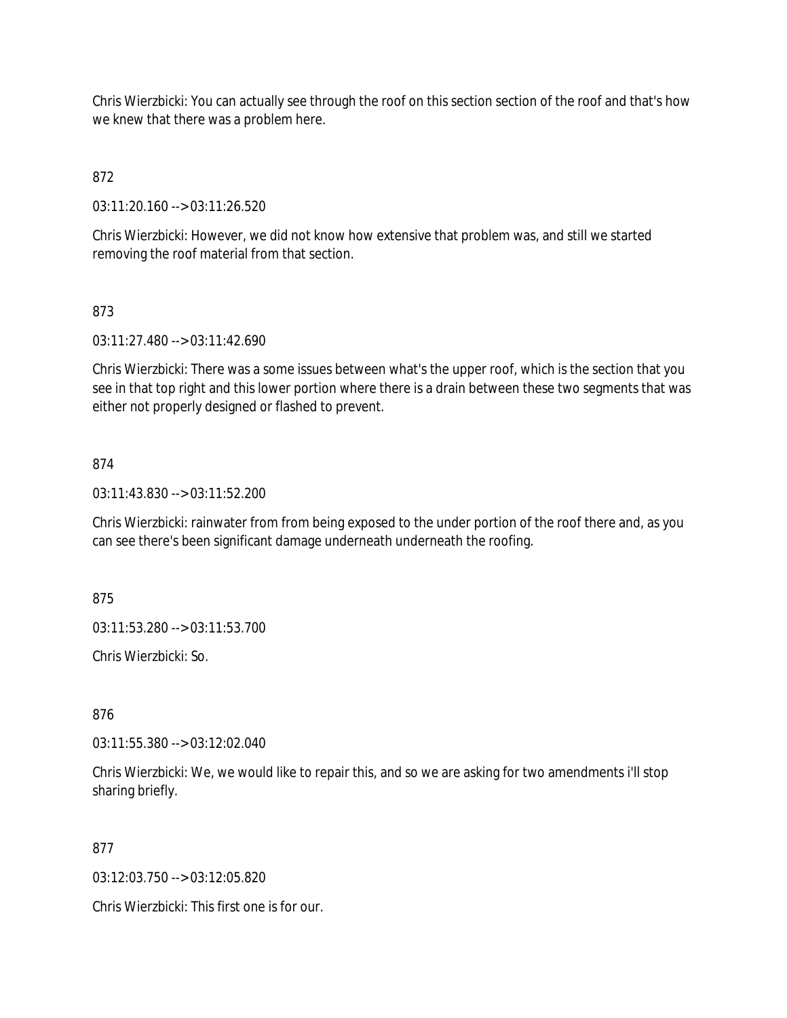Chris Wierzbicki: You can actually see through the roof on this section section of the roof and that's how we knew that there was a problem here.

# 872

03:11:20.160 --> 03:11:26.520

Chris Wierzbicki: However, we did not know how extensive that problem was, and still we started removing the roof material from that section.

## 873

03:11:27.480 --> 03:11:42.690

Chris Wierzbicki: There was a some issues between what's the upper roof, which is the section that you see in that top right and this lower portion where there is a drain between these two segments that was either not properly designed or flashed to prevent.

## 874

03:11:43.830 --> 03:11:52.200

Chris Wierzbicki: rainwater from from being exposed to the under portion of the roof there and, as you can see there's been significant damage underneath underneath the roofing.

875

03:11:53.280 --> 03:11:53.700

Chris Wierzbicki: So.

876

03:11:55.380 --> 03:12:02.040

Chris Wierzbicki: We, we would like to repair this, and so we are asking for two amendments i'll stop sharing briefly.

### 877

03:12:03.750 --> 03:12:05.820

Chris Wierzbicki: This first one is for our.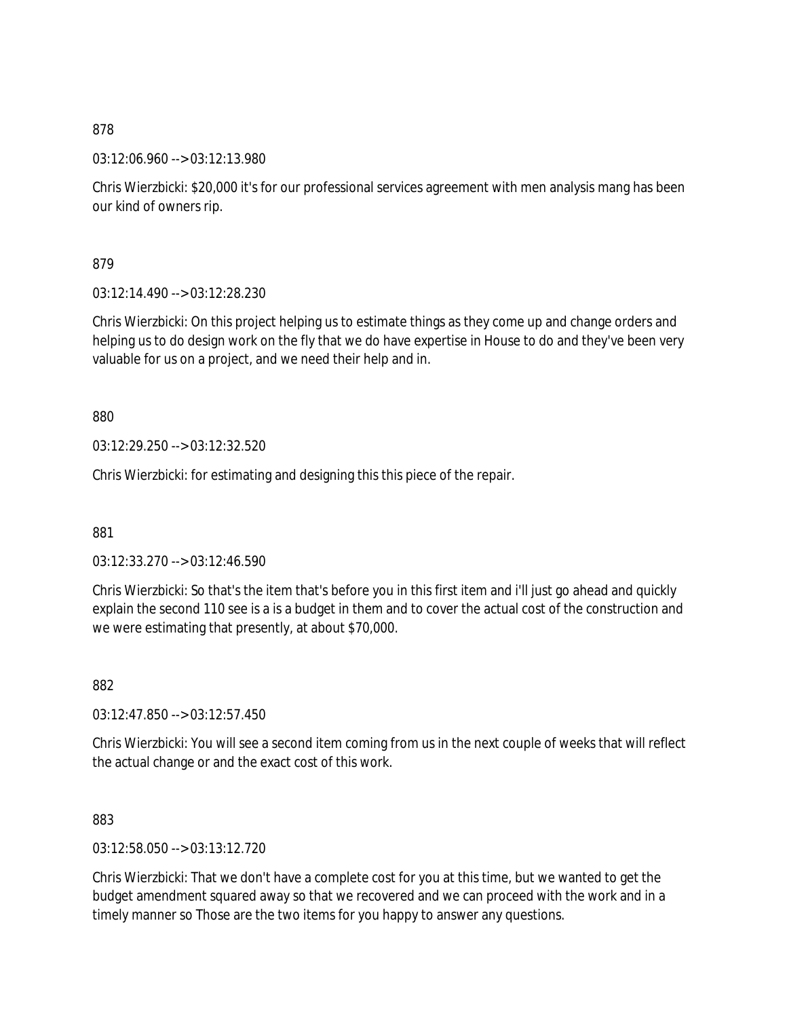03:12:06.960 --> 03:12:13.980

Chris Wierzbicki: \$20,000 it's for our professional services agreement with men analysis mang has been our kind of owners rip.

879

03:12:14.490 --> 03:12:28.230

Chris Wierzbicki: On this project helping us to estimate things as they come up and change orders and helping us to do design work on the fly that we do have expertise in House to do and they've been very valuable for us on a project, and we need their help and in.

880

03:12:29.250 --> 03:12:32.520

Chris Wierzbicki: for estimating and designing this this piece of the repair.

881

03:12:33.270 --> 03:12:46.590

Chris Wierzbicki: So that's the item that's before you in this first item and i'll just go ahead and quickly explain the second 110 see is a is a budget in them and to cover the actual cost of the construction and we were estimating that presently, at about \$70,000.

882

03:12:47.850 --> 03:12:57.450

Chris Wierzbicki: You will see a second item coming from us in the next couple of weeks that will reflect the actual change or and the exact cost of this work.

883

03:12:58.050 --> 03:13:12.720

Chris Wierzbicki: That we don't have a complete cost for you at this time, but we wanted to get the budget amendment squared away so that we recovered and we can proceed with the work and in a timely manner so Those are the two items for you happy to answer any questions.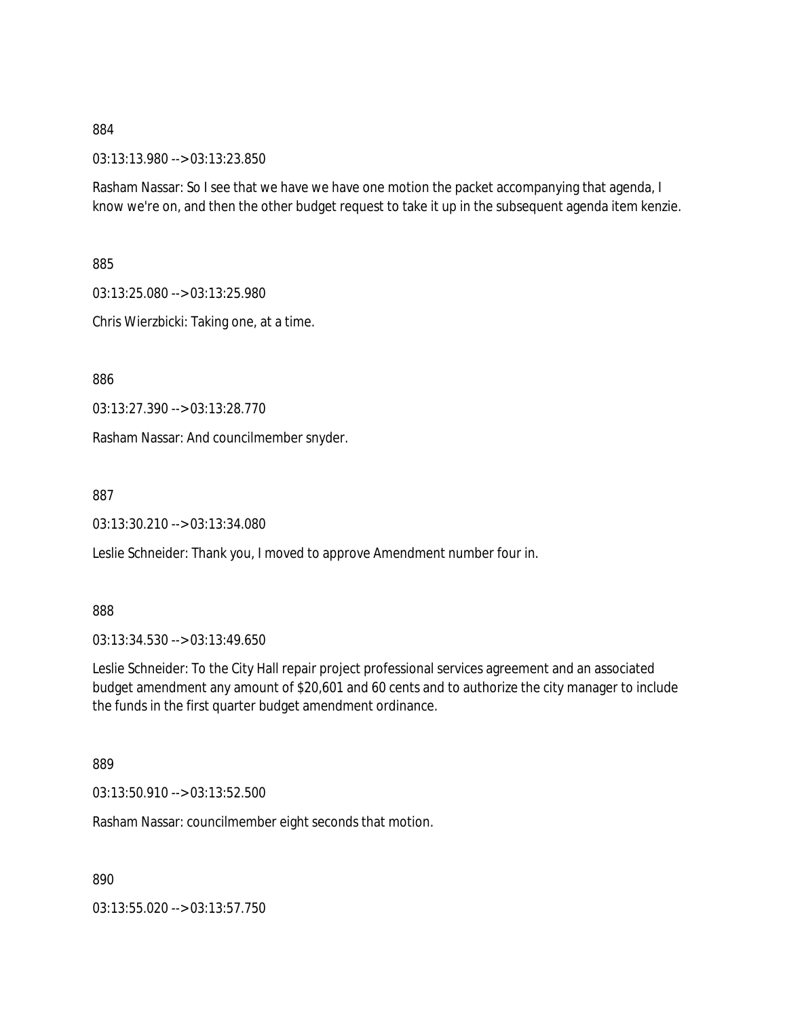03:13:13.980 --> 03:13:23.850

Rasham Nassar: So I see that we have we have one motion the packet accompanying that agenda, I know we're on, and then the other budget request to take it up in the subsequent agenda item kenzie.

885

03:13:25.080 --> 03:13:25.980

Chris Wierzbicki: Taking one, at a time.

886

03:13:27.390 --> 03:13:28.770

Rasham Nassar: And councilmember snyder.

887

03:13:30.210 --> 03:13:34.080

Leslie Schneider: Thank you, I moved to approve Amendment number four in.

888

03:13:34.530 --> 03:13:49.650

Leslie Schneider: To the City Hall repair project professional services agreement and an associated budget amendment any amount of \$20,601 and 60 cents and to authorize the city manager to include the funds in the first quarter budget amendment ordinance.

889

03:13:50.910 --> 03:13:52.500

Rasham Nassar: councilmember eight seconds that motion.

890

03:13:55.020 --> 03:13:57.750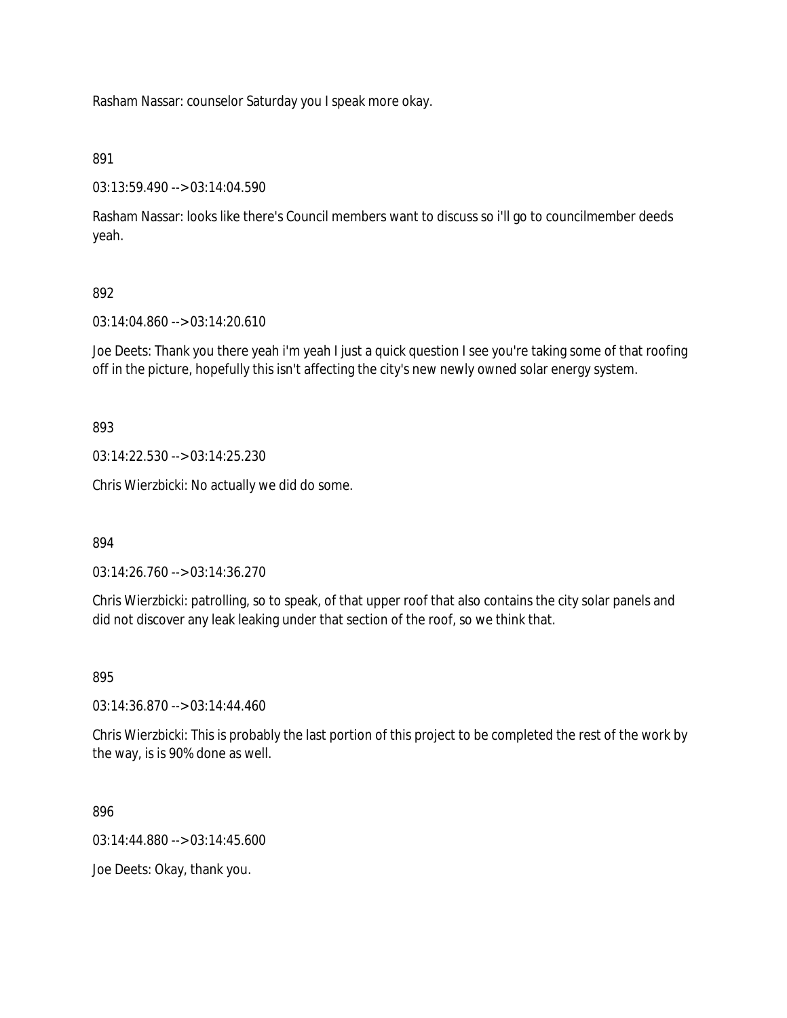Rasham Nassar: counselor Saturday you I speak more okay.

## 891

03:13:59.490 --> 03:14:04.590

Rasham Nassar: looks like there's Council members want to discuss so i'll go to councilmember deeds yeah.

## 892

03:14:04.860 --> 03:14:20.610

Joe Deets: Thank you there yeah i'm yeah I just a quick question I see you're taking some of that roofing off in the picture, hopefully this isn't affecting the city's new newly owned solar energy system.

893

03:14:22.530 --> 03:14:25.230

Chris Wierzbicki: No actually we did do some.

894

03:14:26.760 --> 03:14:36.270

Chris Wierzbicki: patrolling, so to speak, of that upper roof that also contains the city solar panels and did not discover any leak leaking under that section of the roof, so we think that.

895

03:14:36.870 --> 03:14:44.460

Chris Wierzbicki: This is probably the last portion of this project to be completed the rest of the work by the way, is is 90% done as well.

896

03:14:44.880 --> 03:14:45.600

Joe Deets: Okay, thank you.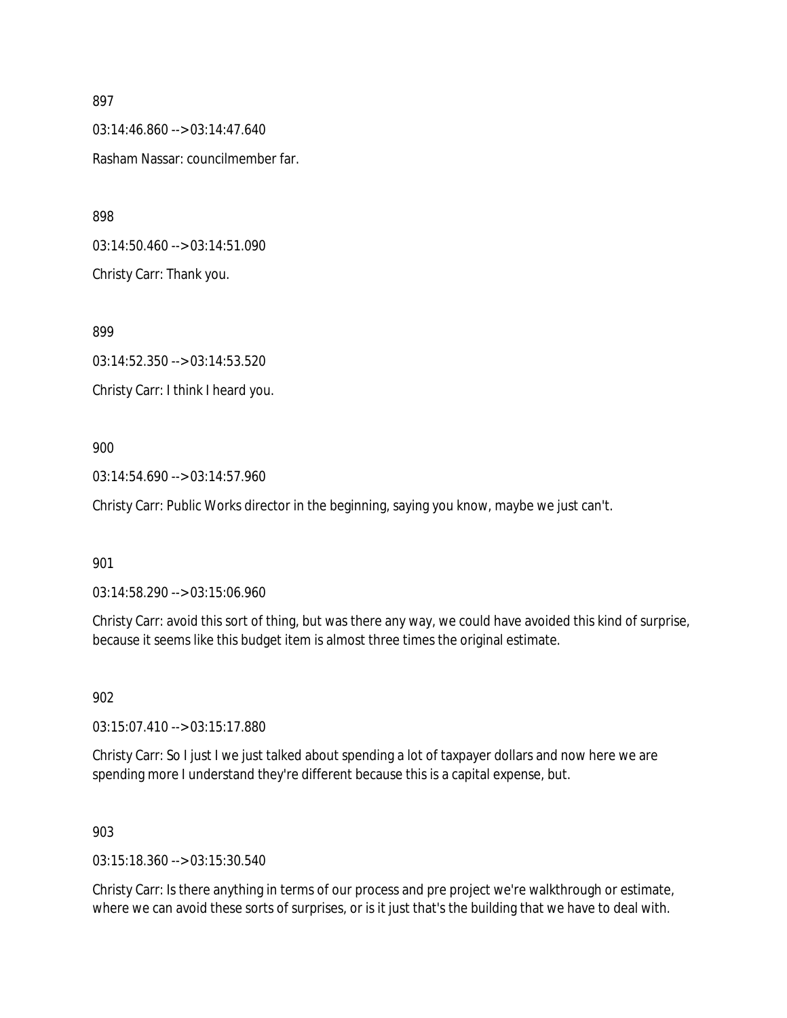03:14:46.860 --> 03:14:47.640 Rasham Nassar: councilmember far.

898

03:14:50.460 --> 03:14:51.090 Christy Carr: Thank you.

899

03:14:52.350 --> 03:14:53.520 Christy Carr: I think I heard you.

## 900

03:14:54.690 --> 03:14:57.960

Christy Carr: Public Works director in the beginning, saying you know, maybe we just can't.

## 901

03:14:58.290 --> 03:15:06.960

Christy Carr: avoid this sort of thing, but was there any way, we could have avoided this kind of surprise, because it seems like this budget item is almost three times the original estimate.

902

03:15:07.410 --> 03:15:17.880

Christy Carr: So I just I we just talked about spending a lot of taxpayer dollars and now here we are spending more I understand they're different because this is a capital expense, but.

### 903

03:15:18.360 --> 03:15:30.540

Christy Carr: Is there anything in terms of our process and pre project we're walkthrough or estimate, where we can avoid these sorts of surprises, or is it just that's the building that we have to deal with.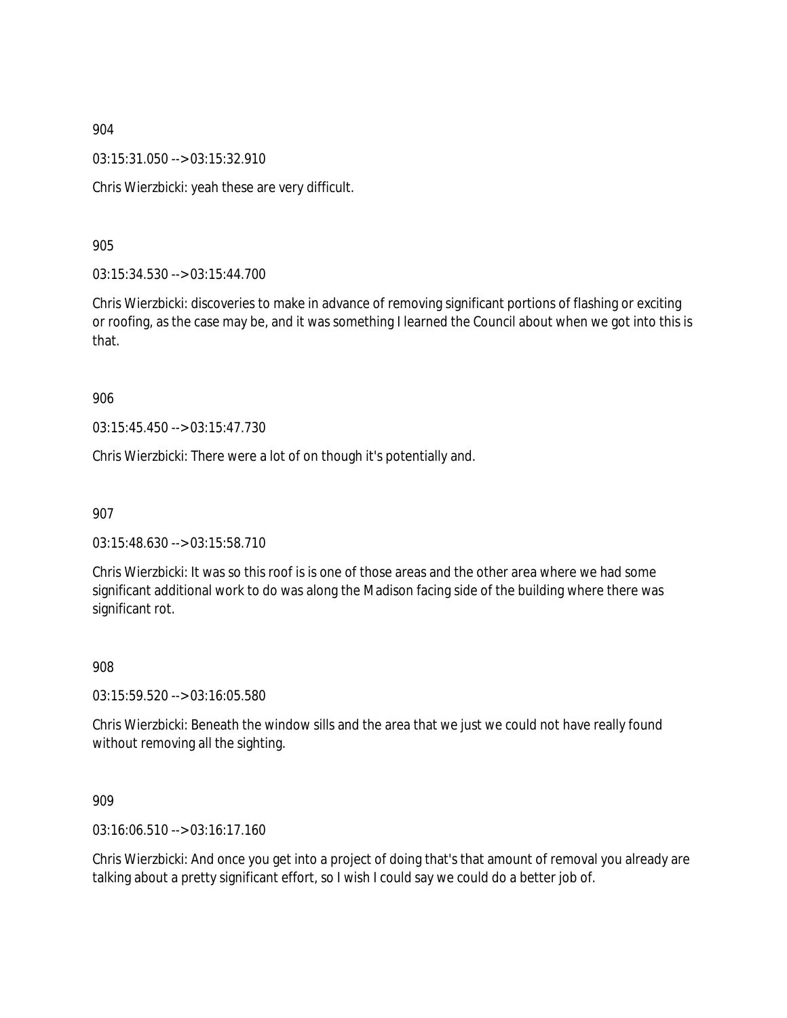03:15:31.050 --> 03:15:32.910

Chris Wierzbicki: yeah these are very difficult.

905

03:15:34.530 --> 03:15:44.700

Chris Wierzbicki: discoveries to make in advance of removing significant portions of flashing or exciting or roofing, as the case may be, and it was something I learned the Council about when we got into this is that.

906

03:15:45.450 --> 03:15:47.730

Chris Wierzbicki: There were a lot of on though it's potentially and.

907

03:15:48.630 --> 03:15:58.710

Chris Wierzbicki: It was so this roof is is one of those areas and the other area where we had some significant additional work to do was along the Madison facing side of the building where there was significant rot.

908

03:15:59.520 --> 03:16:05.580

Chris Wierzbicki: Beneath the window sills and the area that we just we could not have really found without removing all the sighting.

909

03:16:06.510 --> 03:16:17.160

Chris Wierzbicki: And once you get into a project of doing that's that amount of removal you already are talking about a pretty significant effort, so I wish I could say we could do a better job of.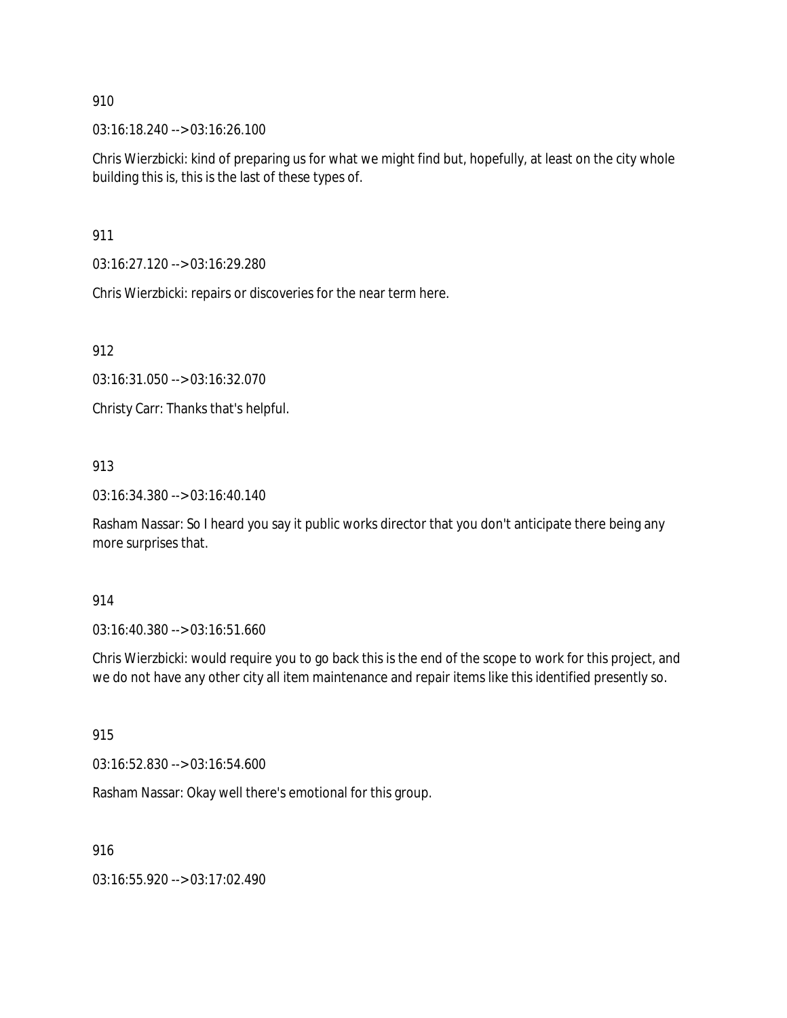03:16:18.240 --> 03:16:26.100

Chris Wierzbicki: kind of preparing us for what we might find but, hopefully, at least on the city whole building this is, this is the last of these types of.

911

03:16:27.120 --> 03:16:29.280

Chris Wierzbicki: repairs or discoveries for the near term here.

912

03:16:31.050 --> 03:16:32.070

Christy Carr: Thanks that's helpful.

## 913

03:16:34.380 --> 03:16:40.140

Rasham Nassar: So I heard you say it public works director that you don't anticipate there being any more surprises that.

914

03:16:40.380 --> 03:16:51.660

Chris Wierzbicki: would require you to go back this is the end of the scope to work for this project, and we do not have any other city all item maintenance and repair items like this identified presently so.

915

03:16:52.830 --> 03:16:54.600

Rasham Nassar: Okay well there's emotional for this group.

916

03:16:55.920 --> 03:17:02.490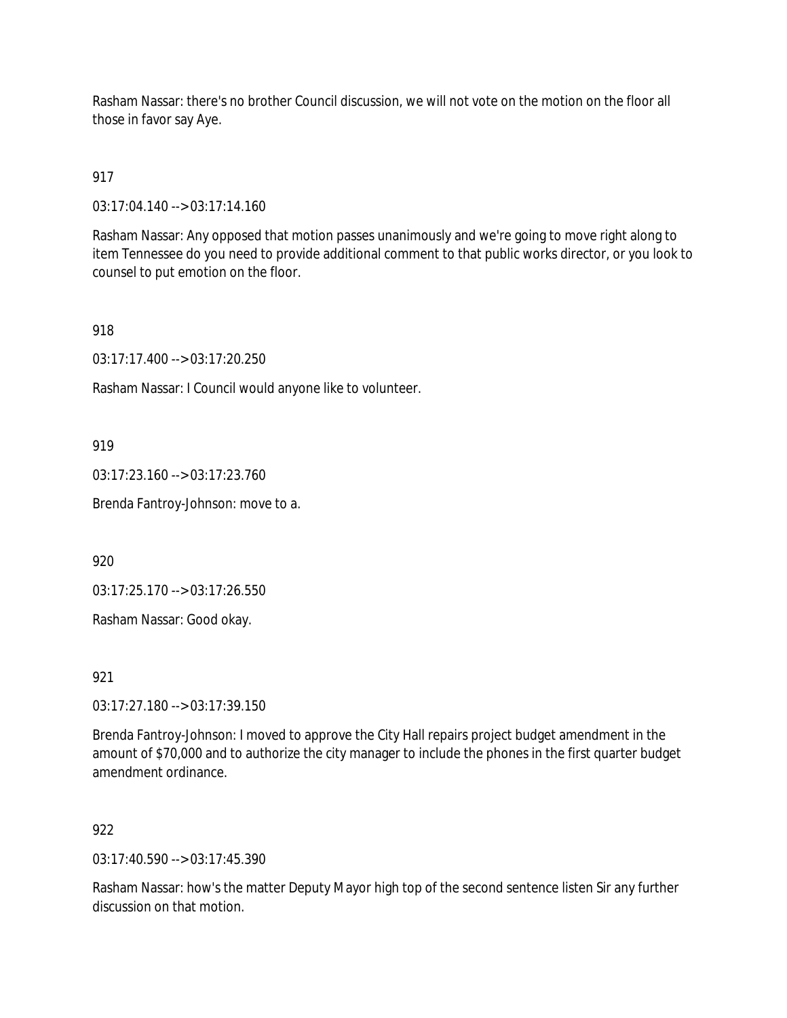Rasham Nassar: there's no brother Council discussion, we will not vote on the motion on the floor all those in favor say Aye.

# 917

03:17:04.140 --> 03:17:14.160

Rasham Nassar: Any opposed that motion passes unanimously and we're going to move right along to item Tennessee do you need to provide additional comment to that public works director, or you look to counsel to put emotion on the floor.

## 918

03:17:17.400 --> 03:17:20.250

Rasham Nassar: I Council would anyone like to volunteer.

## 919

03:17:23.160 --> 03:17:23.760

Brenda Fantroy-Johnson: move to a.

920

03:17:25.170 --> 03:17:26.550

Rasham Nassar: Good okay.

921

03:17:27.180 --> 03:17:39.150

Brenda Fantroy-Johnson: I moved to approve the City Hall repairs project budget amendment in the amount of \$70,000 and to authorize the city manager to include the phones in the first quarter budget amendment ordinance.

# 922

03:17:40.590 --> 03:17:45.390

Rasham Nassar: how's the matter Deputy Mayor high top of the second sentence listen Sir any further discussion on that motion.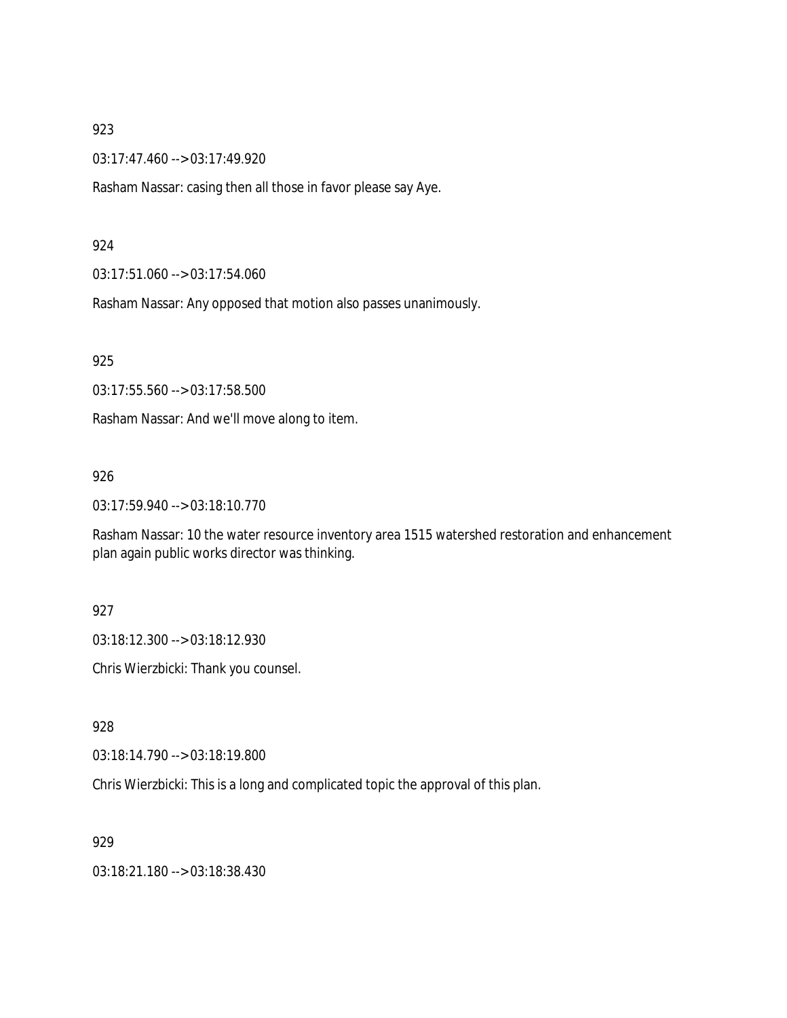03:17:47.460 --> 03:17:49.920

Rasham Nassar: casing then all those in favor please say Aye.

#### 924

03:17:51.060 --> 03:17:54.060

Rasham Nassar: Any opposed that motion also passes unanimously.

925

03:17:55.560 --> 03:17:58.500

Rasham Nassar: And we'll move along to item.

#### 926

03:17:59.940 --> 03:18:10.770

Rasham Nassar: 10 the water resource inventory area 1515 watershed restoration and enhancement plan again public works director was thinking.

#### 927

03:18:12.300 --> 03:18:12.930

Chris Wierzbicki: Thank you counsel.

928

03:18:14.790 --> 03:18:19.800

Chris Wierzbicki: This is a long and complicated topic the approval of this plan.

929

03:18:21.180 --> 03:18:38.430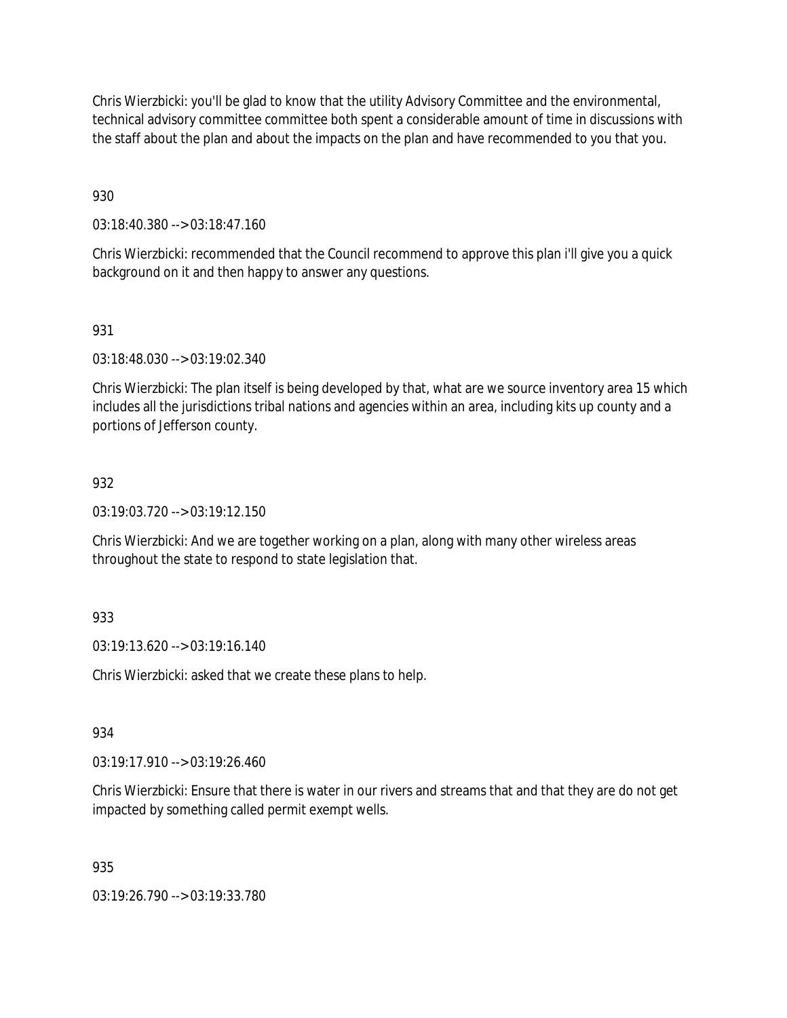Chris Wierzbicki: you'll be glad to know that the utility Advisory Committee and the environmental, technical advisory committee committee both spent a considerable amount of time in discussions with the staff about the plan and about the impacts on the plan and have recommended to you that you.

930

03:18:40.380 --> 03:18:47.160

Chris Wierzbicki: recommended that the Council recommend to approve this plan i'll give you a quick background on it and then happy to answer any questions.

931

03:18:48.030 --> 03:19:02.340

Chris Wierzbicki: The plan itself is being developed by that, what are we source inventory area 15 which includes all the jurisdictions tribal nations and agencies within an area, including kits up county and a portions of Jefferson county.

### 932

03:19:03.720 --> 03:19:12.150

Chris Wierzbicki: And we are together working on a plan, along with many other wireless areas throughout the state to respond to state legislation that.

### 933

03:19:13.620 --> 03:19:16.140

Chris Wierzbicki: asked that we create these plans to help.

934

03:19:17.910 --> 03:19:26.460

Chris Wierzbicki: Ensure that there is water in our rivers and streams that and that they are do not get impacted by something called permit exempt wells.

935

03:19:26.790 --> 03:19:33.780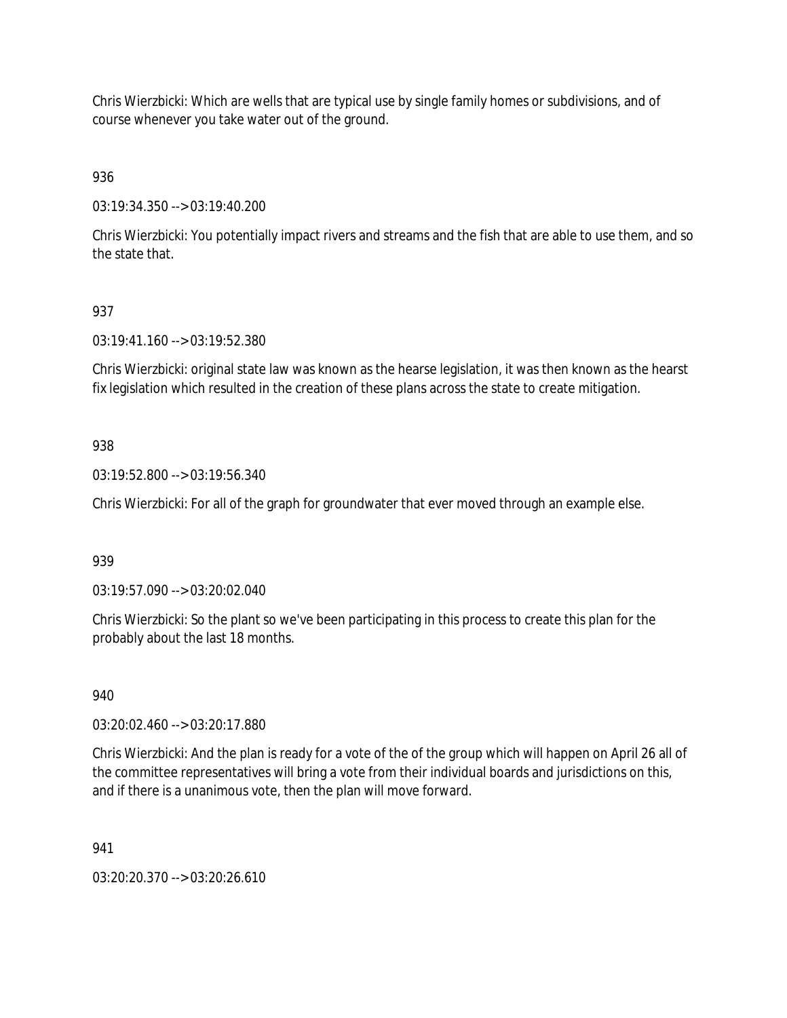Chris Wierzbicki: Which are wells that are typical use by single family homes or subdivisions, and of course whenever you take water out of the ground.

936

03:19:34.350 --> 03:19:40.200

Chris Wierzbicki: You potentially impact rivers and streams and the fish that are able to use them, and so the state that.

## 937

03:19:41.160 --> 03:19:52.380

Chris Wierzbicki: original state law was known as the hearse legislation, it was then known as the hearst fix legislation which resulted in the creation of these plans across the state to create mitigation.

## 938

03:19:52.800 --> 03:19:56.340

Chris Wierzbicki: For all of the graph for groundwater that ever moved through an example else.

### 939

03:19:57.090 --> 03:20:02.040

Chris Wierzbicki: So the plant so we've been participating in this process to create this plan for the probably about the last 18 months.

### 940

03:20:02.460 --> 03:20:17.880

Chris Wierzbicki: And the plan is ready for a vote of the of the group which will happen on April 26 all of the committee representatives will bring a vote from their individual boards and jurisdictions on this, and if there is a unanimous vote, then the plan will move forward.

### 941

03:20:20.370 --> 03:20:26.610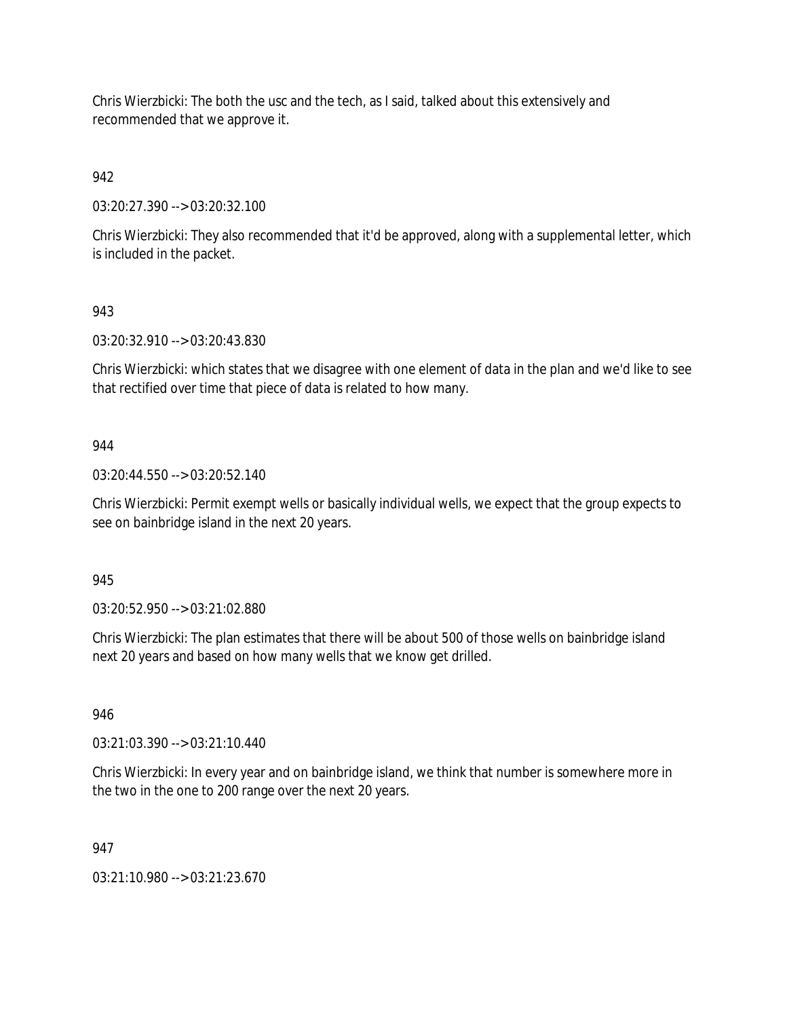Chris Wierzbicki: The both the usc and the tech, as I said, talked about this extensively and recommended that we approve it.

942

03:20:27.390 --> 03:20:32.100

Chris Wierzbicki: They also recommended that it'd be approved, along with a supplemental letter, which is included in the packet.

## 943

03:20:32.910 --> 03:20:43.830

Chris Wierzbicki: which states that we disagree with one element of data in the plan and we'd like to see that rectified over time that piece of data is related to how many.

## 944

03:20:44.550 --> 03:20:52.140

Chris Wierzbicki: Permit exempt wells or basically individual wells, we expect that the group expects to see on bainbridge island in the next 20 years.

945

03:20:52.950 --> 03:21:02.880

Chris Wierzbicki: The plan estimates that there will be about 500 of those wells on bainbridge island next 20 years and based on how many wells that we know get drilled.

### 946

03:21:03.390 --> 03:21:10.440

Chris Wierzbicki: In every year and on bainbridge island, we think that number is somewhere more in the two in the one to 200 range over the next 20 years.

### 947

03:21:10.980 --> 03:21:23.670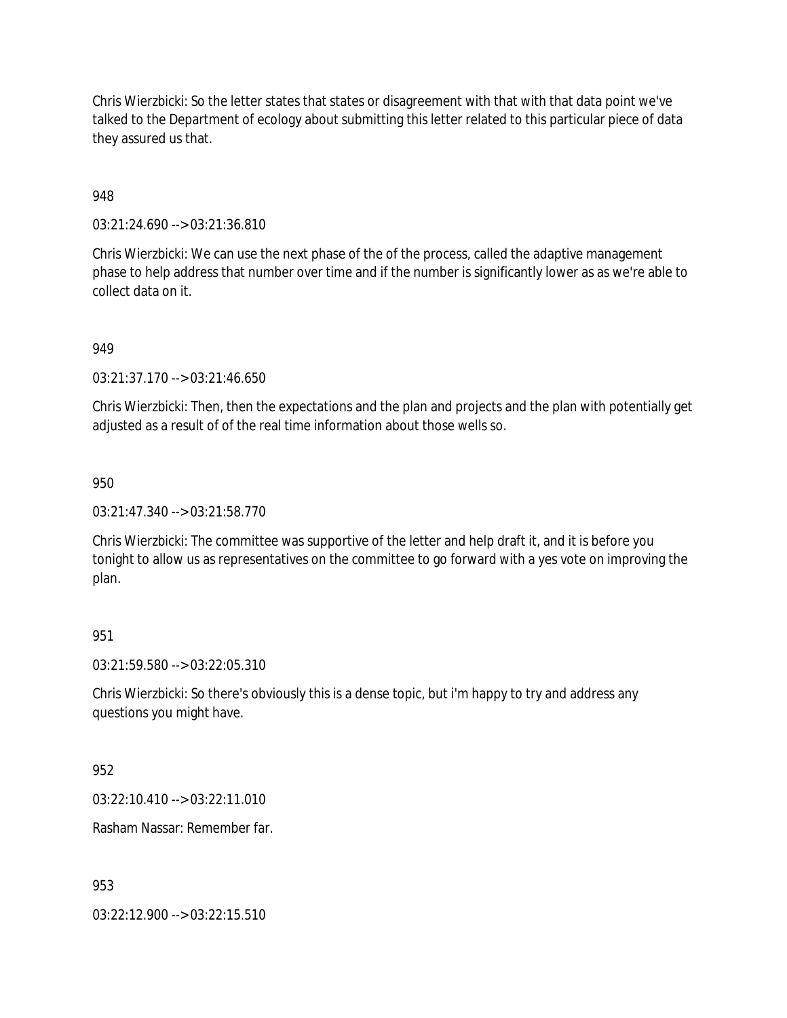Chris Wierzbicki: So the letter states that states or disagreement with that with that data point we've talked to the Department of ecology about submitting this letter related to this particular piece of data they assured us that.

## 948

03:21:24.690 --> 03:21:36.810

Chris Wierzbicki: We can use the next phase of the of the process, called the adaptive management phase to help address that number over time and if the number is significantly lower as as we're able to collect data on it.

## 949

03:21:37.170 --> 03:21:46.650

Chris Wierzbicki: Then, then the expectations and the plan and projects and the plan with potentially get adjusted as a result of of the real time information about those wells so.

### 950

03:21:47.340 --> 03:21:58.770

Chris Wierzbicki: The committee was supportive of the letter and help draft it, and it is before you tonight to allow us as representatives on the committee to go forward with a yes vote on improving the plan.

# 951

03:21:59.580 --> 03:22:05.310

Chris Wierzbicki: So there's obviously this is a dense topic, but i'm happy to try and address any questions you might have.

952

03:22:10.410 --> 03:22:11.010

Rasham Nassar: Remember far.

953

03:22:12.900 --> 03:22:15.510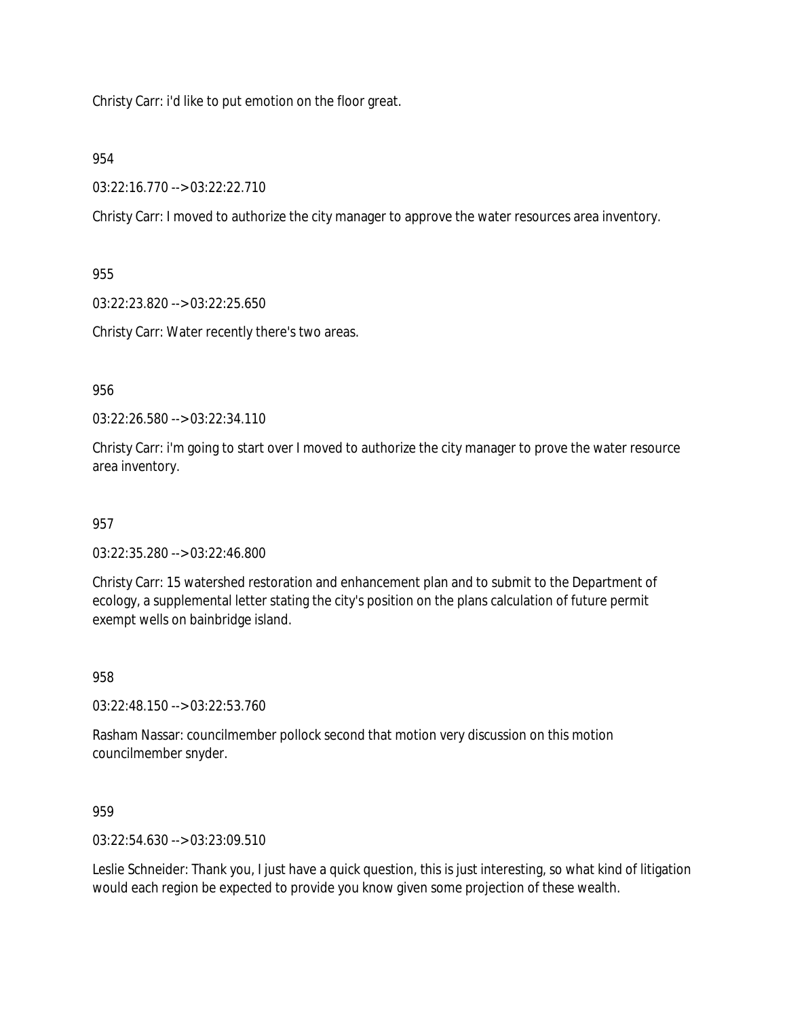Christy Carr: i'd like to put emotion on the floor great.

### 954

03:22:16.770 --> 03:22:22.710

Christy Carr: I moved to authorize the city manager to approve the water resources area inventory.

955

03:22:23.820 --> 03:22:25.650

Christy Carr: Water recently there's two areas.

956

03:22:26.580 --> 03:22:34.110

Christy Carr: i'm going to start over I moved to authorize the city manager to prove the water resource area inventory.

### 957

03:22:35.280 --> 03:22:46.800

Christy Carr: 15 watershed restoration and enhancement plan and to submit to the Department of ecology, a supplemental letter stating the city's position on the plans calculation of future permit exempt wells on bainbridge island.

958

03:22:48.150 --> 03:22:53.760

Rasham Nassar: councilmember pollock second that motion very discussion on this motion councilmember snyder.

959

03:22:54.630 --> 03:23:09.510

Leslie Schneider: Thank you, I just have a quick question, this is just interesting, so what kind of litigation would each region be expected to provide you know given some projection of these wealth.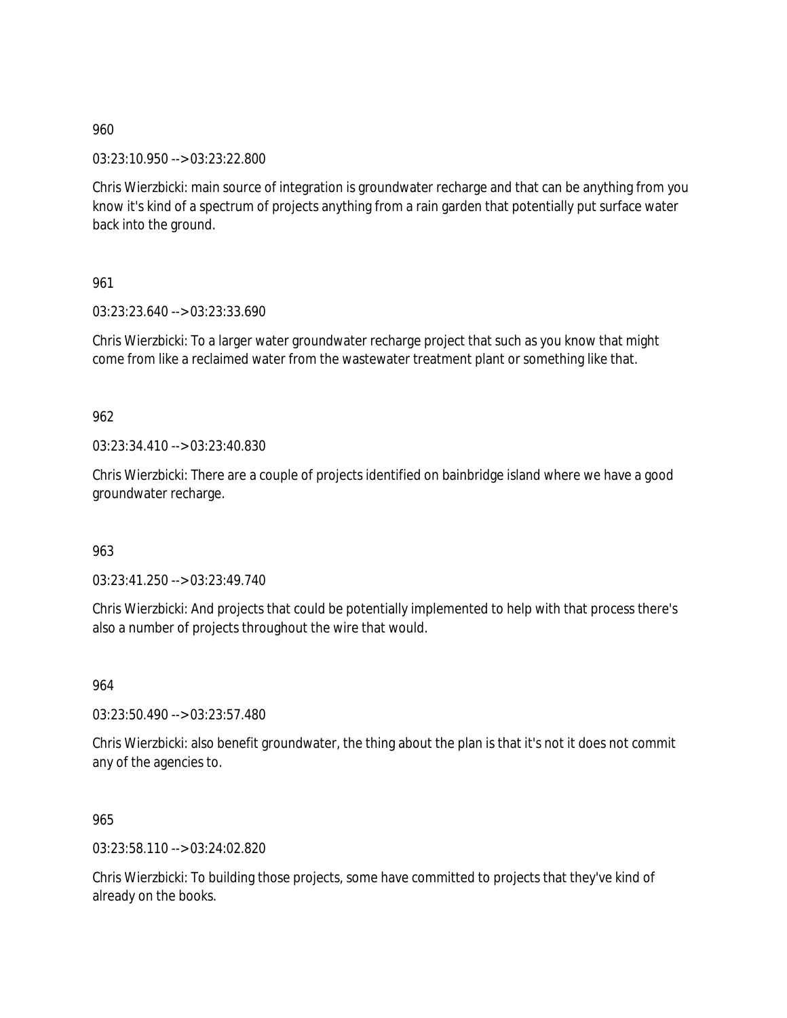03:23:10.950 --> 03:23:22.800

Chris Wierzbicki: main source of integration is groundwater recharge and that can be anything from you know it's kind of a spectrum of projects anything from a rain garden that potentially put surface water back into the ground.

961

03:23:23.640 --> 03:23:33.690

Chris Wierzbicki: To a larger water groundwater recharge project that such as you know that might come from like a reclaimed water from the wastewater treatment plant or something like that.

962

03:23:34.410 --> 03:23:40.830

Chris Wierzbicki: There are a couple of projects identified on bainbridge island where we have a good groundwater recharge.

963

03:23:41.250 --> 03:23:49.740

Chris Wierzbicki: And projects that could be potentially implemented to help with that process there's also a number of projects throughout the wire that would.

964

03:23:50.490 --> 03:23:57.480

Chris Wierzbicki: also benefit groundwater, the thing about the plan is that it's not it does not commit any of the agencies to.

965

03:23:58.110 --> 03:24:02.820

Chris Wierzbicki: To building those projects, some have committed to projects that they've kind of already on the books.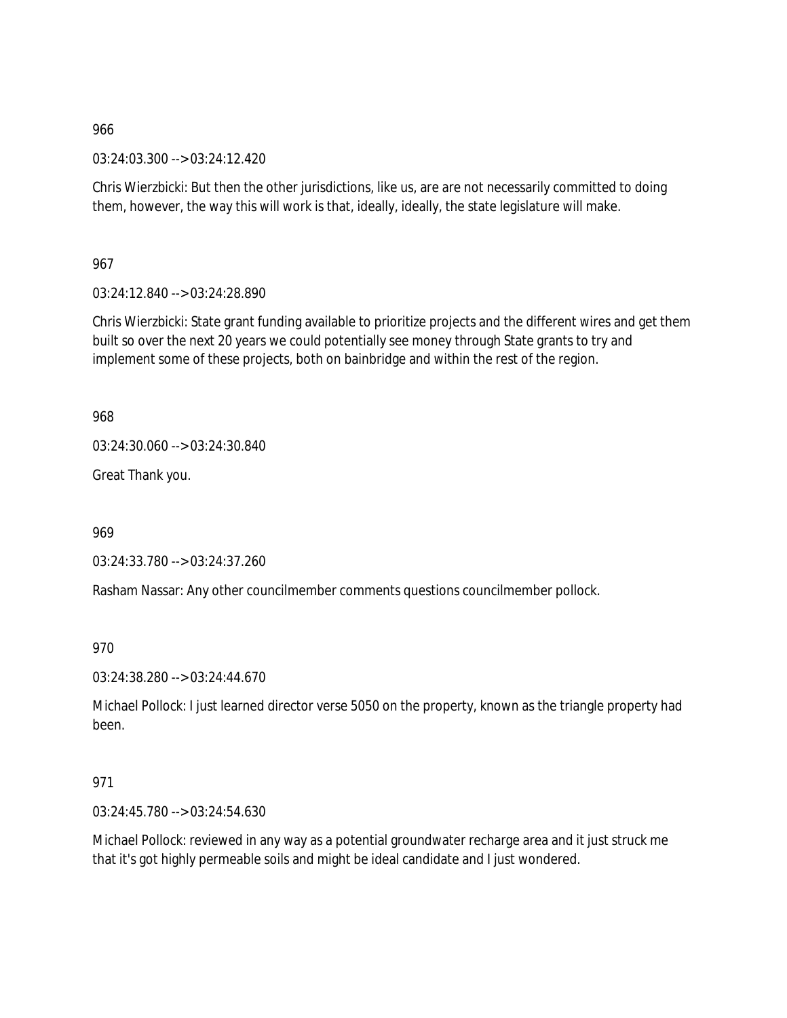03:24:03.300 --> 03:24:12.420

Chris Wierzbicki: But then the other jurisdictions, like us, are are not necessarily committed to doing them, however, the way this will work is that, ideally, ideally, the state legislature will make.

967

03:24:12.840 --> 03:24:28.890

Chris Wierzbicki: State grant funding available to prioritize projects and the different wires and get them built so over the next 20 years we could potentially see money through State grants to try and implement some of these projects, both on bainbridge and within the rest of the region.

968

03:24:30.060 --> 03:24:30.840

Great Thank you.

969

03:24:33.780 --> 03:24:37.260

Rasham Nassar: Any other councilmember comments questions councilmember pollock.

970

03:24:38.280 --> 03:24:44.670

Michael Pollock: I just learned director verse 5050 on the property, known as the triangle property had been.

### 971

03:24:45.780 --> 03:24:54.630

Michael Pollock: reviewed in any way as a potential groundwater recharge area and it just struck me that it's got highly permeable soils and might be ideal candidate and I just wondered.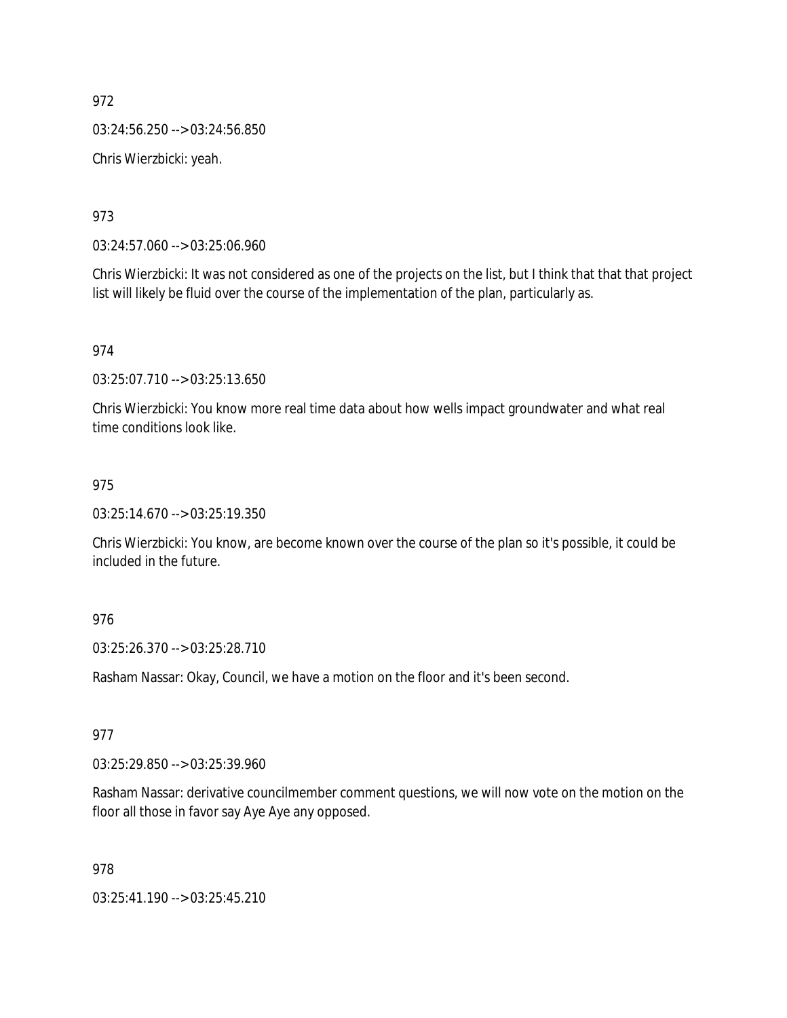03:24:56.250 --> 03:24:56.850

Chris Wierzbicki: yeah.

973

03:24:57.060 --> 03:25:06.960

Chris Wierzbicki: It was not considered as one of the projects on the list, but I think that that that project list will likely be fluid over the course of the implementation of the plan, particularly as.

974

03:25:07.710 --> 03:25:13.650

Chris Wierzbicki: You know more real time data about how wells impact groundwater and what real time conditions look like.

### 975

03:25:14.670 --> 03:25:19.350

Chris Wierzbicki: You know, are become known over the course of the plan so it's possible, it could be included in the future.

### 976

03:25:26.370 --> 03:25:28.710

Rasham Nassar: Okay, Council, we have a motion on the floor and it's been second.

## 977

03:25:29.850 --> 03:25:39.960

Rasham Nassar: derivative councilmember comment questions, we will now vote on the motion on the floor all those in favor say Aye Aye any opposed.

### 978

03:25:41.190 --> 03:25:45.210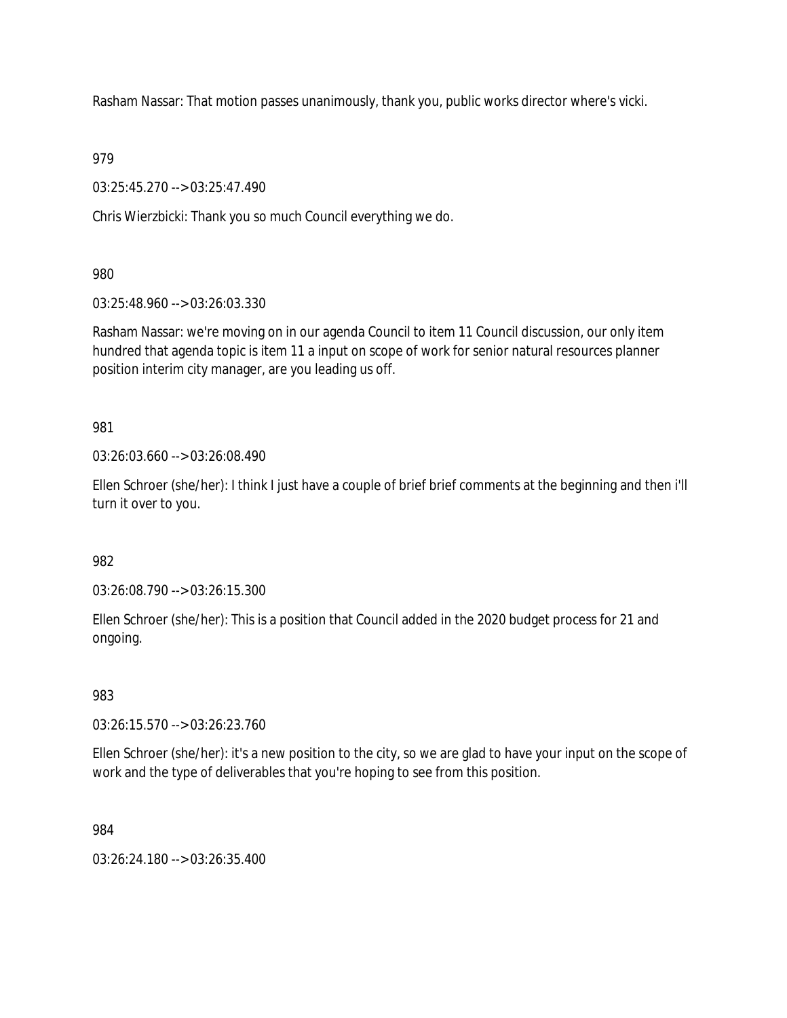Rasham Nassar: That motion passes unanimously, thank you, public works director where's vicki.

979

03:25:45.270 --> 03:25:47.490

Chris Wierzbicki: Thank you so much Council everything we do.

980

03:25:48.960 --> 03:26:03.330

Rasham Nassar: we're moving on in our agenda Council to item 11 Council discussion, our only item hundred that agenda topic is item 11 a input on scope of work for senior natural resources planner position interim city manager, are you leading us off.

981

03:26:03.660 --> 03:26:08.490

Ellen Schroer (she/her): I think I just have a couple of brief brief comments at the beginning and then i'll turn it over to you.

982

03:26:08.790 --> 03:26:15.300

Ellen Schroer (she/her): This is a position that Council added in the 2020 budget process for 21 and ongoing.

983

03:26:15.570 --> 03:26:23.760

Ellen Schroer (she/her): it's a new position to the city, so we are glad to have your input on the scope of work and the type of deliverables that you're hoping to see from this position.

984

03:26:24.180 --> 03:26:35.400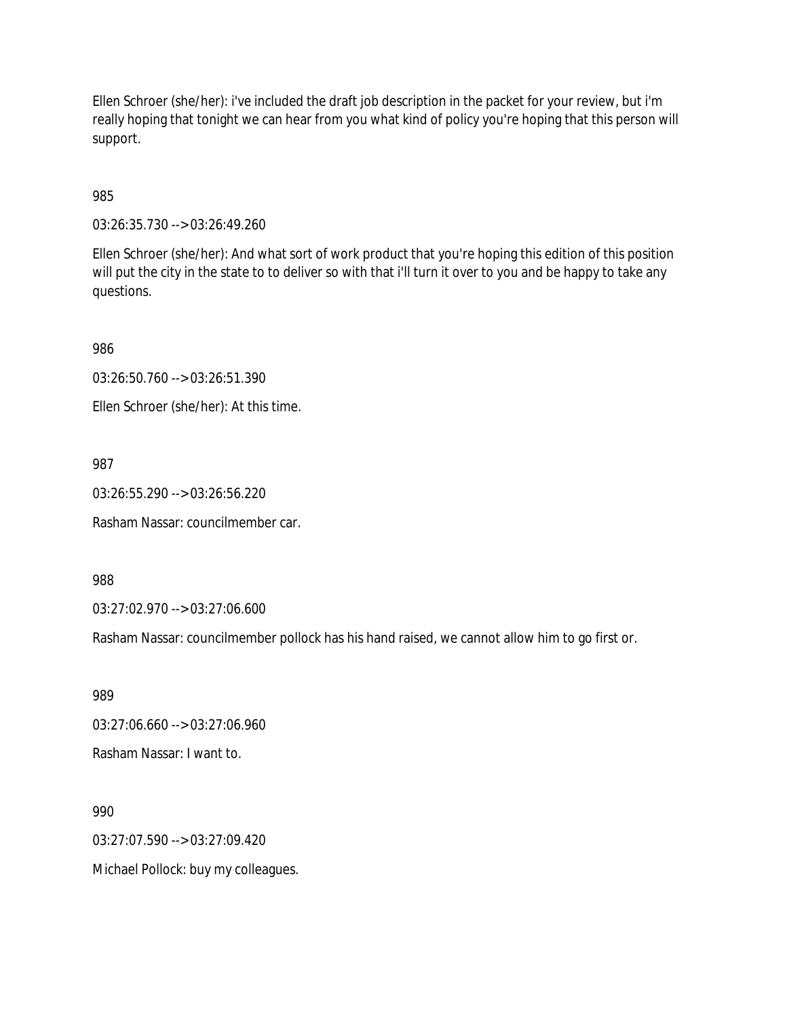Ellen Schroer (she/her): i've included the draft job description in the packet for your review, but i'm really hoping that tonight we can hear from you what kind of policy you're hoping that this person will support.

985

03:26:35.730 --> 03:26:49.260

Ellen Schroer (she/her): And what sort of work product that you're hoping this edition of this position will put the city in the state to to deliver so with that i'll turn it over to you and be happy to take any questions.

986

03:26:50.760 --> 03:26:51.390

Ellen Schroer (she/her): At this time.

987

03:26:55.290 --> 03:26:56.220

Rasham Nassar: councilmember car.

988

03:27:02.970 --> 03:27:06.600

Rasham Nassar: councilmember pollock has his hand raised, we cannot allow him to go first or.

989

03:27:06.660 --> 03:27:06.960

Rasham Nassar: I want to.

990

03:27:07.590 --> 03:27:09.420

Michael Pollock: buy my colleagues.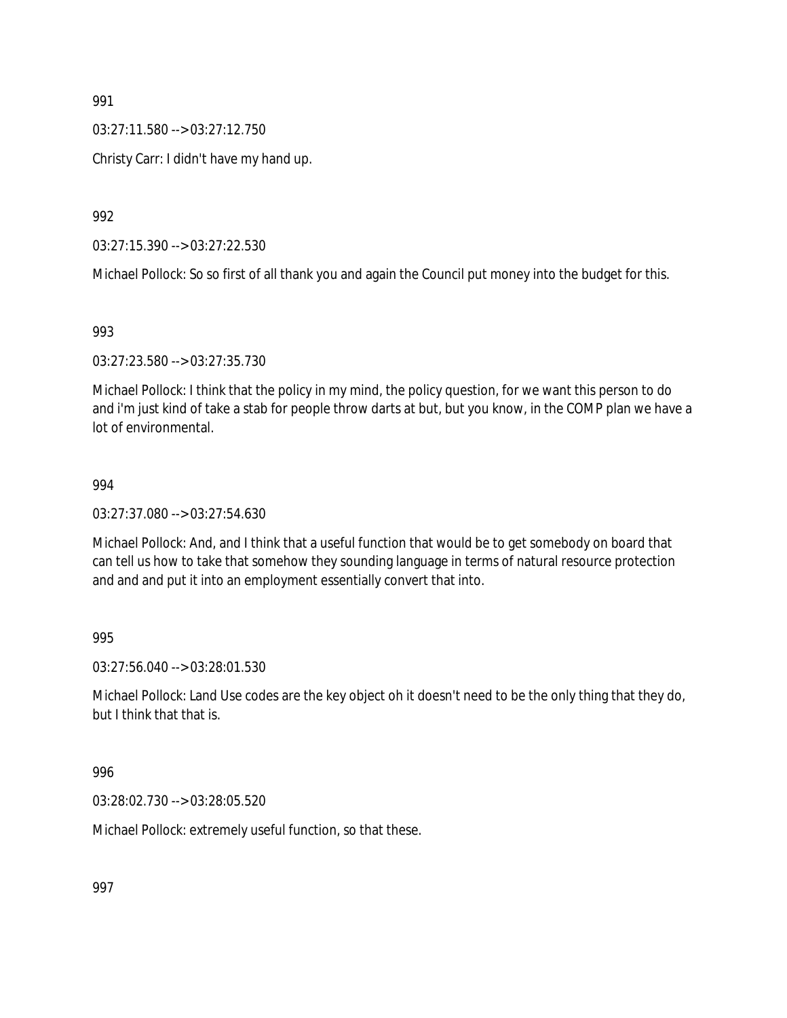03:27:11.580 --> 03:27:12.750

Christy Carr: I didn't have my hand up.

992

03:27:15.390 --> 03:27:22.530

Michael Pollock: So so first of all thank you and again the Council put money into the budget for this.

993

03:27:23.580 --> 03:27:35.730

Michael Pollock: I think that the policy in my mind, the policy question, for we want this person to do and i'm just kind of take a stab for people throw darts at but, but you know, in the COMP plan we have a lot of environmental.

#### 994

03:27:37.080 --> 03:27:54.630

Michael Pollock: And, and I think that a useful function that would be to get somebody on board that can tell us how to take that somehow they sounding language in terms of natural resource protection and and and put it into an employment essentially convert that into.

995

03:27:56.040 --> 03:28:01.530

Michael Pollock: Land Use codes are the key object oh it doesn't need to be the only thing that they do, but I think that that is.

996

03:28:02.730 --> 03:28:05.520

Michael Pollock: extremely useful function, so that these.

997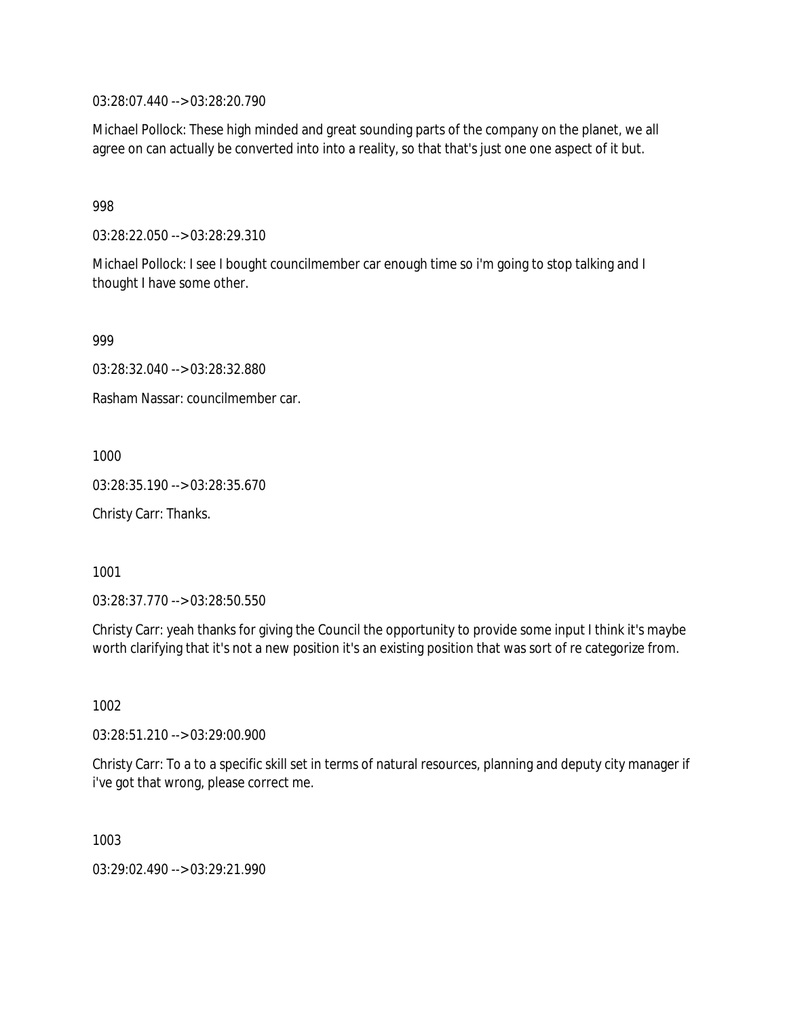03:28:07.440 --> 03:28:20.790

Michael Pollock: These high minded and great sounding parts of the company on the planet, we all agree on can actually be converted into into a reality, so that that's just one one aspect of it but.

998

03:28:22.050 --> 03:28:29.310

Michael Pollock: I see I bought councilmember car enough time so i'm going to stop talking and I thought I have some other.

999

03:28:32.040 --> 03:28:32.880

Rasham Nassar: councilmember car.

1000

03:28:35.190 --> 03:28:35.670

Christy Carr: Thanks.

1001

03:28:37.770 --> 03:28:50.550

Christy Carr: yeah thanks for giving the Council the opportunity to provide some input I think it's maybe worth clarifying that it's not a new position it's an existing position that was sort of re categorize from.

1002

03:28:51.210 --> 03:29:00.900

Christy Carr: To a to a specific skill set in terms of natural resources, planning and deputy city manager if i've got that wrong, please correct me.

1003

03:29:02.490 --> 03:29:21.990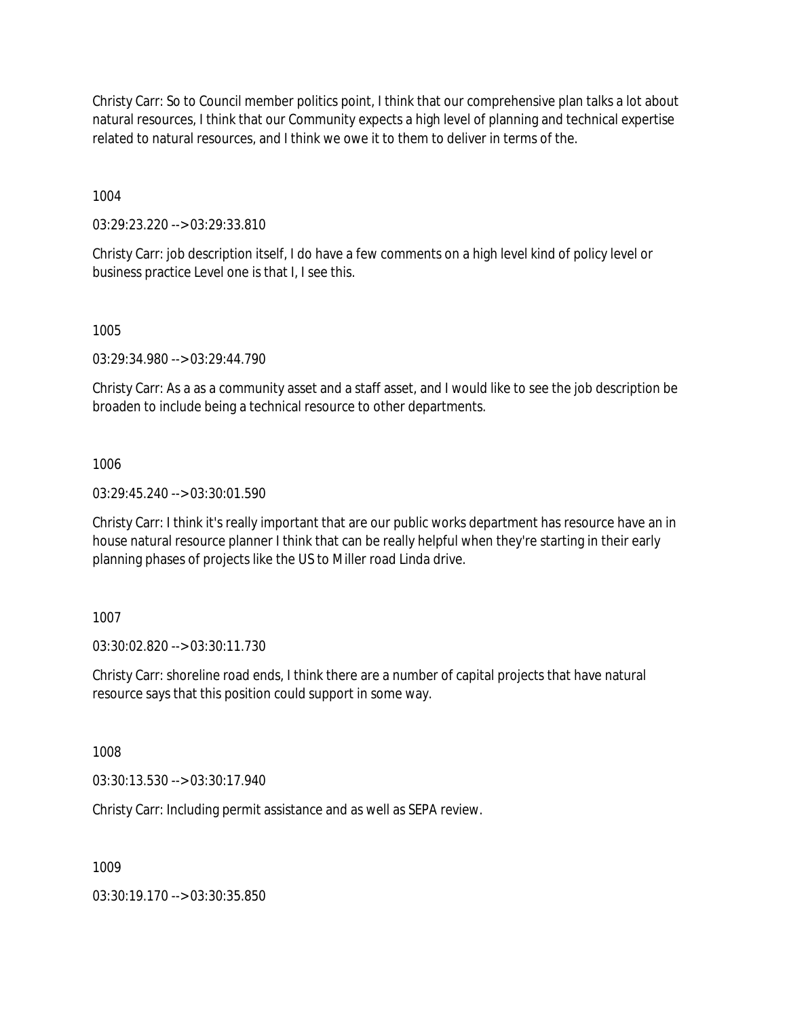Christy Carr: So to Council member politics point, I think that our comprehensive plan talks a lot about natural resources, I think that our Community expects a high level of planning and technical expertise related to natural resources, and I think we owe it to them to deliver in terms of the.

1004

03:29:23.220 --> 03:29:33.810

Christy Carr: job description itself, I do have a few comments on a high level kind of policy level or business practice Level one is that I, I see this.

1005

03:29:34.980 --> 03:29:44.790

Christy Carr: As a as a community asset and a staff asset, and I would like to see the job description be broaden to include being a technical resource to other departments.

1006

03:29:45.240 --> 03:30:01.590

Christy Carr: I think it's really important that are our public works department has resource have an in house natural resource planner I think that can be really helpful when they're starting in their early planning phases of projects like the US to Miller road Linda drive.

1007

03:30:02.820 --> 03:30:11.730

Christy Carr: shoreline road ends, I think there are a number of capital projects that have natural resource says that this position could support in some way.

1008

03:30:13.530 --> 03:30:17.940

Christy Carr: Including permit assistance and as well as SEPA review.

1009

03:30:19.170 --> 03:30:35.850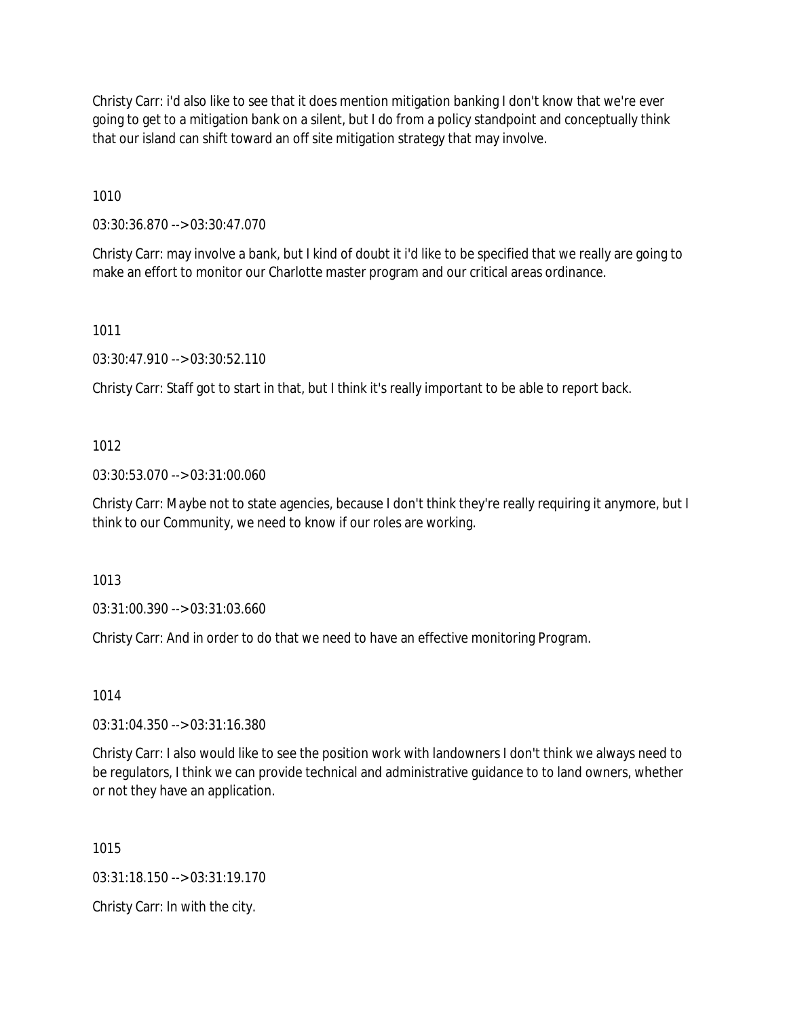Christy Carr: i'd also like to see that it does mention mitigation banking I don't know that we're ever going to get to a mitigation bank on a silent, but I do from a policy standpoint and conceptually think that our island can shift toward an off site mitigation strategy that may involve.

1010

03:30:36.870 --> 03:30:47.070

Christy Carr: may involve a bank, but I kind of doubt it i'd like to be specified that we really are going to make an effort to monitor our Charlotte master program and our critical areas ordinance.

1011

03:30:47.910 --> 03:30:52.110

Christy Carr: Staff got to start in that, but I think it's really important to be able to report back.

# 1012

03:30:53.070 --> 03:31:00.060

Christy Carr: Maybe not to state agencies, because I don't think they're really requiring it anymore, but I think to our Community, we need to know if our roles are working.

1013

03:31:00.390 --> 03:31:03.660

Christy Carr: And in order to do that we need to have an effective monitoring Program.

1014

03:31:04.350 --> 03:31:16.380

Christy Carr: I also would like to see the position work with landowners I don't think we always need to be regulators, I think we can provide technical and administrative guidance to to land owners, whether or not they have an application.

1015

03:31:18.150 --> 03:31:19.170

Christy Carr: In with the city.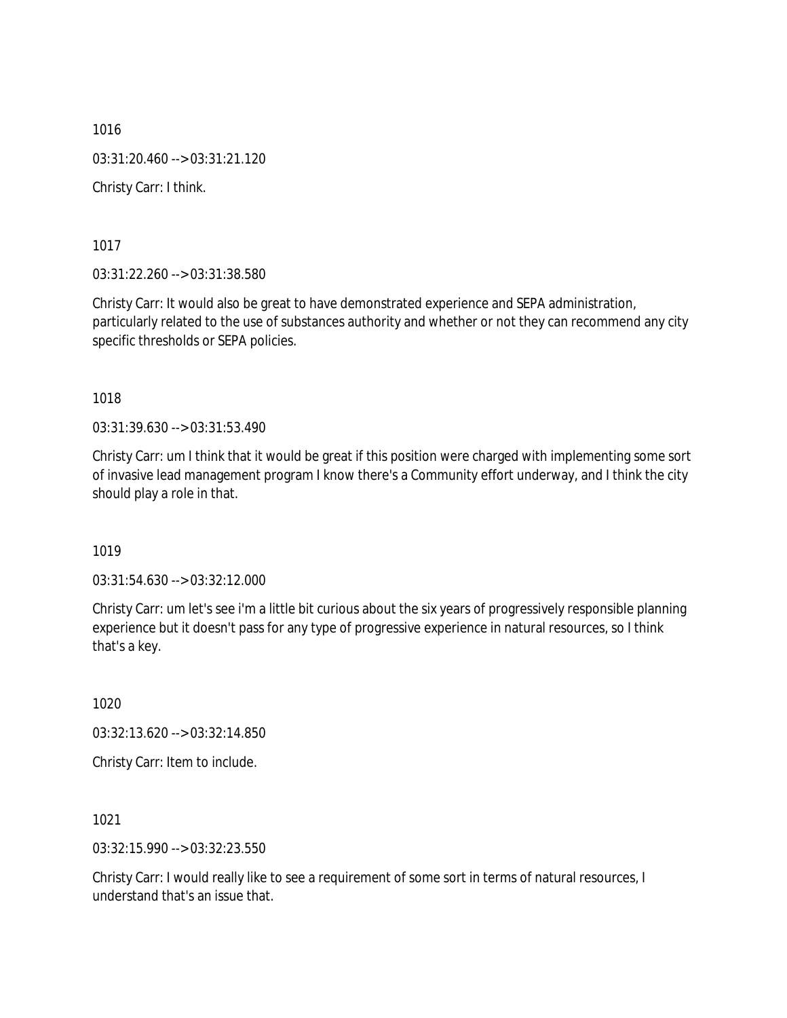1016 03:31:20.460 --> 03:31:21.120 Christy Carr: I think.

1017

03:31:22.260 --> 03:31:38.580

Christy Carr: It would also be great to have demonstrated experience and SEPA administration, particularly related to the use of substances authority and whether or not they can recommend any city specific thresholds or SEPA policies.

1018

03:31:39.630 --> 03:31:53.490

Christy Carr: um I think that it would be great if this position were charged with implementing some sort of invasive lead management program I know there's a Community effort underway, and I think the city should play a role in that.

1019

03:31:54.630 --> 03:32:12.000

Christy Carr: um let's see i'm a little bit curious about the six years of progressively responsible planning experience but it doesn't pass for any type of progressive experience in natural resources, so I think that's a key.

1020

03:32:13.620 --> 03:32:14.850

Christy Carr: Item to include.

1021

03:32:15.990 --> 03:32:23.550

Christy Carr: I would really like to see a requirement of some sort in terms of natural resources, I understand that's an issue that.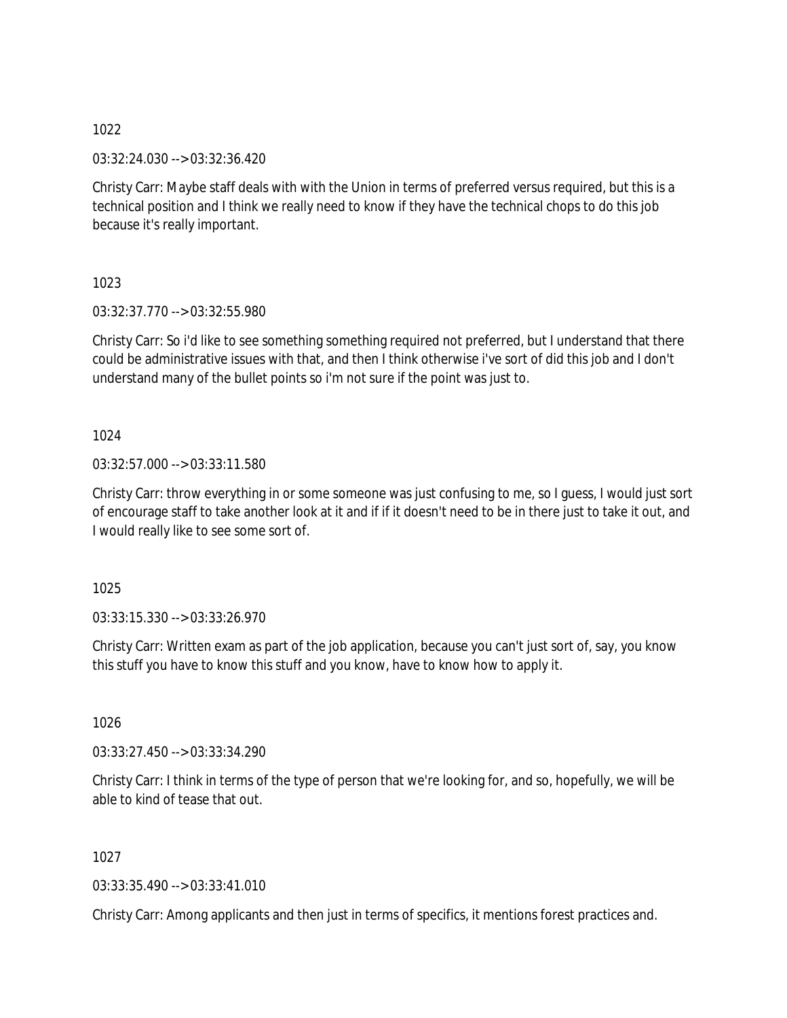03:32:24.030 --> 03:32:36.420

Christy Carr: Maybe staff deals with with the Union in terms of preferred versus required, but this is a technical position and I think we really need to know if they have the technical chops to do this job because it's really important.

1023

03:32:37.770 --> 03:32:55.980

Christy Carr: So i'd like to see something something required not preferred, but I understand that there could be administrative issues with that, and then I think otherwise i've sort of did this job and I don't understand many of the bullet points so i'm not sure if the point was just to.

1024

03:32:57.000 --> 03:33:11.580

Christy Carr: throw everything in or some someone was just confusing to me, so I guess, I would just sort of encourage staff to take another look at it and if if it doesn't need to be in there just to take it out, and I would really like to see some sort of.

1025

03:33:15.330 --> 03:33:26.970

Christy Carr: Written exam as part of the job application, because you can't just sort of, say, you know this stuff you have to know this stuff and you know, have to know how to apply it.

1026

03:33:27.450 --> 03:33:34.290

Christy Carr: I think in terms of the type of person that we're looking for, and so, hopefully, we will be able to kind of tease that out.

1027

03:33:35.490 --> 03:33:41.010

Christy Carr: Among applicants and then just in terms of specifics, it mentions forest practices and.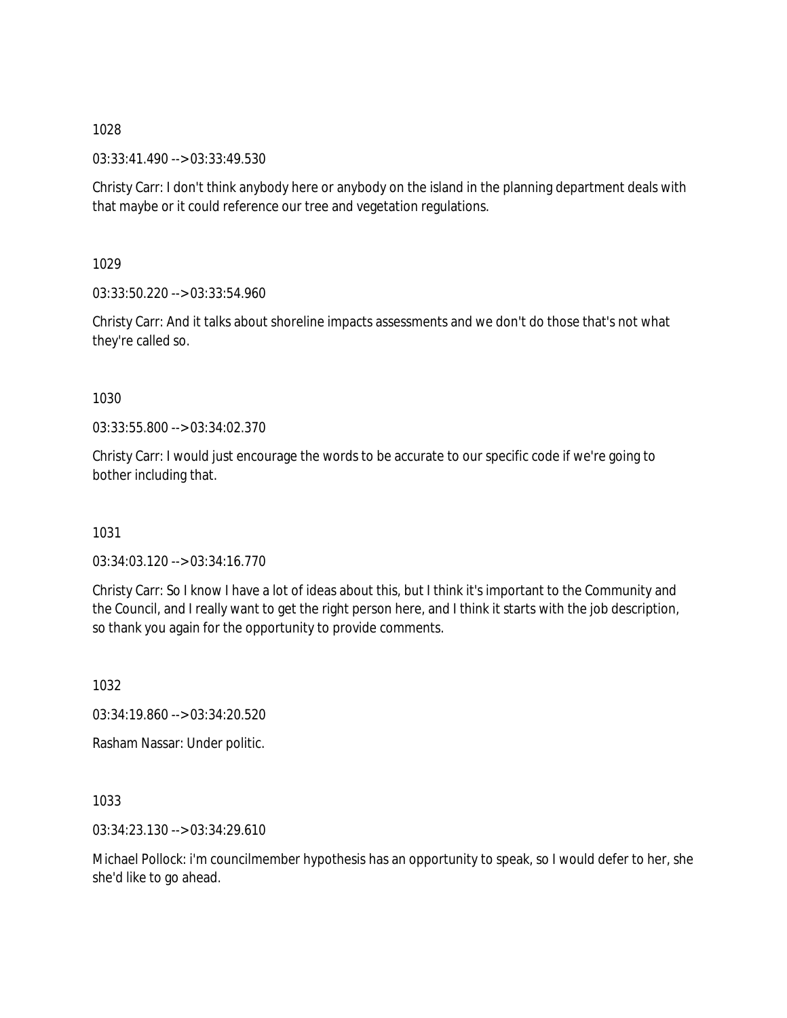03:33:41.490 --> 03:33:49.530

Christy Carr: I don't think anybody here or anybody on the island in the planning department deals with that maybe or it could reference our tree and vegetation regulations.

1029

03:33:50.220 --> 03:33:54.960

Christy Carr: And it talks about shoreline impacts assessments and we don't do those that's not what they're called so.

1030

03:33:55.800 --> 03:34:02.370

Christy Carr: I would just encourage the words to be accurate to our specific code if we're going to bother including that.

1031

03:34:03.120 --> 03:34:16.770

Christy Carr: So I know I have a lot of ideas about this, but I think it's important to the Community and the Council, and I really want to get the right person here, and I think it starts with the job description, so thank you again for the opportunity to provide comments.

1032

03:34:19.860 --> 03:34:20.520

Rasham Nassar: Under politic.

1033

03:34:23.130 --> 03:34:29.610

Michael Pollock: i'm councilmember hypothesis has an opportunity to speak, so I would defer to her, she she'd like to go ahead.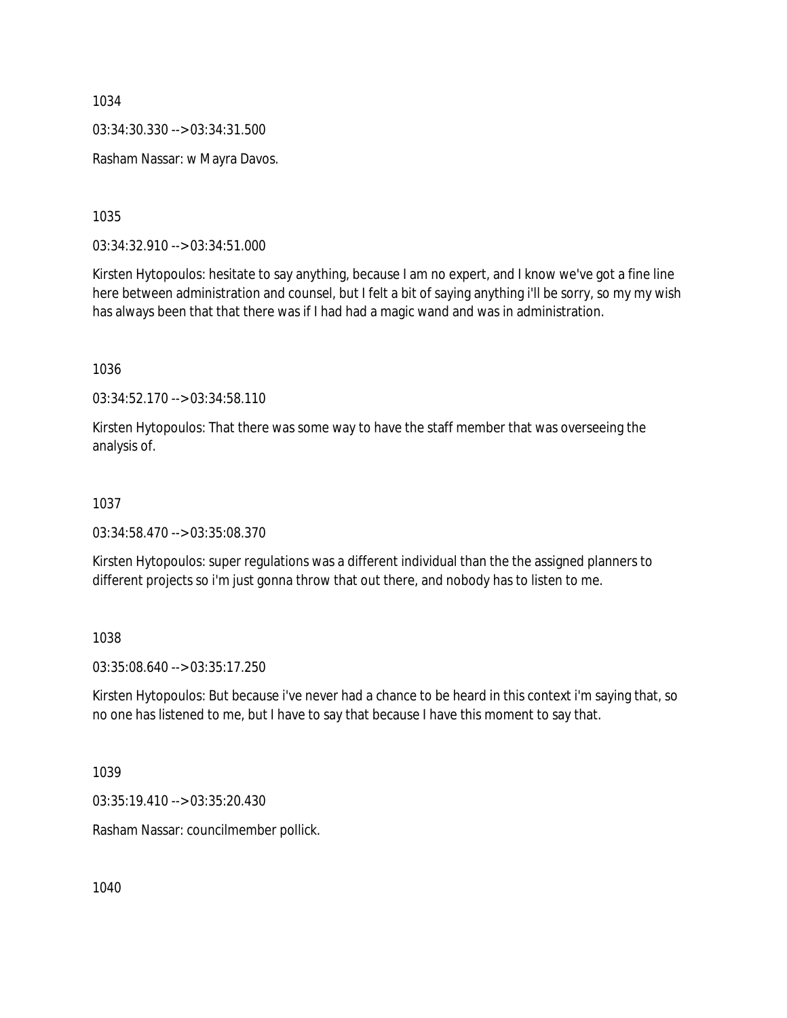03:34:30.330 --> 03:34:31.500

Rasham Nassar: w Mayra Davos.

1035

03:34:32.910 --> 03:34:51.000

Kirsten Hytopoulos: hesitate to say anything, because I am no expert, and I know we've got a fine line here between administration and counsel, but I felt a bit of saying anything i'll be sorry, so my my wish has always been that that there was if I had had a magic wand and was in administration.

1036

03:34:52.170 --> 03:34:58.110

Kirsten Hytopoulos: That there was some way to have the staff member that was overseeing the analysis of.

#### 1037

03:34:58.470 --> 03:35:08.370

Kirsten Hytopoulos: super regulations was a different individual than the the assigned planners to different projects so i'm just gonna throw that out there, and nobody has to listen to me.

1038

03:35:08.640 --> 03:35:17.250

Kirsten Hytopoulos: But because i've never had a chance to be heard in this context i'm saying that, so no one has listened to me, but I have to say that because I have this moment to say that.

1039

03:35:19.410 --> 03:35:20.430

Rasham Nassar: councilmember pollick.

1040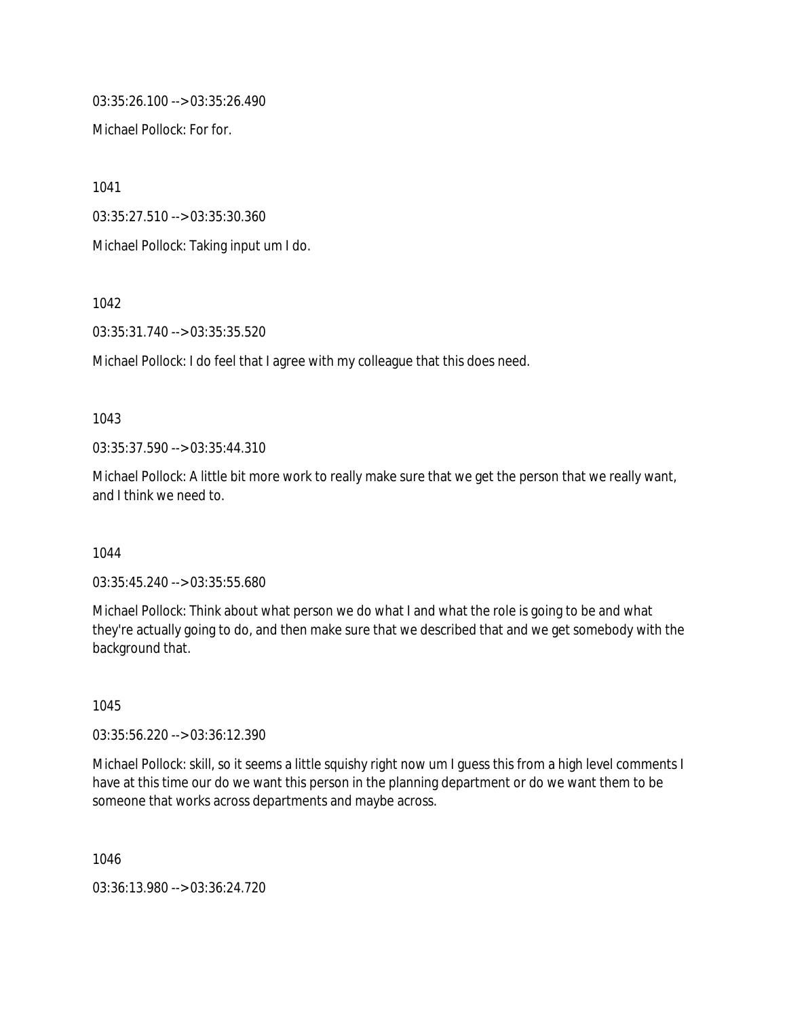03:35:26.100 --> 03:35:26.490

Michael Pollock: For for.

1041

03:35:27.510 --> 03:35:30.360

Michael Pollock: Taking input um I do.

1042

03:35:31.740 --> 03:35:35.520

Michael Pollock: I do feel that I agree with my colleague that this does need.

### 1043

03:35:37.590 --> 03:35:44.310

Michael Pollock: A little bit more work to really make sure that we get the person that we really want, and I think we need to.

### 1044

03:35:45.240 --> 03:35:55.680

Michael Pollock: Think about what person we do what I and what the role is going to be and what they're actually going to do, and then make sure that we described that and we get somebody with the background that.

1045

03:35:56.220 --> 03:36:12.390

Michael Pollock: skill, so it seems a little squishy right now um I guess this from a high level comments I have at this time our do we want this person in the planning department or do we want them to be someone that works across departments and maybe across.

1046

03:36:13.980 --> 03:36:24.720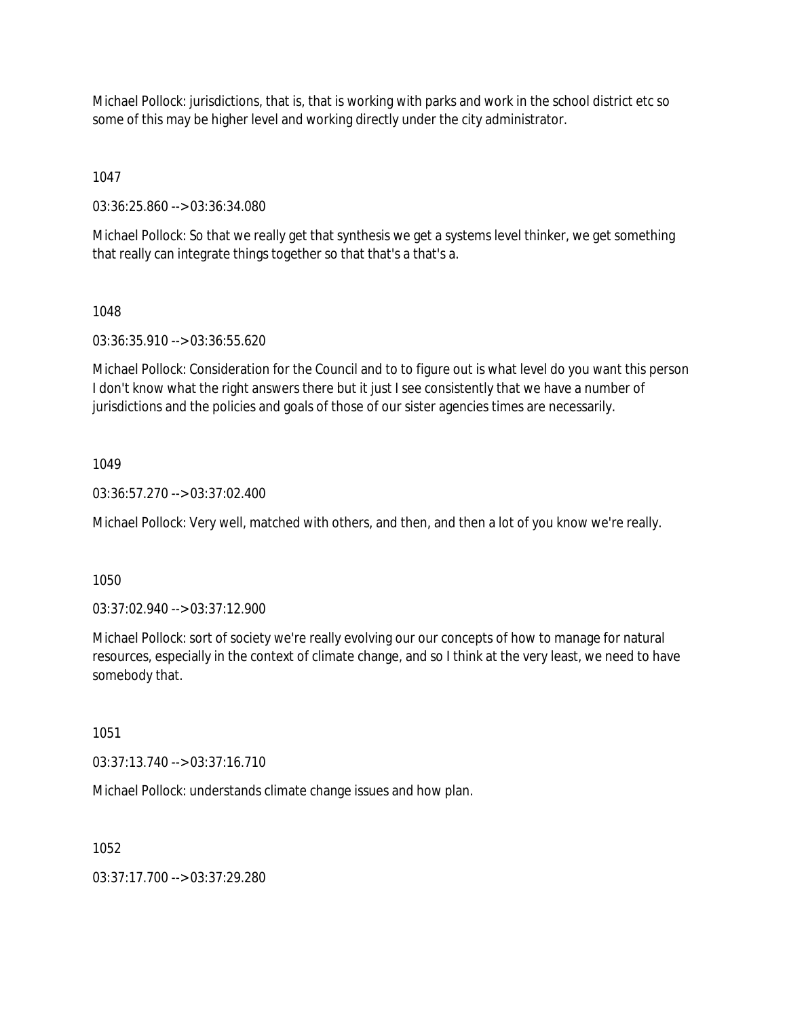Michael Pollock: jurisdictions, that is, that is working with parks and work in the school district etc so some of this may be higher level and working directly under the city administrator.

1047

03:36:25.860 --> 03:36:34.080

Michael Pollock: So that we really get that synthesis we get a systems level thinker, we get something that really can integrate things together so that that's a that's a.

# 1048

03:36:35.910 --> 03:36:55.620

Michael Pollock: Consideration for the Council and to to figure out is what level do you want this person I don't know what the right answers there but it just I see consistently that we have a number of jurisdictions and the policies and goals of those of our sister agencies times are necessarily.

# 1049

03:36:57.270 --> 03:37:02.400

Michael Pollock: Very well, matched with others, and then, and then a lot of you know we're really.

1050

03:37:02.940 --> 03:37:12.900

Michael Pollock: sort of society we're really evolving our our concepts of how to manage for natural resources, especially in the context of climate change, and so I think at the very least, we need to have somebody that.

1051

03:37:13.740 --> 03:37:16.710

Michael Pollock: understands climate change issues and how plan.

1052

03:37:17.700 --> 03:37:29.280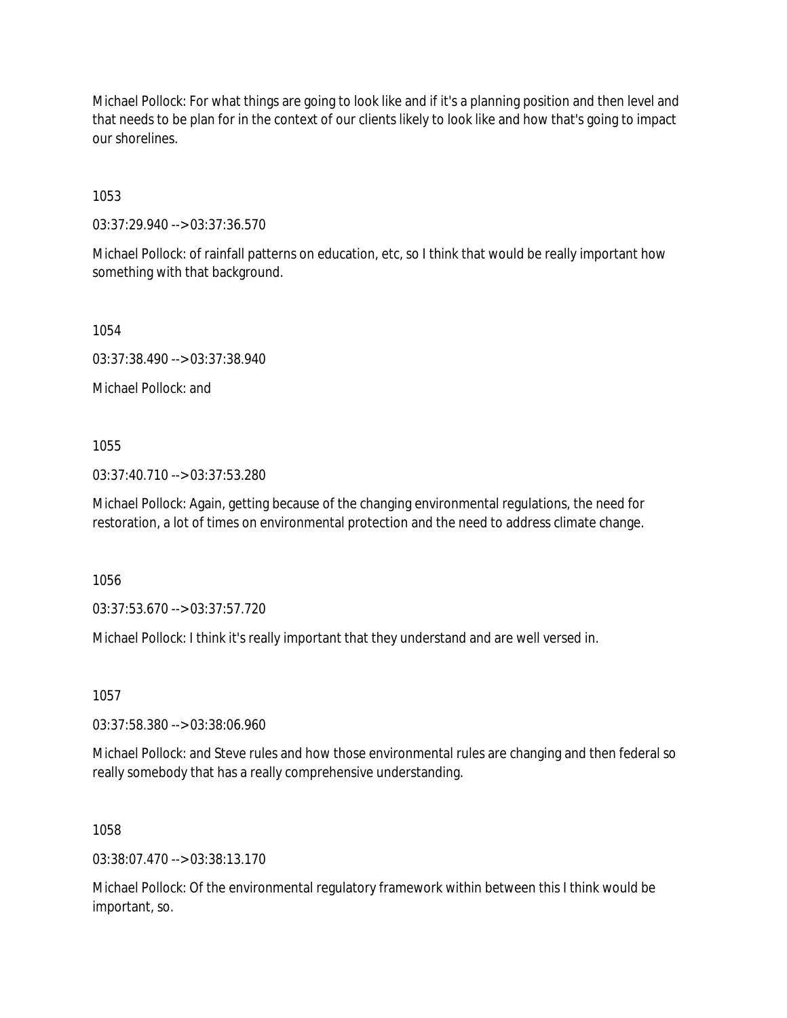Michael Pollock: For what things are going to look like and if it's a planning position and then level and that needs to be plan for in the context of our clients likely to look like and how that's going to impact our shorelines.

1053

03:37:29.940 --> 03:37:36.570

Michael Pollock: of rainfall patterns on education, etc, so I think that would be really important how something with that background.

1054

03:37:38.490 --> 03:37:38.940

Michael Pollock: and

1055

03:37:40.710 --> 03:37:53.280

Michael Pollock: Again, getting because of the changing environmental regulations, the need for restoration, a lot of times on environmental protection and the need to address climate change.

1056

03:37:53.670 --> 03:37:57.720

Michael Pollock: I think it's really important that they understand and are well versed in.

1057

03:37:58.380 --> 03:38:06.960

Michael Pollock: and Steve rules and how those environmental rules are changing and then federal so really somebody that has a really comprehensive understanding.

1058

03:38:07.470 --> 03:38:13.170

Michael Pollock: Of the environmental regulatory framework within between this I think would be important, so.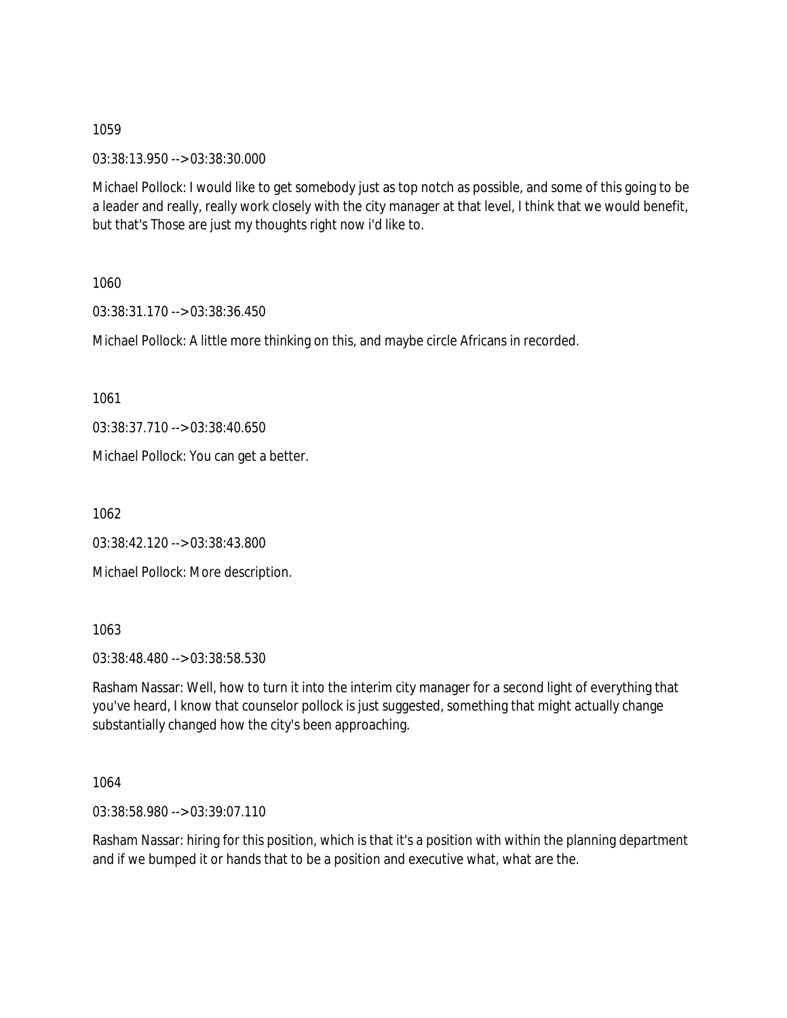03:38:13.950 --> 03:38:30.000

Michael Pollock: I would like to get somebody just as top notch as possible, and some of this going to be a leader and really, really work closely with the city manager at that level, I think that we would benefit, but that's Those are just my thoughts right now i'd like to.

1060

03:38:31.170 --> 03:38:36.450

Michael Pollock: A little more thinking on this, and maybe circle Africans in recorded.

1061

03:38:37.710 --> 03:38:40.650

Michael Pollock: You can get a better.

1062

03:38:42.120 --> 03:38:43.800

Michael Pollock: More description.

1063

03:38:48.480 --> 03:38:58.530

Rasham Nassar: Well, how to turn it into the interim city manager for a second light of everything that you've heard, I know that counselor pollock is just suggested, something that might actually change substantially changed how the city's been approaching.

1064

03:38:58.980 --> 03:39:07.110

Rasham Nassar: hiring for this position, which is that it's a position with within the planning department and if we bumped it or hands that to be a position and executive what, what are the.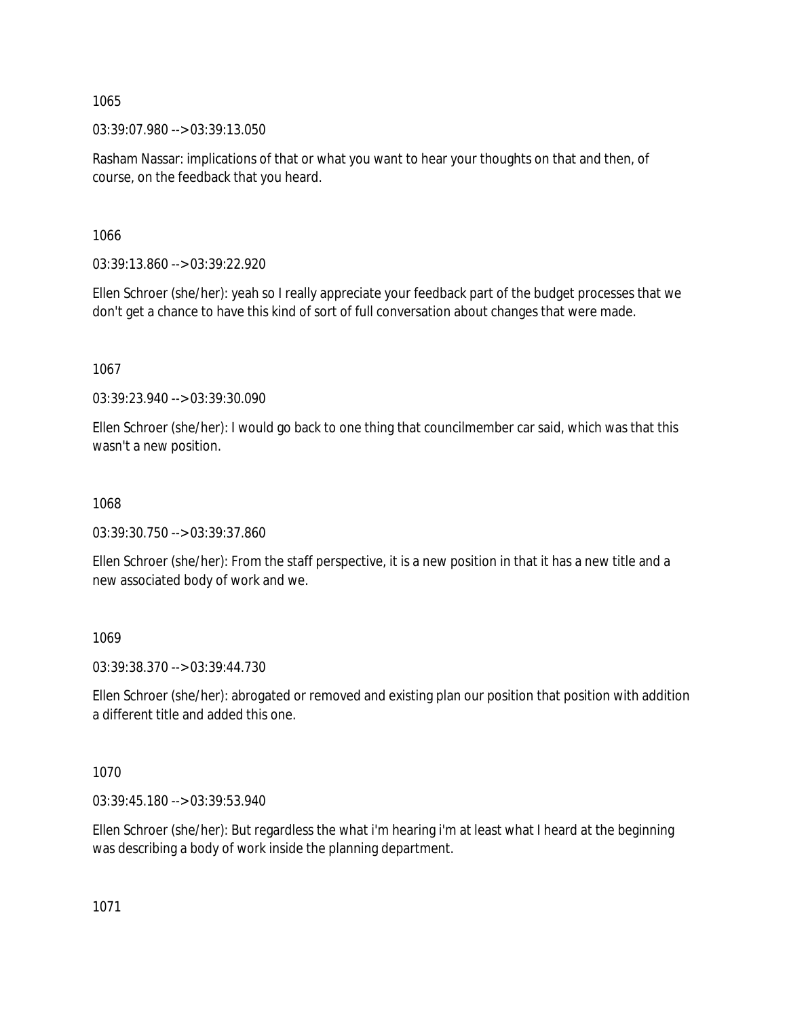03:39:07.980 --> 03:39:13.050

Rasham Nassar: implications of that or what you want to hear your thoughts on that and then, of course, on the feedback that you heard.

1066

03:39:13.860 --> 03:39:22.920

Ellen Schroer (she/her): yeah so I really appreciate your feedback part of the budget processes that we don't get a chance to have this kind of sort of full conversation about changes that were made.

1067

03:39:23.940 --> 03:39:30.090

Ellen Schroer (she/her): I would go back to one thing that councilmember car said, which was that this wasn't a new position.

1068

03:39:30.750 --> 03:39:37.860

Ellen Schroer (she/her): From the staff perspective, it is a new position in that it has a new title and a new associated body of work and we.

1069

03:39:38.370 --> 03:39:44.730

Ellen Schroer (she/her): abrogated or removed and existing plan our position that position with addition a different title and added this one.

1070

03:39:45.180 --> 03:39:53.940

Ellen Schroer (she/her): But regardless the what i'm hearing i'm at least what I heard at the beginning was describing a body of work inside the planning department.

1071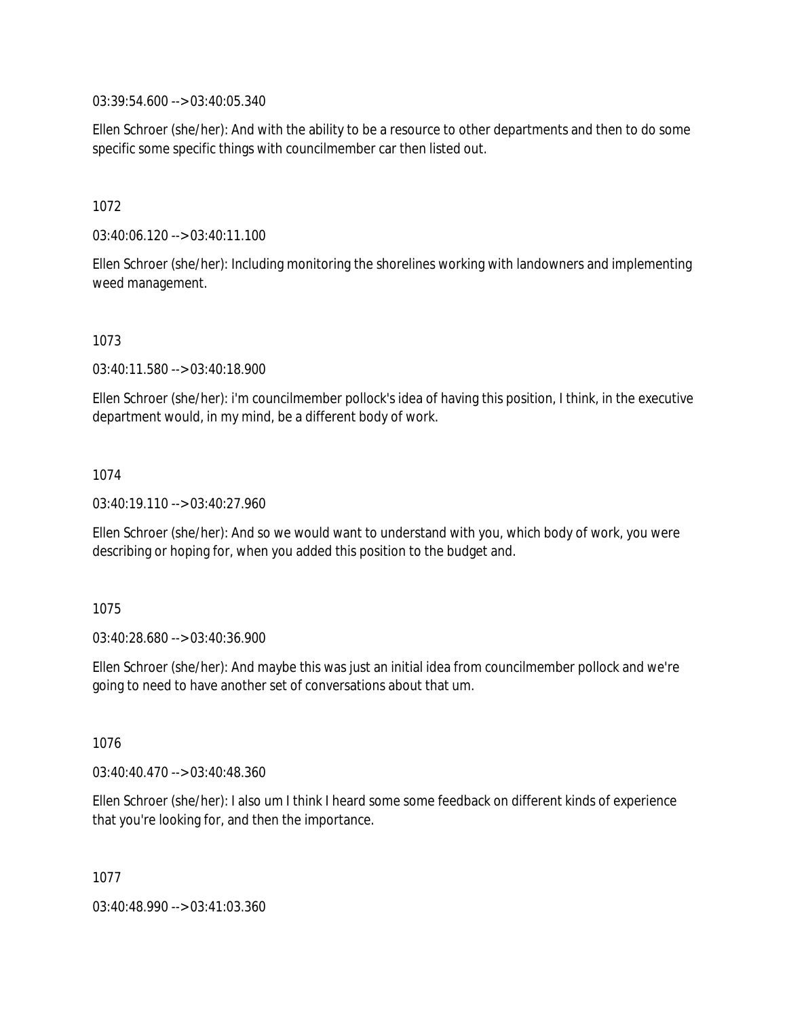03:39:54.600 --> 03:40:05.340

Ellen Schroer (she/her): And with the ability to be a resource to other departments and then to do some specific some specific things with councilmember car then listed out.

1072

03:40:06.120 --> 03:40:11.100

Ellen Schroer (she/her): Including monitoring the shorelines working with landowners and implementing weed management.

1073

03:40:11.580 --> 03:40:18.900

Ellen Schroer (she/her): i'm councilmember pollock's idea of having this position, I think, in the executive department would, in my mind, be a different body of work.

1074

03:40:19.110 --> 03:40:27.960

Ellen Schroer (she/her): And so we would want to understand with you, which body of work, you were describing or hoping for, when you added this position to the budget and.

1075

03:40:28.680 --> 03:40:36.900

Ellen Schroer (she/her): And maybe this was just an initial idea from councilmember pollock and we're going to need to have another set of conversations about that um.

1076

03:40:40.470 --> 03:40:48.360

Ellen Schroer (she/her): I also um I think I heard some some feedback on different kinds of experience that you're looking for, and then the importance.

1077

03:40:48.990 --> 03:41:03.360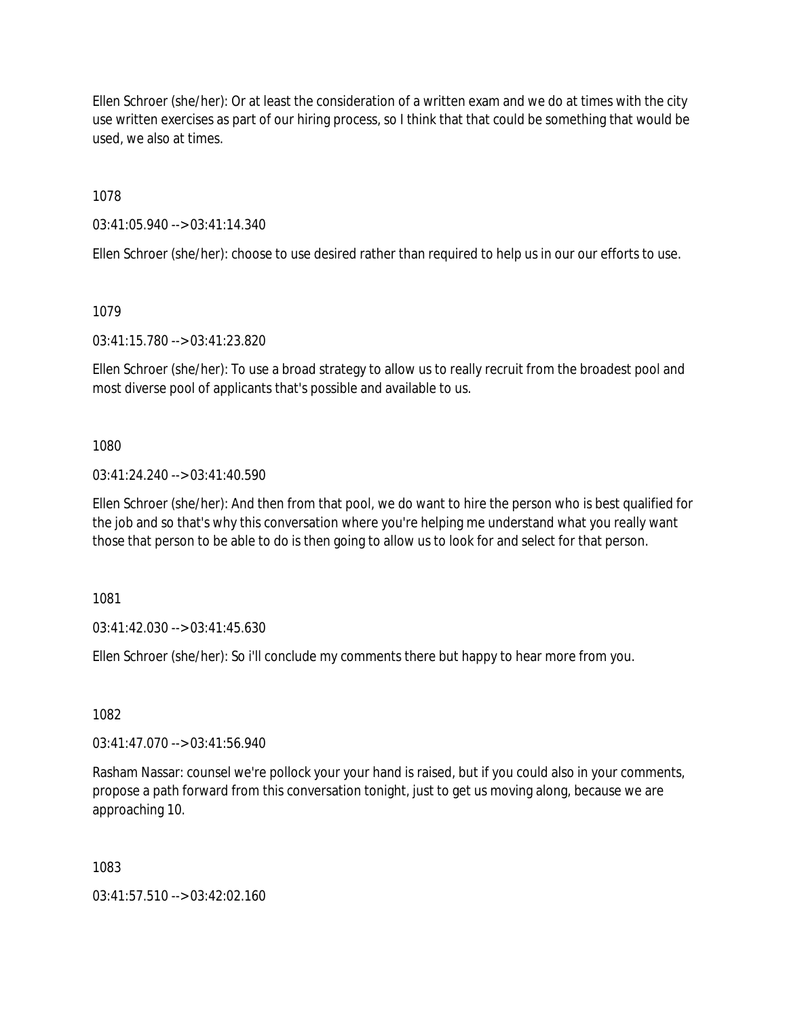Ellen Schroer (she/her): Or at least the consideration of a written exam and we do at times with the city use written exercises as part of our hiring process, so I think that that could be something that would be used, we also at times.

1078

03:41:05.940 --> 03:41:14.340

Ellen Schroer (she/her): choose to use desired rather than required to help us in our our efforts to use.

1079

03:41:15.780 --> 03:41:23.820

Ellen Schroer (she/her): To use a broad strategy to allow us to really recruit from the broadest pool and most diverse pool of applicants that's possible and available to us.

1080

03:41:24.240 --> 03:41:40.590

Ellen Schroer (she/her): And then from that pool, we do want to hire the person who is best qualified for the job and so that's why this conversation where you're helping me understand what you really want those that person to be able to do is then going to allow us to look for and select for that person.

1081

03:41:42.030 --> 03:41:45.630

Ellen Schroer (she/her): So i'll conclude my comments there but happy to hear more from you.

1082

03:41:47.070 --> 03:41:56.940

Rasham Nassar: counsel we're pollock your your hand is raised, but if you could also in your comments, propose a path forward from this conversation tonight, just to get us moving along, because we are approaching 10.

1083

 $03:41:57.510 \rightarrow 03:42:02.160$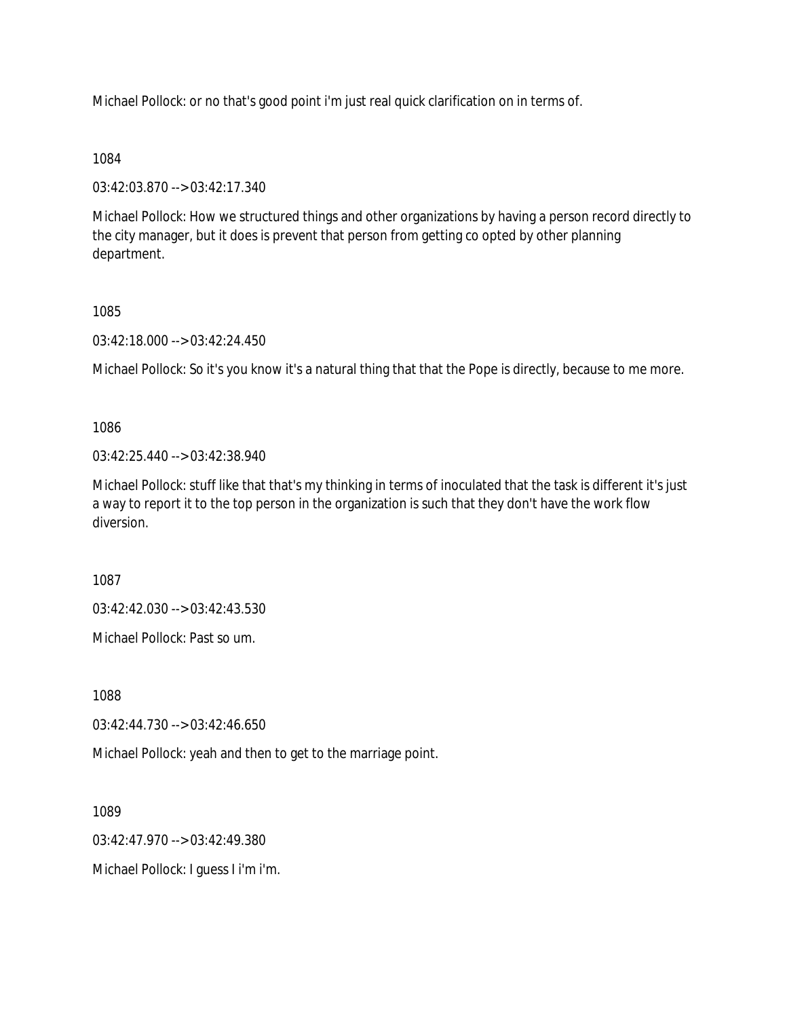Michael Pollock: or no that's good point i'm just real quick clarification on in terms of.

## 1084

03:42:03.870 --> 03:42:17.340

Michael Pollock: How we structured things and other organizations by having a person record directly to the city manager, but it does is prevent that person from getting co opted by other planning department.

## 1085

03:42:18.000 --> 03:42:24.450

Michael Pollock: So it's you know it's a natural thing that that the Pope is directly, because to me more.

1086

03:42:25.440 --> 03:42:38.940

Michael Pollock: stuff like that that's my thinking in terms of inoculated that the task is different it's just a way to report it to the top person in the organization is such that they don't have the work flow diversion.

1087

03:42:42.030 --> 03:42:43.530

Michael Pollock: Past so um.

1088

03:42:44.730 --> 03:42:46.650

Michael Pollock: yeah and then to get to the marriage point.

1089

03:42:47.970 --> 03:42:49.380

Michael Pollock: I guess I i'm i'm.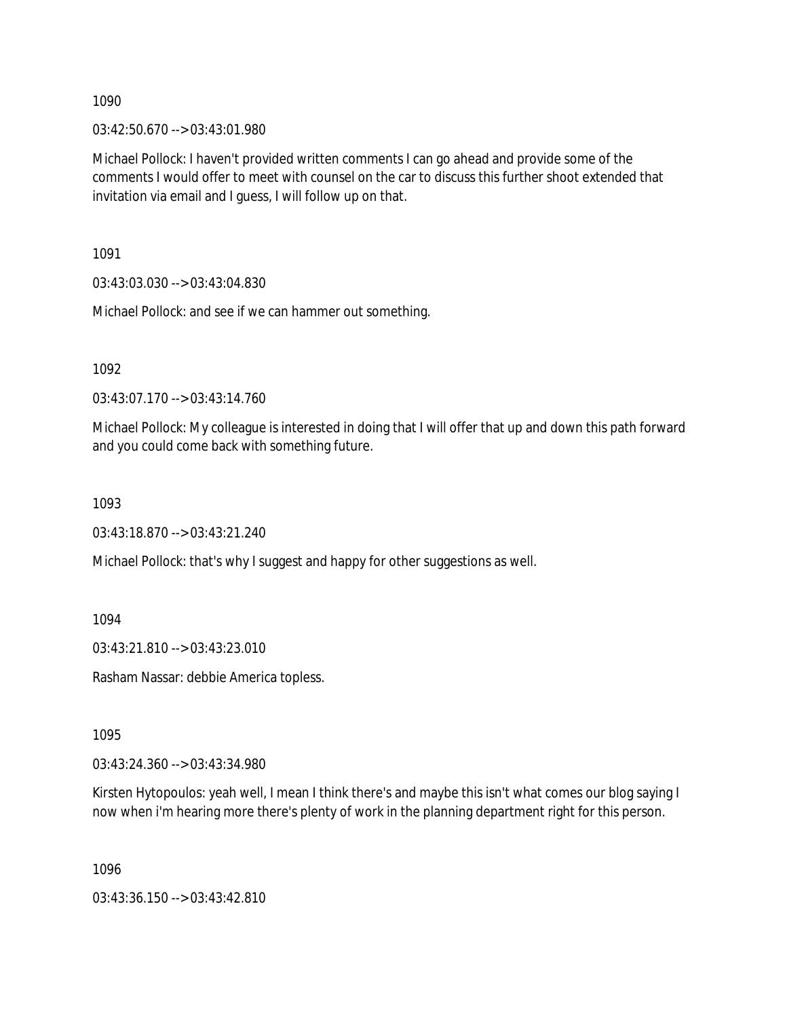03:42:50.670 --> 03:43:01.980

Michael Pollock: I haven't provided written comments I can go ahead and provide some of the comments I would offer to meet with counsel on the car to discuss this further shoot extended that invitation via email and I guess, I will follow up on that.

1091

03:43:03.030 --> 03:43:04.830

Michael Pollock: and see if we can hammer out something.

1092

03:43:07.170 --> 03:43:14.760

Michael Pollock: My colleague is interested in doing that I will offer that up and down this path forward and you could come back with something future.

1093

03:43:18.870 --> 03:43:21.240

Michael Pollock: that's why I suggest and happy for other suggestions as well.

1094

03:43:21.810 --> 03:43:23.010

Rasham Nassar: debbie America topless.

1095

03:43:24.360 --> 03:43:34.980

Kirsten Hytopoulos: yeah well, I mean I think there's and maybe this isn't what comes our blog saying I now when i'm hearing more there's plenty of work in the planning department right for this person.

1096

03:43:36.150 --> 03:43:42.810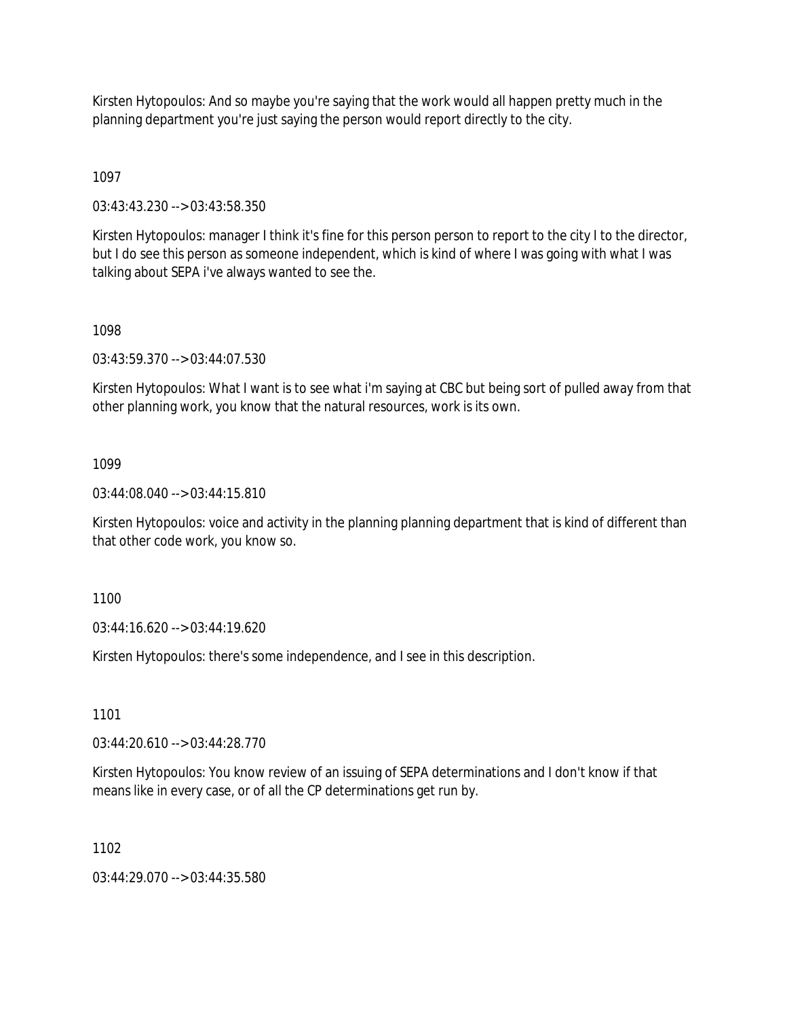Kirsten Hytopoulos: And so maybe you're saying that the work would all happen pretty much in the planning department you're just saying the person would report directly to the city.

1097

03:43:43.230 --> 03:43:58.350

Kirsten Hytopoulos: manager I think it's fine for this person person to report to the city I to the director, but I do see this person as someone independent, which is kind of where I was going with what I was talking about SEPA i've always wanted to see the.

## 1098

03:43:59.370 --> 03:44:07.530

Kirsten Hytopoulos: What I want is to see what i'm saying at CBC but being sort of pulled away from that other planning work, you know that the natural resources, work is its own.

## 1099

03:44:08.040 --> 03:44:15.810

Kirsten Hytopoulos: voice and activity in the planning planning department that is kind of different than that other code work, you know so.

1100

03:44:16.620 --> 03:44:19.620

Kirsten Hytopoulos: there's some independence, and I see in this description.

1101

03:44:20.610 --> 03:44:28.770

Kirsten Hytopoulos: You know review of an issuing of SEPA determinations and I don't know if that means like in every case, or of all the CP determinations get run by.

1102

03:44:29.070 --> 03:44:35.580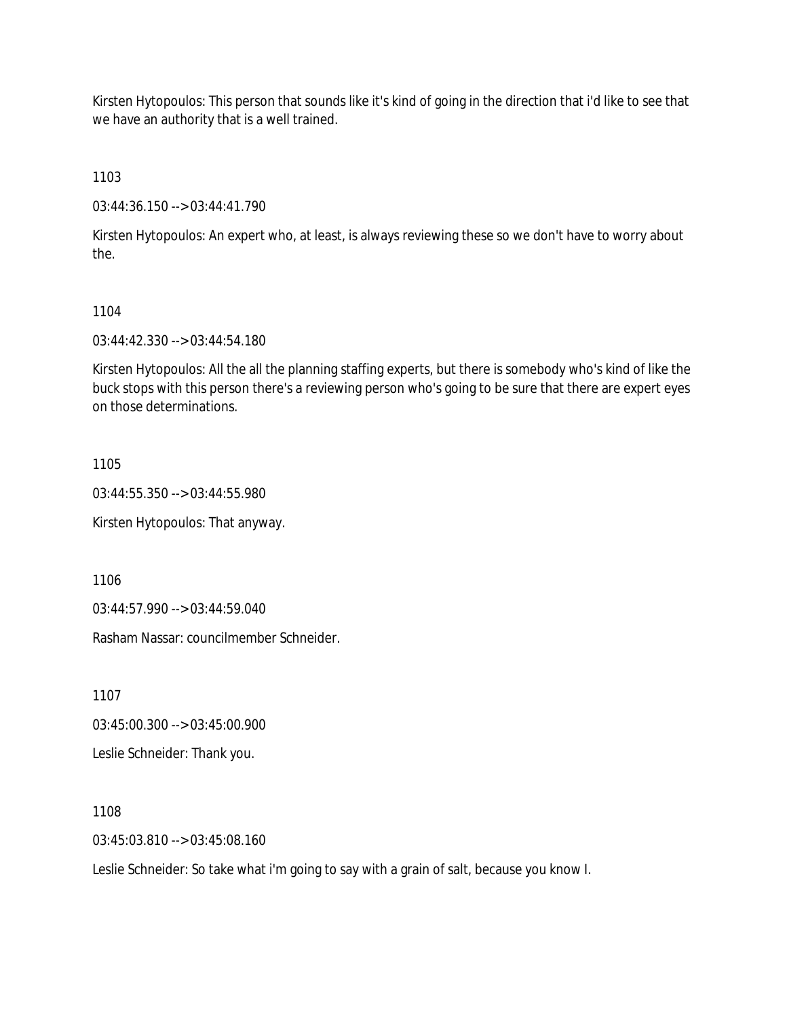Kirsten Hytopoulos: This person that sounds like it's kind of going in the direction that i'd like to see that we have an authority that is a well trained.

1103

03:44:36.150 --> 03:44:41.790

Kirsten Hytopoulos: An expert who, at least, is always reviewing these so we don't have to worry about the.

### 1104

03:44:42.330 --> 03:44:54.180

Kirsten Hytopoulos: All the all the planning staffing experts, but there is somebody who's kind of like the buck stops with this person there's a reviewing person who's going to be sure that there are expert eyes on those determinations.

1105

03:44:55.350 --> 03:44:55.980

Kirsten Hytopoulos: That anyway.

1106

03:44:57.990 --> 03:44:59.040

Rasham Nassar: councilmember Schneider.

1107

03:45:00.300 --> 03:45:00.900

Leslie Schneider: Thank you.

1108

03:45:03.810 --> 03:45:08.160

Leslie Schneider: So take what i'm going to say with a grain of salt, because you know I.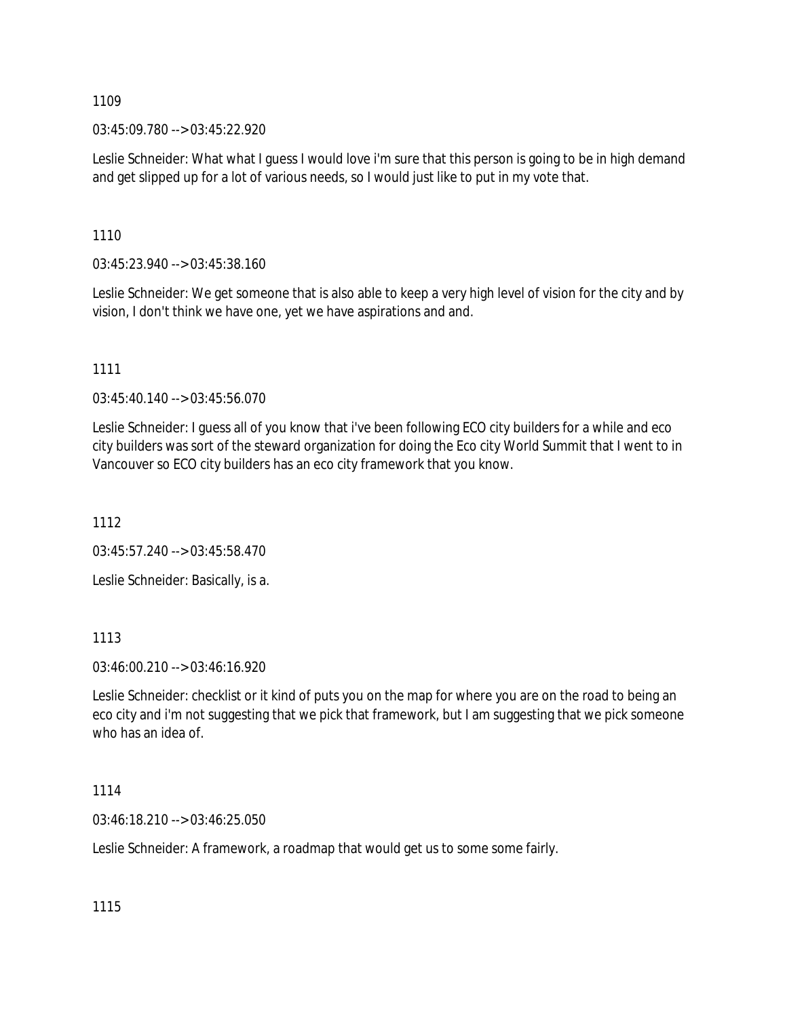03:45:09.780 --> 03:45:22.920

Leslie Schneider: What what I guess I would love i'm sure that this person is going to be in high demand and get slipped up for a lot of various needs, so I would just like to put in my vote that.

1110

03:45:23.940 --> 03:45:38.160

Leslie Schneider: We get someone that is also able to keep a very high level of vision for the city and by vision, I don't think we have one, yet we have aspirations and and.

1111

03:45:40.140 --> 03:45:56.070

Leslie Schneider: I guess all of you know that i've been following ECO city builders for a while and eco city builders was sort of the steward organization for doing the Eco city World Summit that I went to in Vancouver so ECO city builders has an eco city framework that you know.

1112

03:45:57.240 --> 03:45:58.470

Leslie Schneider: Basically, is a.

1113

03:46:00.210 --> 03:46:16.920

Leslie Schneider: checklist or it kind of puts you on the map for where you are on the road to being an eco city and i'm not suggesting that we pick that framework, but I am suggesting that we pick someone who has an idea of.

1114

03:46:18.210 --> 03:46:25.050

Leslie Schneider: A framework, a roadmap that would get us to some some fairly.

1115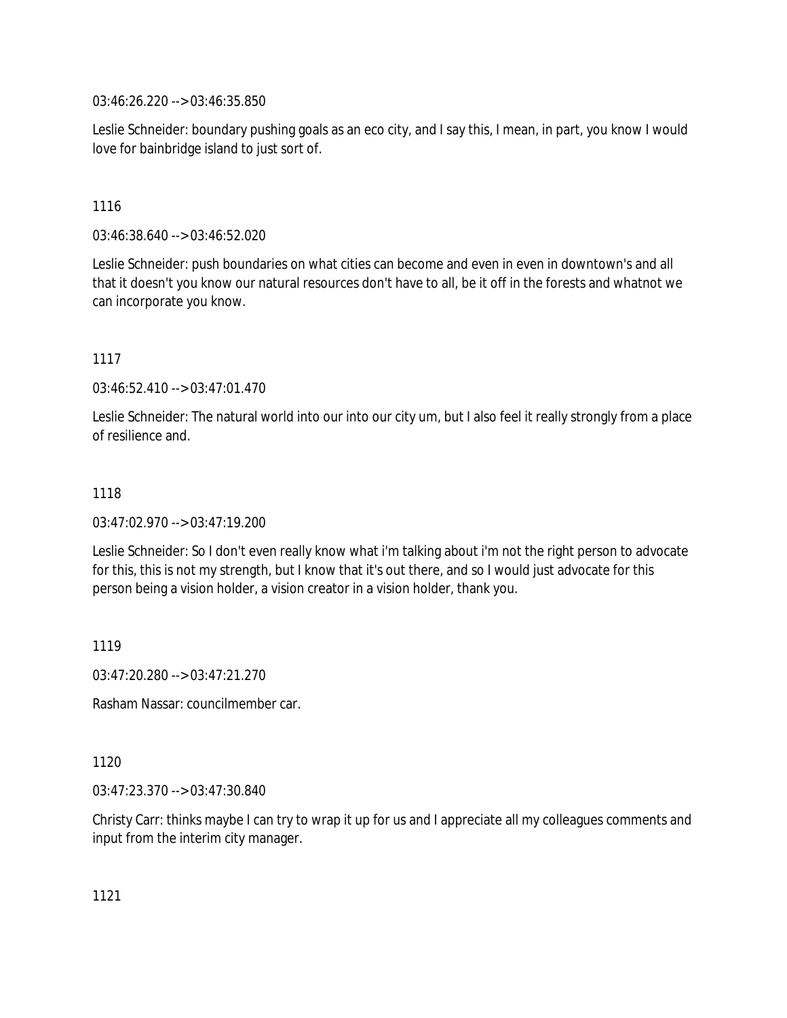03:46:26.220 --> 03:46:35.850

Leslie Schneider: boundary pushing goals as an eco city, and I say this, I mean, in part, you know I would love for bainbridge island to just sort of.

## 1116

03:46:38.640 --> 03:46:52.020

Leslie Schneider: push boundaries on what cities can become and even in even in downtown's and all that it doesn't you know our natural resources don't have to all, be it off in the forests and whatnot we can incorporate you know.

### 1117

03:46:52.410 --> 03:47:01.470

Leslie Schneider: The natural world into our into our city um, but I also feel it really strongly from a place of resilience and.

### 1118

03:47:02.970 --> 03:47:19.200

Leslie Schneider: So I don't even really know what i'm talking about i'm not the right person to advocate for this, this is not my strength, but I know that it's out there, and so I would just advocate for this person being a vision holder, a vision creator in a vision holder, thank you.

1119

03:47:20.280 --> 03:47:21.270

Rasham Nassar: councilmember car.

### 1120

03:47:23.370 --> 03:47:30.840

Christy Carr: thinks maybe I can try to wrap it up for us and I appreciate all my colleagues comments and input from the interim city manager.

1121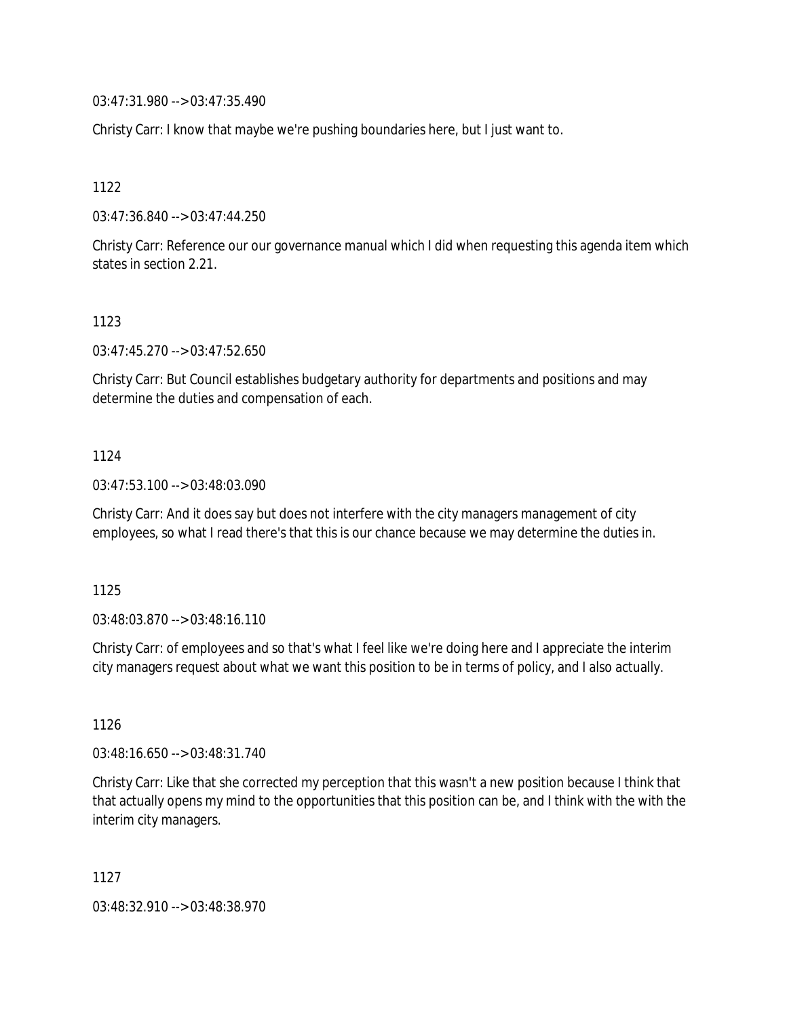03:47:31.980 --> 03:47:35.490

Christy Carr: I know that maybe we're pushing boundaries here, but I just want to.

1122

03:47:36.840 --> 03:47:44.250

Christy Carr: Reference our our governance manual which I did when requesting this agenda item which states in section 2.21.

### 1123

03:47:45.270 --> 03:47:52.650

Christy Carr: But Council establishes budgetary authority for departments and positions and may determine the duties and compensation of each.

### 1124

03:47:53.100 --> 03:48:03.090

Christy Carr: And it does say but does not interfere with the city managers management of city employees, so what I read there's that this is our chance because we may determine the duties in.

1125

03:48:03.870 --> 03:48:16.110

Christy Carr: of employees and so that's what I feel like we're doing here and I appreciate the interim city managers request about what we want this position to be in terms of policy, and I also actually.

1126

03:48:16.650 --> 03:48:31.740

Christy Carr: Like that she corrected my perception that this wasn't a new position because I think that that actually opens my mind to the opportunities that this position can be, and I think with the with the interim city managers.

1127

03:48:32.910 --> 03:48:38.970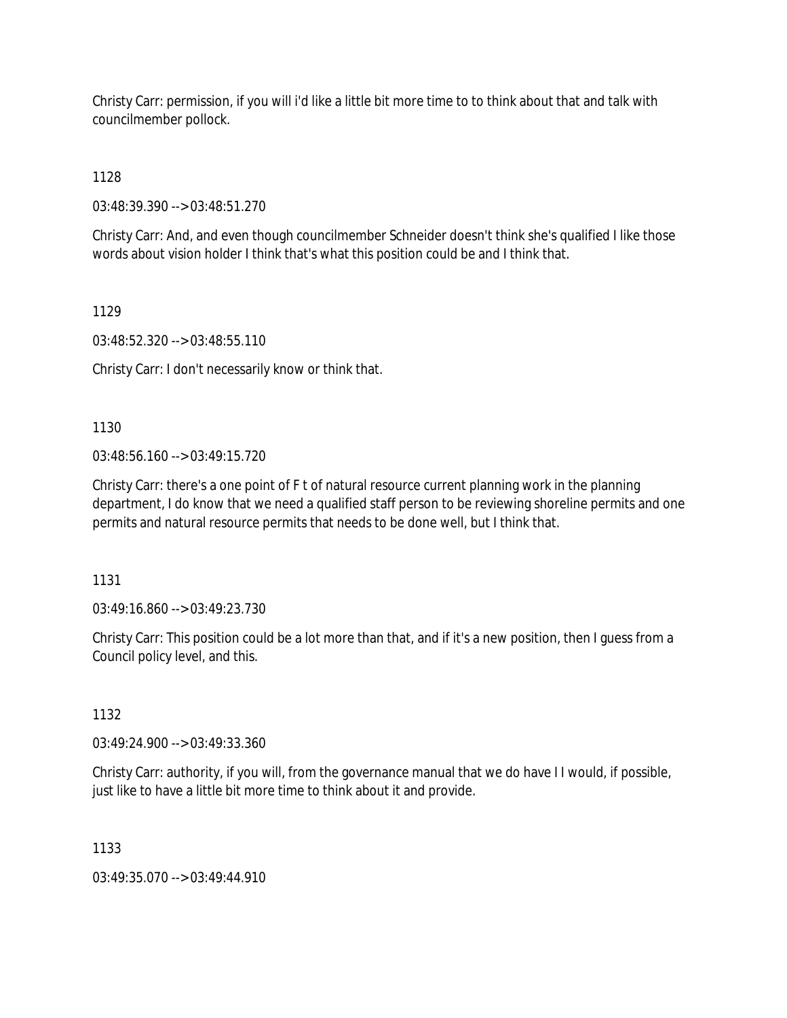Christy Carr: permission, if you will i'd like a little bit more time to to think about that and talk with councilmember pollock.

1128

03:48:39.390 --> 03:48:51.270

Christy Carr: And, and even though councilmember Schneider doesn't think she's qualified I like those words about vision holder I think that's what this position could be and I think that.

1129

03:48:52.320 --> 03:48:55.110

Christy Carr: I don't necessarily know or think that.

1130

 $03:48:56.160 \rightarrow 03:49:15.720$ 

Christy Carr: there's a one point of F t of natural resource current planning work in the planning department, I do know that we need a qualified staff person to be reviewing shoreline permits and one permits and natural resource permits that needs to be done well, but I think that.

1131

03:49:16.860 --> 03:49:23.730

Christy Carr: This position could be a lot more than that, and if it's a new position, then I guess from a Council policy level, and this.

1132

03:49:24.900 --> 03:49:33.360

Christy Carr: authority, if you will, from the governance manual that we do have I I would, if possible, just like to have a little bit more time to think about it and provide.

1133

03:49:35.070 --> 03:49:44.910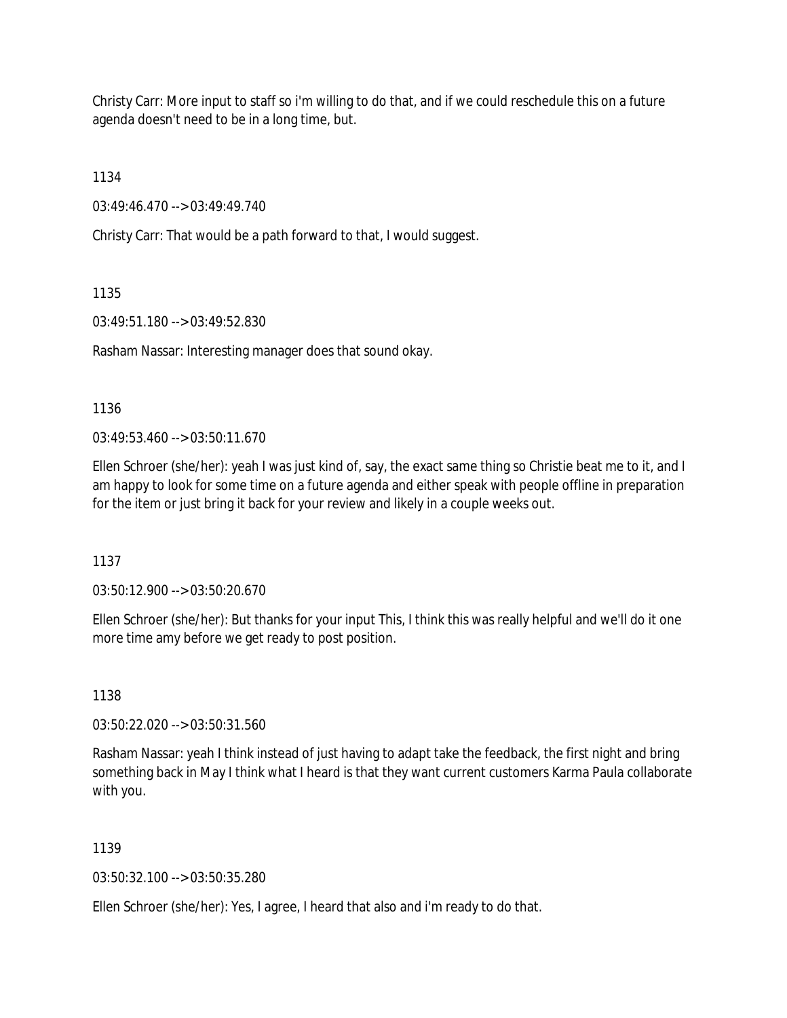Christy Carr: More input to staff so i'm willing to do that, and if we could reschedule this on a future agenda doesn't need to be in a long time, but.

1134

03:49:46.470 --> 03:49:49.740

Christy Carr: That would be a path forward to that, I would suggest.

1135

03:49:51.180 --> 03:49:52.830

Rasham Nassar: Interesting manager does that sound okay.

1136

03:49:53.460 --> 03:50:11.670

Ellen Schroer (she/her): yeah I was just kind of, say, the exact same thing so Christie beat me to it, and I am happy to look for some time on a future agenda and either speak with people offline in preparation for the item or just bring it back for your review and likely in a couple weeks out.

1137

03:50:12.900 --> 03:50:20.670

Ellen Schroer (she/her): But thanks for your input This, I think this was really helpful and we'll do it one more time amy before we get ready to post position.

1138

03:50:22.020 --> 03:50:31.560

Rasham Nassar: yeah I think instead of just having to adapt take the feedback, the first night and bring something back in May I think what I heard is that they want current customers Karma Paula collaborate with you.

1139

03:50:32.100 --> 03:50:35.280

Ellen Schroer (she/her): Yes, I agree, I heard that also and i'm ready to do that.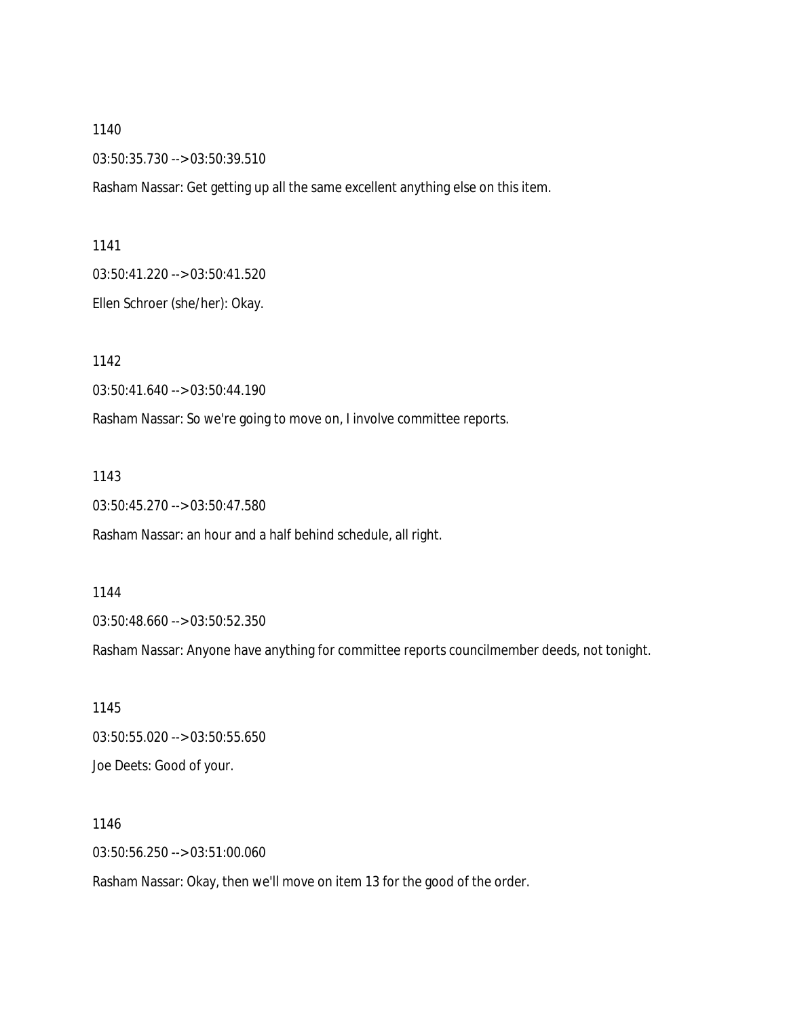03:50:35.730 --> 03:50:39.510

Rasham Nassar: Get getting up all the same excellent anything else on this item.

1141

03:50:41.220 --> 03:50:41.520

Ellen Schroer (she/her): Okay.

1142

03:50:41.640 --> 03:50:44.190

Rasham Nassar: So we're going to move on, I involve committee reports.

1143

03:50:45.270 --> 03:50:47.580

Rasham Nassar: an hour and a half behind schedule, all right.

1144

03:50:48.660 --> 03:50:52.350

Rasham Nassar: Anyone have anything for committee reports councilmember deeds, not tonight.

1145 03:50:55.020 --> 03:50:55.650 Joe Deets: Good of your.

1146 03:50:56.250 --> 03:51:00.060

Rasham Nassar: Okay, then we'll move on item 13 for the good of the order.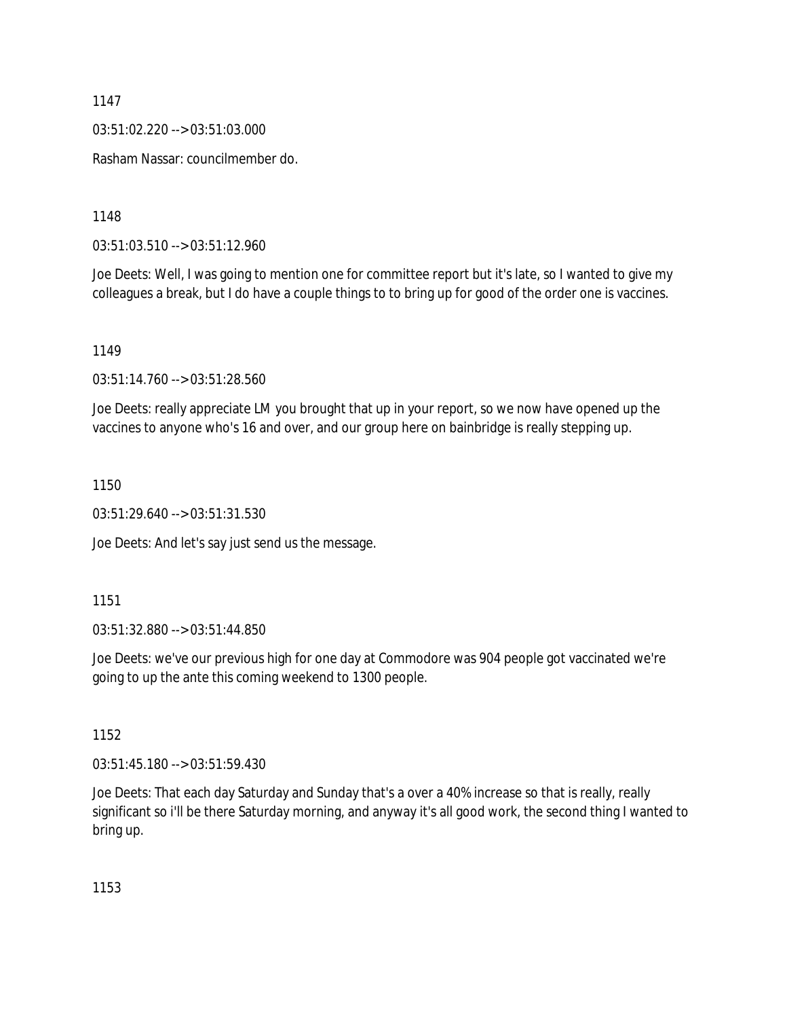03:51:02.220 --> 03:51:03.000

Rasham Nassar: councilmember do.

1148

03:51:03.510 --> 03:51:12.960

Joe Deets: Well, I was going to mention one for committee report but it's late, so I wanted to give my colleagues a break, but I do have a couple things to to bring up for good of the order one is vaccines.

1149

03:51:14.760 --> 03:51:28.560

Joe Deets: really appreciate LM you brought that up in your report, so we now have opened up the vaccines to anyone who's 16 and over, and our group here on bainbridge is really stepping up.

1150

03:51:29.640 --> 03:51:31.530

Joe Deets: And let's say just send us the message.

1151

03:51:32.880 --> 03:51:44.850

Joe Deets: we've our previous high for one day at Commodore was 904 people got vaccinated we're going to up the ante this coming weekend to 1300 people.

1152

03:51:45.180 --> 03:51:59.430

Joe Deets: That each day Saturday and Sunday that's a over a 40% increase so that is really, really significant so i'll be there Saturday morning, and anyway it's all good work, the second thing I wanted to bring up.

1153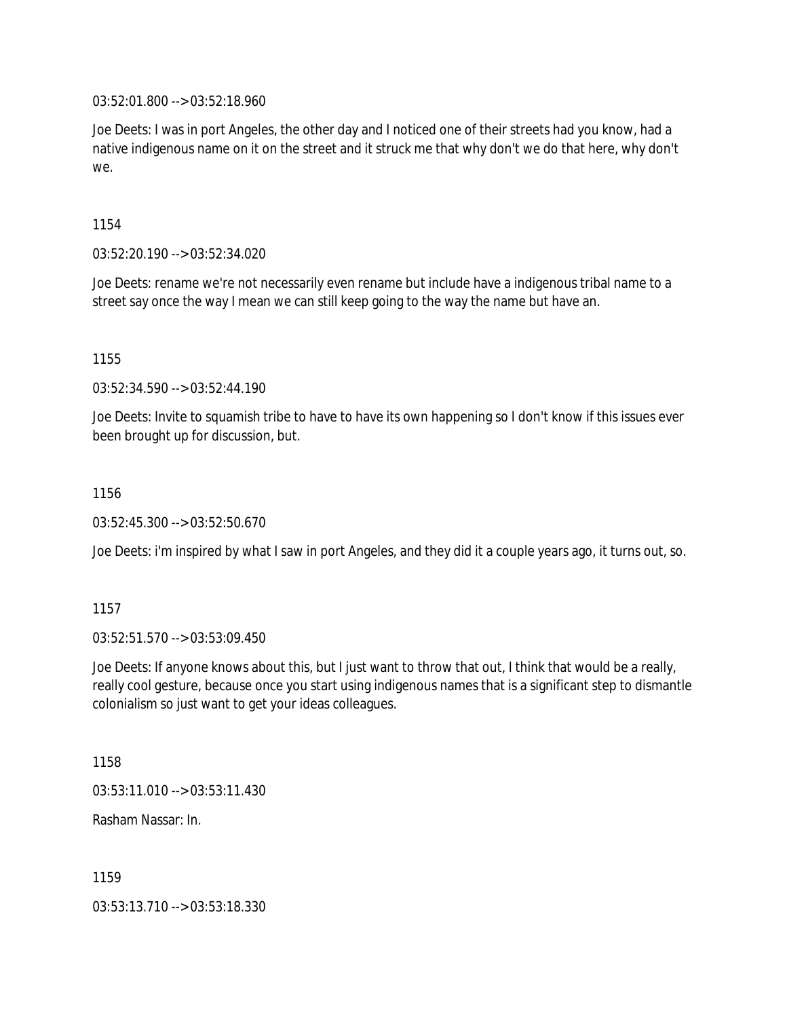03:52:01.800 --> 03:52:18.960

Joe Deets: I was in port Angeles, the other day and I noticed one of their streets had you know, had a native indigenous name on it on the street and it struck me that why don't we do that here, why don't we.

1154

03:52:20.190 --> 03:52:34.020

Joe Deets: rename we're not necessarily even rename but include have a indigenous tribal name to a street say once the way I mean we can still keep going to the way the name but have an.

1155

03:52:34.590 --> 03:52:44.190

Joe Deets: Invite to squamish tribe to have to have its own happening so I don't know if this issues ever been brought up for discussion, but.

1156

03:52:45.300 --> 03:52:50.670

Joe Deets: i'm inspired by what I saw in port Angeles, and they did it a couple years ago, it turns out, so.

1157

03:52:51.570 --> 03:53:09.450

Joe Deets: If anyone knows about this, but I just want to throw that out, I think that would be a really, really cool gesture, because once you start using indigenous names that is a significant step to dismantle colonialism so just want to get your ideas colleagues.

1158

03:53:11.010 --> 03:53:11.430

Rasham Nassar: In.

1159

03:53:13.710 --> 03:53:18.330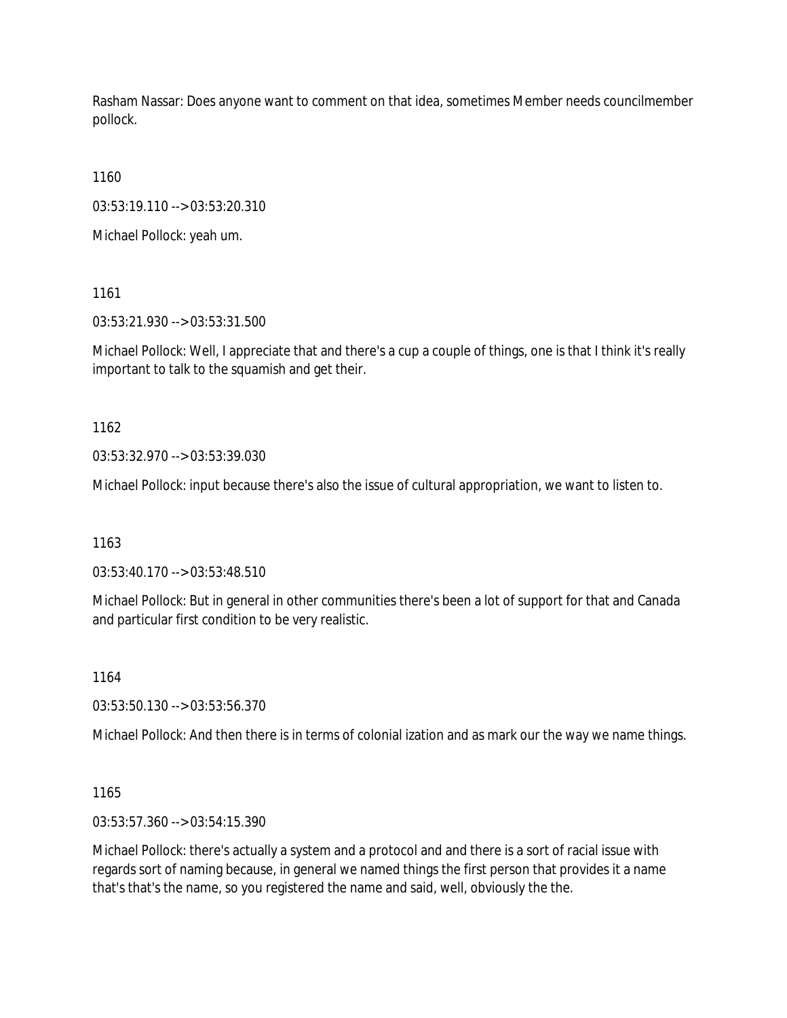Rasham Nassar: Does anyone want to comment on that idea, sometimes Member needs councilmember pollock.

1160

03:53:19.110 --> 03:53:20.310

Michael Pollock: yeah um.

1161

03:53:21.930 --> 03:53:31.500

Michael Pollock: Well, I appreciate that and there's a cup a couple of things, one is that I think it's really important to talk to the squamish and get their.

1162

03:53:32.970 --> 03:53:39.030

Michael Pollock: input because there's also the issue of cultural appropriation, we want to listen to.

1163

03:53:40.170 --> 03:53:48.510

Michael Pollock: But in general in other communities there's been a lot of support for that and Canada and particular first condition to be very realistic.

1164

03:53:50.130 --> 03:53:56.370

Michael Pollock: And then there is in terms of colonial ization and as mark our the way we name things.

1165

03:53:57.360 --> 03:54:15.390

Michael Pollock: there's actually a system and a protocol and and there is a sort of racial issue with regards sort of naming because, in general we named things the first person that provides it a name that's that's the name, so you registered the name and said, well, obviously the the.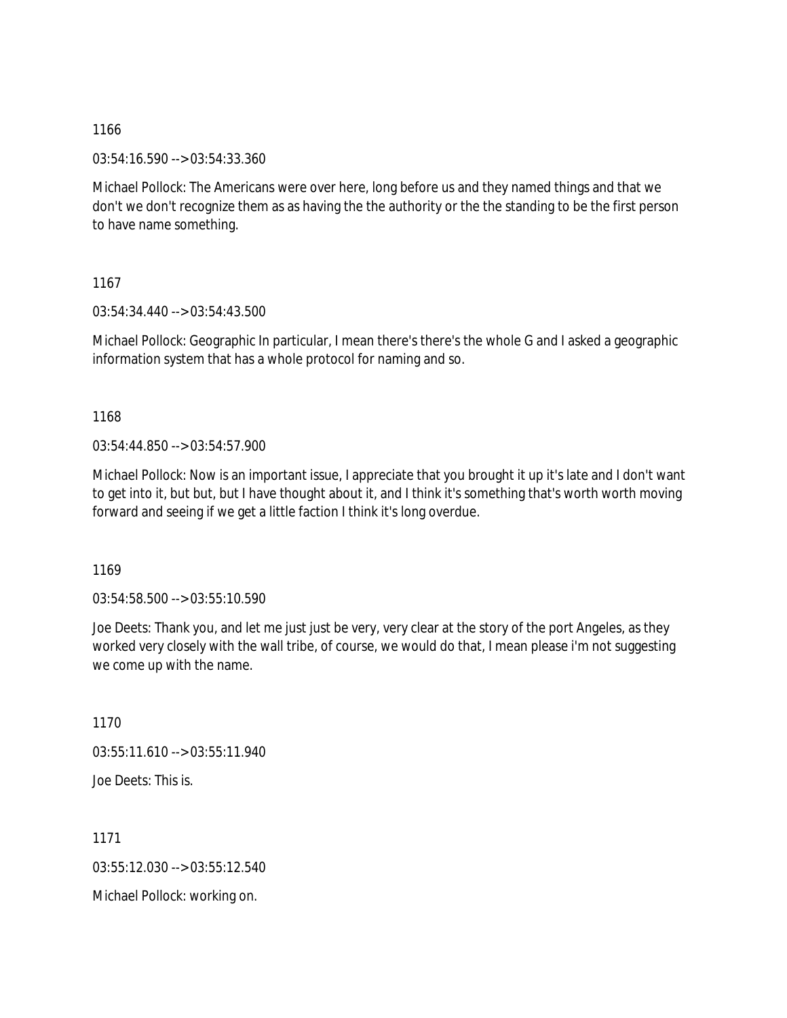03:54:16.590 --> 03:54:33.360

Michael Pollock: The Americans were over here, long before us and they named things and that we don't we don't recognize them as as having the the authority or the the standing to be the first person to have name something.

1167

03:54:34.440 --> 03:54:43.500

Michael Pollock: Geographic In particular, I mean there's there's the whole G and I asked a geographic information system that has a whole protocol for naming and so.

1168

03:54:44.850 --> 03:54:57.900

Michael Pollock: Now is an important issue, I appreciate that you brought it up it's late and I don't want to get into it, but but, but I have thought about it, and I think it's something that's worth worth moving forward and seeing if we get a little faction I think it's long overdue.

1169

03:54:58.500 --> 03:55:10.590

Joe Deets: Thank you, and let me just just be very, very clear at the story of the port Angeles, as they worked very closely with the wall tribe, of course, we would do that, I mean please i'm not suggesting we come up with the name.

1170  $03:55:11.610 \rightarrow 03:55:11.940$ Joe Deets: This is.

1171 03:55:12.030 --> 03:55:12.540

Michael Pollock: working on.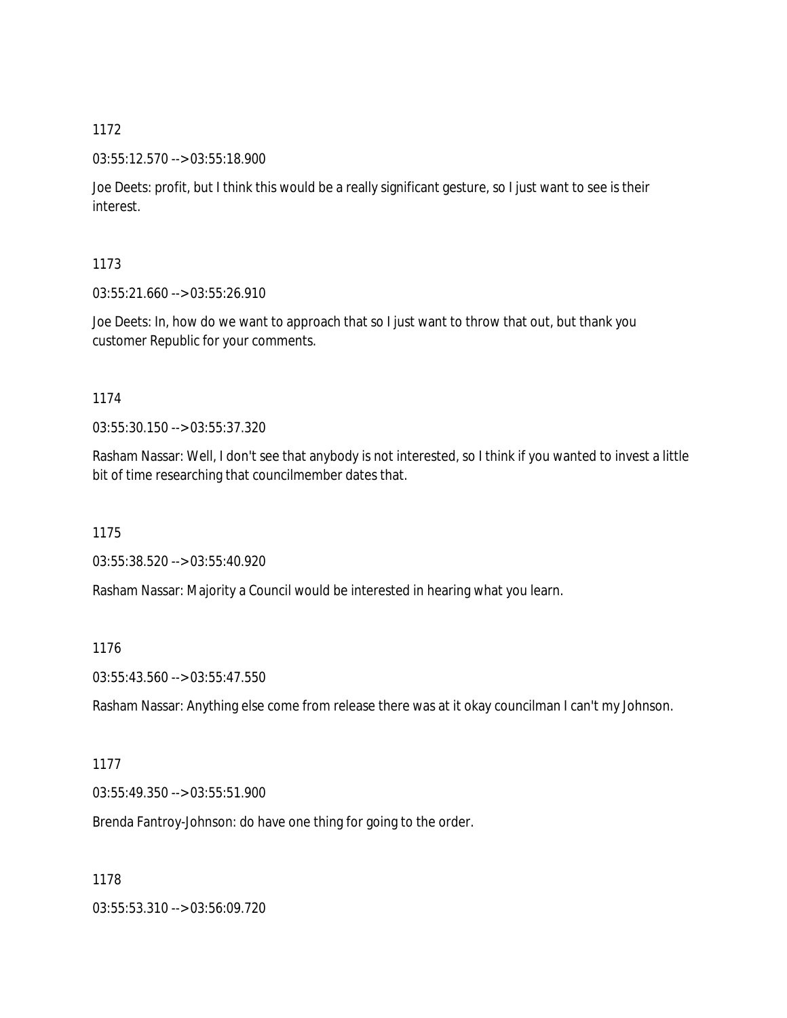03:55:12.570 --> 03:55:18.900

Joe Deets: profit, but I think this would be a really significant gesture, so I just want to see is their interest.

1173

03:55:21.660 --> 03:55:26.910

Joe Deets: In, how do we want to approach that so I just want to throw that out, but thank you customer Republic for your comments.

1174

03:55:30.150 --> 03:55:37.320

Rasham Nassar: Well, I don't see that anybody is not interested, so I think if you wanted to invest a little bit of time researching that councilmember dates that.

1175

03:55:38.520 --> 03:55:40.920

Rasham Nassar: Majority a Council would be interested in hearing what you learn.

1176

03:55:43.560 --> 03:55:47.550

Rasham Nassar: Anything else come from release there was at it okay councilman I can't my Johnson.

1177

03:55:49.350 --> 03:55:51.900

Brenda Fantroy-Johnson: do have one thing for going to the order.

1178

03:55:53.310 --> 03:56:09.720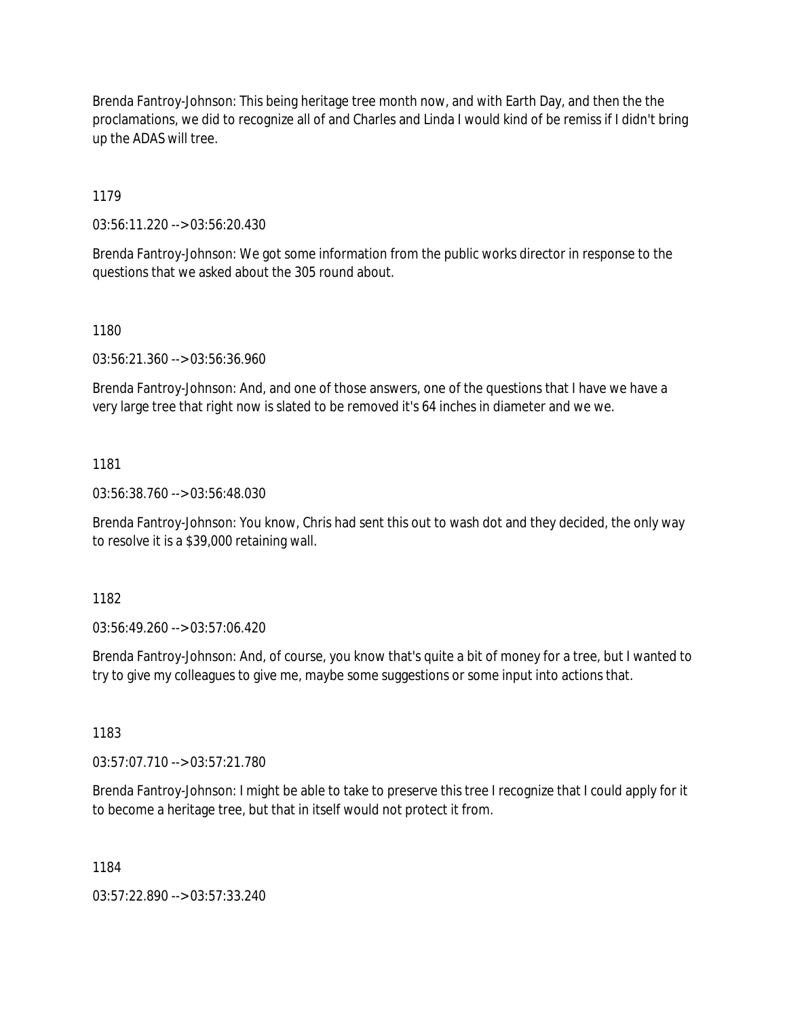Brenda Fantroy-Johnson: This being heritage tree month now, and with Earth Day, and then the the proclamations, we did to recognize all of and Charles and Linda I would kind of be remiss if I didn't bring up the ADAS will tree.

1179

03:56:11.220 --> 03:56:20.430

Brenda Fantroy-Johnson: We got some information from the public works director in response to the questions that we asked about the 305 round about.

1180

03:56:21.360 --> 03:56:36.960

Brenda Fantroy-Johnson: And, and one of those answers, one of the questions that I have we have a very large tree that right now is slated to be removed it's 64 inches in diameter and we we.

1181

03:56:38.760 --> 03:56:48.030

Brenda Fantroy-Johnson: You know, Chris had sent this out to wash dot and they decided, the only way to resolve it is a \$39,000 retaining wall.

1182

03:56:49.260 --> 03:57:06.420

Brenda Fantroy-Johnson: And, of course, you know that's quite a bit of money for a tree, but I wanted to try to give my colleagues to give me, maybe some suggestions or some input into actions that.

1183

03:57:07.710 --> 03:57:21.780

Brenda Fantroy-Johnson: I might be able to take to preserve this tree I recognize that I could apply for it to become a heritage tree, but that in itself would not protect it from.

1184

03:57:22.890 --> 03:57:33.240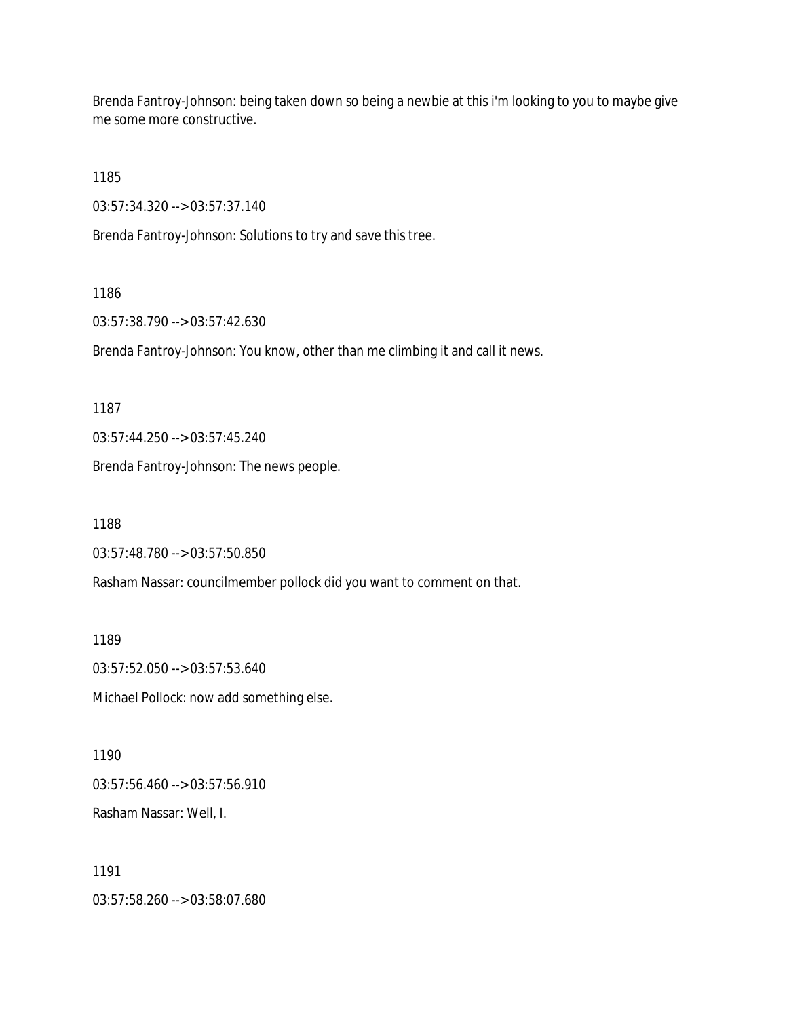Brenda Fantroy-Johnson: being taken down so being a newbie at this i'm looking to you to maybe give me some more constructive.

1185

03:57:34.320 --> 03:57:37.140

Brenda Fantroy-Johnson: Solutions to try and save this tree.

1186

03:57:38.790 --> 03:57:42.630

Brenda Fantroy-Johnson: You know, other than me climbing it and call it news.

1187

03:57:44.250 --> 03:57:45.240

Brenda Fantroy-Johnson: The news people.

1188

03:57:48.780 --> 03:57:50.850

Rasham Nassar: councilmember pollock did you want to comment on that.

1189

03:57:52.050 --> 03:57:53.640

Michael Pollock: now add something else.

1190 03:57:56.460 --> 03:57:56.910 Rasham Nassar: Well, I.

1191 03:57:58.260 --> 03:58:07.680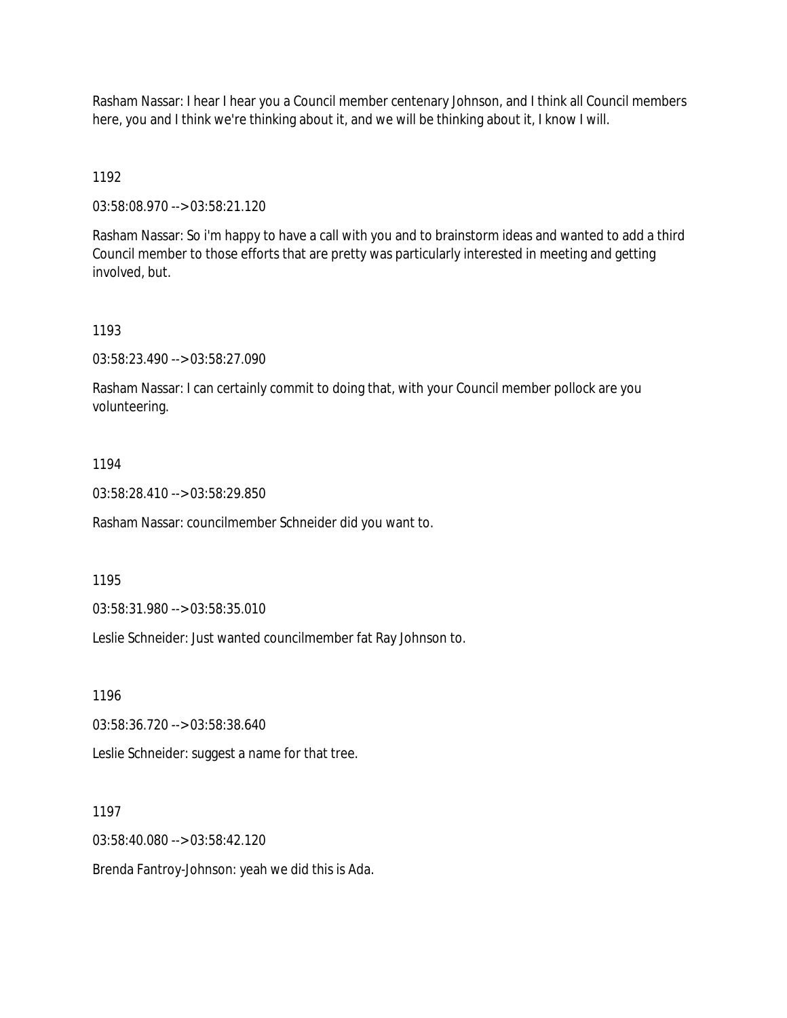Rasham Nassar: I hear I hear you a Council member centenary Johnson, and I think all Council members here, you and I think we're thinking about it, and we will be thinking about it, I know I will.

1192

03:58:08.970 --> 03:58:21.120

Rasham Nassar: So i'm happy to have a call with you and to brainstorm ideas and wanted to add a third Council member to those efforts that are pretty was particularly interested in meeting and getting involved, but.

1193

03:58:23.490 --> 03:58:27.090

Rasham Nassar: I can certainly commit to doing that, with your Council member pollock are you volunteering.

1194

03:58:28.410 --> 03:58:29.850

Rasham Nassar: councilmember Schneider did you want to.

1195

03:58:31.980 --> 03:58:35.010

Leslie Schneider: Just wanted councilmember fat Ray Johnson to.

1196

03:58:36.720 --> 03:58:38.640

Leslie Schneider: suggest a name for that tree.

1197

03:58:40.080 --> 03:58:42.120

Brenda Fantroy-Johnson: yeah we did this is Ada.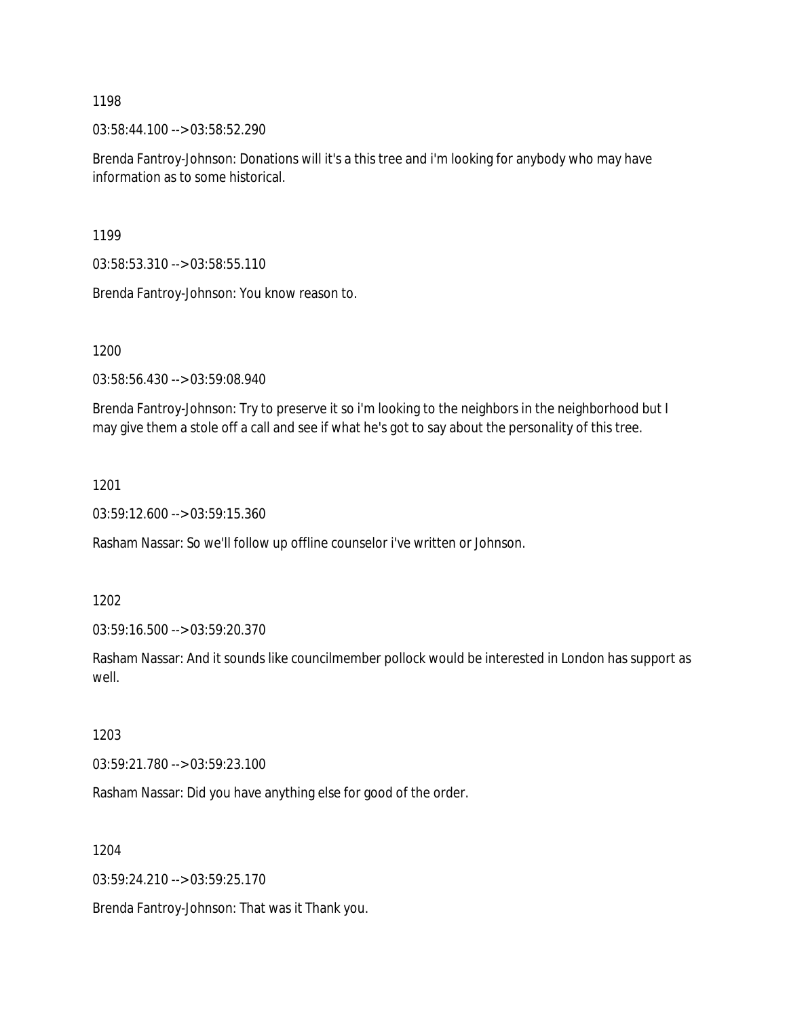03:58:44.100 --> 03:58:52.290

Brenda Fantroy-Johnson: Donations will it's a this tree and i'm looking for anybody who may have information as to some historical.

1199

03:58:53.310 --> 03:58:55.110

Brenda Fantroy-Johnson: You know reason to.

1200

03:58:56.430 --> 03:59:08.940

Brenda Fantroy-Johnson: Try to preserve it so i'm looking to the neighbors in the neighborhood but I may give them a stole off a call and see if what he's got to say about the personality of this tree.

1201

03:59:12.600 --> 03:59:15.360

Rasham Nassar: So we'll follow up offline counselor i've written or Johnson.

1202

03:59:16.500 --> 03:59:20.370

Rasham Nassar: And it sounds like councilmember pollock would be interested in London has support as well.

1203

03:59:21.780 --> 03:59:23.100

Rasham Nassar: Did you have anything else for good of the order.

1204

03:59:24.210 --> 03:59:25.170

Brenda Fantroy-Johnson: That was it Thank you.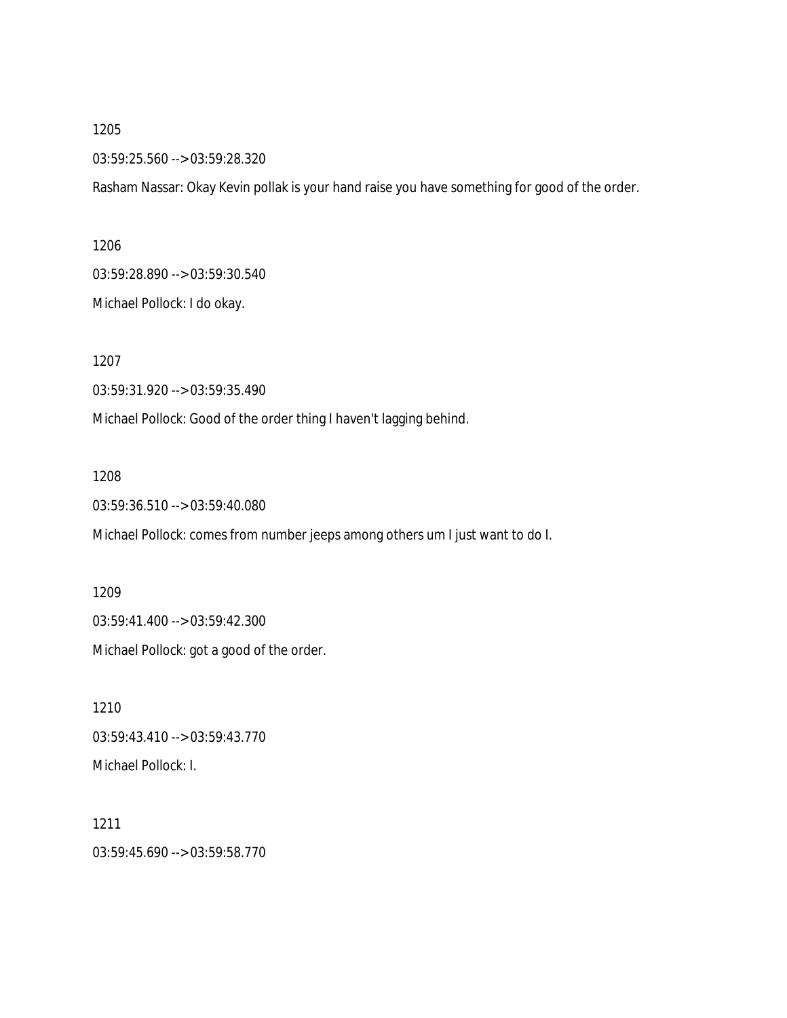03:59:25.560 --> 03:59:28.320

Rasham Nassar: Okay Kevin pollak is your hand raise you have something for good of the order.

1206

03:59:28.890 --> 03:59:30.540

Michael Pollock: I do okay.

1207

03:59:31.920 --> 03:59:35.490

Michael Pollock: Good of the order thing I haven't lagging behind.

1208

03:59:36.510 --> 03:59:40.080

Michael Pollock: comes from number jeeps among others um I just want to do I.

1209 03:59:41.400 --> 03:59:42.300 Michael Pollock: got a good of the order.

1210 03:59:43.410 --> 03:59:43.770 Michael Pollock: I.

1211 03:59:45.690 --> 03:59:58.770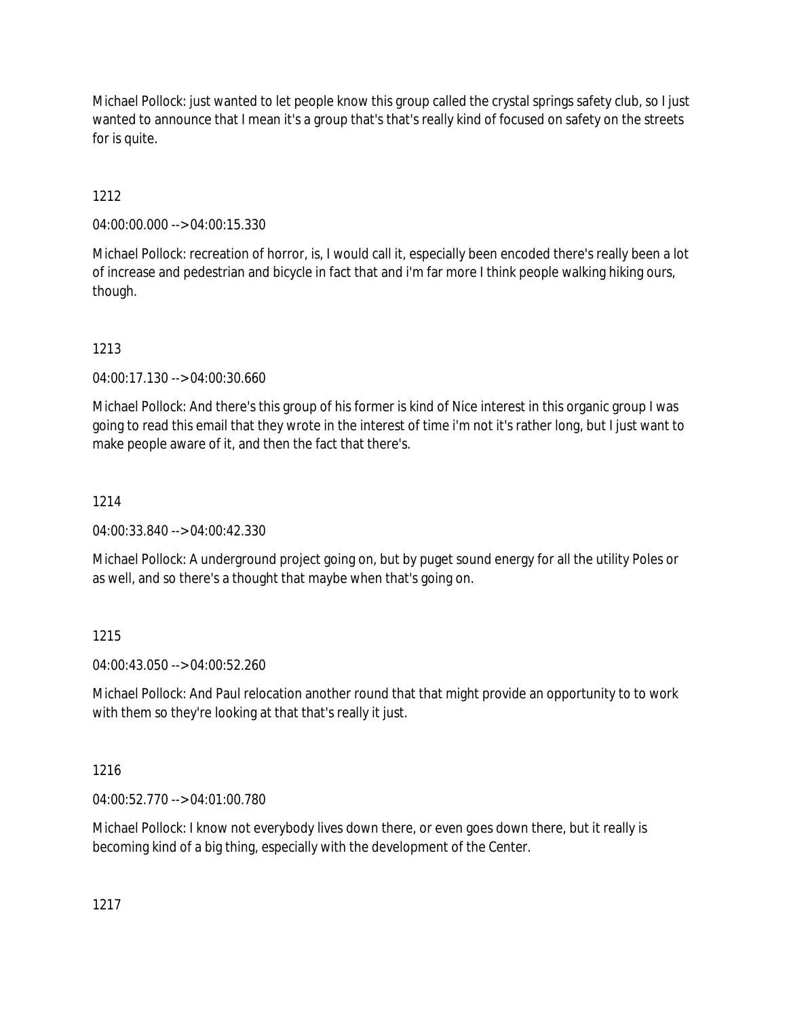Michael Pollock: just wanted to let people know this group called the crystal springs safety club, so I just wanted to announce that I mean it's a group that's that's really kind of focused on safety on the streets for is quite.

# 1212

04:00:00.000 --> 04:00:15.330

Michael Pollock: recreation of horror, is, I would call it, especially been encoded there's really been a lot of increase and pedestrian and bicycle in fact that and i'm far more I think people walking hiking ours, though.

# 1213

04:00:17.130 --> 04:00:30.660

Michael Pollock: And there's this group of his former is kind of Nice interest in this organic group I was going to read this email that they wrote in the interest of time i'm not it's rather long, but I just want to make people aware of it, and then the fact that there's.

# 1214

04:00:33.840 --> 04:00:42.330

Michael Pollock: A underground project going on, but by puget sound energy for all the utility Poles or as well, and so there's a thought that maybe when that's going on.

## 1215

04:00:43.050 --> 04:00:52.260

Michael Pollock: And Paul relocation another round that that might provide an opportunity to to work with them so they're looking at that that's really it just.

## 1216

04:00:52.770 --> 04:01:00.780

Michael Pollock: I know not everybody lives down there, or even goes down there, but it really is becoming kind of a big thing, especially with the development of the Center.

1217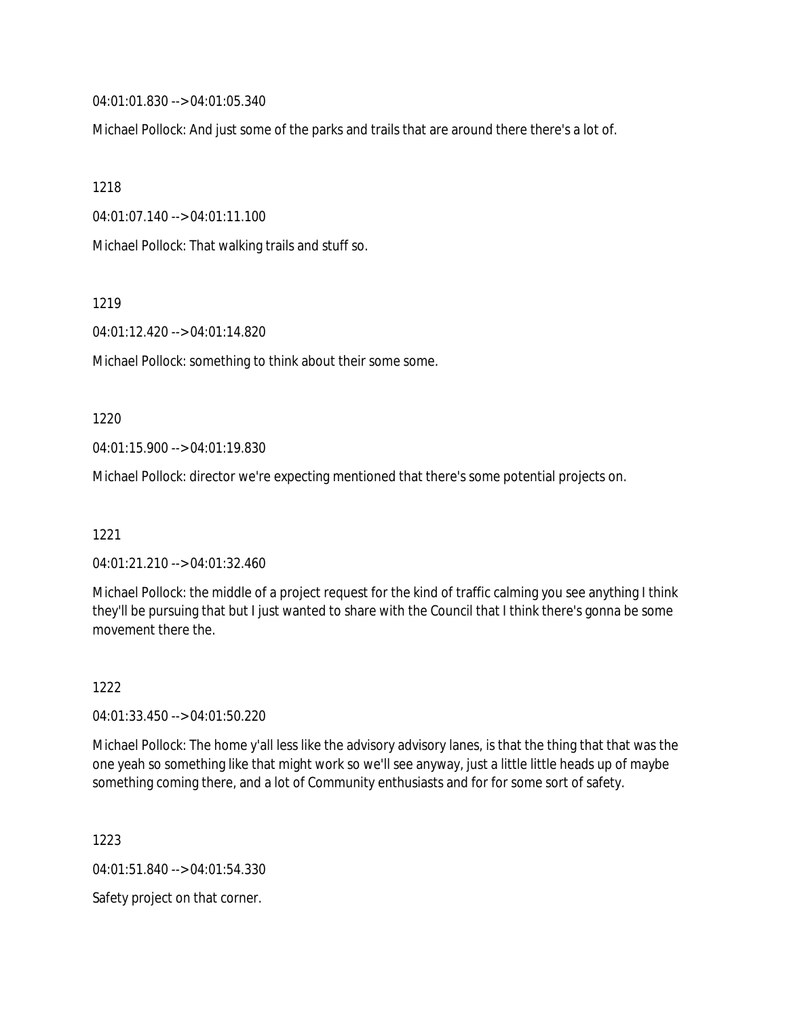04:01:01.830 --> 04:01:05.340

Michael Pollock: And just some of the parks and trails that are around there there's a lot of.

1218

04:01:07.140 --> 04:01:11.100

Michael Pollock: That walking trails and stuff so.

1219

04:01:12.420 --> 04:01:14.820

Michael Pollock: something to think about their some some.

#### 1220

04:01:15.900 --> 04:01:19.830

Michael Pollock: director we're expecting mentioned that there's some potential projects on.

1221

04:01:21.210 --> 04:01:32.460

Michael Pollock: the middle of a project request for the kind of traffic calming you see anything I think they'll be pursuing that but I just wanted to share with the Council that I think there's gonna be some movement there the

1222

04:01:33.450 --> 04:01:50.220

Michael Pollock: The home y'all less like the advisory advisory lanes, is that the thing that that was the one yeah so something like that might work so we'll see anyway, just a little little heads up of maybe something coming there, and a lot of Community enthusiasts and for for some sort of safety.

1223

04:01:51.840 --> 04:01:54.330

Safety project on that corner.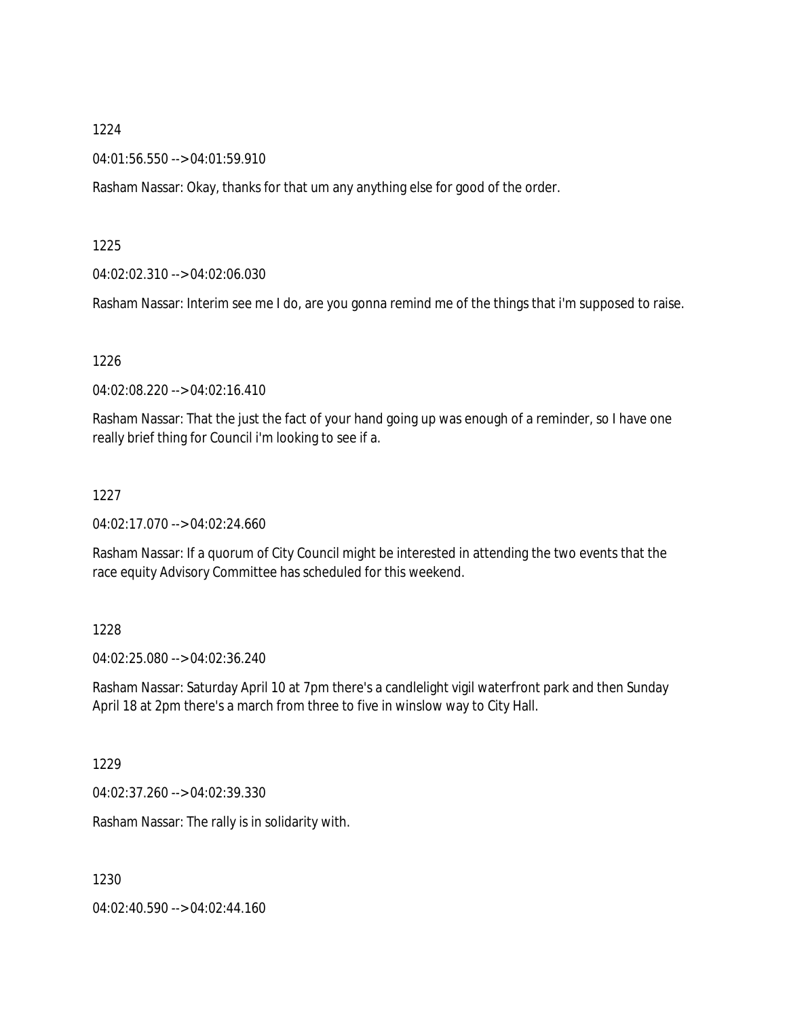#### 04:01:56.550 --> 04:01:59.910

Rasham Nassar: Okay, thanks for that um any anything else for good of the order.

#### 1225

#### 04:02:02.310 --> 04:02:06.030

Rasham Nassar: Interim see me I do, are you gonna remind me of the things that i'm supposed to raise.

### 1226

04:02:08.220 --> 04:02:16.410

Rasham Nassar: That the just the fact of your hand going up was enough of a reminder, so I have one really brief thing for Council i'm looking to see if a.

### 1227

04:02:17.070 --> 04:02:24.660

Rasham Nassar: If a quorum of City Council might be interested in attending the two events that the race equity Advisory Committee has scheduled for this weekend.

### 1228

04:02:25.080 --> 04:02:36.240

Rasham Nassar: Saturday April 10 at 7pm there's a candlelight vigil waterfront park and then Sunday April 18 at 2pm there's a march from three to five in winslow way to City Hall.

### 1229

04:02:37.260 --> 04:02:39.330

Rasham Nassar: The rally is in solidarity with.

1230

04:02:40.590 --> 04:02:44.160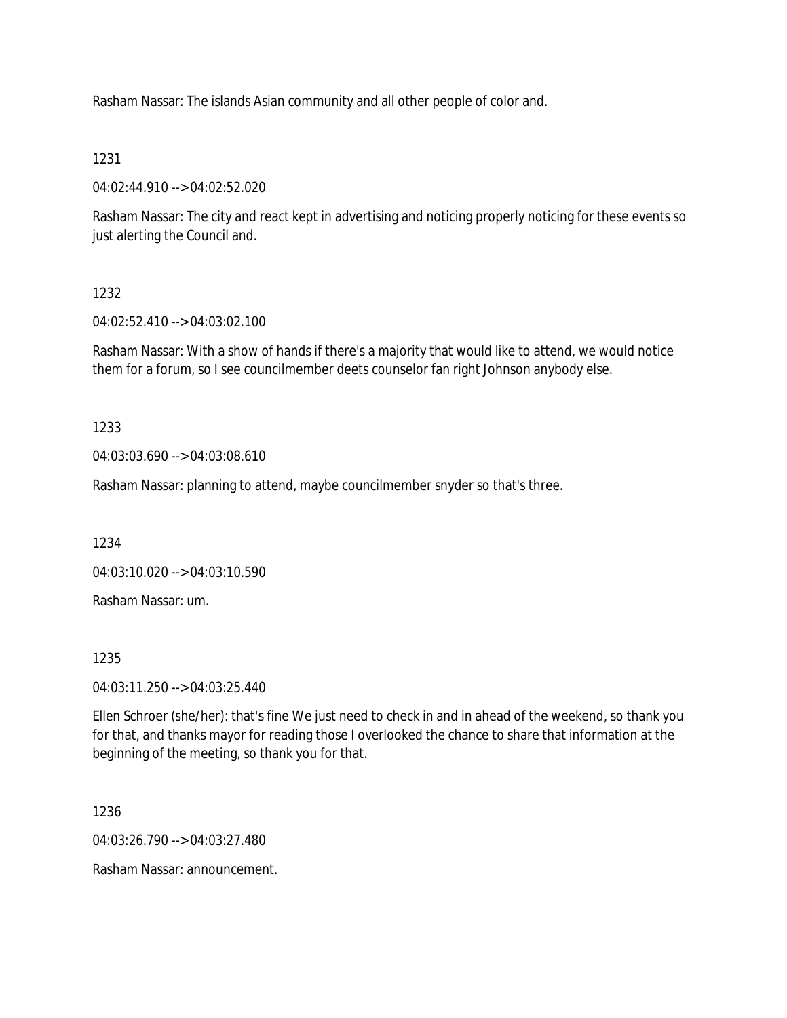Rasham Nassar: The islands Asian community and all other people of color and.

### 1231

04:02:44.910 --> 04:02:52.020

Rasham Nassar: The city and react kept in advertising and noticing properly noticing for these events so just alerting the Council and.

## 1232

04:02:52.410 --> 04:03:02.100

Rasham Nassar: With a show of hands if there's a majority that would like to attend, we would notice them for a forum, so I see councilmember deets counselor fan right Johnson anybody else.

### 1233

04:03:03.690 --> 04:03:08.610

Rasham Nassar: planning to attend, maybe councilmember snyder so that's three.

1234

04:03:10.020 --> 04:03:10.590

Rasham Nassar: um.

### 1235

04:03:11.250 --> 04:03:25.440

Ellen Schroer (she/her): that's fine We just need to check in and in ahead of the weekend, so thank you for that, and thanks mayor for reading those I overlooked the chance to share that information at the beginning of the meeting, so thank you for that.

1236

04:03:26.790 --> 04:03:27.480

Rasham Nassar: announcement.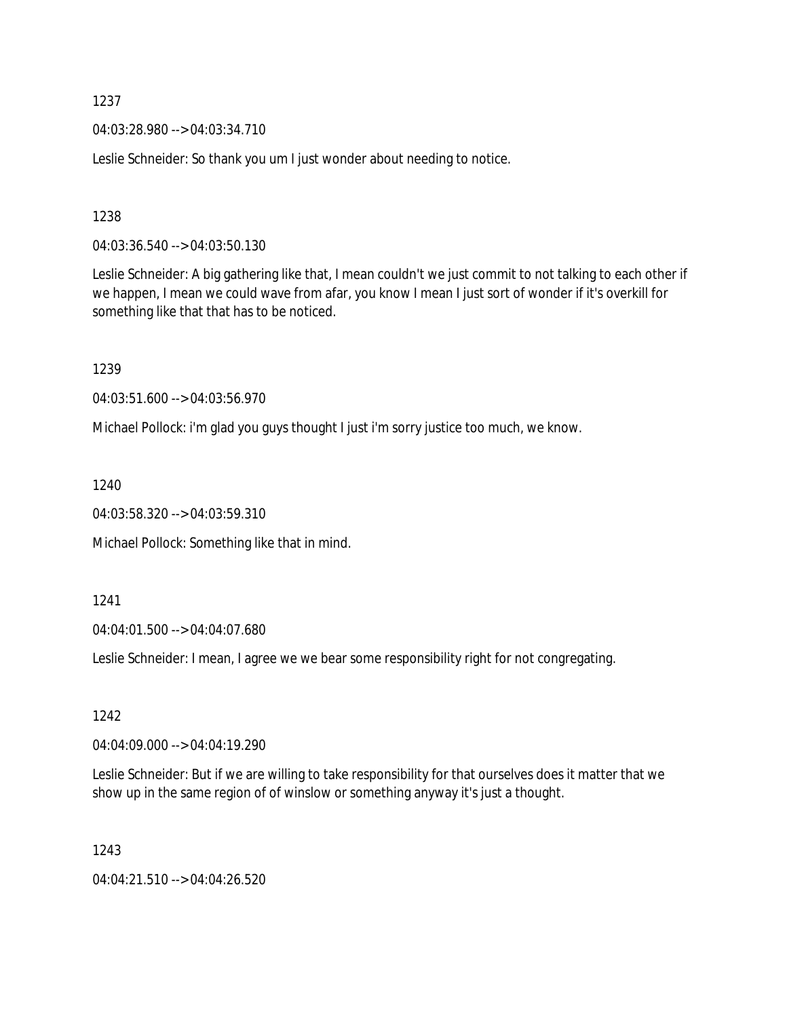04:03:28.980 --> 04:03:34.710

Leslie Schneider: So thank you um I just wonder about needing to notice.

1238

04:03:36.540 --> 04:03:50.130

Leslie Schneider: A big gathering like that, I mean couldn't we just commit to not talking to each other if we happen, I mean we could wave from afar, you know I mean I just sort of wonder if it's overkill for something like that that has to be noticed.

1239

04:03:51.600 --> 04:03:56.970

Michael Pollock: i'm glad you guys thought I just i'm sorry justice too much, we know.

1240

04:03:58.320 --> 04:03:59.310

Michael Pollock: Something like that in mind.

1241

04:04:01.500 --> 04:04:07.680

Leslie Schneider: I mean, I agree we we bear some responsibility right for not congregating.

1242

04:04:09.000 --> 04:04:19.290

Leslie Schneider: But if we are willing to take responsibility for that ourselves does it matter that we show up in the same region of of winslow or something anyway it's just a thought.

1243

04:04:21.510 --> 04:04:26.520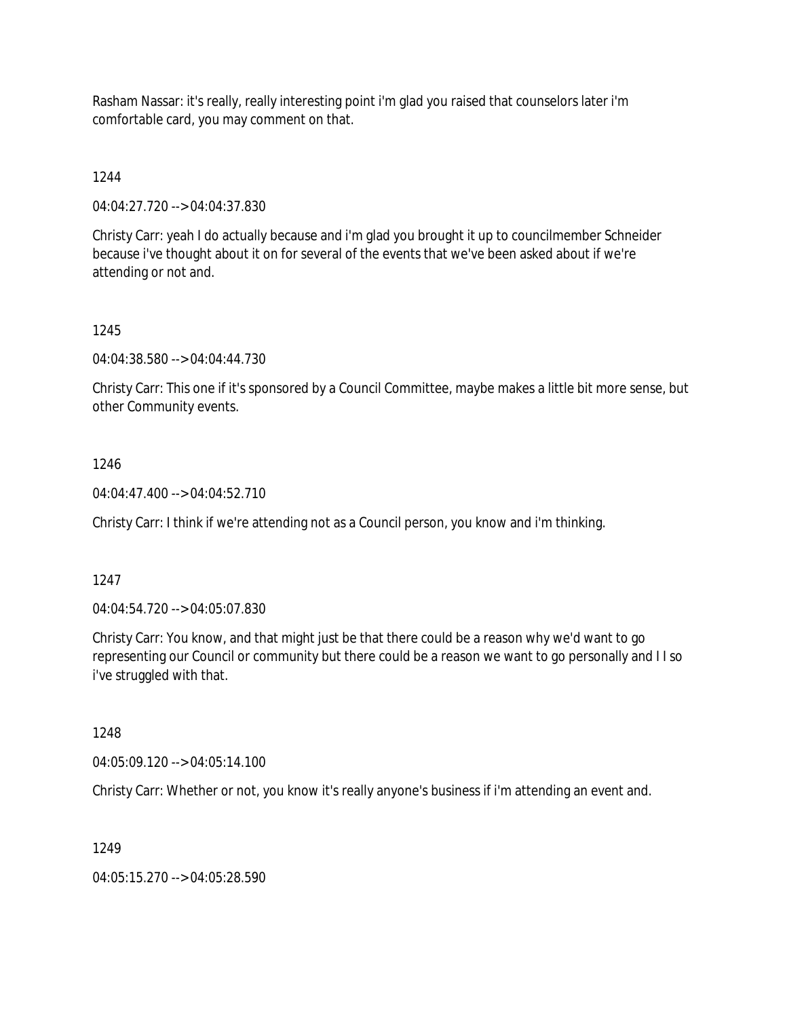Rasham Nassar: it's really, really interesting point i'm glad you raised that counselors later i'm comfortable card, you may comment on that.

1244

04:04:27.720 --> 04:04:37.830

Christy Carr: yeah I do actually because and i'm glad you brought it up to councilmember Schneider because i've thought about it on for several of the events that we've been asked about if we're attending or not and.

### 1245

04:04:38.580 --> 04:04:44.730

Christy Carr: This one if it's sponsored by a Council Committee, maybe makes a little bit more sense, but other Community events.

### 1246

04:04:47.400 --> 04:04:52.710

Christy Carr: I think if we're attending not as a Council person, you know and i'm thinking.

### 1247

04:04:54.720 --> 04:05:07.830

Christy Carr: You know, and that might just be that there could be a reason why we'd want to go representing our Council or community but there could be a reason we want to go personally and I I so i've struggled with that.

1248

04:05:09.120 --> 04:05:14.100

Christy Carr: Whether or not, you know it's really anyone's business if i'm attending an event and.

### 1249

04:05:15.270 --> 04:05:28.590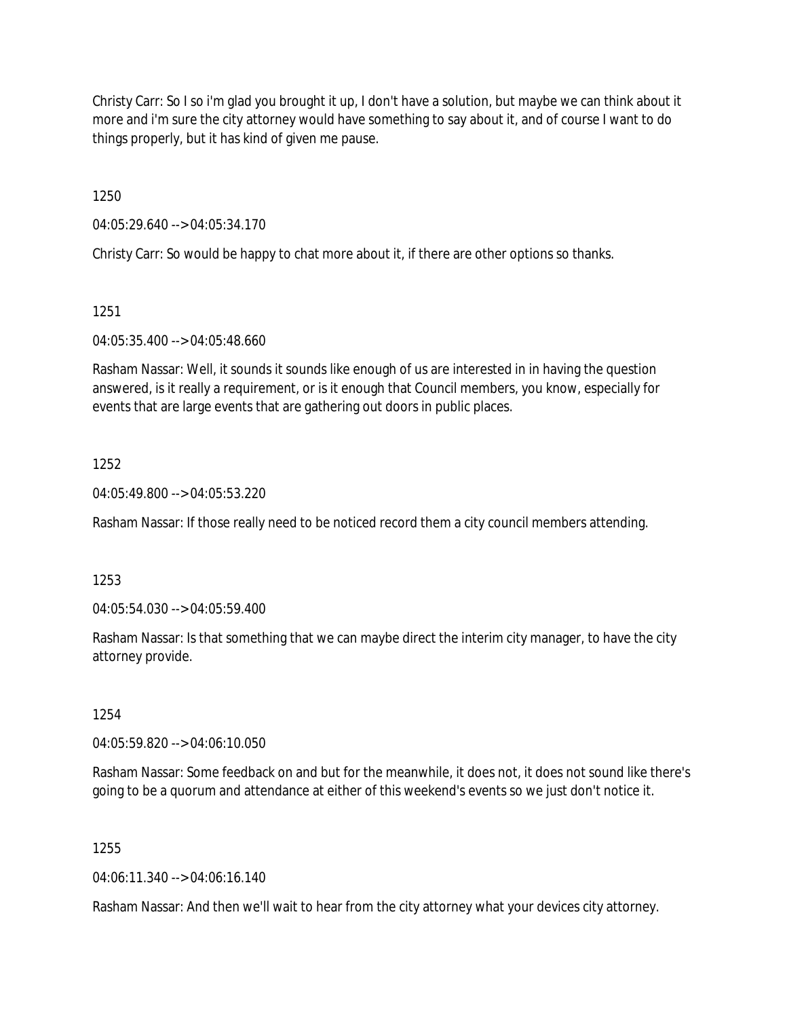Christy Carr: So I so i'm glad you brought it up, I don't have a solution, but maybe we can think about it more and i'm sure the city attorney would have something to say about it, and of course I want to do things properly, but it has kind of given me pause.

1250

04:05:29.640 --> 04:05:34.170

Christy Carr: So would be happy to chat more about it, if there are other options so thanks.

1251

04:05:35.400 --> 04:05:48.660

Rasham Nassar: Well, it sounds it sounds like enough of us are interested in in having the question answered, is it really a requirement, or is it enough that Council members, you know, especially for events that are large events that are gathering out doors in public places.

### 1252

04:05:49.800 --> 04:05:53.220

Rasham Nassar: If those really need to be noticed record them a city council members attending.

1253

04:05:54.030 --> 04:05:59.400

Rasham Nassar: Is that something that we can maybe direct the interim city manager, to have the city attorney provide.

1254

04:05:59.820 --> 04:06:10.050

Rasham Nassar: Some feedback on and but for the meanwhile, it does not, it does not sound like there's going to be a quorum and attendance at either of this weekend's events so we just don't notice it.

1255

04:06:11.340 --> 04:06:16.140

Rasham Nassar: And then we'll wait to hear from the city attorney what your devices city attorney.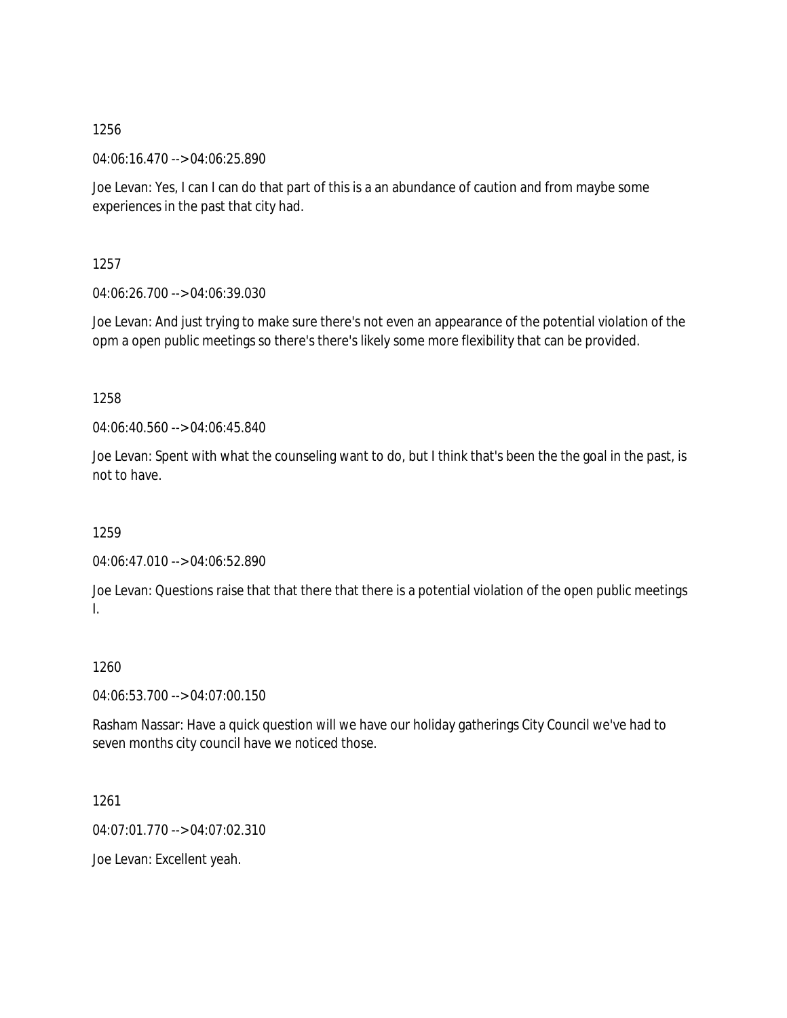04:06:16.470 --> 04:06:25.890

Joe Levan: Yes, I can I can do that part of this is a an abundance of caution and from maybe some experiences in the past that city had.

1257

04:06:26.700 --> 04:06:39.030

Joe Levan: And just trying to make sure there's not even an appearance of the potential violation of the opm a open public meetings so there's there's likely some more flexibility that can be provided.

1258

04:06:40.560 --> 04:06:45.840

Joe Levan: Spent with what the counseling want to do, but I think that's been the the goal in the past, is not to have.

1259

04:06:47.010 --> 04:06:52.890

Joe Levan: Questions raise that that there that there is a potential violation of the open public meetings I.

## 1260

04:06:53.700 --> 04:07:00.150

Rasham Nassar: Have a quick question will we have our holiday gatherings City Council we've had to seven months city council have we noticed those.

1261

04:07:01.770 --> 04:07:02.310

Joe Levan: Excellent yeah.